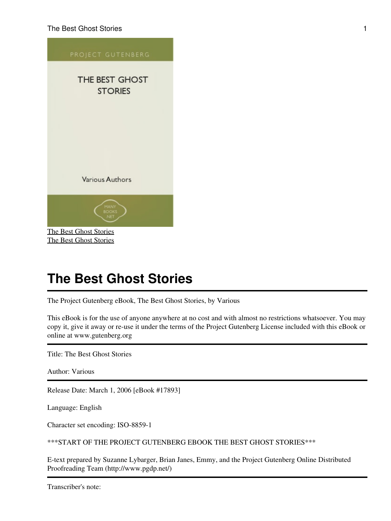

<span id="page-0-0"></span>The Project Gutenberg eBook, The Best Ghost Stories, by Various

This eBook is for the use of anyone anywhere at no cost and with almost no restrictions whatsoever. You may copy it, give it away or re-use it under the terms of the Project Gutenberg License included with this eBook or online at www.gutenberg.org

Title: The Best Ghost Stories

Author: Various

Release Date: March 1, 2006 [eBook #17893]

Language: English

Character set encoding: ISO-8859-1

\*\*\*START OF THE PROJECT GUTENBERG EBOOK THE BEST GHOST STORIES\*\*\*

E-text prepared by Suzanne Lybarger, Brian Janes, Emmy, and the Project Gutenberg Online Distributed Proofreading Team (http://www.pgdp.net/)

Transcriber's note: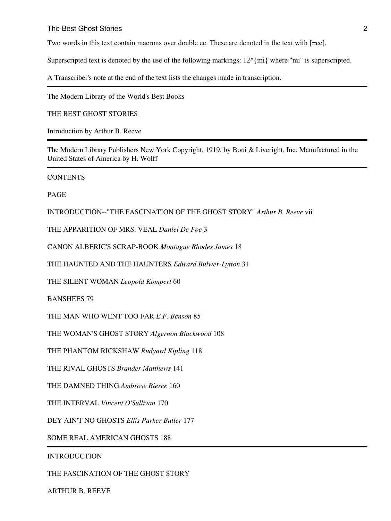Two words in this text contain macrons over double ee. These are denoted in the text with [=ee].

Superscripted text is denoted by the use of the following markings:  $12^{\wedge}$  mi where "mi" is superscripted.

A Transcriber's note at the end of the text lists the changes made in transcription.

The Modern Library of the World's Best Books

THE BEST GHOST STORIES

Introduction by Arthur B. Reeve

The Modern Library Publishers New York Copyright, 1919, by Boni & Liveright, Inc. Manufactured in the United States of America by H. Wolff

**CONTENTS** 

PAGE

INTRODUCTION--"THE FASCINATION OF THE GHOST STORY" *Arthur B. Reeve* vii

THE APPARITION OF MRS. VEAL *Daniel De Foe* 3

CANON ALBERIC'S SCRAP-BOOK *Montague Rhodes James* 18

THE HAUNTED AND THE HAUNTERS *Edward Bulwer-Lytton* 31

THE SILENT WOMAN *Leopold Kompert* 60

BANSHEES 79

THE MAN WHO WENT TOO FAR *E.F. Benson* 85

THE WOMAN'S GHOST STORY *Algernon Blackwood* 108

THE PHANTOM RICKSHAW *Rudyard Kipling* 118

THE RIVAL GHOSTS *Brander Matthews* 141

THE DAMNED THING *Ambrose Bierce* 160

THE INTERVAL *Vincent O'Sullivan* 170

DEY AIN'T NO GHOSTS *Ellis Parker Butler* 177

SOME REAL AMERICAN GHOSTS 188

INTRODUCTION

THE FASCINATION OF THE GHOST STORY

ARTHUR B. REEVE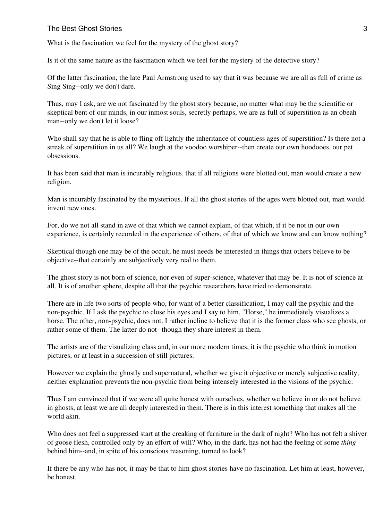What is the fascination we feel for the mystery of the ghost story?

Is it of the same nature as the fascination which we feel for the mystery of the detective story?

Of the latter fascination, the late Paul Armstrong used to say that it was because we are all as full of crime as Sing Sing--only we don't dare.

Thus, may I ask, are we not fascinated by the ghost story because, no matter what may be the scientific or skeptical bent of our minds, in our inmost souls, secretly perhaps, we are as full of superstition as an obeah man--only we don't let it loose?

Who shall say that he is able to fling off lightly the inheritance of countless ages of superstition? Is there not a streak of superstition in us all? We laugh at the voodoo worshiper--then create our own hoodooes, our pet obsessions.

It has been said that man is incurably religious, that if all religions were blotted out, man would create a new religion.

Man is incurably fascinated by the mysterious. If all the ghost stories of the ages were blotted out, man would invent new ones.

For, do we not all stand in awe of that which we cannot explain, of that which, if it be not in our own experience, is certainly recorded in the experience of others, of that of which we know and can know nothing?

Skeptical though one may be of the occult, he must needs be interested in things that others believe to be objective--that certainly are subjectively very real to them.

The ghost story is not born of science, nor even of super-science, whatever that may be. It is not of science at all. It is of another sphere, despite all that the psychic researchers have tried to demonstrate.

There are in life two sorts of people who, for want of a better classification, I may call the psychic and the non-psychic. If I ask the psychic to close his eyes and I say to him, "Horse," he immediately visualizes a horse. The other, non-psychic, does not. I rather incline to believe that it is the former class who see ghosts, or rather some of them. The latter do not--though they share interest in them.

The artists are of the visualizing class and, in our more modern times, it is the psychic who think in motion pictures, or at least in a succession of still pictures.

However we explain the ghostly and supernatural, whether we give it objective or merely subjective reality, neither explanation prevents the non-psychic from being intensely interested in the visions of the psychic.

Thus I am convinced that if we were all quite honest with ourselves, whether we believe in or do not believe in ghosts, at least we are all deeply interested in them. There is in this interest something that makes all the world akin.

Who does not feel a suppressed start at the creaking of furniture in the dark of night? Who has not felt a shiver of goose flesh, controlled only by an effort of will? Who, in the dark, has not had the feeling of some *thing* behind him--and, in spite of his conscious reasoning, turned to look?

If there be any who has not, it may be that to him ghost stories have no fascination. Let him at least, however, be honest.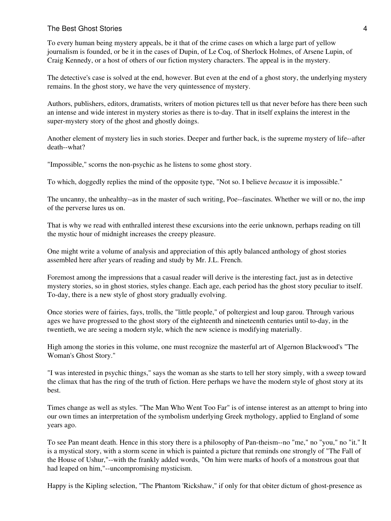#### The Best Ghost Stories **4** and the stories 4 and the stories and the stories and the stories and the stories 4 and the stories and the stories are the stories and the stories and the stories are the stories and the stories

To every human being mystery appeals, be it that of the crime cases on which a large part of yellow journalism is founded, or be it in the cases of Dupin, of Le Coq, of Sherlock Holmes, of Arsene Lupin, of Craig Kennedy, or a host of others of our fiction mystery characters. The appeal is in the mystery.

The detective's case is solved at the end, however. But even at the end of a ghost story, the underlying mystery remains. In the ghost story, we have the very quintessence of mystery.

Authors, publishers, editors, dramatists, writers of motion pictures tell us that never before has there been such an intense and wide interest in mystery stories as there is to-day. That in itself explains the interest in the super-mystery story of the ghost and ghostly doings.

Another element of mystery lies in such stories. Deeper and further back, is the supreme mystery of life--after death--what?

"Impossible," scorns the non-psychic as he listens to some ghost story.

To which, doggedly replies the mind of the opposite type, "Not so. I believe *because* it is impossible."

The uncanny, the unhealthy--as in the master of such writing, Poe--fascinates. Whether we will or no, the imp of the perverse lures us on.

That is why we read with enthralled interest these excursions into the eerie unknown, perhaps reading on till the mystic hour of midnight increases the creepy pleasure.

One might write a volume of analysis and appreciation of this aptly balanced anthology of ghost stories assembled here after years of reading and study by Mr. J.L. French.

Foremost among the impressions that a casual reader will derive is the interesting fact, just as in detective mystery stories, so in ghost stories, styles change. Each age, each period has the ghost story peculiar to itself. To-day, there is a new style of ghost story gradually evolving.

Once stories were of fairies, fays, trolls, the "little people," of poltergiest and loup garou. Through various ages we have progressed to the ghost story of the eighteenth and nineteenth centuries until to-day, in the twentieth, we are seeing a modern style, which the new science is modifying materially.

High among the stories in this volume, one must recognize the masterful art of Algernon Blackwood's "The Woman's Ghost Story."

"I was interested in psychic things," says the woman as she starts to tell her story simply, with a sweep toward the climax that has the ring of the truth of fiction. Here perhaps we have the modern style of ghost story at its best.

Times change as well as styles. "The Man Who Went Too Far" is of intense interest as an attempt to bring into our own times an interpretation of the symbolism underlying Greek mythology, applied to England of some years ago.

To see Pan meant death. Hence in this story there is a philosophy of Pan-theism--no "me," no "you," no "it." It is a mystical story, with a storm scene in which is painted a picture that reminds one strongly of "The Fall of the House of Ushur,"--with the frankly added words, "On him were marks of hoofs of a monstrous goat that had leaped on him,"--uncompromising mysticism.

Happy is the Kipling selection, "The Phantom 'Rickshaw," if only for that obiter dictum of ghost-presence as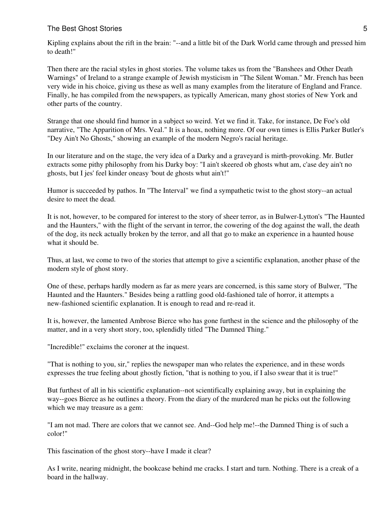#### The Best Ghost Stories 5 and 200 million control to the Best Ghost Stories 5 and 3 and 3 and 3 and 3 and 3 and 3 and 3 and 3 and 3 and 3 and 3 and 3 and 3 and 3 and 3 and 3 and 3 and 3 and 3 and 3 and 3 and 3 and 3 and 3 a

Kipling explains about the rift in the brain: "--and a little bit of the Dark World came through and pressed him to death!"

Then there are the racial styles in ghost stories. The volume takes us from the "Banshees and Other Death Warnings" of Ireland to a strange example of Jewish mysticism in "The Silent Woman." Mr. French has been very wide in his choice, giving us these as well as many examples from the literature of England and France. Finally, he has compiled from the newspapers, as typically American, many ghost stories of New York and other parts of the country.

Strange that one should find humor in a subject so weird. Yet we find it. Take, for instance, De Foe's old narrative, "The Apparition of Mrs. Veal." It is a hoax, nothing more. Of our own times is Ellis Parker Butler's "Dey Ain't No Ghosts," showing an example of the modern Negro's racial heritage.

In our literature and on the stage, the very idea of a Darky and a graveyard is mirth-provoking. Mr. Butler extracts some pithy philosophy from his Darky boy: "I ain't skeered ob ghosts whut am, c'ase dey ain't no ghosts, but I jes' feel kinder oneasy 'bout de ghosts whut ain't!"

Humor is succeeded by pathos. In "The Interval" we find a sympathetic twist to the ghost story--an actual desire to meet the dead.

It is not, however, to be compared for interest to the story of sheer terror, as in Bulwer-Lytton's "The Haunted and the Haunters," with the flight of the servant in terror, the cowering of the dog against the wall, the death of the dog, its neck actually broken by the terror, and all that go to make an experience in a haunted house what it should be.

Thus, at last, we come to two of the stories that attempt to give a scientific explanation, another phase of the modern style of ghost story.

One of these, perhaps hardly modern as far as mere years are concerned, is this same story of Bulwer, "The Haunted and the Haunters." Besides being a rattling good old-fashioned tale of horror, it attempts a new-fashioned scientific explanation. It is enough to read and re-read it.

It is, however, the lamented Ambrose Bierce who has gone furthest in the science and the philosophy of the matter, and in a very short story, too, splendidly titled "The Damned Thing."

"Incredible!" exclaims the coroner at the inquest.

"That is nothing to you, sir," replies the newspaper man who relates the experience, and in these words expresses the true feeling about ghostly fiction, "that is nothing to you, if I also swear that it is true!"

But furthest of all in his scientific explanation--not scientifically explaining away, but in explaining the way--goes Bierce as he outlines a theory. From the diary of the murdered man he picks out the following which we may treasure as a gem:

"I am not mad. There are colors that we cannot see. And--God help me!--the Damned Thing is of such a color!"

This fascination of the ghost story--have I made it clear?

As I write, nearing midnight, the bookcase behind me cracks. I start and turn. Nothing. There is a creak of a board in the hallway.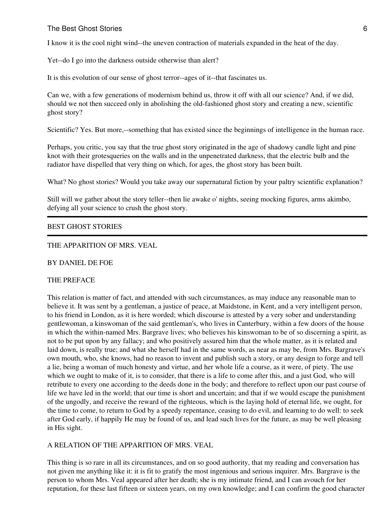#### The Best Ghost Stories 6 and the Stories 6 and the Stories 6 and the Stories 6 and the Stories 6 and the Stories 6 and the Stories 6 and the Stories 6 and the Stories 6 and the Stories 6 and the Stories 6 and the Stories 6

I know it is the cool night wind--the uneven contraction of materials expanded in the heat of the day.

Yet--do I go into the darkness outside otherwise than alert?

It is this evolution of our sense of ghost terror--ages of it--that fascinates us.

Can we, with a few generations of modernism behind us, throw it off with all our science? And, if we did, should we not then succeed only in abolishing the old-fashioned ghost story and creating a new, scientific ghost story?

Scientific? Yes. But more,--something that has existed since the beginnings of intelligence in the human race.

Perhaps, you critic, you say that the true ghost story originated in the age of shadowy candle light and pine knot with their grotesqueries on the walls and in the unpenetrated darkness, that the electric bulb and the radiator have dispelled that very thing on which, for ages, the ghost story has been built.

What? No ghost stories? Would you take away our supernatural fiction by your paltry scientific explanation?

Still will we gather about the story teller--then lie awake o' nights, seeing mocking figures, arms akimbo, defying all your science to crush the ghost story.

#### BEST GHOST STORIES

#### THE APPARITION OF MRS. VEAL

BY DANIEL DE FOE

#### THE PREFACE

This relation is matter of fact, and attended with such circumstances, as may induce any reasonable man to believe it. It was sent by a gentleman, a justice of peace, at Maidstone, in Kent, and a very intelligent person, to his friend in London, as it is here worded; which discourse is attested by a very sober and understanding gentlewoman, a kinswoman of the said gentleman's, who lives in Canterbury, within a few doors of the house in which the within-named Mrs. Bargrave lives; who believes his kinswoman to be of so discerning a spirit, as not to be put upon by any fallacy; and who positively assured him that the whole matter, as it is related and laid down, is really true; and what she herself had in the same words, as near as may be, from Mrs. Bargrave's own mouth, who, she knows, had no reason to invent and publish such a story, or any design to forge and tell a lie, being a woman of much honesty and virtue, and her whole life a course, as it were, of piety. The use which we ought to make of it, is to consider, that there is a life to come after this, and a just God, who will retribute to every one according to the deeds done in the body; and therefore to reflect upon our past course of life we have led in the world; that our time is short and uncertain; and that if we would escape the punishment of the ungodly, and receive the reward of the righteous, which is the laying hold of eternal life, we ought, for the time to come, to return to God by a speedy repentance, ceasing to do evil, and learning to do well: to seek after God early, if happily He may be found of us, and lead such lives for the future, as may be well pleasing in His sight.

#### A RELATION OF THE APPARITION OF MRS. VEAL

This thing is so rare in all its circumstances, and on so good authority, that my reading and conversation has not given me anything like it: it is fit to gratify the most ingenious and serious inquirer. Mrs. Bargrave is the person to whom Mrs. Veal appeared after her death; she is my intimate friend, and I can avouch for her reputation, for these last fifteen or sixteen years, on my own knowledge; and I can confirm the good character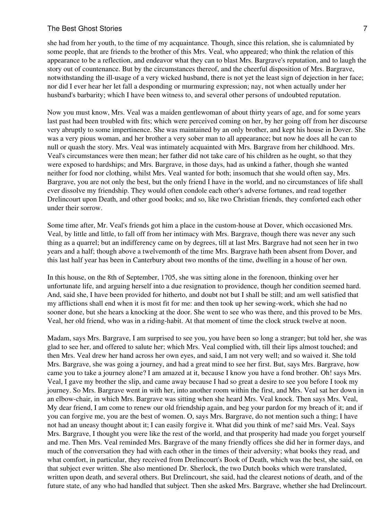#### The Best Ghost Stories 7 and 2008 7 and 2008 7 and 2008 7 and 2008 7 and 2008 7 and 2008 7 and 2008 7 and 2008 7 and 2008 7 and 2008 7 and 2008 7 and 2008 7 and 2008 7 and 2008 7 and 2008 7 and 2008 7 and 2008 7 and 2008 7

she had from her youth, to the time of my acquaintance. Though, since this relation, she is calumniated by some people, that are friends to the brother of this Mrs. Veal, who appeared; who think the relation of this appearance to be a reflection, and endeavor what they can to blast Mrs. Bargrave's reputation, and to laugh the story out of countenance. But by the circumstances thereof, and the cheerful disposition of Mrs. Bargrave, notwithstanding the ill-usage of a very wicked husband, there is not yet the least sign of dejection in her face; nor did I ever hear her let fall a desponding or murmuring expression; nay, not when actually under her husband's barbarity; which I have been witness to, and several other persons of undoubted reputation.

Now you must know, Mrs. Veal was a maiden gentlewoman of about thirty years of age, and for some years last past had been troubled with fits; which were perceived coming on her, by her going off from her discourse very abruptly to some impertinence. She was maintained by an only brother, and kept his house in Dover. She was a very pious woman, and her brother a very sober man to all appearance; but now he does all he can to null or quash the story. Mrs. Veal was intimately acquainted with Mrs. Bargrave from her childhood. Mrs. Veal's circumstances were then mean; her father did not take care of his children as he ought, so that they were exposed to hardships; and Mrs. Bargrave, in those days, had as unkind a father, though she wanted neither for food nor clothing, whilst Mrs. Veal wanted for both; insomuch that she would often say, Mrs. Bargrave, you are not only the best, but the only friend I have in the world, and no circumstances of life shall ever dissolve my friendship. They would often condole each other's adverse fortunes, and read together Drelincourt upon Death, and other good books; and so, like two Christian friends, they comforted each other under their sorrow.

Some time after, Mr. Veal's friends got him a place in the custom-house at Dover, which occasioned Mrs. Veal, by little and little, to fall off from her intimacy with Mrs. Bargrave, though there was never any such thing as a quarrel; but an indifferency came on by degrees, till at last Mrs. Bargrave had not seen her in two years and a half; though above a twelvemonth of the time Mrs. Bargrave hath been absent from Dover, and this last half year has been in Canterbury about two months of the time, dwelling in a house of her own.

In this house, on the 8th of September, 1705, she was sitting alone in the forenoon, thinking over her unfortunate life, and arguing herself into a due resignation to providence, though her condition seemed hard. And, said she, I have been provided for hitherto, and doubt not but I shall be still; and am well satisfied that my afflictions shall end when it is most fit for me: and then took up her sewing-work, which she had no sooner done, but she hears a knocking at the door. She went to see who was there, and this proved to be Mrs. Veal, her old friend, who was in a riding-habit. At that moment of time the clock struck twelve at noon.

Madam, says Mrs. Bargrave, I am surprised to see you, you have been so long a stranger; but told her, she was glad to see her, and offered to salute her; which Mrs. Veal complied with, till their lips almost touched; and then Mrs. Veal drew her hand across her own eyes, and said, I am not very well; and so waived it. She told Mrs. Bargrave, she was going a journey, and had a great mind to see her first. But, says Mrs. Bargrave, how came you to take a journey alone? I am amazed at it, because I know you have a fond brother. Oh! says Mrs. Veal, I gave my brother the slip, and came away because I had so great a desire to see you before I took my journey. So Mrs. Bargrave went in with her, into another room within the first, and Mrs. Veal sat her down in an elbow-chair, in which Mrs. Bargrave was sitting when she heard Mrs. Veal knock. Then says Mrs. Veal, My dear friend, I am come to renew our old friendship again, and beg your pardon for my breach of it; and if you can forgive me, you are the best of women. O, says Mrs. Bargrave, do not mention such a thing; I have not had an uneasy thought about it; I can easily forgive it. What did you think of me? said Mrs. Veal. Says Mrs. Bargrave, I thought you were like the rest of the world, and that prosperity had made you forget yourself and me. Then Mrs. Veal reminded Mrs. Bargrave of the many friendly offices she did her in former days, and much of the conversation they had with each other in the times of their adversity; what books they read, and what comfort, in particular, they received from Drelincourt's Book of Death, which was the best, she said, on that subject ever written. She also mentioned Dr. Sherlock, the two Dutch books which were translated, written upon death, and several others. But Drelincourt, she said, had the clearest notions of death, and of the future state, of any who had handled that subject. Then she asked Mrs. Bargrave, whether she had Drelincourt.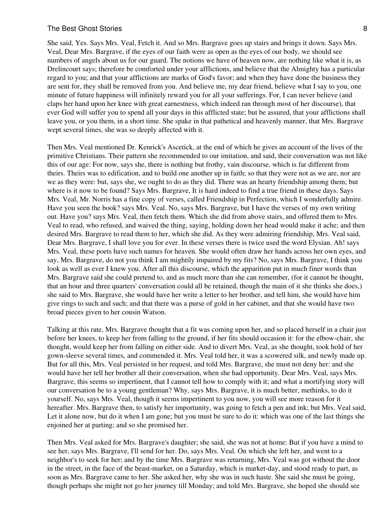#### The Best Ghost Stories 8 and 2008 and 2008 and 2008 and 2008 and 2008 and 2008 and 2008 and 2008 and 2008 and 2008 and 2008 and 2008 and 2008 and 2008 and 2008 and 2008 and 2008 and 2008 and 2008 and 2008 and 2008 and 2008

She said, Yes. Says Mrs. Veal, Fetch it. And so Mrs. Bargrave goes up stairs and brings it down. Says Mrs. Veal, Dear Mrs. Bargrave, if the eyes of our faith were as open as the eyes of our body, we should see numbers of angels about us for our guard. The notions we have of heaven now, are nothing like what it is, as Drelincourt says; therefore be comforted under your afflictions, and believe that the Almighty has a particular regard to you; and that your afflictions are marks of God's favor; and when they have done the business they are sent for, they shall be removed from you. And believe me, my dear friend, believe what I say to you, one minute of future happiness will infinitely reward you for all your sufferings. For, I can never believe (and claps her hand upon her knee with great earnestness, which indeed ran through most of her discourse), that ever God will suffer you to spend all your days in this afflicted state; but be assured, that your afflictions shall leave you, or you them, in a short time. She spake in that pathetical and heavenly manner, that Mrs. Bargrave wept several times, she was so deeply affected with it.

Then Mrs. Veal mentioned Dr. Kenrick's Ascetick, at the end of which he gives an account of the lives of the primitive Christians. Their pattern she recommended to our imitation, and said, their conversation was not like this of our age: For now, says she, there is nothing but frothy, vain discourse, which is far different from theirs. Theirs was to edification, and to build one another up in faith; so that they were not as we are, nor are we as they were: but, says she, we ought to do as they did. There was an hearty friendship among them; but where is it now to be found? Says Mrs. Bargrave, It is hard indeed to find a true friend in these days. Says Mrs. Veal, Mr. Norris has a fine copy of verses, called Friendship in Perfection, which I wonderfully admire. Have you seen the book? says Mrs. Veal. No, says Mrs. Bargrave, but I have the verses of my own writing out. Have you? says Mrs. Veal, then fetch them. Which she did from above stairs, and offered them to Mrs. Veal to read, who refused, and waived the thing, saying, holding down her head would make it ache; and then desired Mrs. Bargrave to read them to her, which she did. As they were admiring friendship, Mrs. Veal said, Dear Mrs. Bargrave, I shall love you for ever. In these verses there is twice used the word Elysian. Ah! says Mrs. Veal, these poets have such names for heaven. She would often draw her hands across her own eyes, and say, Mrs. Bargrave, do not you think I am mightily impaired by my fits? No, says Mrs. Bargrave, I think you look as well as ever I knew you. After all this discourse, which the apparition put in much finer words than Mrs. Bargrave said she could pretend to, and as much more than she can remember, (for it cannot be thought, that an hour and three quarters' conversation could all be retained, though the main of it she thinks she does,) she said to Mrs. Bargrave, she would have her write a letter to her brother, and tell him, she would have him give rings to such and such; and that there was a purse of gold in her cabinet, and that she would have two broad pieces given to her cousin Watson.

Talking at this rate, Mrs. Bargrave thought that a fit was coming upon her, and so placed herself in a chair just before her knees, to keep her from falling to the ground, if her fits should occasion it: for the elbow-chair, she thought, would keep her from falling on either side. And to divert Mrs. Veal, as she thought, took hold of her gown-sleeve several times, and commended it. Mrs. Veal told her, it was a scowered silk, and newly made up. But for all this, Mrs. Veal persisted in her request, and told Mrs. Bargrave, she must not deny her: and she would have her tell her brother all their conversation, when she had opportunity. Dear Mrs. Veal, says Mrs. Bargrave, this seems so impertinent, that I cannot tell how to comply with it; and what a mortifying story will our conversation be to a young gentleman? Why, says Mrs. Bargrave, it is much better, methinks, to do it yourself. No, says Mrs. Veal, though it seems impertinent to you now, you will see more reason for it hereafter. Mrs. Bargrave then, to satisfy her importunity, was going to fetch a pen and ink; but Mrs. Veal said, Let it alone now, but do it when I am gone; but you must be sure to do it: which was one of the last things she enjoined her at parting; and so she promised her.

Then Mrs. Veal asked for Mrs. Bargrave's daughter; she said, she was not at home: But if you have a mind to see her, says Mrs. Bargrave, I'll send for her. Do, says Mrs. Veal. On which she left her, and went to a neighbor's to seek for her; and by the time Mrs. Bargrave was returning, Mrs. Veal was got without the door in the street, in the face of the beast-market, on a Saturday, which is market-day, and stood ready to part, as soon as Mrs. Bargrave came to her. She asked her, why she was in such haste. She said she must be going, though perhaps she might not go her journey till Monday; and told Mrs. Bargrave, she hoped she should see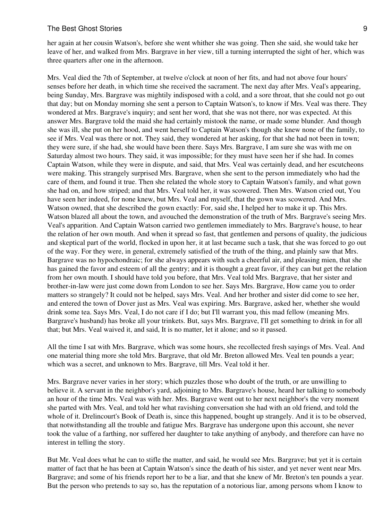her again at her cousin Watson's, before she went whither she was going. Then she said, she would take her leave of her, and walked from Mrs. Bargrave in her view, till a turning interrupted the sight of her, which was three quarters after one in the afternoon.

Mrs. Veal died the 7th of September, at twelve o'clock at noon of her fits, and had not above four hours' senses before her death, in which time she received the sacrament. The next day after Mrs. Veal's appearing, being Sunday, Mrs. Bargrave was mightily indisposed with a cold, and a sore throat, that she could not go out that day; but on Monday morning she sent a person to Captain Watson's, to know if Mrs. Veal was there. They wondered at Mrs. Bargrave's inquiry; and sent her word, that she was not there, nor was expected. At this answer Mrs. Bargrave told the maid she had certainly mistook the name, or made some blunder. And though she was ill, she put on her hood, and went herself to Captain Watson's though she knew none of the family, to see if Mrs. Veal was there or not. They said, they wondered at her asking, for that she had not been in town; they were sure, if she had, she would have been there. Says Mrs. Bargrave, I am sure she was with me on Saturday almost two hours. They said, it was impossible; for they must have seen her if she had. In comes Captain Watson, while they were in dispute, and said, that Mrs. Veal was certainly dead, and her escutcheons were making. This strangely surprised Mrs. Bargrave, when she sent to the person immediately who had the care of them, and found it true. Then she related the whole story to Captain Watson's family, and what gown she had on, and how striped; and that Mrs. Veal told her, it was scowered. Then Mrs. Watson cried out, You have seen her indeed, for none knew, but Mrs. Veal and myself, that the gown was scowered. And Mrs. Watson owned, that she described the gown exactly: For, said she, I helped her to make it up. This Mrs. Watson blazed all about the town, and avouched the demonstration of the truth of Mrs. Bargrave's seeing Mrs. Veal's apparition. And Captain Watson carried two gentlemen immediately to Mrs. Bargrave's house, to hear the relation of her own mouth. And when it spread so fast, that gentlemen and persons of quality, the judicious and skeptical part of the world, flocked in upon her, it at last became such a task, that she was forced to go out of the way. For they were, in general, extremely satisfied of the truth of the thing, and plainly saw that Mrs. Bargrave was no hypochondraic; for she always appears with such a cheerful air, and pleasing mien, that she has gained the favor and esteem of all the gentry; and it is thought a great favor, if they can but get the relation from her own mouth. I should have told you before, that Mrs. Veal told Mrs. Bargrave, that her sister and brother-in-law were just come down from London to see her. Says Mrs. Bargrave, How came you to order matters so strangely? It could not be helped, says Mrs. Veal. And her brother and sister did come to see her, and entered the town of Dover just as Mrs. Veal was expiring. Mrs. Bargrave, asked her, whether she would drink some tea. Says Mrs. Veal, I do not care if I do; but I'll warrant you, this mad fellow (meaning Mrs. Bargrave's husband) has broke all your trinkets. But, says Mrs. Bargrave, I'll get something to drink in for all that; but Mrs. Veal waived it, and said, It is no matter, let it alone; and so it passed.

All the time I sat with Mrs. Bargrave, which was some hours, she recollected fresh sayings of Mrs. Veal. And one material thing more she told Mrs. Bargrave, that old Mr. Breton allowed Mrs. Veal ten pounds a year; which was a secret, and unknown to Mrs. Bargrave, till Mrs. Veal told it her.

Mrs. Bargrave never varies in her story; which puzzles those who doubt of the truth, or are unwilling to believe it. A servant in the neighbor's yard, adjoining to Mrs. Bargrave's house, heard her talking to somebody an hour of the time Mrs. Veal was with her. Mrs. Bargrave went out to her next neighbor's the very moment she parted with Mrs. Veal, and told her what ravishing conversation she had with an old friend, and told the whole of it. Drelincourt's Book of Death is, since this happened, bought up strangely. And it is to be observed, that notwithstanding all the trouble and fatigue Mrs. Bargrave has undergone upon this account, she never took the value of a farthing, nor suffered her daughter to take anything of anybody, and therefore can have no interest in telling the story.

But Mr. Veal does what he can to stifle the matter, and said, he would see Mrs. Bargrave; but yet it is certain matter of fact that he has been at Captain Watson's since the death of his sister, and yet never went near Mrs. Bargrave; and some of his friends report her to be a liar, and that she knew of Mr. Breton's ten pounds a year. But the person who pretends to say so, has the reputation of a notorious liar, among persons whom I know to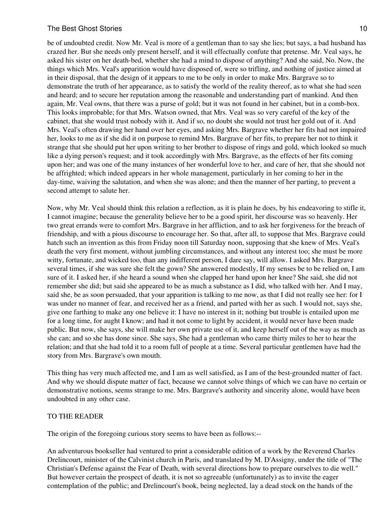be of undoubted credit. Now Mr. Veal is more of a gentleman than to say she lies; but says, a bad husband has crazed her. But she needs only present herself, and it will effectually confute that pretense. Mr. Veal says, he asked his sister on her death-bed, whether she had a mind to dispose of anything? And she said, No. Now, the things which Mrs. Veal's apparition would have disposed of, were so trifling, and nothing of justice aimed at in their disposal, that the design of it appears to me to be only in order to make Mrs. Bargrave so to demonstrate the truth of her appearance, as to satisfy the world of the reality thereof, as to what she had seen and heard; and to secure her reputation among the reasonable and understanding part of mankind. And then again, Mr. Veal owns, that there was a purse of gold; but it was not found in her cabinet, but in a comb-box. This looks improbable; for that Mrs. Watson owned, that Mrs. Veal was so very careful of the key of the cabinet, that she would trust nobody with it. And if so, no doubt she would not trust her gold out of it. And Mrs. Veal's often drawing her hand over her eyes, and asking Mrs. Bargrave whether her fits had not impaired her, looks to me as if she did it on purpose to remind Mrs. Bargrave of her fits, to prepare her not to think it strange that she should put her upon writing to her brother to dispose of rings and gold, which looked so much like a dying person's request; and it took accordingly with Mrs. Bargrave, as the effects of her fits coming upon her; and was one of the many instances of her wonderful love to her, and care of her, that she should not be affrighted; which indeed appears in her whole management, particularly in her coming to her in the day-time, waiving the salutation, and when she was alone; and then the manner of her parting, to prevent a second attempt to salute her.

Now, why Mr. Veal should think this relation a reflection, as it is plain he does, by his endeavoring to stifle it, I cannot imagine; because the generality believe her to be a good spirit, her discourse was so heavenly. Her two great errands were to comfort Mrs. Bargrave in her affliction, and to ask her forgiveness for the breach of friendship, and with a pious discourse to encourage her. So that, after all, to suppose that Mrs. Bargrave could hatch such an invention as this from Friday noon till Saturday noon, supposing that she knew of Mrs. Veal's death the very first moment, without jumbling circumstances, and without any interest too; she must be more witty, fortunate, and wicked too, than any indifferent person, I dare say, will allow. I asked Mrs. Bargrave several times, if she was sure she felt the gown? She answered modestly, If my senses be to be relied on, I am sure of it. I asked her, if she heard a sound when she clapped her hand upon her knee? She said, she did not remember she did; but said she appeared to be as much a substance as I did, who talked with her. And I may, said she, be as soon persuaded, that your apparition is talking to me now, as that I did not really see her: for I was under no manner of fear, and received her as a friend, and parted with her as such. I would not, says she, give one farthing to make any one believe it: I have no interest in it; nothing but trouble is entailed upon me for a long time, for aught I know; and had it not come to light by accident, it would never have been made public. But now, she says, she will make her own private use of it, and keep herself out of the way as much as she can; and so she has done since. She says, She had a gentleman who came thirty miles to her to hear the relation; and that she had told it to a room full of people at a time. Several particular gentlemen have had the story from Mrs. Bargrave's own mouth.

This thing has very much affected me, and I am as well satisfied, as I am of the best-grounded matter of fact. And why we should dispute matter of fact, because we cannot solve things of which we can have no certain or demonstrative notions, seems strange to me. Mrs. Bargrave's authority and sincerity alone, would have been undoubted in any other case.

#### TO THE READER

The origin of the foregoing curious story seems to have been as follows:--

An adventurous bookseller had ventured to print a considerable edition of a work by the Reverend Charles Drelincourt, minister of the Calvinist church in Paris, and translated by M. D'Assigny, under the title of "The Christian's Defense against the Fear of Death, with several directions how to prepare ourselves to die well." But however certain the prospect of death, it is not so agreeable (unfortunately) as to invite the eager contemplation of the public; and Drelincourt's book, being neglected, lay a dead stock on the hands of the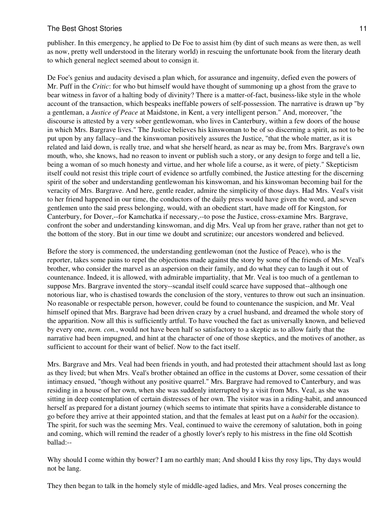## The Best Ghost Stories **11** and the Best Ghost Stories **11**

publisher. In this emergency, he applied to De Foe to assist him (by dint of such means as were then, as well as now, pretty well understood in the literary world) in rescuing the unfortunate book from the literary death to which general neglect seemed about to consign it.

De Foe's genius and audacity devised a plan which, for assurance and ingenuity, defied even the powers of Mr. Puff in the *Critic*: for who but himself would have thought of summoning up a ghost from the grave to bear witness in favor of a halting body of divinity? There is a matter-of-fact, business-like style in the whole account of the transaction, which bespeaks ineffable powers of self-possession. The narrative is drawn up "by a gentleman, a *Justice of Peace* at Maidstone, in Kent, a very intelligent person." And, moreover, "the discourse is attested by a very sober gentlewoman, who lives in Canterbury, within a few doors of the house in which Mrs. Bargrave lives." The Justice believes his kinswoman to be of so discerning a spirit, as not to be put upon by any fallacy--and the kinswoman positively assures the Justice, "that the whole matter, as it is related and laid down, is really true, and what she herself heard, as near as may be, from Mrs. Bargrave's own mouth, who, she knows, had no reason to invent or publish such a story, or any design to forge and tell a lie, being a woman of so much honesty and virtue, and her whole life a course, as it were, of piety." Skepticism itself could not resist this triple court of evidence so artfully combined, the Justice attesting for the discerning spirit of the sober and understanding gentlewoman his kinswoman, and his kinswoman becoming bail for the veracity of Mrs. Bargrave. And here, gentle reader, admire the simplicity of those days. Had Mrs. Veal's visit to her friend happened in our time, the conductors of the daily press would have given the word, and seven gentlemen unto the said press belonging, would, with an obedient start, have made off for Kingston, for Canterbury, for Dover,--for Kamchatka if necessary,--to pose the Justice, cross-examine Mrs. Bargrave, confront the sober and understanding kinswoman, and dig Mrs. Veal up from her grave, rather than not get to the bottom of the story. But in our time we doubt and scrutinize; our ancestors wondered and believed.

Before the story is commenced, the understanding gentlewoman (not the Justice of Peace), who is the reporter, takes some pains to repel the objections made against the story by some of the friends of Mrs. Veal's brother, who consider the marvel as an aspersion on their family, and do what they can to laugh it out of countenance. Indeed, it is allowed, with admirable impartiality, that Mr. Veal is too much of a gentleman to suppose Mrs. Bargrave invented the story--scandal itself could scarce have supposed that--although one notorious liar, who is chastised towards the conclusion of the story, ventures to throw out such an insinuation. No reasonable or respectable person, however, could be found to countenance the suspicion, and Mr. Veal himself opined that Mrs. Bargrave had been driven crazy by a cruel husband, and dreamed the whole story of the apparition. Now all this is sufficiently artful. To have vouched the fact as universally known, and believed by every one, *nem. con.*, would not have been half so satisfactory to a skeptic as to allow fairly that the narrative had been impugned, and hint at the character of one of those skeptics, and the motives of another, as sufficient to account for their want of belief. Now to the fact itself.

Mrs. Bargrave and Mrs. Veal had been friends in youth, and had protested their attachment should last as long as they lived; but when Mrs. Veal's brother obtained an office in the customs at Dover, some cessation of their intimacy ensued, "though without any positive quarrel." Mrs. Bargrave had removed to Canterbury, and was residing in a house of her own, when she was suddenly interrupted by a visit from Mrs. Veal, as she was sitting in deep contemplation of certain distresses of her own. The visitor was in a riding-habit, and announced herself as prepared for a distant journey (which seems to intimate that spirits have a considerable distance to go before they arrive at their appointed station, and that the females at least put on a *habit* for the occasion). The spirit, for such was the seeming Mrs. Veal, continued to waive the ceremony of salutation, both in going and coming, which will remind the reader of a ghostly lover's reply to his mistress in the fine old Scottish ballad:--

Why should I come within thy bower? I am no earthly man; And should I kiss thy rosy lips, Thy days would not be lang.

They then began to talk in the homely style of middle-aged ladies, and Mrs. Veal proses concerning the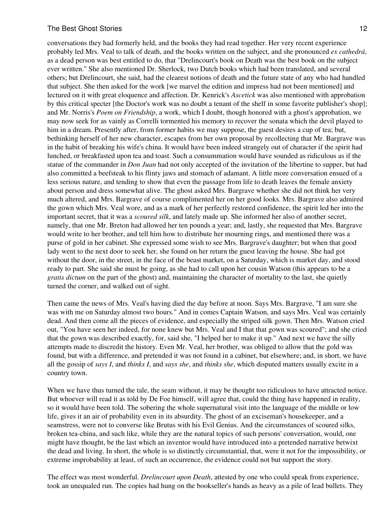conversations they had formerly held, and the books they had read together. Her very recent experience probably led Mrs. Veal to talk of death, and the books written on the subject, and she pronounced *ex cathedrá*, as a dead person was best entitled to do, that "Drelincourt's book on Death was the best book on the subject ever written." She also mentioned Dr. Sherlock, two Dutch books which had been translated, and several others; but Drelincourt, she said, had the clearest notions of death and the future state of any who had handled that subject. She then asked for the work [we marvel the edition and impress had not been mentioned] and lectured on it with great eloquence and affection. Dr. Kenrick's *Ascetick* was also mentioned with approbation by this critical specter [the Doctor's work was no doubt a tenant of the shelf in some favorite publisher's shop]; and Mr. Norris's *Poem on Friendship*, a work, which I doubt, though honored with a ghost's approbation, we may now seek for as vainly as Correlli tormented his memory to recover the sonata which the devil played to him in a dream. Presently after, from former habits we may suppose, the guest desires a cup of tea; but, bethinking herself of her new character, escapes from her own proposal by recollecting that Mr. Bargrave was in the habit of breaking his wife's china. It would have been indeed strangely out of character if the spirit had lunched, or breakfasted upon tea and toast. Such a consummation would have sounded as ridiculous as if the statue of the commander in *Don Juan* had not only accepted of the invitation of the libertine to supper, but had also committed a beefsteak to his flinty jaws and stomach of adamant. A little more conversation ensued of a less serious nature, and tending to show that even the passage from life to death leaves the female anxiety about person and dress somewhat alive. The ghost asked Mrs. Bargrave whether she did not think her very much altered, and Mrs. Bargrave of course complimented her on her good looks. Mrs. Bargrave also admired the gown which Mrs. Veal wore, and as a mark of her perfectly restored confidence, the spirit led her into the important secret, that it was a *scoured silk*, and lately made up. She informed her also of another secret, namely, that one Mr. Breton had allowed her ten pounds a year; and, lastly, she requested that Mrs. Bargrave would write to her brother, and tell him how to distribute her mourning rings, and mentioned there was a purse of gold in her cabinet. She expressed some wish to see Mrs. Bargrave's daughter; but when that good lady went to the next door to seek her, she found on her return the guest leaving the house. She had got without the door, in the street, in the face of the beast market, on a Saturday, which is market day, and stood ready to part. She said she must be going, as she had to call upon her cousin Watson (this appears to be a *gratis dictum* on the part of the ghost) and, maintaining the character of mortality to the last, she quietly turned the corner, and walked out of sight.

Then came the news of Mrs. Veal's having died the day before at noon. Says Mrs. Bargrave, "I am sure she was with me on Saturday almost two hours." And in comes Captain Watson, and says Mrs. Veal was certainly dead. And then come all the pieces of evidence, and especially the striped silk gown. Then Mrs. Watson cried out, "You have seen her indeed, for none knew but Mrs. Veal and I that that gown was scoured"; and she cried that the gown was described exactly, for, said she, "I helped her to make it up." And next we have the silly attempts made to discredit the history. Even Mr. Veal, her brother, was obliged to allow that the gold was found, but with a difference, and pretended it was not found in a cabinet, but elsewhere; and, in short, we have all the gossip of *says I*, and *thinks I*, and *says she*, and *thinks she*, which disputed matters usually excite in a country town.

When we have thus turned the tale, the seam without, it may be thought too ridiculous to have attracted notice. But whoever will read it as told by De Foe himself, will agree that, could the thing have happened in reality, so it would have been told. The sobering the whole supernatural visit into the language of the middle or low life, gives it an air of probability even in its absurdity. The ghost of an exciseman's housekeeper, and a seamstress, were not to converse like Brutus with his Evil Genius. And the circumstances of scoured silks, broken tea-china, and such like, while they are the natural topics of such persons' conversation, would, one might have thought, be the last which an inventor would have introduced into a pretended narrative betwixt the dead and living. In short, the whole is so distinctly circumstantial, that, were it not for the impossibility, or extreme improbability at least, of such an occurrence, the evidence could not but support the story.

The effect was most wonderful. *Drelincourt upon Death*, attested by one who could speak from experience, took an unequaled run. The copies had hung on the bookseller's hands as heavy as a pile of lead bullets. They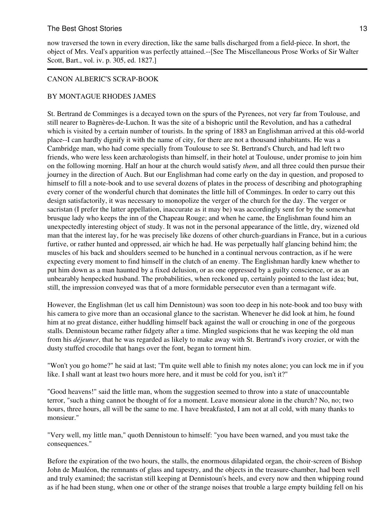# The Best Ghost Stories **13** and the Best Ghost Stories **13**

now traversed the town in every direction, like the same balls discharged from a field-piece. In short, the object of Mrs. Veal's apparition was perfectly attained.--[See The Miscellaneous Prose Works of Sir Walter Scott, Bart., vol. iv. p. 305, ed. 1827.]

## CANON ALBERIC'S SCRAP-BOOK

## BY MONTAGUE RHODES JAMES

St. Bertrand de Comminges is a decayed town on the spurs of the Pyrenees, not very far from Toulouse, and still nearer to Bagnères-de-Luchon. It was the site of a bishopric until the Revolution, and has a cathedral which is visited by a certain number of tourists. In the spring of 1883 an Englishman arrived at this old-world place--I can hardly dignify it with the name of city, for there are not a thousand inhabitants. He was a Cambridge man, who had come specially from Toulouse to see St. Bertrand's Church, and had left two friends, who were less keen archæologists than himself, in their hotel at Toulouse, under promise to join him on the following morning. Half an hour at the church would satisfy *them*, and all three could then pursue their journey in the direction of Auch. But our Englishman had come early on the day in question, and proposed to himself to fill a note-book and to use several dozens of plates in the process of describing and photographing every corner of the wonderful church that dominates the little hill of Comminges. In order to carry out this design satisfactorily, it was necessary to monopolize the verger of the church for the day. The verger or sacristan (I prefer the latter appellation, inaccurate as it may be) was accordingly sent for by the somewhat brusque lady who keeps the inn of the Chapeau Rouge; and when he came, the Englishman found him an unexpectedly interesting object of study. It was not in the personal appearance of the little, dry, wizened old man that the interest lay, for he was precisely like dozens of other church-guardians in France, but in a curious furtive, or rather hunted and oppressed, air which he had. He was perpetually half glancing behind him; the muscles of his back and shoulders seemed to be hunched in a continual nervous contraction, as if he were expecting every moment to find himself in the clutch of an enemy. The Englishman hardly knew whether to put him down as a man haunted by a fixed delusion, or as one oppressed by a guilty conscience, or as an unbearably henpecked husband. The probabilities, when reckoned up, certainly pointed to the last idea; but, still, the impression conveyed was that of a more formidable persecutor even than a termagant wife.

However, the Englishman (let us call him Dennistoun) was soon too deep in his note-book and too busy with his camera to give more than an occasional glance to the sacristan. Whenever he did look at him, he found him at no great distance, either huddling himself back against the wall or crouching in one of the gorgeous stalls. Dennistoun became rather fidgety after a time. Mingled suspicions that he was keeping the old man from his *déjeuner*, that he was regarded as likely to make away with St. Bertrand's ivory crozier, or with the dusty stuffed crocodile that hangs over the font, began to torment him.

"Won't you go home?" he said at last; "I'm quite well able to finish my notes alone; you can lock me in if you like. I shall want at least two hours more here, and it must be cold for you, isn't it?"

"Good heavens!" said the little man, whom the suggestion seemed to throw into a state of unaccountable terror, "such a thing cannot be thought of for a moment. Leave monsieur alone in the church? No, no; two hours, three hours, all will be the same to me. I have breakfasted, I am not at all cold, with many thanks to monsieur."

"Very well, my little man," quoth Dennistoun to himself: "you have been warned, and you must take the consequences."

Before the expiration of the two hours, the stalls, the enormous dilapidated organ, the choir-screen of Bishop John de Mauléon, the remnants of glass and tapestry, and the objects in the treasure-chamber, had been well and truly examined; the sacristan still keeping at Dennistoun's heels, and every now and then whipping round as if he had been stung, when one or other of the strange noises that trouble a large empty building fell on his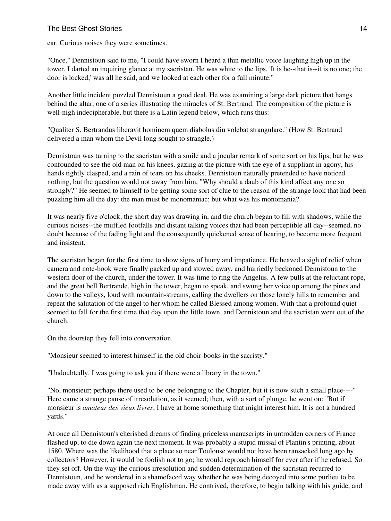ear. Curious noises they were sometimes.

"Once," Dennistoun said to me, "I could have sworn I heard a thin metallic voice laughing high up in the tower. I darted an inquiring glance at my sacristan. He was white to the lips. 'It is he--that is--it is no one; the door is locked,' was all he said, and we looked at each other for a full minute."

Another little incident puzzled Dennistoun a good deal. He was examining a large dark picture that hangs behind the altar, one of a series illustrating the miracles of St. Bertrand. The composition of the picture is well-nigh indecipherable, but there is a Latin legend below, which runs thus:

"Qualiter S. Bertrandus liberavit hominem quem diabolus diu volebat strangulare." (How St. Bertrand delivered a man whom the Devil long sought to strangle.)

Dennistoun was turning to the sacristan with a smile and a jocular remark of some sort on his lips, but he was confounded to see the old man on his knees, gazing at the picture with the eye of a suppliant in agony, his hands tightly clasped, and a rain of tears on his cheeks. Dennistoun naturally pretended to have noticed nothing, but the question would not away from him, "Why should a daub of this kind affect any one so strongly?" He seemed to himself to be getting some sort of clue to the reason of the strange look that had been puzzling him all the day: the man must be monomaniac; but what was his monomania?

It was nearly five o'clock; the short day was drawing in, and the church began to fill with shadows, while the curious noises--the muffled footfalls and distant talking voices that had been perceptible all day--seemed, no doubt because of the fading light and the consequently quickened sense of hearing, to become more frequent and insistent.

The sacristan began for the first time to show signs of hurry and impatience. He heaved a sigh of relief when camera and note-book were finally packed up and stowed away, and hurriedly beckoned Dennistoun to the western door of the church, under the tower. It was time to ring the Angelus. A few pulls at the reluctant rope, and the great bell Bertrande, high in the tower, began to speak, and swung her voice up among the pines and down to the valleys, loud with mountain-streams, calling the dwellers on those lonely hills to remember and repeat the salutation of the angel to her whom he called Blessed among women. With that a profound quiet seemed to fall for the first time that day upon the little town, and Dennistoun and the sacristan went out of the church.

On the doorstep they fell into conversation.

"Monsieur seemed to interest himself in the old choir-books in the sacristy."

"Undoubtedly. I was going to ask you if there were a library in the town."

"No, monsieur; perhaps there used to be one belonging to the Chapter, but it is now such a small place----" Here came a strange pause of irresolution, as it seemed; then, with a sort of plunge, he went on: "But if monsieur is *amateur des vieux livres*, I have at home something that might interest him. It is not a hundred yards."

At once all Dennistoun's cherished dreams of finding priceless manuscripts in untrodden corners of France flashed up, to die down again the next moment. It was probably a stupid missal of Plantin's printing, about 1580. Where was the likelihood that a place so near Toulouse would not have been ransacked long ago by collectors? However, it would be foolish not to go; he would reproach himself for ever after if he refused. So they set off. On the way the curious irresolution and sudden determination of the sacristan recurred to Dennistoun, and he wondered in a shamefaced way whether he was being decoyed into some purlieu to be made away with as a supposed rich Englishman. He contrived, therefore, to begin talking with his guide, and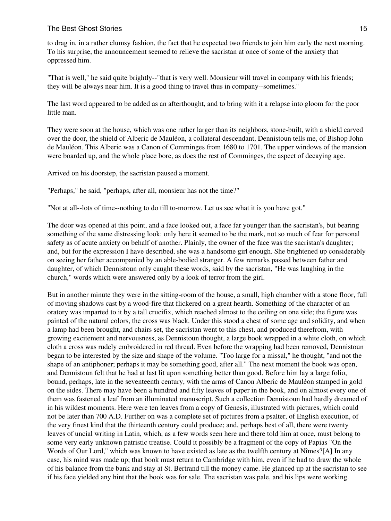to drag in, in a rather clumsy fashion, the fact that he expected two friends to join him early the next morning. To his surprise, the announcement seemed to relieve the sacristan at once of some of the anxiety that oppressed him.

"That is well," he said quite brightly--"that is very well. Monsieur will travel in company with his friends; they will be always near him. It is a good thing to travel thus in company--sometimes."

The last word appeared to be added as an afterthought, and to bring with it a relapse into gloom for the poor little man.

They were soon at the house, which was one rather larger than its neighbors, stone-built, with a shield carved over the door, the shield of Alberic de Mauléon, a collateral descendant, Dennistoun tells me, of Bishop John de Mauléon. This Alberic was a Canon of Comminges from 1680 to 1701. The upper windows of the mansion were boarded up, and the whole place bore, as does the rest of Comminges, the aspect of decaying age.

Arrived on his doorstep, the sacristan paused a moment.

"Perhaps," he said, "perhaps, after all, monsieur has not the time?"

"Not at all--lots of time--nothing to do till to-morrow. Let us see what it is you have got."

The door was opened at this point, and a face looked out, a face far younger than the sacristan's, but bearing something of the same distressing look: only here it seemed to be the mark, not so much of fear for personal safety as of acute anxiety on behalf of another. Plainly, the owner of the face was the sacristan's daughter; and, but for the expression I have described, she was a handsome girl enough. She brightened up considerably on seeing her father accompanied by an able-bodied stranger. A few remarks passed between father and daughter, of which Dennistoun only caught these words, said by the sacristan, "He was laughing in the church," words which were answered only by a look of terror from the girl.

But in another minute they were in the sitting-room of the house, a small, high chamber with a stone floor, full of moving shadows cast by a wood-fire that flickered on a great hearth. Something of the character of an oratory was imparted to it by a tall crucifix, which reached almost to the ceiling on one side; the figure was painted of the natural colors, the cross was black. Under this stood a chest of some age and solidity, and when a lamp had been brought, and chairs set, the sacristan went to this chest, and produced therefrom, with growing excitement and nervousness, as Dennistoun thought, a large book wrapped in a white cloth, on which cloth a cross was rudely embroidered in red thread. Even before the wrapping had been removed, Dennistoun began to be interested by the size and shape of the volume. "Too large for a missal," he thought, "and not the shape of an antiphoner; perhaps it may be something good, after all." The next moment the book was open, and Dennistoun felt that he had at last lit upon something better than good. Before him lay a large folio, bound, perhaps, late in the seventeenth century, with the arms of Canon Alberic de Mauléon stamped in gold on the sides. There may have been a hundred and fifty leaves of paper in the book, and on almost every one of them was fastened a leaf from an illuminated manuscript. Such a collection Dennistoun had hardly dreamed of in his wildest moments. Here were ten leaves from a copy of Genesis, illustrated with pictures, which could not be later than 700 A.D. Further on was a complete set of pictures from a psalter, of English execution, of the very finest kind that the thirteenth century could produce; and, perhaps best of all, there were twenty leaves of uncial writing in Latin, which, as a few words seen here and there told him at once, must belong to some very early unknown patristic treatise. Could it possibly be a fragment of the copy of Papias "On the Words of Our Lord," which was known to have existed as late as the twelfth century at Nîmes?[A] In any case, his mind was made up; that book must return to Cambridge with him, even if he had to draw the whole of his balance from the bank and stay at St. Bertrand till the money came. He glanced up at the sacristan to see if his face yielded any hint that the book was for sale. The sacristan was pale, and his lips were working.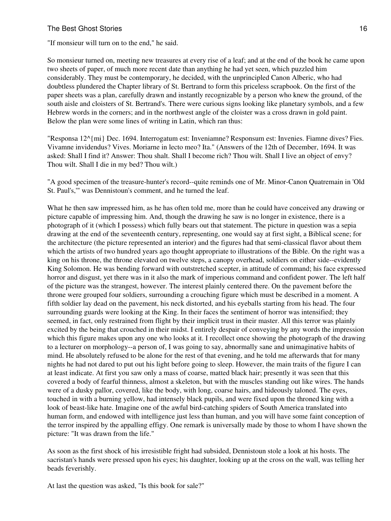#### The Best Ghost Stories **16** and the Best Ghost Stories **16** and the Best Ghost Stories **16** and the Best Ghost Stories **16** and the Best Ghost Stories **16** and the Best Ghost Stories **16** and the Best Ghost Stories **16** an

"If monsieur will turn on to the end," he said.

So monsieur turned on, meeting new treasures at every rise of a leaf; and at the end of the book he came upon two sheets of paper, of much more recent date than anything he had yet seen, which puzzled him considerably. They must be contemporary, he decided, with the unprincipled Canon Alberic, who had doubtless plundered the Chapter library of St. Bertrand to form this priceless scrapbook. On the first of the paper sheets was a plan, carefully drawn and instantly recognizable by a person who knew the ground, of the south aisle and cloisters of St. Bertrand's. There were curious signs looking like planetary symbols, and a few Hebrew words in the corners; and in the northwest angle of the cloister was a cross drawn in gold paint. Below the plan were some lines of writing in Latin, which ran thus:

"Responsa 12^{mi} Dec. 1694. Interrogatum est: Inveniamne? Responsum est: Invenies. Fiamne dives? Fies. Vivamne invidendus? Vives. Moriarne in lecto meo? Ita." (Answers of the 12th of December, 1694. It was asked: Shall I find it? Answer: Thou shalt. Shall I become rich? Thou wilt. Shall I live an object of envy? Thou wilt. Shall I die in my bed? Thou wilt.)

"A good specimen of the treasure-hunter's record--quite reminds one of Mr. Minor-Canon Quatremain in 'Old St. Paul's,'" was Dennistoun's comment, and he turned the leaf.

What he then saw impressed him, as he has often told me, more than he could have conceived any drawing or picture capable of impressing him. And, though the drawing he saw is no longer in existence, there is a photograph of it (which I possess) which fully bears out that statement. The picture in question was a sepia drawing at the end of the seventeenth century, representing, one would say at first sight, a Biblical scene; for the architecture (the picture represented an interior) and the figures had that semi-classical flavor about them which the artists of two hundred years ago thought appropriate to illustrations of the Bible. On the right was a king on his throne, the throne elevated on twelve steps, a canopy overhead, soldiers on either side--evidently King Solomon. He was bending forward with outstretched scepter, in attitude of command; his face expressed horror and disgust, yet there was in it also the mark of imperious command and confident power. The left half of the picture was the strangest, however. The interest plainly centered there. On the pavement before the throne were grouped four soldiers, surrounding a crouching figure which must be described in a moment. A fifth soldier lay dead on the pavement, his neck distorted, and his eyeballs starting from his head. The four surrounding guards were looking at the King. In their faces the sentiment of horror was intensified; they seemed, in fact, only restrained from flight by their implicit trust in their master. All this terror was plainly excited by the being that crouched in their midst. I entirely despair of conveying by any words the impression which this figure makes upon any one who looks at it. I recollect once showing the photograph of the drawing to a lecturer on morphology--a person of, I was going to say, abnormally sane and unimaginative habits of mind. He absolutely refused to be alone for the rest of that evening, and he told me afterwards that for many nights he had not dared to put out his light before going to sleep. However, the main traits of the figure I can at least indicate. At first you saw only a mass of coarse, matted black hair; presently it was seen that this covered a body of fearful thinness, almost a skeleton, but with the muscles standing out like wires. The hands were of a dusky pallor, covered, like the body, with long, coarse hairs, and hideously taloned. The eyes, touched in with a burning yellow, had intensely black pupils, and were fixed upon the throned king with a look of beast-like hate. Imagine one of the awful bird-catching spiders of South America translated into human form, and endowed with intelligence just less than human, and you will have some faint conception of the terror inspired by the appalling effigy. One remark is universally made by those to whom I have shown the picture: "It was drawn from the life."

As soon as the first shock of his irresistible fright had subsided, Dennistoun stole a look at his hosts. The sacristan's hands were pressed upon his eyes; his daughter, looking up at the cross on the wall, was telling her beads feverishly.

At last the question was asked, "Is this book for sale?"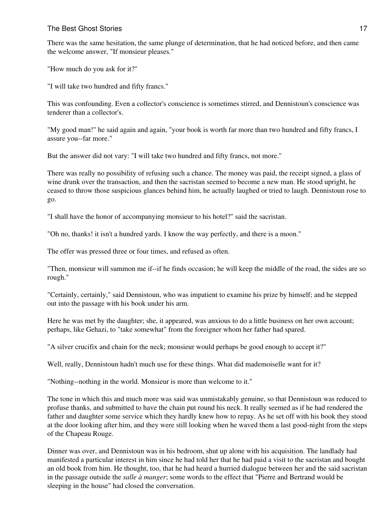## The Best Ghost Stories **17** and the Best Ghost Stories **17**

There was the same hesitation, the same plunge of determination, that he had noticed before, and then came the welcome answer, "If monsieur pleases."

"How much do you ask for it?"

"I will take two hundred and fifty francs."

This was confounding. Even a collector's conscience is sometimes stirred, and Dennistoun's conscience was tenderer than a collector's.

"My good man!" he said again and again, "your book is worth far more than two hundred and fifty francs, I assure you--far more."

But the answer did not vary: "I will take two hundred and fifty francs, not more."

There was really no possibility of refusing such a chance. The money was paid, the receipt signed, a glass of wine drunk over the transaction, and then the sacristan seemed to become a new man. He stood upright, he ceased to throw those suspicious glances behind him, he actually laughed or tried to laugh. Dennistoun rose to go.

"I shall have the honor of accompanying monsieur to his hotel?" said the sacristan.

"Oh no, thanks! it isn't a hundred yards. I know the way perfectly, and there is a moon."

The offer was pressed three or four times, and refused as often.

"Then, monsieur will summon me if--if he finds occasion; he will keep the middle of the road, the sides are so rough."

"Certainly, certainly," said Dennistoun, who was impatient to examine his prize by himself; and he stepped out into the passage with his book under his arm.

Here he was met by the daughter; she, it appeared, was anxious to do a little business on her own account; perhaps, like Gehazi, to "take somewhat" from the foreigner whom her father had spared.

"A silver crucifix and chain for the neck; monsieur would perhaps be good enough to accept it?"

Well, really, Dennistoun hadn't much use for these things. What did mademoiselle want for it?

"Nothing--nothing in the world. Monsieur is more than welcome to it."

The tone in which this and much more was said was unmistakably genuine, so that Dennistoun was reduced to profuse thanks, and submitted to have the chain put round his neck. It really seemed as if he had rendered the father and daughter some service which they hardly knew how to repay. As he set off with his book they stood at the door looking after him, and they were still looking when he waved them a last good-night from the steps of the Chapeau Rouge.

Dinner was over, and Dennistoun was in his bedroom, shut up alone with his acquisition. The landlady had manifested a particular interest in him since he had told her that he had paid a visit to the sacristan and bought an old book from him. He thought, too, that he had heard a hurried dialogue between her and the said sacristan in the passage outside the *salle à manger*; some words to the effect that "Pierre and Bertrand would be sleeping in the house" had closed the conversation.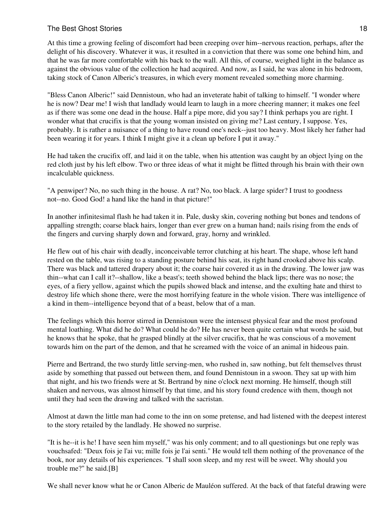## The Best Ghost Stories **18** and the Best Ghost Stories **18** and the Best Ghost Stories **18** and the Best Ghost Stories **18** and the Best Ghost Stories **18** and the Best Ghost Stories **18** and the Best Ghost Stories **18** an

At this time a growing feeling of discomfort had been creeping over him--nervous reaction, perhaps, after the delight of his discovery. Whatever it was, it resulted in a conviction that there was some one behind him, and that he was far more comfortable with his back to the wall. All this, of course, weighed light in the balance as against the obvious value of the collection he had acquired. And now, as I said, he was alone in his bedroom, taking stock of Canon Alberic's treasures, in which every moment revealed something more charming.

"Bless Canon Alberic!" said Dennistoun, who had an inveterate habit of talking to himself. "I wonder where he is now? Dear me! I wish that landlady would learn to laugh in a more cheering manner; it makes one feel as if there was some one dead in the house. Half a pipe more, did you say? I think perhaps you are right. I wonder what that crucifix is that the young woman insisted on giving me? Last century, I suppose. Yes, probably. It is rather a nuisance of a thing to have round one's neck--just too heavy. Most likely her father had been wearing it for years. I think I might give it a clean up before I put it away."

He had taken the crucifix off, and laid it on the table, when his attention was caught by an object lying on the red cloth just by his left elbow. Two or three ideas of what it might be flitted through his brain with their own incalculable quickness.

"A penwiper? No, no such thing in the house. A rat? No, too black. A large spider? I trust to goodness not--no. Good God! a hand like the hand in that picture!"

In another infinitesimal flash he had taken it in. Pale, dusky skin, covering nothing but bones and tendons of appalling strength; coarse black hairs, longer than ever grew on a human hand; nails rising from the ends of the fingers and curving sharply down and forward, gray, horny and wrinkled.

He flew out of his chair with deadly, inconceivable terror clutching at his heart. The shape, whose left hand rested on the table, was rising to a standing posture behind his seat, its right hand crooked above his scalp. There was black and tattered drapery about it; the coarse hair covered it as in the drawing. The lower jaw was thin--what can I call it?--shallow, like a beast's; teeth showed behind the black lips; there was no nose; the eyes, of a fiery yellow, against which the pupils showed black and intense, and the exulting hate and thirst to destroy life which shone there, were the most horrifying feature in the whole vision. There was intelligence of a kind in them--intelligence beyond that of a beast, below that of a man.

The feelings which this horror stirred in Dennistoun were the intensest physical fear and the most profound mental loathing. What did he do? What could he do? He has never been quite certain what words he said, but he knows that he spoke, that he grasped blindly at the silver crucifix, that he was conscious of a movement towards him on the part of the demon, and that he screamed with the voice of an animal in hideous pain.

Pierre and Bertrand, the two sturdy little serving-men, who rushed in, saw nothing, but felt themselves thrust aside by something that passed out between them, and found Dennistoun in a swoon. They sat up with him that night, and his two friends were at St. Bertrand by nine o'clock next morning. He himself, though still shaken and nervous, was almost himself by that time, and his story found credence with them, though not until they had seen the drawing and talked with the sacristan.

Almost at dawn the little man had come to the inn on some pretense, and had listened with the deepest interest to the story retailed by the landlady. He showed no surprise.

"It is he--it is he! I have seen him myself," was his only comment; and to all questionings but one reply was vouchsafed: "Deux fois je l'ai vu; mille fois je l'ai senti." He would tell them nothing of the provenance of the book, nor any details of his experiences. "I shall soon sleep, and my rest will be sweet. Why should you trouble me?" he said.[B]

We shall never know what he or Canon Alberic de Mauléon suffered. At the back of that fateful drawing were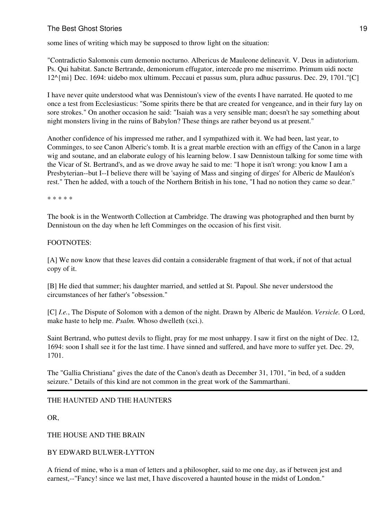# The Best Ghost Stories **19** and the Best Ghost Stories **19** and the Best Ghost Stories **19** and the Best Ghost Stories **19** and the Best Ghost Stories **19** and the Best Ghost Stories **19** and the Best Ghost Stories **19** an

some lines of writing which may be supposed to throw light on the situation:

"Contradictio Salomonis cum demonio nocturno. Albericus de Mauleone delineavit. V. Deus in adiutorium. Ps. Qui habitat. Sancte Bertrande, demoniorum effugator, intercede pro me miserrimo. Primum uidi nocte 12^{mi} Dec. 1694: uidebo mox ultimum. Peccaui et passus sum, plura adhuc passurus. Dec. 29, 1701."[C]

I have never quite understood what was Dennistoun's view of the events I have narrated. He quoted to me once a test from Ecclesiasticus: "Some spirits there be that are created for vengeance, and in their fury lay on sore strokes." On another occasion he said: "Isaiah was a very sensible man; doesn't he say something about night monsters living in the ruins of Babylon? These things are rather beyond us at present."

Another confidence of his impressed me rather, and I sympathized with it. We had been, last year, to Comminges, to see Canon Alberic's tomb. It is a great marble erection with an effigy of the Canon in a large wig and soutane, and an elaborate eulogy of his learning below. I saw Dennistoun talking for some time with the Vicar of St. Bertrand's, and as we drove away he said to me: "I hope it isn't wrong: you know I am a Presbyterian--but I--I believe there will be 'saying of Mass and singing of dirges' for Alberic de Mauléon's rest." Then he added, with a touch of the Northern British in his tone, "I had no notion they came so dear."

\* \* \* \* \*

The book is in the Wentworth Collection at Cambridge. The drawing was photographed and then burnt by Dennistoun on the day when he left Comminges on the occasion of his first visit.

## FOOTNOTES:

[A] We now know that these leaves did contain a considerable fragment of that work, if not of that actual copy of it.

[B] He died that summer; his daughter married, and settled at St. Papoul. She never understood the circumstances of her father's "obsession."

[C] *I.e.*, The Dispute of Solomon with a demon of the night. Drawn by Alberic de Mauléon. *Versicle.* O Lord, make haste to help me. *Psalm.* Whoso dwelleth (xci.).

Saint Bertrand, who puttest devils to flight, pray for me most unhappy. I saw it first on the night of Dec. 12, 1694: soon I shall see it for the last time. I have sinned and suffered, and have more to suffer yet. Dec. 29, 1701.

The "Gallia Christiana" gives the date of the Canon's death as December 31, 1701, "in bed, of a sudden seizure." Details of this kind are not common in the great work of the Sammarthani.

# THE HAUNTED AND THE HAUNTERS

OR,

THE HOUSE AND THE BRAIN

# BY EDWARD BULWER-LYTTON

A friend of mine, who is a man of letters and a philosopher, said to me one day, as if between jest and earnest,--"Fancy! since we last met, I have discovered a haunted house in the midst of London."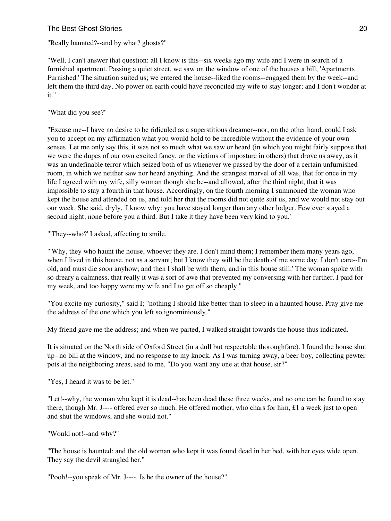## The Best Ghost Stories 20 and the Stories 20 and the Stories 20 and the Stories 20 and the Stories 20 and the Stories 20 and the Stories 20 and the Stories 20 and the Stories 20 and the Stories 20 and the Stories 30 and th

"Really haunted?--and by what? ghosts?"

"Well, I can't answer that question: all I know is this--six weeks ago my wife and I were in search of a furnished apartment. Passing a quiet street, we saw on the window of one of the houses a bill, 'Apartments Furnished.' The situation suited us; we entered the house--liked the rooms--engaged them by the week--and left them the third day. No power on earth could have reconciled my wife to stay longer; and I don't wonder at it."

"What did you see?"

"Excuse me--I have no desire to be ridiculed as a superstitious dreamer--nor, on the other hand, could I ask you to accept on my affirmation what you would hold to be incredible without the evidence of your own senses. Let me only say this, it was not so much what we saw or heard (in which you might fairly suppose that we were the dupes of our own excited fancy, or the victims of imposture in others) that drove us away, as it was an undefinable terror which seized both of us whenever we passed by the door of a certain unfurnished room, in which we neither saw nor heard anything. And the strangest marvel of all was, that for once in my life I agreed with my wife, silly woman though she be--and allowed, after the third night, that it was impossible to stay a fourth in that house. Accordingly, on the fourth morning I summoned the woman who kept the house and attended on us, and told her that the rooms did not quite suit us, and we would not stay out our week. She said, dryly, 'I know why: you have stayed longer than any other lodger. Few ever stayed a second night; none before you a third. But I take it they have been very kind to you.'

"'They--who?' I asked, affecting to smile.

"'Why, they who haunt the house, whoever they are. I don't mind them; I remember them many years ago, when I lived in this house, not as a servant; but I know they will be the death of me some day. I don't care--I'm old, and must die soon anyhow; and then I shall be with them, and in this house still.' The woman spoke with so dreary a calmness, that really it was a sort of awe that prevented my conversing with her further. I paid for my week, and too happy were my wife and I to get off so cheaply."

"You excite my curiosity," said I; "nothing I should like better than to sleep in a haunted house. Pray give me the address of the one which you left so ignominiously."

My friend gave me the address; and when we parted, I walked straight towards the house thus indicated.

It is situated on the North side of Oxford Street (in a dull but respectable thoroughfare). I found the house shut up--no bill at the window, and no response to my knock. As I was turning away, a beer-boy, collecting pewter pots at the neighboring areas, said to me, "Do you want any one at that house, sir?"

"Yes, I heard it was to be let."

"Let!--why, the woman who kept it is dead--has been dead these three weeks, and no one can be found to stay there, though Mr. J---- offered ever so much. He offered mother, who chars for him, £1 a week just to open and shut the windows, and she would not."

"Would not!--and why?"

"The house is haunted: and the old woman who kept it was found dead in her bed, with her eyes wide open. They say the devil strangled her."

"Pooh!--you speak of Mr. J----. Is he the owner of the house?"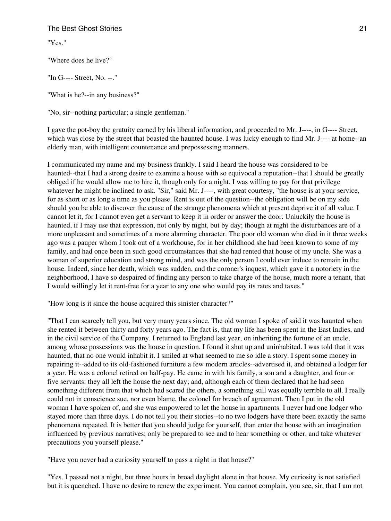"Yes."

"Where does he live?"

"In G---- Street, No. --."

"What is he?--in any business?"

"No, sir--nothing particular; a single gentleman."

I gave the pot-boy the gratuity earned by his liberal information, and proceeded to Mr. J----, in G---- Street, which was close by the street that boasted the haunted house. I was lucky enough to find Mr. J---- at home--an elderly man, with intelligent countenance and prepossessing manners.

I communicated my name and my business frankly. I said I heard the house was considered to be haunted--that I had a strong desire to examine a house with so equivocal a reputation--that I should be greatly obliged if he would allow me to hire it, though only for a night. I was willing to pay for that privilege whatever he might be inclined to ask. "Sir," said Mr. J----, with great courtesy, "the house is at your service, for as short or as long a time as you please. Rent is out of the question--the obligation will be on my side should you be able to discover the cause of the strange phenomena which at present deprive it of all value. I cannot let it, for I cannot even get a servant to keep it in order or answer the door. Unluckily the house is haunted, if I may use that expression, not only by night, but by day; though at night the disturbances are of a more unpleasant and sometimes of a more alarming character. The poor old woman who died in it three weeks ago was a pauper whom I took out of a workhouse, for in her childhood she had been known to some of my family, and had once been in such good circumstances that she had rented that house of my uncle. She was a woman of superior education and strong mind, and was the only person I could ever induce to remain in the house. Indeed, since her death, which was sudden, and the coroner's inquest, which gave it a notoriety in the neighborhood, I have so despaired of finding any person to take charge of the house, much more a tenant, that I would willingly let it rent-free for a year to any one who would pay its rates and taxes."

"How long is it since the house acquired this sinister character?"

"That I can scarcely tell you, but very many years since. The old woman I spoke of said it was haunted when she rented it between thirty and forty years ago. The fact is, that my life has been spent in the East Indies, and in the civil service of the Company. I returned to England last year, on inheriting the fortune of an uncle, among whose possessions was the house in question. I found it shut up and uninhabited. I was told that it was haunted, that no one would inhabit it. I smiled at what seemed to me so idle a story. I spent some money in repairing it--added to its old-fashioned furniture a few modern articles--advertised it, and obtained a lodger for a year. He was a colonel retired on half-pay. He came in with his family, a son and a daughter, and four or five servants: they all left the house the next day; and, although each of them declared that he had seen something different from that which had scared the others, a something still was equally terrible to all. I really could not in conscience sue, nor even blame, the colonel for breach of agreement. Then I put in the old woman I have spoken of, and she was empowered to let the house in apartments. I never had one lodger who stayed more than three days. I do not tell you their stories--to no two lodgers have there been exactly the same phenomena repeated. It is better that you should judge for yourself, than enter the house with an imagination influenced by previous narratives; only be prepared to see and to hear something or other, and take whatever precautions you yourself please."

"Have you never had a curiosity yourself to pass a night in that house?"

"Yes. I passed not a night, but three hours in broad daylight alone in that house. My curiosity is not satisfied but it is quenched. I have no desire to renew the experiment. You cannot complain, you see, sir, that I am not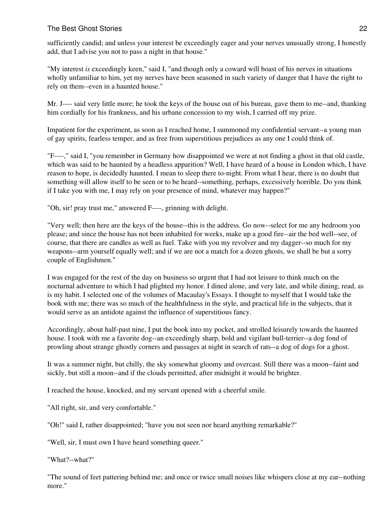sufficiently candid; and unless your interest be exceedingly eager and your nerves unusually strong, I honestly add, that I advise you not to pass a night in that house."

"My interest *is* exceedingly keen," said I, "and though only a coward will boast of his nerves in situations wholly unfamiliar to him, yet my nerves have been seasoned in such variety of danger that I have the right to rely on them--even in a haunted house."

Mr. J---- said very little more; he took the keys of the house out of his bureau, gave them to me--and, thanking him cordially for his frankness, and his urbane concession to my wish, I carried off my prize.

Impatient for the experiment, as soon as I reached home, I summoned my confidential servant--a young man of gay spirits, fearless temper, and as free from superstitious prejudices as any one I could think of.

"F----," said I, "you remember in Germany how disappointed we were at not finding a ghost in that old castle, which was said to be haunted by a headless apparition? Well, I have heard of a house in London which, I have reason to hope, is decidedly haunted. I mean to sleep there to-night. From what I hear, there is no doubt that something will allow itself to be seen or to be heard--something, perhaps, excessively horrible. Do you think if I take you with me, I may rely on your presence of mind, whatever may happen?"

"Oh, sir! pray trust me," answered F----, grinning with delight.

"Very well; then here are the keys of the house--this is the address. Go now--select for me any bedroom you please; and since the house has not been inhabited for weeks, make up a good fire--air the bed well--see, of course, that there are candles as well as fuel. Take with you my revolver and my dagger--so much for my weapons--arm yourself equally well; and if we are not a match for a dozen ghosts, we shall be but a sorry couple of Englishmen."

I was engaged for the rest of the day on business so urgent that I had not leisure to think much on the nocturnal adventure to which I had plighted my honor. I dined alone, and very late, and while dining, read, as is my habit. I selected one of the volumes of Macaulay's Essays. I thought to myself that I would take the book with me; there was so much of the healthfulness in the style, and practical life in the subjects, that it would serve as an antidote against the influence of superstitious fancy.

Accordingly, about half-past nine, I put the book into my pocket, and strolled leisurely towards the haunted house. I took with me a favorite dog--an exceedingly sharp, bold and vigilant bull-terrier--a dog fond of prowling about strange ghostly corners and passages at night in search of rats--a dog of dogs for a ghost.

It was a summer night, but chilly, the sky somewhat gloomy and overcast. Still there was a moon--faint and sickly, but still a moon--and if the clouds permitted, after midnight it would be brighter.

I reached the house, knocked, and my servant opened with a cheerful smile.

"All right, sir, and very comfortable."

"Oh!" said I, rather disappointed; "have you not seen nor heard anything remarkable?"

"Well, sir, I must own I have heard something queer."

"What?--what?"

"The sound of feet pattering behind me; and once or twice small noises like whispers close at my ear--nothing more."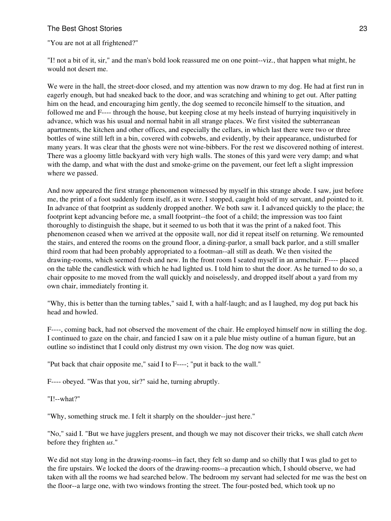"You are not at all frightened?"

"I! not a bit of it, sir," and the man's bold look reassured me on one point--viz., that happen what might, he would not desert me.

We were in the hall, the street-door closed, and my attention was now drawn to my dog. He had at first run in eagerly enough, but had sneaked back to the door, and was scratching and whining to get out. After patting him on the head, and encouraging him gently, the dog seemed to reconcile himself to the situation, and followed me and F---- through the house, but keeping close at my heels instead of hurrying inquisitively in advance, which was his usual and normal habit in all strange places. We first visited the subterranean apartments, the kitchen and other offices, and especially the cellars, in which last there were two or three bottles of wine still left in a bin, covered with cobwebs, and evidently, by their appearance, undisturbed for many years. It was clear that the ghosts were not wine-bibbers. For the rest we discovered nothing of interest. There was a gloomy little backyard with very high walls. The stones of this yard were very damp; and what with the damp, and what with the dust and smoke-grime on the pavement, our feet left a slight impression where we passed.

And now appeared the first strange phenomenon witnessed by myself in this strange abode. I saw, just before me, the print of a foot suddenly form itself, as it were. I stopped, caught hold of my servant, and pointed to it. In advance of that footprint as suddenly dropped another. We both saw it. I advanced quickly to the place; the footprint kept advancing before me, a small footprint--the foot of a child; the impression was too faint thoroughly to distinguish the shape, but it seemed to us both that it was the print of a naked foot. This phenomenon ceased when we arrived at the opposite wall, nor did it repeat itself on returning. We remounted the stairs, and entered the rooms on the ground floor, a dining-parlor, a small back parlor, and a still smaller third room that had been probably appropriated to a footman--all still as death. We then visited the drawing-rooms, which seemed fresh and new. In the front room I seated myself in an armchair. F---- placed on the table the candlestick with which he had lighted us. I told him to shut the door. As he turned to do so, a chair opposite to me moved from the wall quickly and noiselessly, and dropped itself about a yard from my own chair, immediately fronting it.

"Why, this is better than the turning tables," said I, with a half-laugh; and as I laughed, my dog put back his head and howled.

F----, coming back, had not observed the movement of the chair. He employed himself now in stilling the dog. I continued to gaze on the chair, and fancied I saw on it a pale blue misty outline of a human figure, but an outline so indistinct that I could only distrust my own vision. The dog now was quiet.

"Put back that chair opposite me," said I to F----; "put it back to the wall."

F---- obeyed. "Was that you, sir?" said he, turning abruptly.

"I!--what?"

"Why, something struck me. I felt it sharply on the shoulder--just here."

"No," said I. "But we have jugglers present, and though we may not discover their tricks, we shall catch *them* before they frighten *us*."

We did not stay long in the drawing-rooms--in fact, they felt so damp and so chilly that I was glad to get to the fire upstairs. We locked the doors of the drawing-rooms--a precaution which, I should observe, we had taken with all the rooms we had searched below. The bedroom my servant had selected for me was the best on the floor--a large one, with two windows fronting the street. The four-posted bed, which took up no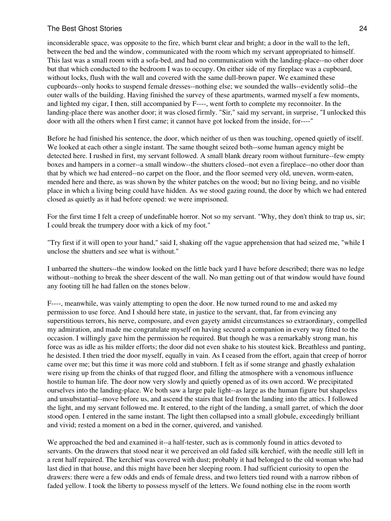inconsiderable space, was opposite to the fire, which burnt clear and bright; a door in the wall to the left, between the bed and the window, communicated with the room which my servant appropriated to himself. This last was a small room with a sofa-bed, and had no communication with the landing-place--no other door but that which conducted to the bedroom I was to occupy. On either side of my fireplace was a cupboard, without locks, flush with the wall and covered with the same dull-brown paper. We examined these cupboards--only hooks to suspend female dresses--nothing else; we sounded the walls--evidently solid--the outer walls of the building. Having finished the survey of these apartments, warmed myself a few moments, and lighted my cigar, I then, still accompanied by F----, went forth to complete my reconnoiter. In the landing-place there was another door; it was closed firmly. "Sir," said my servant, in surprise, "I unlocked this door with all the others when I first came; it cannot have got locked from the inside, for----"

Before he had finished his sentence, the door, which neither of us then was touching, opened quietly of itself. We looked at each other a single instant. The same thought seized both--some human agency might be detected here. I rushed in first, my servant followed. A small blank dreary room without furniture--few empty boxes and hampers in a corner--a small window--the shutters closed--not even a fireplace--no other door than that by which we had entered--no carpet on the floor, and the floor seemed very old, uneven, worm-eaten, mended here and there, as was shown by the whiter patches on the wood; but no living being, and no visible place in which a living being could have hidden. As we stood gazing round, the door by which we had entered closed as quietly as it had before opened: we were imprisoned.

For the first time I felt a creep of undefinable horror. Not so my servant. "Why, they don't think to trap us, sir; I could break the trumpery door with a kick of my foot."

"Try first if it will open to your hand," said I, shaking off the vague apprehension that had seized me, "while I unclose the shutters and see what is without."

I unbarred the shutters--the window looked on the little back yard I have before described; there was no ledge without--nothing to break the sheer descent of the wall. No man getting out of that window would have found any footing till he had fallen on the stones below.

F----, meanwhile, was vainly attempting to open the door. He now turned round to me and asked my permission to use force. And I should here state, in justice to the servant, that, far from evincing any superstitious terrors, his nerve, composure, and even gayety amidst circumstances so extraordinary, compelled my admiration, and made me congratulate myself on having secured a companion in every way fitted to the occasion. I willingly gave him the permission he required. But though he was a remarkably strong man, his force was as idle as his milder efforts; the door did not even shake to his stoutest kick. Breathless and panting, he desisted. I then tried the door myself, equally in vain. As I ceased from the effort, again that creep of horror came over me; but this time it was more cold and stubborn. I felt as if some strange and ghastly exhalation were rising up from the chinks of that rugged floor, and filling the atmosphere with a venomous influence hostile to human life. The door now very slowly and quietly opened as of its own accord. We precipitated ourselves into the landing-place. We both saw a large pale light--as large as the human figure but shapeless and unsubstantial--move before us, and ascend the stairs that led from the landing into the attics. I followed the light, and my servant followed me. It entered, to the right of the landing, a small garret, of which the door stood open. I entered in the same instant. The light then collapsed into a small globule, exceedingly brilliant and vivid; rested a moment on a bed in the corner, quivered, and vanished.

We approached the bed and examined it--a half-tester, such as is commonly found in attics devoted to servants. On the drawers that stood near it we perceived an old faded silk kerchief, with the needle still left in a rent half repaired. The kerchief was covered with dust; probably it had belonged to the old woman who had last died in that house, and this might have been her sleeping room. I had sufficient curiosity to open the drawers: there were a few odds and ends of female dress, and two letters tied round with a narrow ribbon of faded yellow. I took the liberty to possess myself of the letters. We found nothing else in the room worth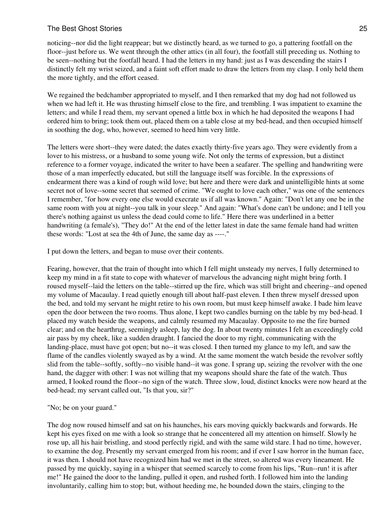noticing--nor did the light reappear; but we distinctly heard, as we turned to go, a pattering footfall on the floor--just before us. We went through the other attics (in all four), the footfall still preceding us. Nothing to be seen--nothing but the footfall heard. I had the letters in my hand: just as I was descending the stairs I distinctly felt my wrist seized, and a faint soft effort made to draw the letters from my clasp. I only held them the more tightly, and the effort ceased.

We regained the bedchamber appropriated to myself, and I then remarked that my dog had not followed us when we had left it. He was thrusting himself close to the fire, and trembling. I was impatient to examine the letters; and while I read them, my servant opened a little box in which he had deposited the weapons I had ordered him to bring; took them out, placed them on a table close at my bed-head, and then occupied himself in soothing the dog, who, however, seemed to heed him very little.

The letters were short--they were dated; the dates exactly thirty-five years ago. They were evidently from a lover to his mistress, or a husband to some young wife. Not only the terms of expression, but a distinct reference to a former voyage, indicated the writer to have been a seafarer. The spelling and handwriting were those of a man imperfectly educated, but still the language itself was forcible. In the expressions of endearment there was a kind of rough wild love; but here and there were dark and unintelligible hints at some secret not of love--some secret that seemed of crime. "We ought to love each other," was one of the sentences I remember, "for how every one else would execrate us if all was known." Again: "Don't let any one be in the same room with you at night--you talk in your sleep." And again: "What's done can't be undone; and I tell you there's nothing against us unless the dead could come to life." Here there was underlined in a better handwriting (a female's), "They do!" At the end of the letter latest in date the same female hand had written these words: "Lost at sea the 4th of June, the same day as ----."

I put down the letters, and began to muse over their contents.

Fearing, however, that the train of thought into which I fell might unsteady my nerves, I fully determined to keep my mind in a fit state to cope with whatever of marvelous the advancing night might bring forth. I roused myself--laid the letters on the table--stirred up the fire, which was still bright and cheering--and opened my volume of Macaulay. I read quietly enough till about half-past eleven. I then threw myself dressed upon the bed, and told my servant he might retire to his own room, but must keep himself awake. I bade him leave open the door between the two rooms. Thus alone, I kept two candles burning on the table by my bed-head. I placed my watch beside the weapons, and calmly resumed my Macaulay. Opposite to me the fire burned clear; and on the hearthrug, seemingly asleep, lay the dog. In about twenty minutes I felt an exceedingly cold air pass by my cheek, like a sudden draught. I fancied the door to my right, communicating with the landing-place, must have got open; but no--it was closed. I then turned my glance to my left, and saw the flame of the candles violently swayed as by a wind. At the same moment the watch beside the revolver softly slid from the table--softly, softly--no visible hand--it was gone. I sprang up, seizing the revolver with the one hand, the dagger with other: I was not willing that my weapons should share the fate of the watch. Thus armed, I looked round the floor--no sign of the watch. Three slow, loud, distinct knocks were now heard at the bed-head; my servant called out, "Is that you, sir?"

"No; be on your guard."

The dog now roused himself and sat on his haunches, his ears moving quickly backwards and forwards. He kept his eyes fixed on me with a look so strange that he concentered all my attention on himself. Slowly he rose up, all his hair bristling, and stood perfectly rigid, and with the same wild stare. I had no time, however, to examine the dog. Presently my servant emerged from his room; and if ever I saw horror in the human face, it was then. I should not have recognized him had we met in the street, so altered was every lineament. He passed by me quickly, saying in a whisper that seemed scarcely to come from his lips, "Run--run! it is after me!" He gained the door to the landing, pulled it open, and rushed forth. I followed him into the landing involuntarily, calling him to stop; but, without heeding me, he bounded down the stairs, clinging to the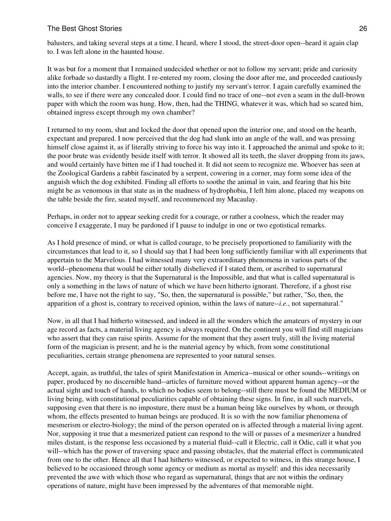balusters, and taking several steps at a time. I heard, where I stood, the street-door open--heard it again clap to. I was left alone in the haunted house.

It was but for a moment that I remained undecided whether or not to follow my servant; pride and curiosity alike forbade so dastardly a flight. I re-entered my room, closing the door after me, and proceeded cautiously into the interior chamber. I encountered nothing to justify my servant's terror. I again carefully examined the walls, to see if there were any concealed door. I could find no trace of one--not even a seam in the dull-brown paper with which the room was hung. How, then, had the THING, whatever it was, which had so scared him, obtained ingress except through my own chamber?

I returned to my room, shut and locked the door that opened upon the interior one, and stood on the hearth, expectant and prepared. I now perceived that the dog had slunk into an angle of the wall, and was pressing himself close against it, as if literally striving to force his way into it. I approached the animal and spoke to it; the poor brute was evidently beside itself with terror. It showed all its teeth, the slaver dropping from its jaws, and would certainly have bitten me if I had touched it. It did not seem to recognize me. Whoever has seen at the Zoological Gardens a rabbit fascinated by a serpent, cowering in a corner, may form some idea of the anguish which the dog exhibited. Finding all efforts to soothe the animal in vain, and fearing that his bite might be as venomous in that state as in the madness of hydrophobia, I left him alone, placed my weapons on the table beside the fire, seated myself, and recommenced my Macaulay.

Perhaps, in order not to appear seeking credit for a courage, or rather a coolness, which the reader may conceive I exaggerate, I may be pardoned if I pause to indulge in one or two egotistical remarks.

As I hold presence of mind, or what is called courage, to be precisely proportioned to familiarity with the circumstances that lead to it, so I should say that I had been long sufficiently familiar with all experiments that appertain to the Marvelous. I had witnessed many very extraordinary phenomena in various parts of the world--phenomena that would be either totally disbelieved if I stated them, or ascribed to supernatural agencies. Now, my theory is that the Supernatural is the Impossible, and that what is called supernatural is only a something in the laws of nature of which we have been hitherto ignorant. Therefore, if a ghost rise before me, I have not the right to say, "So, then, the supernatural is possible," but rather, "So, then, the apparition of a ghost is, contrary to received opinion, within the laws of nature--*i.e.*, not supernatural."

Now, in all that I had hitherto witnessed, and indeed in all the wonders which the amateurs of mystery in our age record as facts, a material living agency is always required. On the continent you will find still magicians who assert that they can raise spirits. Assume for the moment that they assert truly, still the living material form of the magician is present; and he is the material agency by which, from some constitutional peculiarities, certain strange phenomena are represented to your natural senses.

Accept, again, as truthful, the tales of spirit Manifestation in America--musical or other sounds--writings on paper, produced by no discernible hand--articles of furniture moved without apparent human agency--or the actual sight and touch of hands, to which no bodies seem to belong--still there must be found the MEDIUM or living being, with constitutional peculiarities capable of obtaining these signs. In fine, in all such marvels, supposing even that there is no imposture, there must be a human being like ourselves by whom, or through whom, the effects presented to human beings are produced. It is so with the now familiar phenomena of mesmerism or electro-biology; the mind of the person operated on is affected through a material living agent. Nor, supposing it true that a mesmerized patient can respond to the will or passes of a mesmerizer a hundred miles distant, is the response less occasioned by a material fluid--call it Electric, call it Odic, call it what you will--which has the power of traversing space and passing obstacles, that the material effect is communicated from one to the other. Hence all that I had hitherto witnessed, or expected to witness, in this strange house, I believed to be occasioned through some agency or medium as mortal as myself: and this idea necessarily prevented the awe with which those who regard as supernatural, things that are not within the ordinary operations of nature, might have been impressed by the adventures of that memorable night.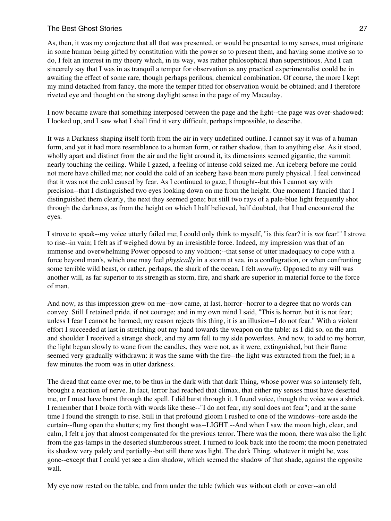As, then, it was my conjecture that all that was presented, or would be presented to my senses, must originate in some human being gifted by constitution with the power so to present them, and having some motive so to do, I felt an interest in my theory which, in its way, was rather philosophical than superstitious. And I can sincerely say that I was in as tranquil a temper for observation as any practical experimentalist could be in awaiting the effect of some rare, though perhaps perilous, chemical combination. Of course, the more I kept my mind detached from fancy, the more the temper fitted for observation would be obtained; and I therefore riveted eye and thought on the strong daylight sense in the page of my Macaulay.

I now became aware that something interposed between the page and the light--the page was over-shadowed: I looked up, and I saw what I shall find it very difficult, perhaps impossible, to describe.

It was a Darkness shaping itself forth from the air in very undefined outline. I cannot say it was of a human form, and yet it had more resemblance to a human form, or rather shadow, than to anything else. As it stood, wholly apart and distinct from the air and the light around it, its dimensions seemed gigantic, the summit nearly touching the ceiling. While I gazed, a feeling of intense cold seized me. An iceberg before me could not more have chilled me; nor could the cold of an iceberg have been more purely physical. I feel convinced that it was not the cold caused by fear. As I continued to gaze, I thought--but this I cannot say with precision--that I distinguished two eyes looking down on me from the height. One moment I fancied that I distinguished them clearly, the next they seemed gone; but still two rays of a pale-blue light frequently shot through the darkness, as from the height on which I half believed, half doubted, that I had encountered the eyes.

I strove to speak--my voice utterly failed me; I could only think to myself, "is this fear? it is *not* fear!" I strove to rise--in vain; I felt as if weighed down by an irresistible force. Indeed, my impression was that of an immense and overwhelming Power opposed to any volition;--that sense of utter inadequacy to cope with a force beyond man's, which one may feel *physically* in a storm at sea, in a conflagration, or when confronting some terrible wild beast, or rather, perhaps, the shark of the ocean, I felt *morally*. Opposed to my will was another will, as far superior to its strength as storm, fire, and shark are superior in material force to the force of man.

And now, as this impression grew on me--now came, at last, horror--horror to a degree that no words can convey. Still I retained pride, if not courage; and in my own mind I said, "This is horror, but it is not fear; unless I fear I cannot be harmed; my reason rejects this thing, it is an illusion--I do not fear." With a violent effort I succeeded at last in stretching out my hand towards the weapon on the table: as I did so, on the arm and shoulder I received a strange shock, and my arm fell to my side powerless. And now, to add to my horror, the light began slowly to wane from the candles, they were not, as it were, extinguished, but their flame seemed very gradually withdrawn: it was the same with the fire--the light was extracted from the fuel; in a few minutes the room was in utter darkness.

The dread that came over me, to be thus in the dark with that dark Thing, whose power was so intensely felt, brought a reaction of nerve. In fact, terror had reached that climax, that either my senses must have deserted me, or I must have burst through the spell. I did burst through it. I found voice, though the voice was a shriek. I remember that I broke forth with words like these--"I do not fear, my soul does not fear"; and at the same time I found the strength to rise. Still in that profound gloom I rushed to one of the windows--tore aside the curtain--flung open the shutters; my first thought was--LIGHT.--And when I saw the moon high, clear, and calm, I felt a joy that almost compensated for the previous terror. There was the moon, there was also the light from the gas-lamps in the deserted slumberous street. I turned to look back into the room; the moon penetrated its shadow very palely and partially--but still there was light. The dark Thing, whatever it might be, was gone--except that I could yet see a dim shadow, which seemed the shadow of that shade, against the opposite wall.

My eye now rested on the table, and from under the table (which was without cloth or cover--an old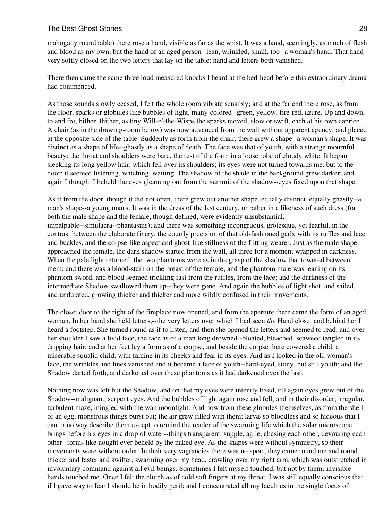mahogany round table) there rose a hand, visible as far as the wrist. It was a hand, seemingly, as much of flesh and blood as my own, but the hand of an aged person--lean, wrinkled, small, too--a woman's hand. That hand very softly closed on the two letters that lay on the table: hand and letters both vanished.

There then came the same three loud measured knocks I heard at the bed-head before this extraordinary drama had commenced.

As those sounds slowly ceased, I felt the whole room vibrate sensibly; and at the far end there rose, as from the floor, sparks or globules like bubbles of light, many-colored--green, yellow, fire-red, azure. Up and down, to and fro, hither, thither, as tiny Will-o'-the-Wisps the sparks moved, slow or swift, each at his own caprice. A chair (as in the drawing-room below) was now advanced from the wall without apparent agency, and placed at the opposite side of the table. Suddenly as forth from the chair, there grew a shape--a woman's shape. It was distinct as a shape of life--ghastly as a shape of death. The face was that of youth, with a strange mournful beauty: the throat and shoulders were bare, the rest of the form in a loose robe of cloudy white. It began sleeking its long yellow hair, which fell over its shoulders; its eyes were not turned towards me, but to the door; it seemed listening, watching, waiting. The shadow of the shade in the background grew darker; and again I thought I beheld the eyes gleaming out from the summit of the shadow--eyes fixed upon that shape.

As if from the door, though it did not open, there grew out another shape, equally distinct, equally ghastly--a man's shape--a young man's. It was in the dress of the last century, or rather in a likeness of such dress (for both the male shape and the female, though defined, were evidently unsubstantial, impalpable--simulacra--phantasms); and there was something incongruous, grotesque, yet fearful, in the contrast between the elaborate finery, the courtly precision of that old-fashioned garb, with its ruffles and lace and buckles, and the corpse-like aspect and ghost-like stillness of the flitting wearer. Just as the male shape approached the female, the dark shadow started from the wall, all three for a moment wrapped in darkness. When the pale light returned, the two phantoms were as in the grasp of the shadow that towered between them; and there was a blood-stain on the breast of the female; and the phantom male was leaning on its phantom sword, and blood seemed trickling fast from the ruffles, from the lace; and the darkness of the intermediate Shadow swallowed them up--they were gone. And again the bubbles of light shot, and sailed, and undulated, growing thicker and thicker and more wildly confused in their movements.

The closet door to the right of the fireplace now opened, and from the aperture there came the form of an aged woman. In her hand she held letters,--the very letters over which I had seen *the* Hand close; and behind her I heard a footstep. She turned round as if to listen, and then she opened the letters and seemed to read; and over her shoulder I saw a livid face, the face as of a man long drowned--bloated, bleached, seaweed tangled in its dripping hair; and at her feet lay a form as of a corpse, and beside the corpse there cowered a child, a miserable squalid child, with famine in its cheeks and fear in its eyes. And as I looked in the old woman's face, the wrinkles and lines vanished and it became a face of youth--hard-eyed, stony, but still youth; and the Shadow darted forth, and darkened over these phantoms as it had darkened over the last.

Nothing now was left but the Shadow, and on that my eyes were intently fixed, till again eyes grew out of the Shadow--malignant, serpent eyes. And the bubbles of light again rose and fell, and in their disorder, irregular, turbulent maze, mingled with the wan moonlight. And now from these globules themselves, as from the shell of an egg, monstrous things burst out; the air grew filled with them; larvæ so bloodless and so hideous that I can in no way describe them except to remind the reader of the swarming life which the solar microscope brings before his eyes in a drop of water--things transparent, supple, agile, chasing each other, devouring each other--forms like nought ever beheld by the naked eye. As the shapes were without symmetry, so their movements were without order. In their very vagrancies there was no sport; they came round me and round, thicker and faster and swifter, swarming over my head, crawling over my right arm, which was outstretched in involuntary command against all evil beings. Sometimes I felt myself touched, but not by them; invisible hands touched me. Once I felt the clutch as of cold soft fingers at my throat. I was still equally conscious that if I gave way to fear I should be in bodily peril; and I concentrated all my faculties in the single focus of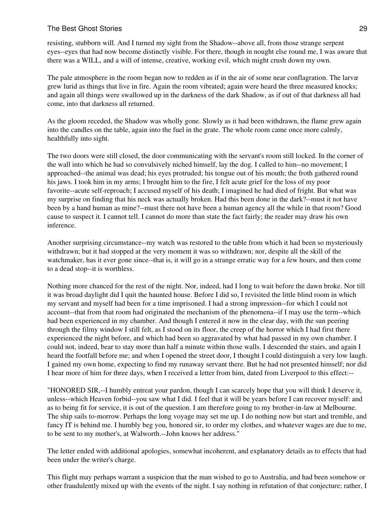resisting, stubborn will. And I turned my sight from the Shadow--above all, from those strange serpent eyes--eyes that had now become distinctly visible. For there, though in nought else round me, I was aware that there was a WILL, and a will of intense, creative, working evil, which might crush down my own.

The pale atmosphere in the room began now to redden as if in the air of some near conflagration. The larvæ grew lurid as things that live in fire. Again the room vibrated; again were heard the three measured knocks; and again all things were swallowed up in the darkness of the dark Shadow, as if out of that darkness all had come, into that darkness all returned.

As the gloom receded, the Shadow was wholly gone. Slowly as it had been withdrawn, the flame grew again into the candles on the table, again into the fuel in the grate. The whole room came once more calmly, healthfully into sight.

The two doors were still closed, the door communicating with the servant's room still locked. In the corner of the wall into which he had so convulsively niched himself, lay the dog. I called to him--no movement; I approached--the animal was dead; his eyes protruded; his tongue out of his mouth; the froth gathered round his jaws. I took him in my arms; I brought him to the fire, I felt acute grief for the loss of my poor favorite--acute self-reproach; I accused myself of his death; I imagined he had died of fright. But what was my surprise on finding that his neck was actually broken. Had this been done in the dark?--must it not have been by a hand human as mine?--must there not have been a human agency all the while in that room? Good cause to suspect it. I cannot tell. I cannot do more than state the fact fairly; the reader may draw his own inference.

Another surprising circumstance--my watch was restored to the table from which it had been so mysteriously withdrawn; but it had stopped at the very moment it was so withdrawn; nor, despite all the skill of the watchmaker, has it ever gone since--that is, it will go in a strange erratic way for a few hours, and then come to a dead stop--it is worthless.

Nothing more chanced for the rest of the night. Nor, indeed, had I long to wait before the dawn broke. Nor till it was broad daylight did I quit the haunted house. Before I did so, I revisited the little blind room in which my servant and myself had been for a time imprisoned. I had a strong impression--for which I could not account--that from that room had originated the mechanism of the phenomena--if I may use the term--which had been experienced in my chamber. And though I entered it now in the clear day, with the sun peering through the filmy window I still felt, as I stood on its floor, the creep of the horror which I had first there experienced the night before, and which had been so aggravated by what had passed in my own chamber. I could not, indeed, bear to stay more than half a minute within those walls. I descended the stairs, and again I heard the footfall before me; and when I opened the street door, I thought I could distinguish a very low laugh. I gained my own home, expecting to find my runaway servant there. But he had not presented himself; nor did I hear more of him for three days, when I received a letter from him, dated from Liverpool to this effect:--

"HONORED SIR,--I humbly entreat your pardon, though I can scarcely hope that you will think I deserve it, unless--which Heaven forbid--you saw what I did. I feel that it will be years before I can recover myself: and as to being fit for service, it is out of the question. I am therefore going to my brother-in-law at Melbourne. The ship sails to-morrow. Perhaps the long voyage may set me up. I do nothing now but start and tremble, and fancy IT is behind me. I humbly beg you, honored sir, to order my clothes, and whatever wages are due to me, to be sent to my mother's, at Walworth.--John knows her address."

The letter ended with additional apologies, somewhat incoherent, and explanatory details as to effects that had been under the writer's charge.

This flight may perhaps warrant a suspicion that the man wished to go to Australia, and had been somehow or other fraudulently mixed up with the events of the night. I say nothing in refutation of that conjecture; rather, I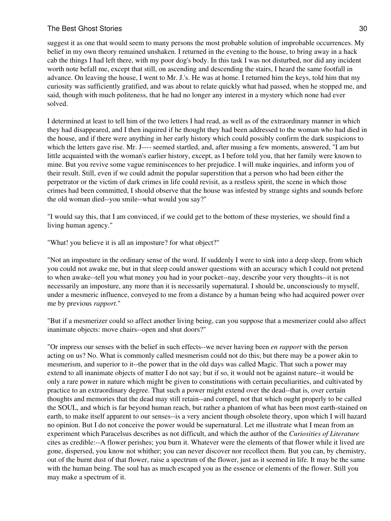suggest it as one that would seem to many persons the most probable solution of improbable occurrences. My belief in my own theory remained unshaken. I returned in the evening to the house, to bring away in a hack cab the things I had left there, with my poor dog's body. In this task I was not disturbed, nor did any incident worth note befall me, except that still, on ascending and descending the stairs, I heard the same footfall in advance. On leaving the house, I went to Mr. J.'s. He was at home. I returned him the keys, told him that my curiosity was sufficiently gratified, and was about to relate quickly what had passed, when he stopped me, and said, though with much politeness, that he had no longer any interest in a mystery which none had ever solved.

I determined at least to tell him of the two letters I had read, as well as of the extraordinary manner in which they had disappeared, and I then inquired if he thought they had been addressed to the woman who had died in the house, and if there were anything in her early history which could possibly confirm the dark suspicions to which the letters gave rise. Mr. J---- seemed startled, and, after musing a few moments, answered, "I am but little acquainted with the woman's earlier history, except, as I before told you, that her family were known to mine. But you revive some vague reminiscences to her prejudice. I will make inquiries, and inform you of their result. Still, even if we could admit the popular superstition that a person who had been either the perpetrator or the victim of dark crimes in life could revisit, as a restless spirit, the scene in which those crimes had been committed, I should observe that the house was infested by strange sights and sounds before the old woman died--you smile--what would you say?"

"I would say this, that I am convinced, if we could get to the bottom of these mysteries, we should find a living human agency."

"What! you believe it is all an imposture? for what object?"

"Not an imposture in the ordinary sense of the word. If suddenly I were to sink into a deep sleep, from which you could not awake me, but in that sleep could answer questions with an accuracy which I could not pretend to when awake--tell you what money you had in your pocket--nay, describe your very thoughts--it is not necessarily an imposture, any more than it is necessarily supernatural. I should be, unconsciously to myself, under a mesmeric influence, conveyed to me from a distance by a human being who had acquired power over me by previous *rapport*."

"But if a mesmerizer could so affect another living being, can you suppose that a mesmerizer could also affect inanimate objects: move chairs--open and shut doors?"

"Or impress our senses with the belief in such effects--we never having been *en rapport* with the person acting on us? No. What is commonly called mesmerism could not do this; but there may be a power akin to mesmerism, and superior to it--the power that in the old days was called Magic. That such a power may extend to all inanimate objects of matter I do not say; but if so, it would not be against nature--it would be only a rare power in nature which might be given to constitutions with certain peculiarities, and cultivated by practice to an extraordinary degree. That such a power might extend over the dead--that is, over certain thoughts and memories that the dead may still retain--and compel, not that which ought properly to be called the SOUL, and which is far beyond human reach, but rather a phantom of what has been most earth-stained on earth, to make itself apparent to our senses--is a very ancient though obsolete theory, upon which I will hazard no opinion. But I do not conceive the power would be supernatural. Let me illustrate what I mean from an experiment which Paracelsus describes as not difficult, and which the author of the *Curiosities of Literature* cites as credible:--A flower perishes; you burn it. Whatever were the elements of that flower while it lived are gone, dispersed, you know not whither; you can never discover nor recollect them. But you can, by chemistry, out of the burnt dust of that flower, raise a spectrum of the flower, just as it seemed in life. It may be the same with the human being. The soul has as much escaped you as the essence or elements of the flower. Still you may make a spectrum of it.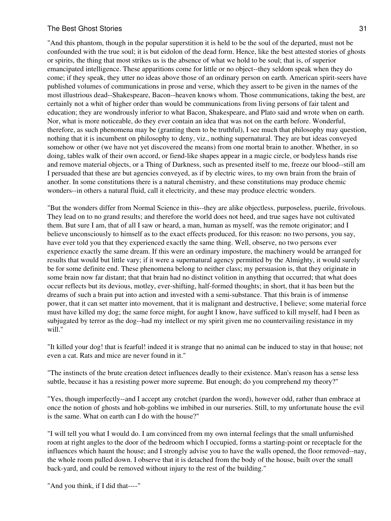"And this phantom, though in the popular superstition it is held to be the soul of the departed, must not be confounded with the true soul; it is but eidolon of the dead form. Hence, like the best attested stories of ghosts or spirits, the thing that most strikes us is the absence of what we hold to be soul; that is, of superior emancipated intelligence. These apparitions come for little or no object--they seldom speak when they do come; if they speak, they utter no ideas above those of an ordinary person on earth. American spirit-seers have published volumes of communications in prose and verse, which they assert to be given in the names of the most illustrious dead--Shakespeare, Bacon--heaven knows whom. Those communications, taking the best, are certainly not a whit of higher order than would be communications from living persons of fair talent and education; they are wondrously inferior to what Bacon, Shakespeare, and Plato said and wrote when on earth. Nor, what is more noticeable, do they ever contain an idea that was not on the earth before. Wonderful, therefore, as such phenomena may be (granting them to be truthful), I see much that philosophy may question, nothing that it is incumbent on philosophy to deny, viz., nothing supernatural. They are but ideas conveyed somehow or other (we have not yet discovered the means) from one mortal brain to another. Whether, in so doing, tables walk of their own accord, or fiend-like shapes appear in a magic circle, or bodyless hands rise and remove material objects, or a Thing of Darkness, such as presented itself to me, freeze our blood--still am I persuaded that these are but agencies conveyed, as if by electric wires, to my own brain from the brain of another. In some constitutions there is a natural chemistry, and these constitutions may produce chemic wonders--in others a natural fluid, call it electricity, and these may produce electric wonders.

"But the wonders differ from Normal Science in this--they are alike objectless, purposeless, puerile, frivolous. They lead on to no grand results; and therefore the world does not heed, and true sages have not cultivated them. But sure I am, that of all I saw or heard, a man, human as myself, was the remote originator; and I believe unconsciously to himself as to the exact effects produced, for this reason: no two persons, you say, have ever told you that they experienced exactly the same thing. Well, observe, no two persons ever experience exactly the same dream. If this were an ordinary imposture, the machinery would be arranged for results that would but little vary; if it were a supernatural agency permitted by the Almighty, it would surely be for some definite end. These phenomena belong to neither class; my persuasion is, that they originate in some brain now far distant; that that brain had no distinct volition in anything that occurred; that what does occur reflects but its devious, motley, ever-shifting, half-formed thoughts; in short, that it has been but the dreams of such a brain put into action and invested with a semi-substance. That this brain is of immense power, that it can set matter into movement, that it is malignant and destructive, I believe; some material force must have killed my dog; the same force might, for aught I know, have sufficed to kill myself, had I been as subjugated by terror as the dog--had my intellect or my spirit given me no countervailing resistance in my will."

"It killed your dog! that is fearful! indeed it is strange that no animal can be induced to stay in that house; not even a cat. Rats and mice are never found in it."

"The instincts of the brute creation detect influences deadly to their existence. Man's reason has a sense less subtle, because it has a resisting power more supreme. But enough; do you comprehend my theory?"

"Yes, though imperfectly--and I accept any crotchet (pardon the word), however odd, rather than embrace at once the notion of ghosts and hob-goblins we imbibed in our nurseries. Still, to my unfortunate house the evil is the same. What on earth can I do with the house?"

"I will tell you what I would do. I am convinced from my own internal feelings that the small unfurnished room at right angles to the door of the bedroom which I occupied, forms a starting-point or receptacle for the influences which haunt the house; and I strongly advise you to have the walls opened, the floor removed--nay, the whole room pulled down. I observe that it is detached from the body of the house, built over the small back-yard, and could be removed without injury to the rest of the building."

"And you think, if I did that----"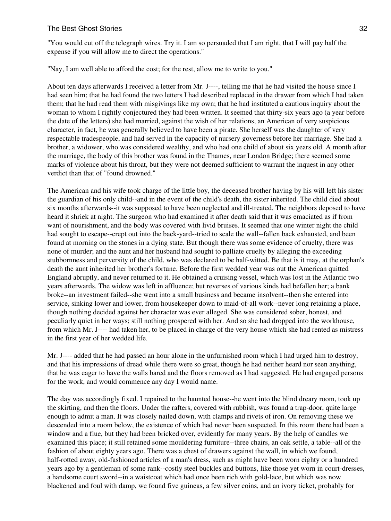"You would cut off the telegraph wires. Try it. I am so persuaded that I am right, that I will pay half the expense if you will allow me to direct the operations."

"Nay, I am well able to afford the cost; for the rest, allow me to write to you."

About ten days afterwards I received a letter from Mr. J----, telling me that he had visited the house since I had seen him; that he had found the two letters I had described replaced in the drawer from which I had taken them; that he had read them with misgivings like my own; that he had instituted a cautious inquiry about the woman to whom I rightly conjectured they had been written. It seemed that thirty-six years ago (a year before the date of the letters) she had married, against the wish of her relations, an American of very suspicious character, in fact, he was generally believed to have been a pirate. She herself was the daughter of very respectable tradespeople, and had served in the capacity of nursery governess before her marriage. She had a brother, a widower, who was considered wealthy, and who had one child of about six years old. A month after the marriage, the body of this brother was found in the Thames, near London Bridge; there seemed some marks of violence about his throat, but they were not deemed sufficient to warrant the inquest in any other verdict than that of "found drowned."

The American and his wife took charge of the little boy, the deceased brother having by his will left his sister the guardian of his only child--and in the event of the child's death, the sister inherited. The child died about six months afterwards--it was supposed to have been neglected and ill-treated. The neighbors deposed to have heard it shriek at night. The surgeon who had examined it after death said that it was emaciated as if from want of nourishment, and the body was covered with livid bruises. It seemed that one winter night the child had sought to escape--crept out into the back-yard--tried to scale the wall--fallen back exhausted, and been found at morning on the stones in a dying state. But though there was some evidence of cruelty, there was none of murder; and the aunt and her husband had sought to palliate cruelty by alleging the exceeding stubbornness and perversity of the child, who was declared to be half-witted. Be that is it may, at the orphan's death the aunt inherited her brother's fortune. Before the first wedded year was out the American quitted England abruptly, and never returned to it. He obtained a cruising vessel, which was lost in the Atlantic two years afterwards. The widow was left in affluence; but reverses of various kinds had befallen her; a bank broke--an investment failed--she went into a small business and became insolvent--then she entered into service, sinking lower and lower, from housekeeper down to maid-of-all work--never long retaining a place, though nothing decided against her character was ever alleged. She was considered sober, honest, and peculiarly quiet in her ways; still nothing prospered with her. And so she had dropped into the workhouse, from which Mr. J---- had taken her, to be placed in charge of the very house which she had rented as mistress in the first year of her wedded life.

Mr. J---- added that he had passed an hour alone in the unfurnished room which I had urged him to destroy, and that his impressions of dread while there were so great, though he had neither heard nor seen anything, that he was eager to have the walls bared and the floors removed as I had suggested. He had engaged persons for the work, and would commence any day I would name.

The day was accordingly fixed. I repaired to the haunted house--he went into the blind dreary room, took up the skirting, and then the floors. Under the rafters, covered with rubbish, was found a trap-door, quite large enough to admit a man. It was closely nailed down, with clamps and rivets of iron. On removing these we descended into a room below, the existence of which had never been suspected. In this room there had been a window and a flue, but they had been bricked over, evidently for many years. By the help of candles we examined this place; it still retained some mouldering furniture--three chairs, an oak settle, a table--all of the fashion of about eighty years ago. There was a chest of drawers against the wall, in which we found, half-rotted away, old-fashioned articles of a man's dress, such as might have been worn eighty or a hundred years ago by a gentleman of some rank--costly steel buckles and buttons, like those yet worn in court-dresses, a handsome court sword--in a waistcoat which had once been rich with gold-lace, but which was now blackened and foul with damp, we found five guineas, a few silver coins, and an ivory ticket, probably for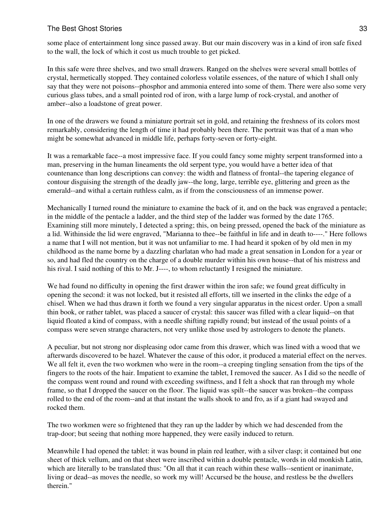some place of entertainment long since passed away. But our main discovery was in a kind of iron safe fixed to the wall, the lock of which it cost us much trouble to get picked.

In this safe were three shelves, and two small drawers. Ranged on the shelves were several small bottles of crystal, hermetically stopped. They contained colorless volatile essences, of the nature of which I shall only say that they were not poisons--phosphor and ammonia entered into some of them. There were also some very curious glass tubes, and a small pointed rod of iron, with a large lump of rock-crystal, and another of amber--also a loadstone of great power.

In one of the drawers we found a miniature portrait set in gold, and retaining the freshness of its colors most remarkably, considering the length of time it had probably been there. The portrait was that of a man who might be somewhat advanced in middle life, perhaps forty-seven or forty-eight.

It was a remarkable face--a most impressive face. If you could fancy some mighty serpent transformed into a man, preserving in the human lineaments the old serpent type, you would have a better idea of that countenance than long descriptions can convey: the width and flatness of frontal--the tapering elegance of contour disguising the strength of the deadly jaw--the long, large, terrible eye, glittering and green as the emerald--and withal a certain ruthless calm, as if from the consciousness of an immense power.

Mechanically I turned round the miniature to examine the back of it, and on the back was engraved a pentacle; in the middle of the pentacle a ladder, and the third step of the ladder was formed by the date 1765. Examining still more minutely, I detected a spring; this, on being pressed, opened the back of the miniature as a lid. Withinside the lid were engraved, "Marianna to thee--be faithful in life and in death to----." Here follows a name that I will not mention, but it was not unfamiliar to me. I had heard it spoken of by old men in my childhood as the name borne by a dazzling charlatan who had made a great sensation in London for a year or so, and had fled the country on the charge of a double murder within his own house--that of his mistress and his rival. I said nothing of this to Mr. J----, to whom reluctantly I resigned the miniature.

We had found no difficulty in opening the first drawer within the iron safe; we found great difficulty in opening the second: it was not locked, but it resisted all efforts, till we inserted in the clinks the edge of a chisel. When we had thus drawn it forth we found a very singular apparatus in the nicest order. Upon a small thin book, or rather tablet, was placed a saucer of crystal: this saucer was filled with a clear liquid--on that liquid floated a kind of compass, with a needle shifting rapidly round; but instead of the usual points of a compass were seven strange characters, not very unlike those used by astrologers to denote the planets.

A peculiar, but not strong nor displeasing odor came from this drawer, which was lined with a wood that we afterwards discovered to be hazel. Whatever the cause of this odor, it produced a material effect on the nerves. We all felt it, even the two workmen who were in the room--a creeping tingling sensation from the tips of the fingers to the roots of the hair. Impatient to examine the tablet, I removed the saucer. As I did so the needle of the compass went round and round with exceeding swiftness, and I felt a shock that ran through my whole frame, so that I dropped the saucer on the floor. The liquid was spilt--the saucer was broken--the compass rolled to the end of the room--and at that instant the walls shook to and fro, as if a giant had swayed and rocked them.

The two workmen were so frightened that they ran up the ladder by which we had descended from the trap-door; but seeing that nothing more happened, they were easily induced to return.

Meanwhile I had opened the tablet: it was bound in plain red leather, with a silver clasp; it contained but one sheet of thick vellum, and on that sheet were inscribed within a double pentacle, words in old monkish Latin, which are literally to be translated thus: "On all that it can reach within these walls--sentient or inanimate, living or dead--as moves the needle, so work my will! Accursed be the house, and restless be the dwellers therein."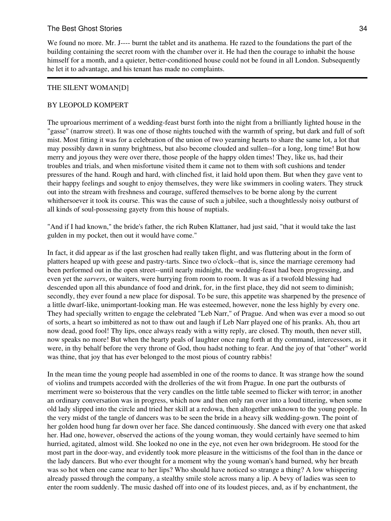We found no more. Mr. J---- burnt the tablet and its anathema. He razed to the foundations the part of the building containing the secret room with the chamber over it. He had then the courage to inhabit the house himself for a month, and a quieter, better-conditioned house could not be found in all London. Subsequently he let it to advantage, and his tenant has made no complaints.

#### THE SILENT WOMAN[D]

## BY LEOPOLD KOMPERT

The uproarious merriment of a wedding-feast burst forth into the night from a brilliantly lighted house in the "gasse" (narrow street). It was one of those nights touched with the warmth of spring, but dark and full of soft mist. Most fitting it was for a celebration of the union of two yearning hearts to share the same lot, a lot that may possibly dawn in sunny brightness, but also become clouded and sullen--for a long, long time! But how merry and joyous they were over there, those people of the happy olden times! They, like us, had their troubles and trials, and when misfortune visited them it came not to them with soft cushions and tender pressures of the hand. Rough and hard, with clinched fist, it laid hold upon them. But when they gave vent to their happy feelings and sought to enjoy themselves, they were like swimmers in cooling waters. They struck out into the stream with freshness and courage, suffered themselves to be borne along by the current whithersoever it took its course. This was the cause of such a jubilee, such a thoughtlessly noisy outburst of all kinds of soul-possessing gayety from this house of nuptials.

"And if I had known," the bride's father, the rich Ruben Klattaner, had just said, "that it would take the last gulden in my pocket, then out it would have come."

In fact, it did appear as if the last groschen had really taken flight, and was fluttering about in the form of platters heaped up with geese and pastry-tarts. Since two o'clock--that is, since the marriage ceremony had been performed out in the open street--until nearly midnight, the wedding-feast had been progressing, and even yet the *sarvers*, or waiters, were hurrying from room to room. It was as if a twofold blessing had descended upon all this abundance of food and drink, for, in the first place, they did not seem to diminish; secondly, they ever found a new place for disposal. To be sure, this appetite was sharpened by the presence of a little dwarf-like, unimportant-looking man. He was esteemed, however, none the less highly by every one. They had specially written to engage the celebrated "Leb Narr," of Prague. And when was ever a mood so out of sorts, a heart so imbittered as not to thaw out and laugh if Leb Narr played one of his pranks. Ah, thou art now dead, good fool! Thy lips, once always ready with a witty reply, are closed. Thy mouth, then never still, now speaks no more! But when the hearty peals of laughter once rang forth at thy command, intercessors, as it were, in thy behalf before the very throne of God, thou hadst nothing to fear. And the joy of that "other" world was thine, that joy that has ever belonged to the most pious of country rabbis!

In the mean time the young people had assembled in one of the rooms to dance. It was strange how the sound of violins and trumpets accorded with the drolleries of the wit from Prague. In one part the outbursts of merriment were so boisterous that the very candles on the little table seemed to flicker with terror; in another an ordinary conversation was in progress, which now and then only ran over into a loud tittering, when some old lady slipped into the circle and tried her skill at a redowa, then altogether unknown to the young people. In the very midst of the tangle of dancers was to be seen the bride in a heavy silk wedding-gown. The point of her golden hood hung far down over her face. She danced continuously. She danced with every one that asked her. Had one, however, observed the actions of the young woman, they would certainly have seemed to him hurried, agitated, almost wild. She looked no one in the eye, not even her own bridegroom. He stood for the most part in the door-way, and evidently took more pleasure in the witticisms of the fool than in the dance or the lady dancers. But who ever thought for a moment why the young woman's hand burned, why her breath was so hot when one came near to her lips? Who should have noticed so strange a thing? A low whispering already passed through the company, a stealthy smile stole across many a lip. A bevy of ladies was seen to enter the room suddenly. The music dashed off into one of its loudest pieces, and, as if by enchantment, the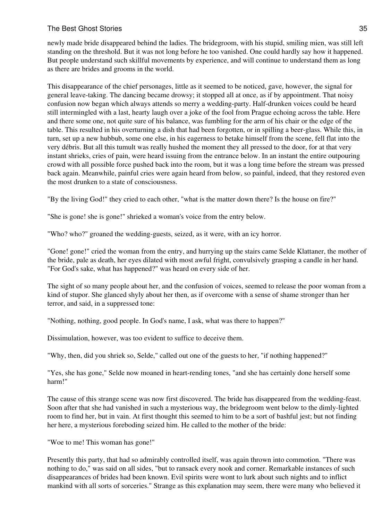newly made bride disappeared behind the ladies. The bridegroom, with his stupid, smiling mien, was still left standing on the threshold. But it was not long before he too vanished. One could hardly say how it happened. But people understand such skillful movements by experience, and will continue to understand them as long as there are brides and grooms in the world.

This disappearance of the chief personages, little as it seemed to be noticed, gave, however, the signal for general leave-taking. The dancing became drowsy; it stopped all at once, as if by appointment. That noisy confusion now began which always attends so merry a wedding-party. Half-drunken voices could be heard still intermingled with a last, hearty laugh over a joke of the fool from Prague echoing across the table. Here and there some one, not quite sure of his balance, was fumbling for the arm of his chair or the edge of the table. This resulted in his overturning a dish that had been forgotten, or in spilling a beer-glass. While this, in turn, set up a new hubbub, some one else, in his eagerness to betake himself from the scene, fell flat into the very débris. But all this tumult was really hushed the moment they all pressed to the door, for at that very instant shrieks, cries of pain, were heard issuing from the entrance below. In an instant the entire outpouring crowd with all possible force pushed back into the room, but it was a long time before the stream was pressed back again. Meanwhile, painful cries were again heard from below, so painful, indeed, that they restored even the most drunken to a state of consciousness.

"By the living God!" they cried to each other, "what is the matter down there? Is the house on fire?"

"She is gone! she is gone!" shrieked a woman's voice from the entry below.

"Who? who?" groaned the wedding-guests, seized, as it were, with an icy horror.

"Gone! gone!" cried the woman from the entry, and hurrying up the stairs came Selde Klattaner, the mother of the bride, pale as death, her eyes dilated with most awful fright, convulsively grasping a candle in her hand. "For God's sake, what has happened?" was heard on every side of her.

The sight of so many people about her, and the confusion of voices, seemed to release the poor woman from a kind of stupor. She glanced shyly about her then, as if overcome with a sense of shame stronger than her terror, and said, in a suppressed tone:

"Nothing, nothing, good people. In God's name, I ask, what was there to happen?"

Dissimulation, however, was too evident to suffice to deceive them.

"Why, then, did you shriek so, Selde," called out one of the guests to her, "if nothing happened?"

"Yes, she has gone," Selde now moaned in heart-rending tones, "and she has certainly done herself some harm!"

The cause of this strange scene was now first discovered. The bride has disappeared from the wedding-feast. Soon after that she had vanished in such a mysterious way, the bridegroom went below to the dimly-lighted room to find her, but in vain. At first thought this seemed to him to be a sort of bashful jest; but not finding her here, a mysterious foreboding seized him. He called to the mother of the bride:

"Woe to me! This woman has gone!"

Presently this party, that had so admirably controlled itself, was again thrown into commotion. "There was nothing to do," was said on all sides, "but to ransack every nook and corner. Remarkable instances of such disappearances of brides had been known. Evil spirits were wont to lurk about such nights and to inflict mankind with all sorts of sorceries." Strange as this explanation may seem, there were many who believed it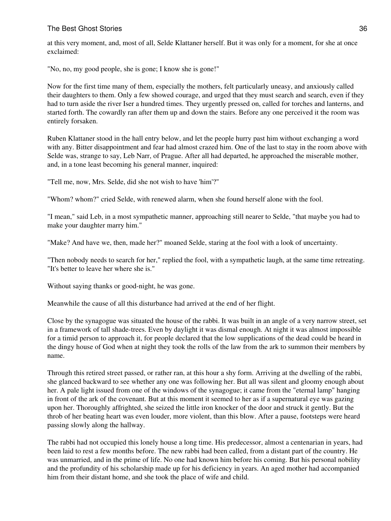at this very moment, and, most of all, Selde Klattaner herself. But it was only for a moment, for she at once exclaimed:

"No, no, my good people, she is gone; I know she is gone!"

Now for the first time many of them, especially the mothers, felt particularly uneasy, and anxiously called their daughters to them. Only a few showed courage, and urged that they must search and search, even if they had to turn aside the river Iser a hundred times. They urgently pressed on, called for torches and lanterns, and started forth. The cowardly ran after them up and down the stairs. Before any one perceived it the room was entirely forsaken.

Ruben Klattaner stood in the hall entry below, and let the people hurry past him without exchanging a word with any. Bitter disappointment and fear had almost crazed him. One of the last to stay in the room above with Selde was, strange to say, Leb Narr, of Prague. After all had departed, he approached the miserable mother, and, in a tone least becoming his general manner, inquired:

"Tell me, now, Mrs. Selde, did she not wish to have 'him'?"

"Whom? whom?" cried Selde, with renewed alarm, when she found herself alone with the fool.

"I mean," said Leb, in a most sympathetic manner, approaching still nearer to Selde, "that maybe you had to make your daughter marry him."

"Make? And have we, then, made her?" moaned Selde, staring at the fool with a look of uncertainty.

"Then nobody needs to search for her," replied the fool, with a sympathetic laugh, at the same time retreating. "It's better to leave her where she is."

Without saying thanks or good-night, he was gone.

Meanwhile the cause of all this disturbance had arrived at the end of her flight.

Close by the synagogue was situated the house of the rabbi. It was built in an angle of a very narrow street, set in a framework of tall shade-trees. Even by daylight it was dismal enough. At night it was almost impossible for a timid person to approach it, for people declared that the low supplications of the dead could be heard in the dingy house of God when at night they took the rolls of the law from the ark to summon their members by name.

Through this retired street passed, or rather ran, at this hour a shy form. Arriving at the dwelling of the rabbi, she glanced backward to see whether any one was following her. But all was silent and gloomy enough about her. A pale light issued from one of the windows of the synagogue; it came from the "eternal lamp" hanging in front of the ark of the covenant. But at this moment it seemed to her as if a supernatural eye was gazing upon her. Thoroughly affrighted, she seized the little iron knocker of the door and struck it gently. But the throb of her beating heart was even louder, more violent, than this blow. After a pause, footsteps were heard passing slowly along the hallway.

The rabbi had not occupied this lonely house a long time. His predecessor, almost a centenarian in years, had been laid to rest a few months before. The new rabbi had been called, from a distant part of the country. He was unmarried, and in the prime of life. No one had known him before his coming. But his personal nobility and the profundity of his scholarship made up for his deficiency in years. An aged mother had accompanied him from their distant home, and she took the place of wife and child.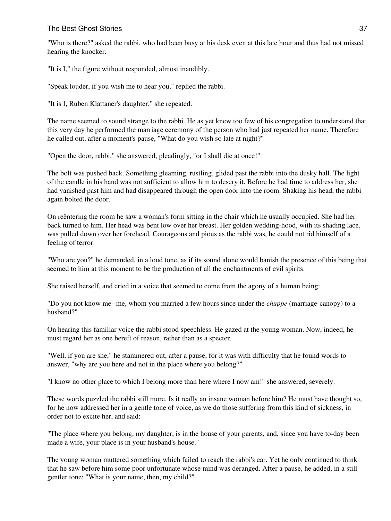"Who is there?" asked the rabbi, who had been busy at his desk even at this late hour and thus had not missed hearing the knocker.

"It is I," the figure without responded, almost inaudibly.

"Speak louder, if you wish me to hear you," replied the rabbi.

"It is I, Ruben Klattaner's daughter," she repeated.

The name seemed to sound strange to the rabbi. He as yet knew too few of his congregation to understand that this very day he performed the marriage ceremony of the person who had just repeated her name. Therefore he called out, after a moment's pause, "What do you wish so late at night?"

"Open the door, rabbi," she answered, pleadingly, "or I shall die at once!"

The bolt was pushed back. Something gleaming, rustling, glided past the rabbi into the dusky hall. The light of the candle in his hand was not sufficient to allow him to descry it. Before he had time to address her, she had vanished past him and had disappeared through the open door into the room. Shaking his head, the rabbi again bolted the door.

On reëntering the room he saw a woman's form sitting in the chair which he usually occupied. She had her back turned to him. Her head was bent low over her breast. Her golden wedding-hood, with its shading lace, was pulled down over her forehead. Courageous and pious as the rabbi was, he could not rid himself of a feeling of terror.

"Who are you?" he demanded, in a loud tone, as if its sound alone would banish the presence of this being that seemed to him at this moment to be the production of all the enchantments of evil spirits.

She raised herself, and cried in a voice that seemed to come from the agony of a human being:

"Do you not know me--me, whom you married a few hours since under the *chuppe* (marriage-canopy) to a husband?"

On hearing this familiar voice the rabbi stood speechless. He gazed at the young woman. Now, indeed, he must regard her as one bereft of reason, rather than as a specter.

"Well, if you are she," he stammered out, after a pause, for it was with difficulty that he found words to answer, "why are you here and not in the place where you belong?"

"I know no other place to which I belong more than here where I now am!" she answered, severely.

These words puzzled the rabbi still more. Is it really an insane woman before him? He must have thought so, for he now addressed her in a gentle tone of voice, as we do those suffering from this kind of sickness, in order not to excite her, and said:

"The place where you belong, my daughter, is in the house of your parents, and, since you have to-day been made a wife, your place is in your husband's house."

The young woman muttered something which failed to reach the rabbi's ear. Yet he only continued to think that he saw before him some poor unfortunate whose mind was deranged. After a pause, he added, in a still gentler tone: "What is your name, then, my child?"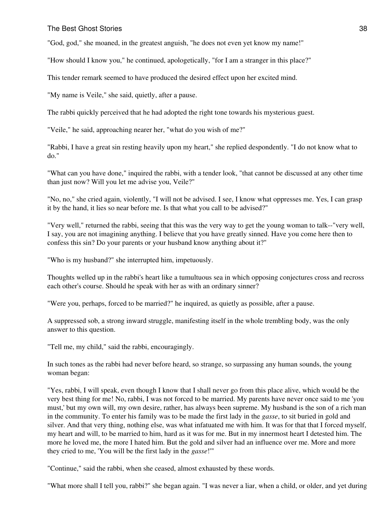"God, god," she moaned, in the greatest anguish, "he does not even yet know my name!"

"How should I know you," he continued, apologetically, "for I am a stranger in this place?"

This tender remark seemed to have produced the desired effect upon her excited mind.

"My name is Veile," she said, quietly, after a pause.

The rabbi quickly perceived that he had adopted the right tone towards his mysterious guest.

"Veile," he said, approaching nearer her, "what do you wish of me?"

"Rabbi, I have a great sin resting heavily upon my heart," she replied despondently. "I do not know what to do."

"What can you have done," inquired the rabbi, with a tender look, "that cannot be discussed at any other time than just now? Will you let me advise you, Veile?"

"No, no," she cried again, violently, "I will not be advised. I see, I know what oppresses me. Yes, I can grasp it by the hand, it lies so near before me. Is that what you call to be advised?"

"Very well," returned the rabbi, seeing that this was the very way to get the young woman to talk--"very well, I say, you are not imagining anything. I believe that you have greatly sinned. Have you come here then to confess this sin? Do your parents or your husband know anything about it?"

"Who is my husband?" she interrupted him, impetuously.

Thoughts welled up in the rabbi's heart like a tumultuous sea in which opposing conjectures cross and recross each other's course. Should he speak with her as with an ordinary sinner?

"Were you, perhaps, forced to be married?" he inquired, as quietly as possible, after a pause.

A suppressed sob, a strong inward struggle, manifesting itself in the whole trembling body, was the only answer to this question.

"Tell me, my child," said the rabbi, encouragingly.

In such tones as the rabbi had never before heard, so strange, so surpassing any human sounds, the young woman began:

"Yes, rabbi, I will speak, even though I know that I shall never go from this place alive, which would be the very best thing for me! No, rabbi, I was not forced to be married. My parents have never once said to me 'you must,' but my own will, my own desire, rather, has always been supreme. My husband is the son of a rich man in the community. To enter his family was to be made the first lady in the *gasse*, to sit buried in gold and silver. And that very thing, nothing else, was what infatuated me with him. It was for that that I forced myself, my heart and will, to be married to him, hard as it was for me. But in my innermost heart I detested him. The more he loved me, the more I hated him. But the gold and silver had an influence over me. More and more they cried to me, 'You will be the first lady in the *gasse*!'"

"Continue," said the rabbi, when she ceased, almost exhausted by these words.

"What more shall I tell you, rabbi?" she began again. "I was never a liar, when a child, or older, and yet during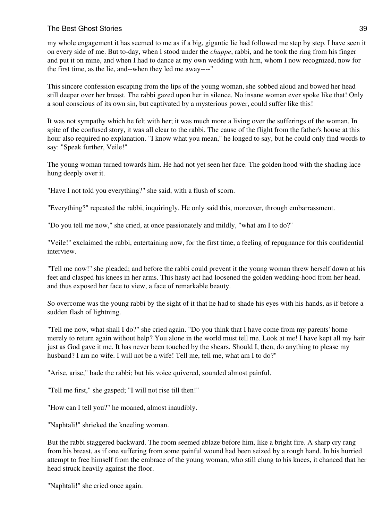my whole engagement it has seemed to me as if a big, gigantic lie had followed me step by step. I have seen it on every side of me. But to-day, when I stood under the *chuppe*, rabbi, and he took the ring from his finger and put it on mine, and when I had to dance at my own wedding with him, whom I now recognized, now for the first time, as the lie, and--when they led me away----"

This sincere confession escaping from the lips of the young woman, she sobbed aloud and bowed her head still deeper over her breast. The rabbi gazed upon her in silence. No insane woman ever spoke like that! Only a soul conscious of its own sin, but captivated by a mysterious power, could suffer like this!

It was not sympathy which he felt with her; it was much more a living over the sufferings of the woman. In spite of the confused story, it was all clear to the rabbi. The cause of the flight from the father's house at this hour also required no explanation. "I know what you mean," he longed to say, but he could only find words to say: "Speak further, Veile!"

The young woman turned towards him. He had not yet seen her face. The golden hood with the shading lace hung deeply over it.

"Have I not told you everything?" she said, with a flush of scorn.

"Everything?" repeated the rabbi, inquiringly. He only said this, moreover, through embarrassment.

"Do you tell me now," she cried, at once passionately and mildly, "what am I to do?"

"Veile!" exclaimed the rabbi, entertaining now, for the first time, a feeling of repugnance for this confidential interview.

"Tell me now!" she pleaded; and before the rabbi could prevent it the young woman threw herself down at his feet and clasped his knees in her arms. This hasty act had loosened the golden wedding-hood from her head, and thus exposed her face to view, a face of remarkable beauty.

So overcome was the young rabbi by the sight of it that he had to shade his eyes with his hands, as if before a sudden flash of lightning.

"Tell me now, what shall I do?" she cried again. "Do you think that I have come from my parents' home merely to return again without help? You alone in the world must tell me. Look at me! I have kept all my hair just as God gave it me. It has never been touched by the shears. Should I, then, do anything to please my husband? I am no wife. I will not be a wife! Tell me, tell me, what am I to do?"

"Arise, arise," bade the rabbi; but his voice quivered, sounded almost painful.

"Tell me first," she gasped; "I will not rise till then!"

"How can I tell you?" he moaned, almost inaudibly.

"Naphtali!" shrieked the kneeling woman.

But the rabbi staggered backward. The room seemed ablaze before him, like a bright fire. A sharp cry rang from his breast, as if one suffering from some painful wound had been seized by a rough hand. In his hurried attempt to free himself from the embrace of the young woman, who still clung to his knees, it chanced that her head struck heavily against the floor.

"Naphtali!" she cried once again.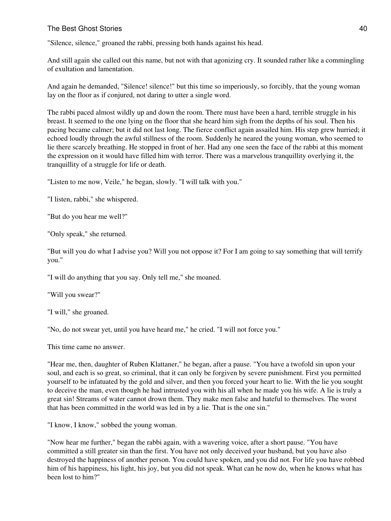"Silence, silence," groaned the rabbi, pressing both hands against his head.

And still again she called out this name, but not with that agonizing cry. It sounded rather like a commingling of exultation and lamentation.

And again he demanded, "Silence! silence!" but this time so imperiously, so forcibly, that the young woman lay on the floor as if conjured, not daring to utter a single word.

The rabbi paced almost wildly up and down the room. There must have been a hard, terrible struggle in his breast. It seemed to the one lying on the floor that she heard him sigh from the depths of his soul. Then his pacing became calmer; but it did not last long. The fierce conflict again assailed him. His step grew hurried; it echoed loudly through the awful stillness of the room. Suddenly he neared the young woman, who seemed to lie there scarcely breathing. He stopped in front of her. Had any one seen the face of the rabbi at this moment the expression on it would have filled him with terror. There was a marvelous tranquillity overlying it, the tranquillity of a struggle for life or death.

"Listen to me now, Veile," he began, slowly. "I will talk with you."

"I listen, rabbi," she whispered.

"But do you hear me well?"

"Only speak," she returned.

"But will you do what I advise you? Will you not oppose it? For I am going to say something that will terrify you."

"I will do anything that you say. Only tell me," she moaned.

"Will you swear?"

"I will," she groaned.

"No, do not swear yet, until you have heard me," he cried. "I will not force you."

This time came no answer.

"Hear me, then, daughter of Ruben Klattaner," he began, after a pause. "You have a twofold sin upon your soul, and each is so great, so criminal, that it can only be forgiven by severe punishment. First you permitted yourself to be infatuated by the gold and silver, and then you forced your heart to lie. With the lie you sought to deceive the man, even though he had intrusted you with his all when he made you his wife. A lie is truly a great sin! Streams of water cannot drown them. They make men false and hateful to themselves. The worst that has been committed in the world was led in by a lie. That is the one sin."

"I know, I know," sobbed the young woman.

"Now hear me further," began the rabbi again, with a wavering voice, after a short pause. "You have committed a still greater sin than the first. You have not only deceived your husband, but you have also destroyed the happiness of another person. You could have spoken, and you did not. For life you have robbed him of his happiness, his light, his joy, but you did not speak. What can he now do, when he knows what has been lost to him?"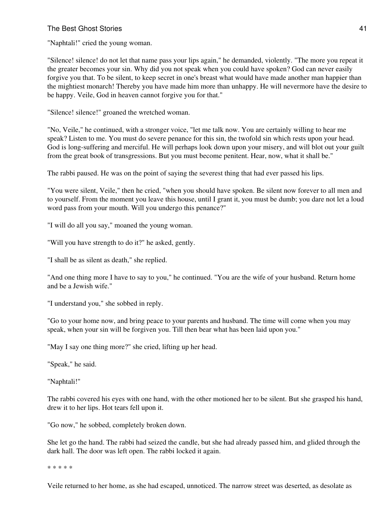#### The Best Ghost Stories 41 and the Stories 41 and the Stories 41 and the Stories 41 and the Stories 41 and the Stories 41 and the Stories 41 and the Stories 41 and the Stories 41 and the Stories 41 and the Stories 41 and th

"Naphtali!" cried the young woman.

"Silence! silence! do not let that name pass your lips again," he demanded, violently. "The more you repeat it the greater becomes your sin. Why did you not speak when you could have spoken? God can never easily forgive you that. To be silent, to keep secret in one's breast what would have made another man happier than the mightiest monarch! Thereby you have made him more than unhappy. He will nevermore have the desire to be happy. Veile, God in heaven cannot forgive you for that."

"Silence! silence!" groaned the wretched woman.

"No, Veile," he continued, with a stronger voice, "let me talk now. You are certainly willing to hear me speak? Listen to me. You must do severe penance for this sin, the twofold sin which rests upon your head. God is long-suffering and merciful. He will perhaps look down upon your misery, and will blot out your guilt from the great book of transgressions. But you must become penitent. Hear, now, what it shall be."

The rabbi paused. He was on the point of saying the severest thing that had ever passed his lips.

"You were silent, Veile," then he cried, "when you should have spoken. Be silent now forever to all men and to yourself. From the moment you leave this house, until I grant it, you must be dumb; you dare not let a loud word pass from your mouth. Will you undergo this penance?"

"I will do all you say," moaned the young woman.

"Will you have strength to do it?" he asked, gently.

"I shall be as silent as death," she replied.

"And one thing more I have to say to you," he continued. "You are the wife of your husband. Return home and be a Jewish wife."

"I understand you," she sobbed in reply.

"Go to your home now, and bring peace to your parents and husband. The time will come when you may speak, when your sin will be forgiven you. Till then bear what has been laid upon you."

"May I say one thing more?" she cried, lifting up her head.

"Speak," he said.

"Naphtali!"

The rabbi covered his eyes with one hand, with the other motioned her to be silent. But she grasped his hand, drew it to her lips. Hot tears fell upon it.

"Go now," he sobbed, completely broken down.

She let go the hand. The rabbi had seized the candle, but she had already passed him, and glided through the dark hall. The door was left open. The rabbi locked it again.

\* \* \* \* \*

Veile returned to her home, as she had escaped, unnoticed. The narrow street was deserted, as desolate as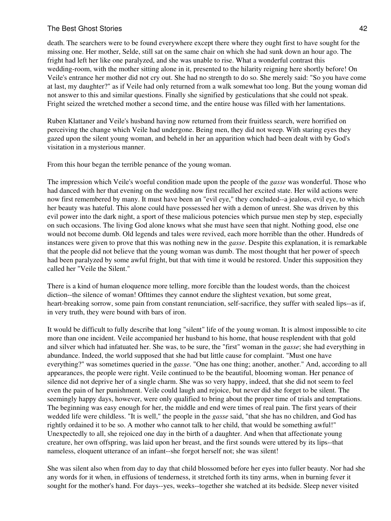### The Best Ghost Stories **42** and the stories **42** and the stories **42** and the stories **42** and the stories **42** and the stories **42** and the stories **42** and the stories **42** and the stories **42** and the stories **42** and t

death. The searchers were to be found everywhere except there where they ought first to have sought for the missing one. Her mother, Selde, still sat on the same chair on which she had sunk down an hour ago. The fright had left her like one paralyzed, and she was unable to rise. What a wonderful contrast this wedding-room, with the mother sitting alone in it, presented to the hilarity reigning here shortly before! On Veile's entrance her mother did not cry out. She had no strength to do so. She merely said: "So you have come at last, my daughter?" as if Veile had only returned from a walk somewhat too long. But the young woman did not answer to this and similar questions. Finally she signified by gesticulations that she could not speak. Fright seized the wretched mother a second time, and the entire house was filled with her lamentations.

Ruben Klattaner and Veile's husband having now returned from their fruitless search, were horrified on perceiving the change which Veile had undergone. Being men, they did not weep. With staring eyes they gazed upon the silent young woman, and beheld in her an apparition which had been dealt with by God's visitation in a mysterious manner.

From this hour began the terrible penance of the young woman.

The impression which Veile's woeful condition made upon the people of the *gasse* was wonderful. Those who had danced with her that evening on the wedding now first recalled her excited state. Her wild actions were now first remembered by many. It must have been an "evil eye," they concluded--a jealous, evil eye, to which her beauty was hateful. This alone could have possessed her with a demon of unrest. She was driven by this evil power into the dark night, a sport of these malicious potencies which pursue men step by step, especially on such occasions. The living God alone knows what she must have seen that night. Nothing good, else one would not become dumb. Old legends and tales were revived, each more horrible than the other. Hundreds of instances were given to prove that this was nothing new in the *gasse*. Despite this explanation, it is remarkable that the people did not believe that the young woman was dumb. The most thought that her power of speech had been paralyzed by some awful fright, but that with time it would be restored. Under this supposition they called her "Veile the Silent."

There is a kind of human eloquence more telling, more forcible than the loudest words, than the choicest diction--the silence of woman! Ofttimes they cannot endure the slightest vexation, but some great, heart-breaking sorrow, some pain from constant renunciation, self-sacrifice, they suffer with sealed lips--as if, in very truth, they were bound with bars of iron.

It would be difficult to fully describe that long "silent" life of the young woman. It is almost impossible to cite more than one incident. Veile accompanied her husband to his home, that house resplendent with that gold and silver which had infatuated her. She was, to be sure, the "first" woman in the *gasse*; she had everything in abundance. Indeed, the world supposed that she had but little cause for complaint. "Must one have everything?" was sometimes queried in the *gasse*. "One has one thing; another, another." And, according to all appearances, the people were right. Veile continued to be the beautiful, blooming woman. Her penance of silence did not deprive her of a single charm. She was so very happy, indeed, that she did not seem to feel even the pain of her punishment. Veile could laugh and rejoice, but never did she forget to be silent. The seemingly happy days, however, were only qualified to bring about the proper time of trials and temptations. The beginning was easy enough for her, the middle and end were times of real pain. The first years of their wedded life were childless. "It is well," the people in the *gasse* said, "that she has no children, and God has rightly ordained it to be so. A mother who cannot talk to her child, that would be something awful!" Unexpectedly to all, she rejoiced one day in the birth of a daughter. And when that affectionate young creature, her own offspring, was laid upon her breast, and the first sounds were uttered by its lips--that nameless, eloquent utterance of an infant--she forgot herself not; she was silent!

She was silent also when from day to day that child blossomed before her eyes into fuller beauty. Nor had she any words for it when, in effusions of tenderness, it stretched forth its tiny arms, when in burning fever it sought for the mother's hand. For days--yes, weeks--together she watched at its bedside. Sleep never visited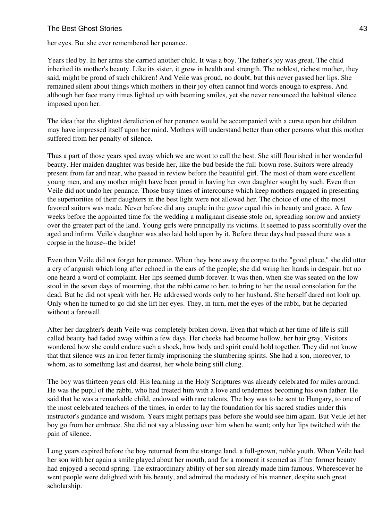### The Best Ghost Stories **43** and the stories **43** and the stories **43** and the stories **43** and the stories **43** and the stories **43** and the stories **43** and the stories **43** and the stories **43** and the stories **43** and t

her eyes. But she ever remembered her penance.

Years fled by. In her arms she carried another child. It was a boy. The father's joy was great. The child inherited its mother's beauty. Like its sister, it grew in health and strength. The noblest, richest mother, they said, might be proud of such children! And Veile was proud, no doubt, but this never passed her lips. She remained silent about things which mothers in their joy often cannot find words enough to express. And although her face many times lighted up with beaming smiles, yet she never renounced the habitual silence imposed upon her.

The idea that the slightest dereliction of her penance would be accompanied with a curse upon her children may have impressed itself upon her mind. Mothers will understand better than other persons what this mother suffered from her penalty of silence.

Thus a part of those years sped away which we are wont to call the best. She still flourished in her wonderful beauty. Her maiden daughter was beside her, like the bud beside the full-blown rose. Suitors were already present from far and near, who passed in review before the beautiful girl. The most of them were excellent young men, and any mother might have been proud in having her own daughter sought by such. Even then Veile did not undo her penance. Those busy times of intercourse which keep mothers engaged in presenting the superiorities of their daughters in the best light were not allowed her. The choice of one of the most favored suitors was made. Never before did any couple in the *gasse* equal this in beauty and grace. A few weeks before the appointed time for the wedding a malignant disease stole on, spreading sorrow and anxiety over the greater part of the land. Young girls were principally its victims. It seemed to pass scornfully over the aged and infirm. Veile's daughter was also laid hold upon by it. Before three days had passed there was a corpse in the house--the bride!

Even then Veile did not forget her penance. When they bore away the corpse to the "good place," she did utter a cry of anguish which long after echoed in the ears of the people; she did wring her hands in despair, but no one heard a word of complaint. Her lips seemed dumb forever. It was then, when she was seated on the low stool in the seven days of mourning, that the rabbi came to her, to bring to her the usual consolation for the dead. But he did not speak with her. He addressed words only to her husband. She herself dared not look up. Only when he turned to go did she lift her eyes. They, in turn, met the eyes of the rabbi, but he departed without a farewell.

After her daughter's death Veile was completely broken down. Even that which at her time of life is still called beauty had faded away within a few days. Her cheeks had become hollow, her hair gray. Visitors wondered how she could endure such a shock, how body and spirit could hold together. They did not know that that silence was an iron fetter firmly imprisoning the slumbering spirits. She had a son, moreover, to whom, as to something last and dearest, her whole being still clung.

The boy was thirteen years old. His learning in the Holy Scriptures was already celebrated for miles around. He was the pupil of the rabbi, who had treated him with a love and tenderness becoming his own father. He said that he was a remarkable child, endowed with rare talents. The boy was to be sent to Hungary, to one of the most celebrated teachers of the times, in order to lay the foundation for his sacred studies under this instructor's guidance and wisdom. Years might perhaps pass before she would see him again. But Veile let her boy go from her embrace. She did not say a blessing over him when he went; only her lips twitched with the pain of silence.

Long years expired before the boy returned from the strange land, a full-grown, noble youth. When Veile had her son with her again a smile played about her mouth, and for a moment it seemed as if her former beauty had enjoyed a second spring. The extraordinary ability of her son already made him famous. Wheresoever he went people were delighted with his beauty, and admired the modesty of his manner, despite such great scholarship.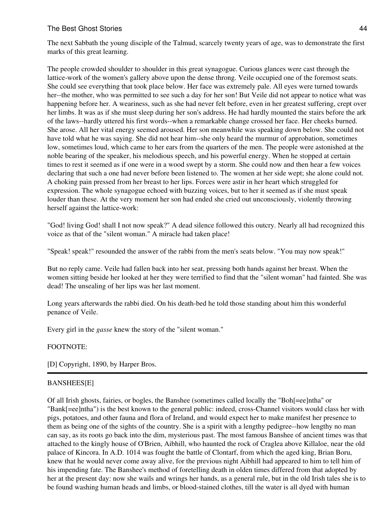### The Best Ghost Stories **44** and the stories **44** and the stories **44** and the stories **44** and the stories **44** and the stories **44** and the stories **44** and the stories **44** and the stories **44** and the stories **44** and t

The next Sabbath the young disciple of the Talmud, scarcely twenty years of age, was to demonstrate the first marks of this great learning.

The people crowded shoulder to shoulder in this great synagogue. Curious glances were cast through the lattice-work of the women's gallery above upon the dense throng. Veile occupied one of the foremost seats. She could see everything that took place below. Her face was extremely pale. All eyes were turned towards her--the mother, who was permitted to see such a day for her son! But Veile did not appear to notice what was happening before her. A weariness, such as she had never felt before, even in her greatest suffering, crept over her limbs. It was as if she must sleep during her son's address. He had hardly mounted the stairs before the ark of the laws--hardly uttered his first words--when a remarkable change crossed her face. Her cheeks burned. She arose. All her vital energy seemed aroused. Her son meanwhile was speaking down below. She could not have told what he was saying. She did not hear him--she only heard the murmur of approbation, sometimes low, sometimes loud, which came to her ears from the quarters of the men. The people were astonished at the noble bearing of the speaker, his melodious speech, and his powerful energy. When he stopped at certain times to rest it seemed as if one were in a wood swept by a storm. She could now and then hear a few voices declaring that such a one had never before been listened to. The women at her side wept; she alone could not. A choking pain pressed from her breast to her lips. Forces were astir in her heart which struggled for expression. The whole synagogue echoed with buzzing voices, but to her it seemed as if she must speak louder than these. At the very moment her son had ended she cried out unconsciously, violently throwing herself against the lattice-work:

"God! living God! shall I not now speak?" A dead silence followed this outcry. Nearly all had recognized this voice as that of the "silent woman." A miracle had taken place!

"Speak! speak!" resounded the answer of the rabbi from the men's seats below. "You may now speak!"

But no reply came. Veile had fallen back into her seat, pressing both hands against her breast. When the women sitting beside her looked at her they were terrified to find that the "silent woman" had fainted. She was dead! The unsealing of her lips was her last moment.

Long years afterwards the rabbi died. On his death-bed he told those standing about him this wonderful penance of Veile.

Every girl in the *gasse* knew the story of the "silent woman."

#### FOOTNOTE:

[D] Copyright, 1890, by Harper Bros.

#### BANSHEES[E]

Of all Irish ghosts, fairies, or bogles, the Banshee (sometimes called locally the "Boh[=ee]ntha" or "Bank[=ee]ntha") is the best known to the general public: indeed, cross-Channel visitors would class her with pigs, potatoes, and other fauna and flora of Ireland, and would expect her to make manifest her presence to them as being one of the sights of the country. She is a spirit with a lengthy pedigree--how lengthy no man can say, as its roots go back into the dim, mysterious past. The most famous Banshee of ancient times was that attached to the kingly house of O'Brien, Aibhill, who haunted the rock of Craglea above Killaloe, near the old palace of Kincora. In A.D. 1014 was fought the battle of Clontarf, from which the aged king, Brian Boru, knew that he would never come away alive, for the previous night Aibhill had appeared to him to tell him of his impending fate. The Banshee's method of foretelling death in olden times differed from that adopted by her at the present day: now she wails and wrings her hands, as a general rule, but in the old Irish tales she is to be found washing human heads and limbs, or blood-stained clothes, till the water is all dyed with human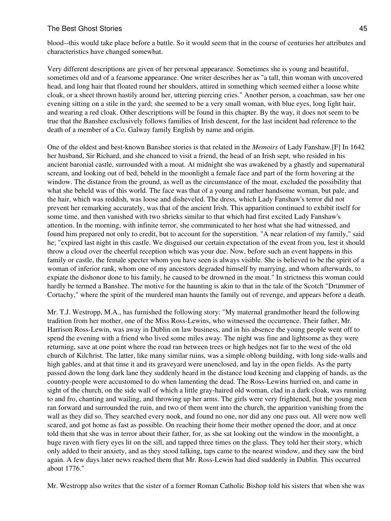blood--this would take place before a battle. So it would seem that in the course of centuries her attributes and characteristics have changed somewhat.

Very different descriptions are given of her personal appearance. Sometimes she is young and beautiful, sometimes old and of a fearsome appearance. One writer describes her as "a tall, thin woman with uncovered head, and long hair that floated round her shoulders, attired in something which seemed either a loose white cloak, or a sheet thrown hastily around her, uttering piercing cries." Another person, a coachman, saw her one evening sitting on a stile in the yard; she seemed to be a very small woman, with blue eyes, long light hair, and wearing a red cloak. Other descriptions will be found in this chapter. By the way, it does not seem to be true that the Banshee exclusively follows families of Irish descent, for the last incident had reference to the death of a member of a Co. Galway family English by name and origin.

One of the oldest and best-known Banshee stories is that related in the *Memoirs* of Lady Fanshaw.[F] In 1642 her husband, Sir Richard, and she chanced to visit a friend, the head of an Irish sept, who resided in his ancient baronial castle, surrounded with a moat. At midnight she was awakened by a ghastly and supernatural scream, and looking out of bed, beheld in the moonlight a female face and part of the form hovering at the window. The distance from the ground, as well as the circumstance of the moat, excluded the possibility that what she beheld was of this world. The face was that of a young and rather handsome woman, but pale, and the hair, which was reddish, was loose and disheveled. The dress, which Lady Fanshaw's terror did not prevent her remarking accurately, was that of the ancient Irish. This apparition continued to exhibit itself for some time, and then vanished with two shrieks similar to that which had first excited Lady Fanshaw's attention. In the morning, with infinite terror, she communicated to her host what she had witnessed, and found him prepared not only to credit, but to account for the superstition. "A near relation of my family," said he; "expired last night in this castle. We disguised our certain expectation of the event from you, lest it should throw a cloud over the cheerful reception which was your due. Now, before such an event happens in this family or castle, the female specter whom you have seen is always visible. She is believed to be the spirit of a woman of inferior rank, whom one of my ancestors degraded himself by marrying, and whom afterwards, to expiate the dishonor done to his family, he caused to be drowned in the moat." In strictness this woman could hardly be termed a Banshee. The motive for the haunting is akin to that in the tale of the Scotch "Drummer of Cortachy," where the spirit of the murdered man haunts the family out of revenge, and appears before a death.

Mr. T.J. Westropp, M.A., has furnished the following story: "My maternal grandmother heard the following tradition from her mother, one of the Miss Ross-Lewins, who witnessed the occurrence. Their father, Mr. Harrison Ross-Lewin, was away in Dublin on law business, and in his absence the young people went off to spend the evening with a friend who lived some miles away. The night was fine and lightsome as they were returning, save at one point where the road ran between trees or high hedges not far to the west of the old church of Kilchrist. The latter, like many similar ruins, was a simple oblong building, with long side-walls and high gables, and at that time it and its graveyard were unenclosed, and lay in the open fields. As the party passed down the long dark lane they suddenly heard in the distance loud keening and clapping of hands, as the country-people were accustomed to do when lamenting the dead. The Ross-Lewins hurried on, and came in sight of the church, on the side wall of which a little gray-haired old woman, clad in a dark cloak, was running to and fro, chanting and wailing, and throwing up her arms. The girls were very frightened, but the young men ran forward and surrounded the ruin, and two of them went into the church, the apparition vanishing from the wall as they did so. They searched every nook, and found no one, nor did any one pass out. All were now well scared, and got home as fast as possible. On reaching their home their mother opened the door, and at once told them that she was in terror about their father, for, as she sat looking out the window in the moonlight, a huge raven with fiery eyes lit on the sill, and tapped three times on the glass. They told her their story, which only added to their anxiety, and as they stood talking, taps came to the nearest window, and they saw the bird again. A few days later news reached them that Mr. Ross-Lewin had died suddenly in Dublin. This occurred about 1776."

Mr. Westropp also writes that the sister of a former Roman Catholic Bishop told his sisters that when she was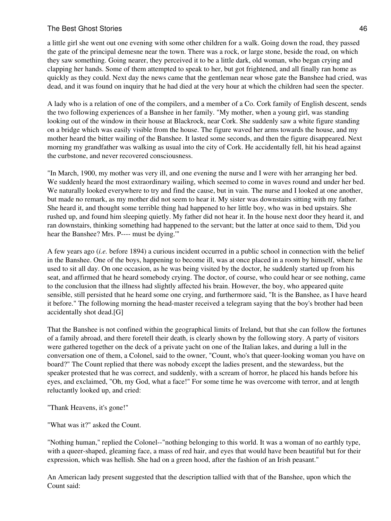# The Best Ghost Stories **46** and the stories **46** and the stories **46** and the stories **46** and the stories **46** and the stories **46** and the stories **46** and the stories **46** and the stories **46** and the stories **46** and t

a little girl she went out one evening with some other children for a walk. Going down the road, they passed the gate of the principal demesne near the town. There was a rock, or large stone, beside the road, on which they saw something. Going nearer, they perceived it to be a little dark, old woman, who began crying and clapping her hands. Some of them attempted to speak to her, but got frightened, and all finally ran home as quickly as they could. Next day the news came that the gentleman near whose gate the Banshee had cried, was dead, and it was found on inquiry that he had died at the very hour at which the children had seen the specter.

A lady who is a relation of one of the compilers, and a member of a Co. Cork family of English descent, sends the two following experiences of a Banshee in her family. "My mother, when a young girl, was standing looking out of the window in their house at Blackrock, near Cork. She suddenly saw a white figure standing on a bridge which was easily visible from the house. The figure waved her arms towards the house, and my mother heard the bitter wailing of the Banshee. It lasted some seconds, and then the figure disappeared. Next morning my grandfather was walking as usual into the city of Cork. He accidentally fell, hit his head against the curbstone, and never recovered consciousness.

"In March, 1900, my mother was very ill, and one evening the nurse and I were with her arranging her bed. We suddenly heard the most extraordinary wailing, which seemed to come in waves round and under her bed. We naturally looked everywhere to try and find the cause, but in vain. The nurse and I looked at one another, but made no remark, as my mother did not seem to hear it. My sister was downstairs sitting with my father. She heard it, and thought some terrible thing had happened to her little boy, who was in bed upstairs. She rushed up, and found him sleeping quietly. My father did not hear it. In the house next door they heard it, and ran downstairs, thinking something had happened to the servant; but the latter at once said to them, 'Did you hear the Banshee? Mrs. P---- must be dying.'"

A few years ago (*i.e.* before 1894) a curious incident occurred in a public school in connection with the belief in the Banshee. One of the boys, happening to become ill, was at once placed in a room by himself, where he used to sit all day. On one occasion, as he was being visited by the doctor, he suddenly started up from his seat, and affirmed that he heard somebody crying. The doctor, of course, who could hear or see nothing, came to the conclusion that the illness had slightly affected his brain. However, the boy, who appeared quite sensible, still persisted that he heard some one crying, and furthermore said, "It is the Banshee, as I have heard it before." The following morning the head-master received a telegram saying that the boy's brother had been accidentally shot dead.[G]

That the Banshee is not confined within the geographical limits of Ireland, but that she can follow the fortunes of a family abroad, and there foretell their death, is clearly shown by the following story. A party of visitors were gathered together on the deck of a private yacht on one of the Italian lakes, and during a lull in the conversation one of them, a Colonel, said to the owner, "Count, who's that queer-looking woman you have on board?" The Count replied that there was nobody except the ladies present, and the stewardess, but the speaker protested that he was correct, and suddenly, with a scream of horror, he placed his hands before his eyes, and exclaimed, "Oh, my God, what a face!" For some time he was overcome with terror, and at length reluctantly looked up, and cried:

- "Thank Heavens, it's gone!"
- "What was it?" asked the Count.

"Nothing human," replied the Colonel--"nothing belonging to this world. It was a woman of no earthly type, with a queer-shaped, gleaming face, a mass of red hair, and eyes that would have been beautiful but for their expression, which was hellish. She had on a green hood, after the fashion of an Irish peasant."

An American lady present suggested that the description tallied with that of the Banshee, upon which the Count said: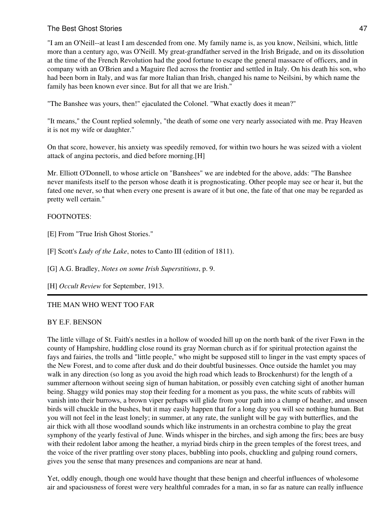"I am an O'Neill--at least I am descended from one. My family name is, as you know, Neilsini, which, little more than a century ago, was O'Neill. My great-grandfather served in the Irish Brigade, and on its dissolution at the time of the French Revolution had the good fortune to escape the general massacre of officers, and in company with an O'Brien and a Maguire fled across the frontier and settled in Italy. On his death his son, who had been born in Italy, and was far more Italian than Irish, changed his name to Neilsini, by which name the family has been known ever since. But for all that we are Irish."

"The Banshee was yours, then!" ejaculated the Colonel. "What exactly does it mean?"

"It means," the Count replied solemnly, "the death of some one very nearly associated with me. Pray Heaven it is not my wife or daughter."

On that score, however, his anxiety was speedily removed, for within two hours he was seized with a violent attack of angina pectoris, and died before morning.[H]

Mr. Elliott O'Donnell, to whose article on "Banshees" we are indebted for the above, adds: "The Banshee never manifests itself to the person whose death it is prognosticating. Other people may see or hear it, but the fated one never, so that when every one present is aware of it but one, the fate of that one may be regarded as pretty well certain."

# FOOTNOTES:

[E] From "True Irish Ghost Stories."

[F] Scott's *Lady of the Lake*, notes to Canto III (edition of 1811).

[G] A.G. Bradley, *Notes on some Irish Superstitions*, p. 9.

[H] *Occult Review* for September, 1913.

THE MAN WHO WENT TOO FAR

#### BY E.F. BENSON

The little village of St. Faith's nestles in a hollow of wooded hill up on the north bank of the river Fawn in the county of Hampshire, huddling close round its gray Norman church as if for spiritual protection against the fays and fairies, the trolls and "little people," who might be supposed still to linger in the vast empty spaces of the New Forest, and to come after dusk and do their doubtful businesses. Once outside the hamlet you may walk in any direction (so long as you avoid the high road which leads to Brockenhurst) for the length of a summer afternoon without seeing sign of human habitation, or possibly even catching sight of another human being. Shaggy wild ponies may stop their feeding for a moment as you pass, the white scuts of rabbits will vanish into their burrows, a brown viper perhaps will glide from your path into a clump of heather, and unseen birds will chuckle in the bushes, but it may easily happen that for a long day you will see nothing human. But you will not feel in the least lonely; in summer, at any rate, the sunlight will be gay with butterflies, and the air thick with all those woodland sounds which like instruments in an orchestra combine to play the great symphony of the yearly festival of June. Winds whisper in the birches, and sigh among the firs; bees are busy with their redolent labor among the heather, a myriad birds chirp in the green temples of the forest trees, and the voice of the river prattling over stony places, bubbling into pools, chuckling and gulping round corners, gives you the sense that many presences and companions are near at hand.

Yet, oddly enough, though one would have thought that these benign and cheerful influences of wholesome air and spaciousness of forest were very healthful comrades for a man, in so far as nature can really influence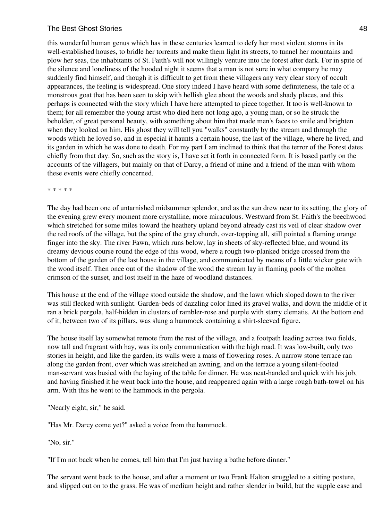#### The Best Ghost Stories **48** and the stories **48** and the stories **48** and the stories **48** and the stories **48** and the stories **48** and the stories **48** and the stories **48** and the stories **48** and the stories **48** and t

this wonderful human genus which has in these centuries learned to defy her most violent storms in its well-established houses, to bridle her torrents and make them light its streets, to tunnel her mountains and plow her seas, the inhabitants of St. Faith's will not willingly venture into the forest after dark. For in spite of the silence and loneliness of the hooded night it seems that a man is not sure in what company he may suddenly find himself, and though it is difficult to get from these villagers any very clear story of occult appearances, the feeling is widespread. One story indeed I have heard with some definiteness, the tale of a monstrous goat that has been seen to skip with hellish glee about the woods and shady places, and this perhaps is connected with the story which I have here attempted to piece together. It too is well-known to them; for all remember the young artist who died here not long ago, a young man, or so he struck the beholder, of great personal beauty, with something about him that made men's faces to smile and brighten when they looked on him. His ghost they will tell you "walks" constantly by the stream and through the woods which he loved so, and in especial it haunts a certain house, the last of the village, where he lived, and its garden in which he was done to death. For my part I am inclined to think that the terror of the Forest dates chiefly from that day. So, such as the story is, I have set it forth in connected form. It is based partly on the accounts of the villagers, but mainly on that of Darcy, a friend of mine and a friend of the man with whom these events were chiefly concerned.

\* \* \* \* \*

The day had been one of untarnished midsummer splendor, and as the sun drew near to its setting, the glory of the evening grew every moment more crystalline, more miraculous. Westward from St. Faith's the beechwood which stretched for some miles toward the heathery upland beyond already cast its veil of clear shadow over the red roofs of the village, but the spire of the gray church, over-topping all, still pointed a flaming orange finger into the sky. The river Fawn, which runs below, lay in sheets of sky-reflected blue, and wound its dreamy devious course round the edge of this wood, where a rough two-planked bridge crossed from the bottom of the garden of the last house in the village, and communicated by means of a little wicker gate with the wood itself. Then once out of the shadow of the wood the stream lay in flaming pools of the molten crimson of the sunset, and lost itself in the haze of woodland distances.

This house at the end of the village stood outside the shadow, and the lawn which sloped down to the river was still flecked with sunlight. Garden-beds of dazzling color lined its gravel walks, and down the middle of it ran a brick pergola, half-hidden in clusters of rambler-rose and purple with starry clematis. At the bottom end of it, between two of its pillars, was slung a hammock containing a shirt-sleeved figure.

The house itself lay somewhat remote from the rest of the village, and a footpath leading across two fields, now tall and fragrant with hay, was its only communication with the high road. It was low-built, only two stories in height, and like the garden, its walls were a mass of flowering roses. A narrow stone terrace ran along the garden front, over which was stretched an awning, and on the terrace a young silent-footed man-servant was busied with the laying of the table for dinner. He was neat-handed and quick with his job, and having finished it he went back into the house, and reappeared again with a large rough bath-towel on his arm. With this he went to the hammock in the pergola.

"Nearly eight, sir," he said.

"Has Mr. Darcy come yet?" asked a voice from the hammock.

"No, sir."

"If I'm not back when he comes, tell him that I'm just having a bathe before dinner."

The servant went back to the house, and after a moment or two Frank Halton struggled to a sitting posture, and slipped out on to the grass. He was of medium height and rather slender in build, but the supple ease and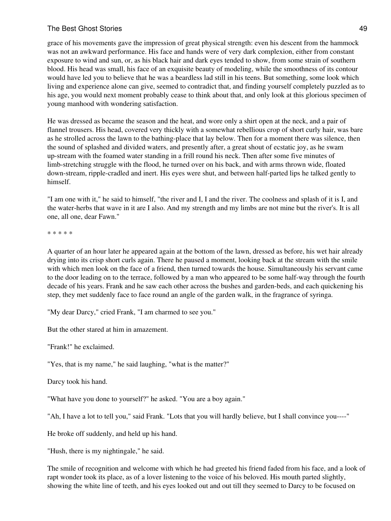### The Best Ghost Stories **49** and the stories **49** and the stories **49** and the stories **49** and the stories **49** and the stories **49** and the stories **49** and the stories **49** and the stories **49** and the stories **49** and t

grace of his movements gave the impression of great physical strength: even his descent from the hammock was not an awkward performance. His face and hands were of very dark complexion, either from constant exposure to wind and sun, or, as his black hair and dark eyes tended to show, from some strain of southern blood. His head was small, his face of an exquisite beauty of modeling, while the smoothness of its contour would have led you to believe that he was a beardless lad still in his teens. But something, some look which living and experience alone can give, seemed to contradict that, and finding yourself completely puzzled as to his age, you would next moment probably cease to think about that, and only look at this glorious specimen of young manhood with wondering satisfaction.

He was dressed as became the season and the heat, and wore only a shirt open at the neck, and a pair of flannel trousers. His head, covered very thickly with a somewhat rebellious crop of short curly hair, was bare as he strolled across the lawn to the bathing-place that lay below. Then for a moment there was silence, then the sound of splashed and divided waters, and presently after, a great shout of ecstatic joy, as he swam up-stream with the foamed water standing in a frill round his neck. Then after some five minutes of limb-stretching struggle with the flood, he turned over on his back, and with arms thrown wide, floated down-stream, ripple-cradled and inert. His eyes were shut, and between half-parted lips he talked gently to himself.

"I am one with it," he said to himself, "the river and I, I and the river. The coolness and splash of it is I, and the water-herbs that wave in it are I also. And my strength and my limbs are not mine but the river's. It is all one, all one, dear Fawn."

\* \* \* \* \*

A quarter of an hour later he appeared again at the bottom of the lawn, dressed as before, his wet hair already drying into its crisp short curls again. There he paused a moment, looking back at the stream with the smile with which men look on the face of a friend, then turned towards the house. Simultaneously his servant came to the door leading on to the terrace, followed by a man who appeared to be some half-way through the fourth decade of his years. Frank and he saw each other across the bushes and garden-beds, and each quickening his step, they met suddenly face to face round an angle of the garden walk, in the fragrance of syringa.

"My dear Darcy," cried Frank, "I am charmed to see you."

But the other stared at him in amazement.

"Frank!" he exclaimed.

"Yes, that is my name," he said laughing, "what is the matter?"

Darcy took his hand.

"What have you done to yourself?" he asked. "You are a boy again."

"Ah, I have a lot to tell you," said Frank. "Lots that you will hardly believe, but I shall convince you----"

He broke off suddenly, and held up his hand.

"Hush, there is my nightingale," he said.

The smile of recognition and welcome with which he had greeted his friend faded from his face, and a look of rapt wonder took its place, as of a lover listening to the voice of his beloved. His mouth parted slightly, showing the white line of teeth, and his eyes looked out and out till they seemed to Darcy to be focused on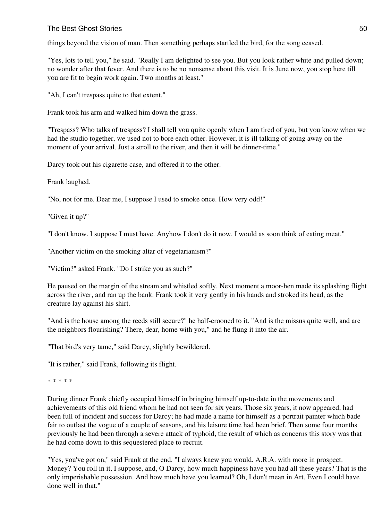### The Best Ghost Stories 50 and the Stories 50 and the Stories for the Stories  $50$

things beyond the vision of man. Then something perhaps startled the bird, for the song ceased.

"Yes, lots to tell you," he said. "Really I am delighted to see you. But you look rather white and pulled down; no wonder after that fever. And there is to be no nonsense about this visit. It is June now, you stop here till you are fit to begin work again. Two months at least."

"Ah, I can't trespass quite to that extent."

Frank took his arm and walked him down the grass.

"Trespass? Who talks of trespass? I shall tell you quite openly when I am tired of you, but you know when we had the studio together, we used not to bore each other. However, it is ill talking of going away on the moment of your arrival. Just a stroll to the river, and then it will be dinner-time."

Darcy took out his cigarette case, and offered it to the other.

Frank laughed.

"No, not for me. Dear me, I suppose I used to smoke once. How very odd!"

"Given it up?"

"I don't know. I suppose I must have. Anyhow I don't do it now. I would as soon think of eating meat."

"Another victim on the smoking altar of vegetarianism?"

"Victim?" asked Frank. "Do I strike you as such?"

He paused on the margin of the stream and whistled softly. Next moment a moor-hen made its splashing flight across the river, and ran up the bank. Frank took it very gently in his hands and stroked its head, as the creature lay against his shirt.

"And is the house among the reeds still secure?" he half-crooned to it. "And is the missus quite well, and are the neighbors flourishing? There, dear, home with you," and he flung it into the air.

"That bird's very tame," said Darcy, slightly bewildered.

"It is rather," said Frank, following its flight.

\* \* \* \* \*

During dinner Frank chiefly occupied himself in bringing himself up-to-date in the movements and achievements of this old friend whom he had not seen for six years. Those six years, it now appeared, had been full of incident and success for Darcy; he had made a name for himself as a portrait painter which bade fair to outlast the vogue of a couple of seasons, and his leisure time had been brief. Then some four months previously he had been through a severe attack of typhoid, the result of which as concerns this story was that he had come down to this sequestered place to recruit.

"Yes, you've got on," said Frank at the end. "I always knew you would. A.R.A. with more in prospect. Money? You roll in it, I suppose, and, O Darcy, how much happiness have you had all these years? That is the only imperishable possession. And how much have you learned? Oh, I don't mean in Art. Even I could have done well in that."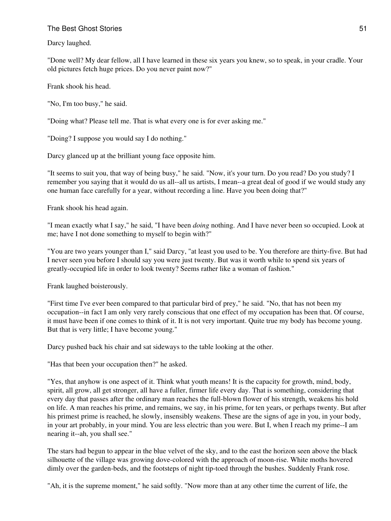Darcy laughed.

"Done well? My dear fellow, all I have learned in these six years you knew, so to speak, in your cradle. Your old pictures fetch huge prices. Do you never paint now?"

Frank shook his head.

"No, I'm too busy," he said.

"Doing what? Please tell me. That is what every one is for ever asking me."

"Doing? I suppose you would say I do nothing."

Darcy glanced up at the brilliant young face opposite him.

"It seems to suit you, that way of being busy," he said. "Now, it's your turn. Do you read? Do you study? I remember you saying that it would do us all--all us artists, I mean--a great deal of good if we would study any one human face carefully for a year, without recording a line. Have you been doing that?"

Frank shook his head again.

"I mean exactly what I say," he said, "I have been *doing* nothing. And I have never been so occupied. Look at me; have I not done something to myself to begin with?"

"You are two years younger than I," said Darcy, "at least you used to be. You therefore are thirty-five. But had I never seen you before I should say you were just twenty. But was it worth while to spend six years of greatly-occupied life in order to look twenty? Seems rather like a woman of fashion."

Frank laughed boisterously.

"First time I've ever been compared to that particular bird of prey," he said. "No, that has not been my occupation--in fact I am only very rarely conscious that one effect of my occupation has been that. Of course, it must have been if one comes to think of it. It is not very important. Quite true my body has become young. But that is very little; I have become young."

Darcy pushed back his chair and sat sideways to the table looking at the other.

"Has that been your occupation then?" he asked.

"Yes, that anyhow is one aspect of it. Think what youth means! It is the capacity for growth, mind, body, spirit, all grow, all get stronger, all have a fuller, firmer life every day. That is something, considering that every day that passes after the ordinary man reaches the full-blown flower of his strength, weakens his hold on life. A man reaches his prime, and remains, we say, in his prime, for ten years, or perhaps twenty. But after his primest prime is reached, he slowly, insensibly weakens. These are the signs of age in you, in your body, in your art probably, in your mind. You are less electric than you were. But I, when I reach my prime--I am nearing it--ah, you shall see."

The stars had begun to appear in the blue velvet of the sky, and to the east the horizon seen above the black silhouette of the village was growing dove-colored with the approach of moon-rise. White moths hovered dimly over the garden-beds, and the footsteps of night tip-toed through the bushes. Suddenly Frank rose.

"Ah, it is the supreme moment," he said softly. "Now more than at any other time the current of life, the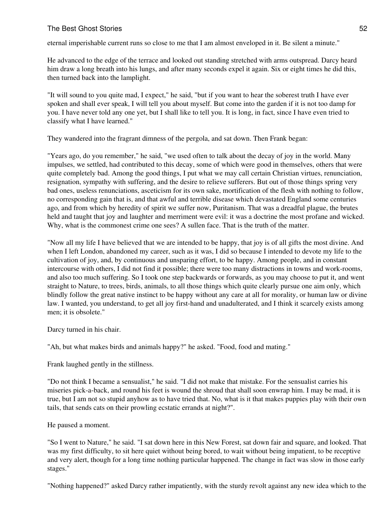eternal imperishable current runs so close to me that I am almost enveloped in it. Be silent a minute."

He advanced to the edge of the terrace and looked out standing stretched with arms outspread. Darcy heard him draw a long breath into his lungs, and after many seconds expel it again. Six or eight times he did this, then turned back into the lamplight.

"It will sound to you quite mad, I expect," he said, "but if you want to hear the soberest truth I have ever spoken and shall ever speak, I will tell you about myself. But come into the garden if it is not too damp for you. I have never told any one yet, but I shall like to tell you. It is long, in fact, since I have even tried to classify what I have learned."

They wandered into the fragrant dimness of the pergola, and sat down. Then Frank began:

"Years ago, do you remember," he said, "we used often to talk about the decay of joy in the world. Many impulses, we settled, had contributed to this decay, some of which were good in themselves, others that were quite completely bad. Among the good things, I put what we may call certain Christian virtues, renunciation, resignation, sympathy with suffering, and the desire to relieve sufferers. But out of those things spring very bad ones, useless renunciations, asceticism for its own sake, mortification of the flesh with nothing to follow, no corresponding gain that is, and that awful and terrible disease which devastated England some centuries ago, and from which by heredity of spirit we suffer now, Puritanism. That was a dreadful plague, the brutes held and taught that joy and laughter and merriment were evil: it was a doctrine the most profane and wicked. Why, what is the commonest crime one sees? A sullen face. That is the truth of the matter.

"Now all my life I have believed that we are intended to be happy, that joy is of all gifts the most divine. And when I left London, abandoned my career, such as it was, I did so because I intended to devote my life to the cultivation of joy, and, by continuous and unsparing effort, to be happy. Among people, and in constant intercourse with others, I did not find it possible; there were too many distractions in towns and work-rooms, and also too much suffering. So I took one step backwards or forwards, as you may choose to put it, and went straight to Nature, to trees, birds, animals, to all those things which quite clearly pursue one aim only, which blindly follow the great native instinct to be happy without any care at all for morality, or human law or divine law. I wanted, you understand, to get all joy first-hand and unadulterated, and I think it scarcely exists among men; it is obsolete."

Darcy turned in his chair.

"Ah, but what makes birds and animals happy?" he asked. "Food, food and mating."

Frank laughed gently in the stillness.

"Do not think I became a sensualist," he said. "I did not make that mistake. For the sensualist carries his miseries pick-a-back, and round his feet is wound the shroud that shall soon enwrap him. I may be mad, it is true, but I am not so stupid anyhow as to have tried that. No, what is it that makes puppies play with their own tails, that sends cats on their prowling ecstatic errands at night?".

He paused a moment.

"So I went to Nature," he said. "I sat down here in this New Forest, sat down fair and square, and looked. That was my first difficulty, to sit here quiet without being bored, to wait without being impatient, to be receptive and very alert, though for a long time nothing particular happened. The change in fact was slow in those early stages."

"Nothing happened?" asked Darcy rather impatiently, with the sturdy revolt against any new idea which to the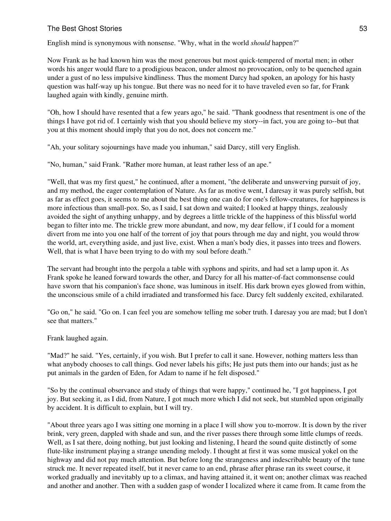English mind is synonymous with nonsense. "Why, what in the world *should* happen?"

Now Frank as he had known him was the most generous but most quick-tempered of mortal men; in other words his anger would flare to a prodigious beacon, under almost no provocation, only to be quenched again under a gust of no less impulsive kindliness. Thus the moment Darcy had spoken, an apology for his hasty question was half-way up his tongue. But there was no need for it to have traveled even so far, for Frank laughed again with kindly, genuine mirth.

"Oh, how I should have resented that a few years ago," he said. "Thank goodness that resentment is one of the things I have got rid of. I certainly wish that you should believe my story--in fact, you are going to--but that you at this moment should imply that you do not, does not concern me."

"Ah, your solitary sojournings have made you inhuman," said Darcy, still very English.

"No, human," said Frank. "Rather more human, at least rather less of an ape."

"Well, that was my first quest," he continued, after a moment, "the deliberate and unswerving pursuit of joy, and my method, the eager contemplation of Nature. As far as motive went, I daresay it was purely selfish, but as far as effect goes, it seems to me about the best thing one can do for one's fellow-creatures, for happiness is more infectious than small-pox. So, as I said, I sat down and waited; I looked at happy things, zealously avoided the sight of anything unhappy, and by degrees a little trickle of the happiness of this blissful world began to filter into me. The trickle grew more abundant, and now, my dear fellow, if I could for a moment divert from me into you one half of the torrent of joy that pours through me day and night, you would throw the world, art, everything aside, and just live, exist. When a man's body dies, it passes into trees and flowers. Well, that is what I have been trying to do with my soul before death."

The servant had brought into the pergola a table with syphons and spirits, and had set a lamp upon it. As Frank spoke he leaned forward towards the other, and Darcy for all his matter-of-fact commonsense could have sworn that his companion's face shone, was luminous in itself. His dark brown eyes glowed from within, the unconscious smile of a child irradiated and transformed his face. Darcy felt suddenly excited, exhilarated.

"Go on," he said. "Go on. I can feel you are somehow telling me sober truth. I daresay you are mad; but I don't see that matters."

Frank laughed again.

"Mad?" he said. "Yes, certainly, if you wish. But I prefer to call it sane. However, nothing matters less than what anybody chooses to call things. God never labels his gifts; He just puts them into our hands; just as he put animals in the garden of Eden, for Adam to name if he felt disposed."

"So by the continual observance and study of things that were happy," continued he, "I got happiness, I got joy. But seeking it, as I did, from Nature, I got much more which I did not seek, but stumbled upon originally by accident. It is difficult to explain, but I will try.

"About three years ago I was sitting one morning in a place I will show you to-morrow. It is down by the river brink, very green, dappled with shade and sun, and the river passes there through some little clumps of reeds. Well, as I sat there, doing nothing, but just looking and listening, I heard the sound quite distinctly of some flute-like instrument playing a strange unending melody. I thought at first it was some musical yokel on the highway and did not pay much attention. But before long the strangeness and indescribable beauty of the tune struck me. It never repeated itself, but it never came to an end, phrase after phrase ran its sweet course, it worked gradually and inevitably up to a climax, and having attained it, it went on; another climax was reached and another and another. Then with a sudden gasp of wonder I localized where it came from. It came from the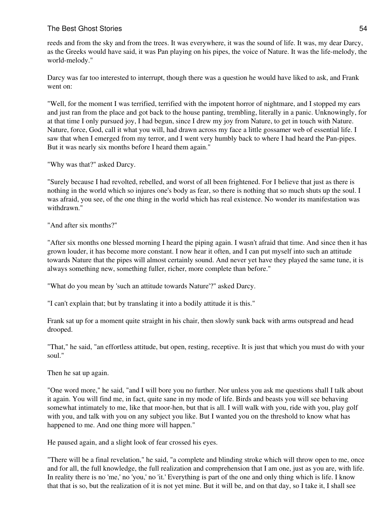reeds and from the sky and from the trees. It was everywhere, it was the sound of life. It was, my dear Darcy, as the Greeks would have said, it was Pan playing on his pipes, the voice of Nature. It was the life-melody, the world-melody."

Darcy was far too interested to interrupt, though there was a question he would have liked to ask, and Frank went on:

"Well, for the moment I was terrified, terrified with the impotent horror of nightmare, and I stopped my ears and just ran from the place and got back to the house panting, trembling, literally in a panic. Unknowingly, for at that time I only pursued joy, I had begun, since I drew my joy from Nature, to get in touch with Nature. Nature, force, God, call it what you will, had drawn across my face a little gossamer web of essential life. I saw that when I emerged from my terror, and I went very humbly back to where I had heard the Pan-pipes. But it was nearly six months before I heard them again."

"Why was that?" asked Darcy.

"Surely because I had revolted, rebelled, and worst of all been frightened. For I believe that just as there is nothing in the world which so injures one's body as fear, so there is nothing that so much shuts up the soul. I was afraid, you see, of the one thing in the world which has real existence. No wonder its manifestation was withdrawn."

"And after six months?"

"After six months one blessed morning I heard the piping again. I wasn't afraid that time. And since then it has grown louder, it has become more constant. I now hear it often, and I can put myself into such an attitude towards Nature that the pipes will almost certainly sound. And never yet have they played the same tune, it is always something new, something fuller, richer, more complete than before."

"What do you mean by 'such an attitude towards Nature'?" asked Darcy.

"I can't explain that; but by translating it into a bodily attitude it is this."

Frank sat up for a moment quite straight in his chair, then slowly sunk back with arms outspread and head drooped.

"That," he said, "an effortless attitude, but open, resting, receptive. It is just that which you must do with your soul."

Then he sat up again.

"One word more," he said, "and I will bore you no further. Nor unless you ask me questions shall I talk about it again. You will find me, in fact, quite sane in my mode of life. Birds and beasts you will see behaving somewhat intimately to me, like that moor-hen, but that is all. I will walk with you, ride with you, play golf with you, and talk with you on any subject you like. But I wanted you on the threshold to know what has happened to me. And one thing more will happen."

He paused again, and a slight look of fear crossed his eyes.

"There will be a final revelation," he said, "a complete and blinding stroke which will throw open to me, once and for all, the full knowledge, the full realization and comprehension that I am one, just as you are, with life. In reality there is no 'me,' no 'you,' no 'it.' Everything is part of the one and only thing which is life. I know that that is so, but the realization of it is not yet mine. But it will be, and on that day, so I take it, I shall see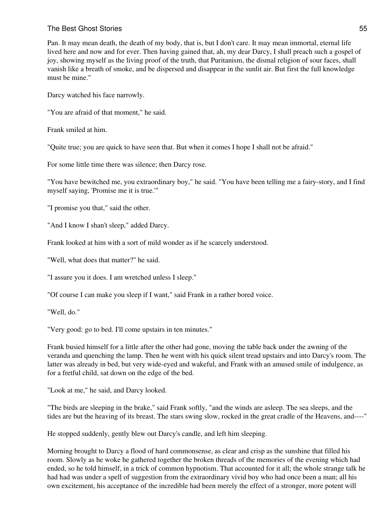Pan. It may mean death, the death of my body, that is, but I don't care. It may mean immortal, eternal life lived here and now and for ever. Then having gained that, ah, my dear Darcy, I shall preach such a gospel of joy, showing myself as the living proof of the truth, that Puritanism, the dismal religion of sour faces, shall vanish like a breath of smoke, and be dispersed and disappear in the sunlit air. But first the full knowledge must be mine."

Darcy watched his face narrowly.

"You are afraid of that moment," he said.

Frank smiled at him.

"Quite true; you are quick to have seen that. But when it comes I hope I shall not be afraid."

For some little time there was silence; then Darcy rose.

"You have bewitched me, you extraordinary boy," he said. "You have been telling me a fairy-story, and I find myself saying, 'Promise me it is true.'"

"I promise you that," said the other.

"And I know I shan't sleep," added Darcy.

Frank looked at him with a sort of mild wonder as if he scarcely understood.

"Well, what does that matter?" he said.

"I assure you it does. I am wretched unless I sleep."

"Of course I can make you sleep if I want," said Frank in a rather bored voice.

"Well, do."

"Very good: go to bed. I'll come upstairs in ten minutes."

Frank busied himself for a little after the other had gone, moving the table back under the awning of the veranda and quenching the lamp. Then he went with his quick silent tread upstairs and into Darcy's room. The latter was already in bed, but very wide-eyed and wakeful, and Frank with an amused smile of indulgence, as for a fretful child, sat down on the edge of the bed.

"Look at me," he said, and Darcy looked.

"The birds are sleeping in the brake," said Frank softly, "and the winds are asleep. The sea sleeps, and the tides are but the heaving of its breast. The stars swing slow, rocked in the great cradle of the Heavens, and----"

He stopped suddenly, gently blew out Darcy's candle, and left him sleeping.

Morning brought to Darcy a flood of hard commonsense, as clear and crisp as the sunshine that filled his room. Slowly as he woke he gathered together the broken threads of the memories of the evening which had ended, so he told himself, in a trick of common hypnotism. That accounted for it all; the whole strange talk he had had was under a spell of suggestion from the extraordinary vivid boy who had once been a man; all his own excitement, his acceptance of the incredible had been merely the effect of a stronger, more potent will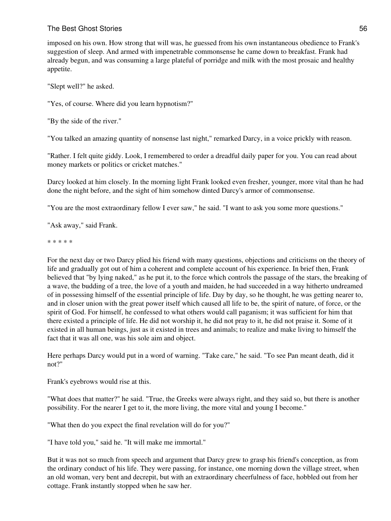# The Best Ghost Stories 56 and the United States 56 and the United States 56 and the United States 56 and the U

imposed on his own. How strong that will was, he guessed from his own instantaneous obedience to Frank's suggestion of sleep. And armed with impenetrable commonsense he came down to breakfast. Frank had already begun, and was consuming a large plateful of porridge and milk with the most prosaic and healthy appetite.

"Slept well?" he asked.

"Yes, of course. Where did you learn hypnotism?"

"By the side of the river."

"You talked an amazing quantity of nonsense last night," remarked Darcy, in a voice prickly with reason.

"Rather. I felt quite giddy. Look, I remembered to order a dreadful daily paper for you. You can read about money markets or politics or cricket matches."

Darcy looked at him closely. In the morning light Frank looked even fresher, younger, more vital than he had done the night before, and the sight of him somehow dinted Darcy's armor of commonsense.

"You are the most extraordinary fellow I ever saw," he said. "I want to ask you some more questions."

"Ask away," said Frank.

\* \* \* \* \*

For the next day or two Darcy plied his friend with many questions, objections and criticisms on the theory of life and gradually got out of him a coherent and complete account of his experience. In brief then, Frank believed that "by lying naked," as he put it, to the force which controls the passage of the stars, the breaking of a wave, the budding of a tree, the love of a youth and maiden, he had succeeded in a way hitherto undreamed of in possessing himself of the essential principle of life. Day by day, so he thought, he was getting nearer to, and in closer union with the great power itself which caused all life to be, the spirit of nature, of force, or the spirit of God. For himself, he confessed to what others would call paganism; it was sufficient for him that there existed a principle of life. He did not worship it, he did not pray to it, he did not praise it. Some of it existed in all human beings, just as it existed in trees and animals; to realize and make living to himself the fact that it was all one, was his sole aim and object.

Here perhaps Darcy would put in a word of warning. "Take care," he said. "To see Pan meant death, did it not?"

Frank's eyebrows would rise at this.

"What does that matter?" he said. "True, the Greeks were always right, and they said so, but there is another possibility. For the nearer I get to it, the more living, the more vital and young I become."

"What then do you expect the final revelation will do for you?"

"I have told you," said he. "It will make me immortal."

But it was not so much from speech and argument that Darcy grew to grasp his friend's conception, as from the ordinary conduct of his life. They were passing, for instance, one morning down the village street, when an old woman, very bent and decrepit, but with an extraordinary cheerfulness of face, hobbled out from her cottage. Frank instantly stopped when he saw her.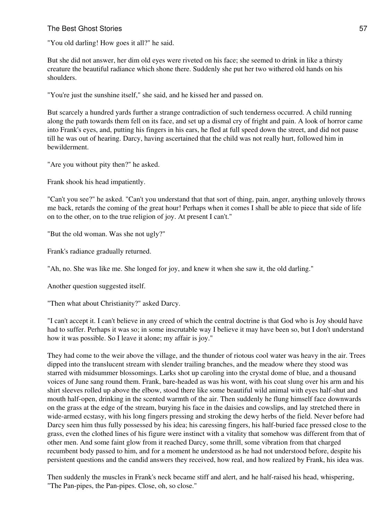"You old darling! How goes it all?" he said.

But she did not answer, her dim old eyes were riveted on his face; she seemed to drink in like a thirsty creature the beautiful radiance which shone there. Suddenly she put her two withered old hands on his shoulders.

"You're just the sunshine itself," she said, and he kissed her and passed on.

But scarcely a hundred yards further a strange contradiction of such tenderness occurred. A child running along the path towards them fell on its face, and set up a dismal cry of fright and pain. A look of horror came into Frank's eyes, and, putting his fingers in his ears, he fled at full speed down the street, and did not pause till he was out of hearing. Darcy, having ascertained that the child was not really hurt, followed him in bewilderment.

"Are you without pity then?" he asked.

Frank shook his head impatiently.

"Can't you see?" he asked. "Can't you understand that that sort of thing, pain, anger, anything unlovely throws me back, retards the coming of the great hour! Perhaps when it comes I shall be able to piece that side of life on to the other, on to the true religion of joy. At present I can't."

"But the old woman. Was she not ugly?"

Frank's radiance gradually returned.

"Ah, no. She was like me. She longed for joy, and knew it when she saw it, the old darling."

Another question suggested itself.

"Then what about Christianity?" asked Darcy.

"I can't accept it. I can't believe in any creed of which the central doctrine is that God who is Joy should have had to suffer. Perhaps it was so; in some inscrutable way I believe it may have been so, but I don't understand how it was possible. So I leave it alone; my affair is joy."

They had come to the weir above the village, and the thunder of riotous cool water was heavy in the air. Trees dipped into the translucent stream with slender trailing branches, and the meadow where they stood was starred with midsummer blossomings. Larks shot up caroling into the crystal dome of blue, and a thousand voices of June sang round them. Frank, bare-headed as was his wont, with his coat slung over his arm and his shirt sleeves rolled up above the elbow, stood there like some beautiful wild animal with eyes half-shut and mouth half-open, drinking in the scented warmth of the air. Then suddenly he flung himself face downwards on the grass at the edge of the stream, burying his face in the daisies and cowslips, and lay stretched there in wide-armed ecstasy, with his long fingers pressing and stroking the dewy herbs of the field. Never before had Darcy seen him thus fully possessed by his idea; his caressing fingers, his half-buried face pressed close to the grass, even the clothed lines of his figure were instinct with a vitality that somehow was different from that of other men. And some faint glow from it reached Darcy, some thrill, some vibration from that charged recumbent body passed to him, and for a moment he understood as he had not understood before, despite his persistent questions and the candid answers they received, how real, and how realized by Frank, his idea was.

Then suddenly the muscles in Frank's neck became stiff and alert, and he half-raised his head, whispering, "The Pan-pipes, the Pan-pipes. Close, oh, so close."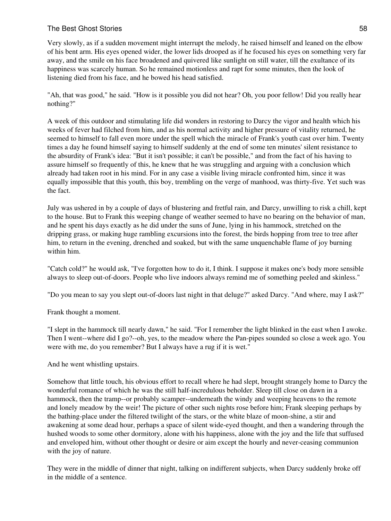Very slowly, as if a sudden movement might interrupt the melody, he raised himself and leaned on the elbow of his bent arm. His eyes opened wider, the lower lids drooped as if he focused his eyes on something very far away, and the smile on his face broadened and quivered like sunlight on still water, till the exultance of its happiness was scarcely human. So he remained motionless and rapt for some minutes, then the look of listening died from his face, and he bowed his head satisfied.

"Ah, that was good," he said. "How is it possible you did not hear? Oh, you poor fellow! Did you really hear nothing?"

A week of this outdoor and stimulating life did wonders in restoring to Darcy the vigor and health which his weeks of fever had filched from him, and as his normal activity and higher pressure of vitality returned, he seemed to himself to fall even more under the spell which the miracle of Frank's youth cast over him. Twenty times a day he found himself saying to himself suddenly at the end of some ten minutes' silent resistance to the absurdity of Frank's idea: "But it isn't possible; it can't be possible," and from the fact of his having to assure himself so frequently of this, he knew that he was struggling and arguing with a conclusion which already had taken root in his mind. For in any case a visible living miracle confronted him, since it was equally impossible that this youth, this boy, trembling on the verge of manhood, was thirty-five. Yet such was the fact.

July was ushered in by a couple of days of blustering and fretful rain, and Darcy, unwilling to risk a chill, kept to the house. But to Frank this weeping change of weather seemed to have no bearing on the behavior of man, and he spent his days exactly as he did under the suns of June, lying in his hammock, stretched on the dripping grass, or making huge rambling excursions into the forest, the birds hopping from tree to tree after him, to return in the evening, drenched and soaked, but with the same unquenchable flame of joy burning within him.

"Catch cold?" he would ask, "I've forgotten how to do it, I think. I suppose it makes one's body more sensible always to sleep out-of-doors. People who live indoors always remind me of something peeled and skinless."

"Do you mean to say you slept out-of-doors last night in that deluge?" asked Darcy. "And where, may I ask?"

Frank thought a moment.

"I slept in the hammock till nearly dawn," he said. "For I remember the light blinked in the east when I awoke. Then I went--where did I go?--oh, yes, to the meadow where the Pan-pipes sounded so close a week ago. You were with me, do you remember? But I always have a rug if it is wet."

And he went whistling upstairs.

Somehow that little touch, his obvious effort to recall where he had slept, brought strangely home to Darcy the wonderful romance of which he was the still half-incredulous beholder. Sleep till close on dawn in a hammock, then the tramp--or probably scamper--underneath the windy and weeping heavens to the remote and lonely meadow by the weir! The picture of other such nights rose before him; Frank sleeping perhaps by the bathing-place under the filtered twilight of the stars, or the white blaze of moon-shine, a stir and awakening at some dead hour, perhaps a space of silent wide-eyed thought, and then a wandering through the hushed woods to some other dormitory, alone with his happiness, alone with the joy and the life that suffused and enveloped him, without other thought or desire or aim except the hourly and never-ceasing communion with the joy of nature.

They were in the middle of dinner that night, talking on indifferent subjects, when Darcy suddenly broke off in the middle of a sentence.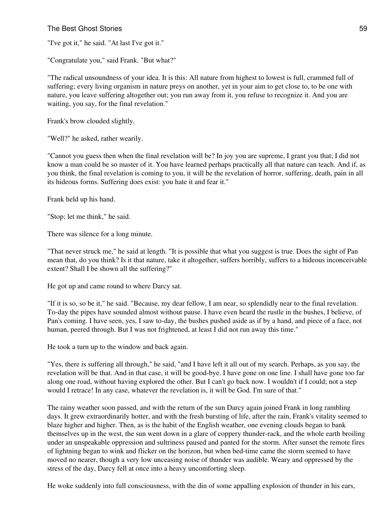"I've got it," he said. "At last I've got it."

"Congratulate you," said Frank. "But what?"

"The radical unsoundness of your idea. It is this: All nature from highest to lowest is full, crammed full of suffering; every living organism in nature preys on another, yet in your aim to get close to, to be one with nature, you leave suffering altogether out; you run away from it, you refuse to recognize it. And you are waiting, you say, for the final revelation."

Frank's brow clouded slightly.

"Well?" he asked, rather wearily.

"Cannot you guess then when the final revelation will be? In joy you are supreme, I grant you that; I did not know a man could be so master of it. You have learned perhaps practically all that nature can teach. And if, as you think, the final revelation is coming to you, it will be the revelation of horror, suffering, death, pain in all its hideous forms. Suffering does exist: you hate it and fear it."

Frank held up his hand.

"Stop; let me think," he said.

There was silence for a long minute.

"That never struck me," he said at length. "It is possible that what you suggest is true. Does the sight of Pan mean that, do you think? Is it that nature, take it altogether, suffers horribly, suffers to a hideous inconceivable extent? Shall I be shown all the suffering?"

He got up and came round to where Darcy sat.

"If it is so, so be it," he said. "Because, my dear fellow, I am near, so splendidly near to the final revelation. To-day the pipes have sounded almost without pause. I have even heard the rustle in the bushes, I believe, of Pan's coming. I have seen, yes, I saw to-day, the bushes pushed aside as if by a hand, and piece of a face, not human, peered through. But I was not frightened, at least I did not run away this time."

He took a turn up to the window and back again.

"Yes, there is suffering all through," he said, "and I have left it all out of my search. Perhaps, as you say, the revelation will be that. And in that case, it will be good-bye. I have gone on one line. I shall have gone too far along one road, without having explored the other. But I can't go back now. I wouldn't if I could; not a step would I retrace! In any case, whatever the revelation is, it will be God. I'm sure of that."

The rainy weather soon passed, and with the return of the sun Darcy again joined Frank in long rambling days. It grew extraordinarily hotter, and with the fresh bursting of life, after the rain, Frank's vitality seemed to blaze higher and higher. Then, as is the habit of the English weather, one evening clouds began to bank themselves up in the west, the sun went down in a glare of coppery thunder-rack, and the whole earth broiling under an unspeakable oppression and sultriness paused and panted for the storm. After sunset the remote fires of lightning began to wink and flicker on the horizon, but when bed-time came the storm seemed to have moved no nearer, though a very low unceasing noise of thunder was audible. Weary and oppressed by the stress of the day, Darcy fell at once into a heavy uncomforting sleep.

He woke suddenly into full consciousness, with the din of some appalling explosion of thunder in his ears,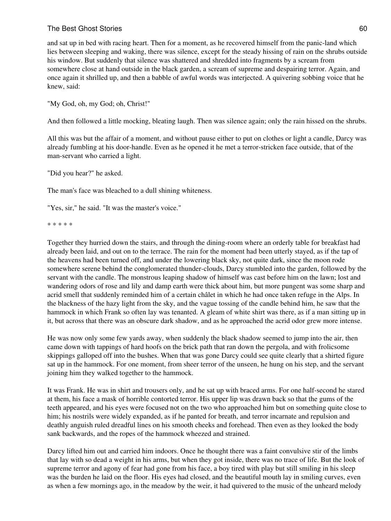and sat up in bed with racing heart. Then for a moment, as he recovered himself from the panic-land which lies between sleeping and waking, there was silence, except for the steady hissing of rain on the shrubs outside his window. But suddenly that silence was shattered and shredded into fragments by a scream from somewhere close at hand outside in the black garden, a scream of supreme and despairing terror. Again, and once again it shrilled up, and then a babble of awful words was interjected. A quivering sobbing voice that he knew, said:

"My God, oh, my God; oh, Christ!"

And then followed a little mocking, bleating laugh. Then was silence again; only the rain hissed on the shrubs.

All this was but the affair of a moment, and without pause either to put on clothes or light a candle, Darcy was already fumbling at his door-handle. Even as he opened it he met a terror-stricken face outside, that of the man-servant who carried a light.

"Did you hear?" he asked.

The man's face was bleached to a dull shining whiteness.

"Yes, sir," he said. "It was the master's voice."

\* \* \* \* \*

Together they hurried down the stairs, and through the dining-room where an orderly table for breakfast had already been laid, and out on to the terrace. The rain for the moment had been utterly stayed, as if the tap of the heavens had been turned off, and under the lowering black sky, not quite dark, since the moon rode somewhere serene behind the conglomerated thunder-clouds, Darcy stumbled into the garden, followed by the servant with the candle. The monstrous leaping shadow of himself was cast before him on the lawn; lost and wandering odors of rose and lily and damp earth were thick about him, but more pungent was some sharp and acrid smell that suddenly reminded him of a certain châlet in which he had once taken refuge in the Alps. In the blackness of the hazy light from the sky, and the vague tossing of the candle behind him, he saw that the hammock in which Frank so often lay was tenanted. A gleam of white shirt was there, as if a man sitting up in it, but across that there was an obscure dark shadow, and as he approached the acrid odor grew more intense.

He was now only some few yards away, when suddenly the black shadow seemed to jump into the air, then came down with tappings of hard hoofs on the brick path that ran down the pergola, and with frolicsome skippings galloped off into the bushes. When that was gone Darcy could see quite clearly that a shirted figure sat up in the hammock. For one moment, from sheer terror of the unseen, he hung on his step, and the servant joining him they walked together to the hammock.

It was Frank. He was in shirt and trousers only, and he sat up with braced arms. For one half-second he stared at them, his face a mask of horrible contorted terror. His upper lip was drawn back so that the gums of the teeth appeared, and his eyes were focused not on the two who approached him but on something quite close to him; his nostrils were widely expanded, as if he panted for breath, and terror incarnate and repulsion and deathly anguish ruled dreadful lines on his smooth cheeks and forehead. Then even as they looked the body sank backwards, and the ropes of the hammock wheezed and strained.

Darcy lifted him out and carried him indoors. Once he thought there was a faint convulsive stir of the limbs that lay with so dead a weight in his arms, but when they got inside, there was no trace of life. But the look of supreme terror and agony of fear had gone from his face, a boy tired with play but still smiling in his sleep was the burden he laid on the floor. His eyes had closed, and the beautiful mouth lay in smiling curves, even as when a few mornings ago, in the meadow by the weir, it had quivered to the music of the unheard melody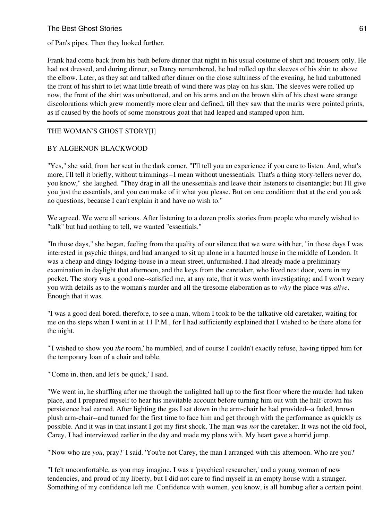of Pan's pipes. Then they looked further.

Frank had come back from his bath before dinner that night in his usual costume of shirt and trousers only. He had not dressed, and during dinner, so Darcy remembered, he had rolled up the sleeves of his shirt to above the elbow. Later, as they sat and talked after dinner on the close sultriness of the evening, he had unbuttoned the front of his shirt to let what little breath of wind there was play on his skin. The sleeves were rolled up now, the front of the shirt was unbuttoned, and on his arms and on the brown skin of his chest were strange discolorations which grew momently more clear and defined, till they saw that the marks were pointed prints, as if caused by the hoofs of some monstrous goat that had leaped and stamped upon him.

### THE WOMAN'S GHOST STORY[I]

### BY ALGERNON BLACKWOOD

"Yes," she said, from her seat in the dark corner, "I'll tell you an experience if you care to listen. And, what's more, I'll tell it briefly, without trimmings--I mean without unessentials. That's a thing story-tellers never do, you know," she laughed. "They drag in all the unessentials and leave their listeners to disentangle; but I'll give you just the essentials, and you can make of it what you please. But on one condition: that at the end you ask no questions, because I can't explain it and have no wish to."

We agreed. We were all serious. After listening to a dozen prolix stories from people who merely wished to "talk" but had nothing to tell, we wanted "essentials."

"In those days," she began, feeling from the quality of our silence that we were with her, "in those days I was interested in psychic things, and had arranged to sit up alone in a haunted house in the middle of London. It was a cheap and dingy lodging-house in a mean street, unfurnished. I had already made a preliminary examination in daylight that afternoon, and the keys from the caretaker, who lived next door, were in my pocket. The story was a good one--satisfied me, at any rate, that it was worth investigating; and I won't weary you with details as to the woman's murder and all the tiresome elaboration as to *why* the place was *alive*. Enough that it was.

"I was a good deal bored, therefore, to see a man, whom I took to be the talkative old caretaker, waiting for me on the steps when I went in at 11 P.M., for I had sufficiently explained that I wished to be there alone for the night.

"'I wished to show you *the* room,' he mumbled, and of course I couldn't exactly refuse, having tipped him for the temporary loan of a chair and table.

"'Come in, then, and let's be quick,' I said.

"We went in, he shuffling after me through the unlighted hall up to the first floor where the murder had taken place, and I prepared myself to hear his inevitable account before turning him out with the half-crown his persistence had earned. After lighting the gas I sat down in the arm-chair he had provided--a faded, brown plush arm-chair--and turned for the first time to face him and get through with the performance as quickly as possible. And it was in that instant I got my first shock. The man was *not* the caretaker. It was not the old fool, Carey, I had interviewed earlier in the day and made my plans with. My heart gave a horrid jump.

"'Now who are *you*, pray?' I said. 'You're not Carey, the man I arranged with this afternoon. Who are you?'

"I felt uncomfortable, as you may imagine. I was a 'psychical researcher,' and a young woman of new tendencies, and proud of my liberty, but I did not care to find myself in an empty house with a stranger. Something of my confidence left me. Confidence with women, you know, is all humbug after a certain point.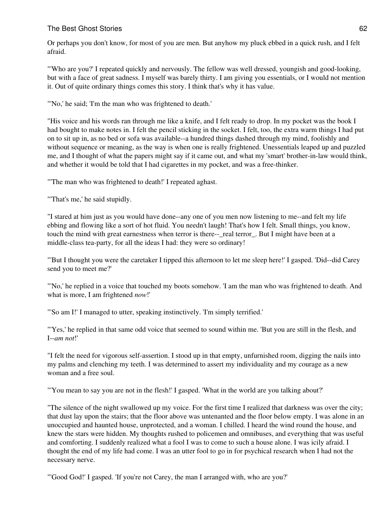Or perhaps you don't know, for most of you are men. But anyhow my pluck ebbed in a quick rush, and I felt afraid.

"'Who are you?' I repeated quickly and nervously. The fellow was well dressed, youngish and good-looking, but with a face of great sadness. I myself was barely thirty. I am giving you essentials, or I would not mention it. Out of quite ordinary things comes this story. I think that's why it has value.

"'No,' he said; 'I'm the man who was frightened to death.'

"His voice and his words ran through me like a knife, and I felt ready to drop. In my pocket was the book I had bought to make notes in. I felt the pencil sticking in the socket. I felt, too, the extra warm things I had put on to sit up in, as no bed or sofa was available--a hundred things dashed through my mind, foolishly and without sequence or meaning, as the way is when one is really frightened. Unessentials leaped up and puzzled me, and I thought of what the papers might say if it came out, and what my 'smart' brother-in-law would think, and whether it would be told that I had cigarettes in my pocket, and was a free-thinker.

"'The man who was frightened to death!' I repeated aghast.

"'That's me,' he said stupidly.

"I stared at him just as you would have done--any one of you men now listening to me--and felt my life ebbing and flowing like a sort of hot fluid. You needn't laugh! That's how I felt. Small things, you know, touch the mind with great earnestness when terror is there--\_real terror\_. But I might have been at a middle-class tea-party, for all the ideas I had: they were so ordinary!

"'But I thought you were the caretaker I tipped this afternoon to let me sleep here!' I gasped. 'Did--did Carey send you to meet me?'

"'No,' he replied in a voice that touched my boots somehow. 'I am the man who was frightened to death. And what is more, I am frightened *now*!'

"'So am I!' I managed to utter, speaking instinctively. 'I'm simply terrified.'

"'Yes,' he replied in that same odd voice that seemed to sound within me. 'But you are still in the flesh, and I--*am not*!'

"I felt the need for vigorous self-assertion. I stood up in that empty, unfurnished room, digging the nails into my palms and clenching my teeth. I was determined to assert my individuality and my courage as a new woman and a free soul.

"'You mean to say you are not in the flesh!' I gasped. 'What in the world are you talking about?'

"The silence of the night swallowed up my voice. For the first time I realized that darkness was over the city; that dust lay upon the stairs; that the floor above was untenanted and the floor below empty. I was alone in an unoccupied and haunted house, unprotected, and a woman. I chilled. I heard the wind round the house, and knew the stars were hidden. My thoughts rushed to policemen and omnibuses, and everything that was useful and comforting. I suddenly realized what a fool I was to come to such a house alone. I was icily afraid. I thought the end of my life had come. I was an utter fool to go in for psychical research when I had not the necessary nerve.

"'Good God!' I gasped. 'If you're not Carey, the man I arranged with, who are you?'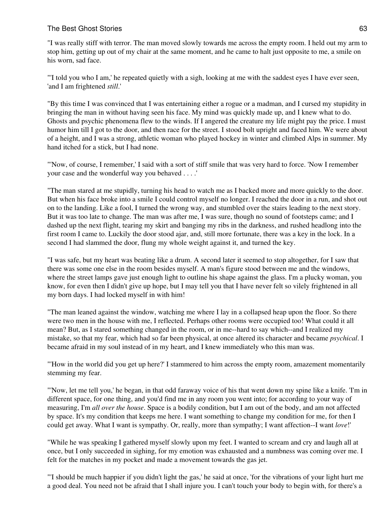"I was really stiff with terror. The man moved slowly towards me across the empty room. I held out my arm to stop him, getting up out of my chair at the same moment, and he came to halt just opposite to me, a smile on his worn, sad face.

"'I told you who I am,' he repeated quietly with a sigh, looking at me with the saddest eyes I have ever seen, 'and I am frightened *still*.'

"By this time I was convinced that I was entertaining either a rogue or a madman, and I cursed my stupidity in bringing the man in without having seen his face. My mind was quickly made up, and I knew what to do. Ghosts and psychic phenomena flew to the winds. If I angered the creature my life might pay the price. I must humor him till I got to the door, and then race for the street. I stood bolt upright and faced him. We were about of a height, and I was a strong, athletic woman who played hockey in winter and climbed Alps in summer. My hand itched for a stick, but I had none.

"'Now, of course, I remember,' I said with a sort of stiff smile that was very hard to force. 'Now I remember your case and the wonderful way you behaved . . . .'

"The man stared at me stupidly, turning his head to watch me as I backed more and more quickly to the door. But when his face broke into a smile I could control myself no longer. I reached the door in a run, and shot out on to the landing. Like a fool, I turned the wrong way, and stumbled over the stairs leading to the next story. But it was too late to change. The man was after me, I was sure, though no sound of footsteps came; and I dashed up the next flight, tearing my skirt and banging my ribs in the darkness, and rushed headlong into the first room I came to. Luckily the door stood ajar, and, still more fortunate, there was a key in the lock. In a second I had slammed the door, flung my whole weight against it, and turned the key.

"I was safe, but my heart was beating like a drum. A second later it seemed to stop altogether, for I saw that there was some one else in the room besides myself. A man's figure stood between me and the windows, where the street lamps gave just enough light to outline his shape against the glass. I'm a plucky woman, you know, for even then I didn't give up hope, but I may tell you that I have never felt so vilely frightened in all my born days. I had locked myself in with him!

"The man leaned against the window, watching me where I lay in a collapsed heap upon the floor. So there were two men in the house with me, I reflected. Perhaps other rooms were occupied too! What could it all mean? But, as I stared something changed in the room, or in me--hard to say which--and I realized my mistake, so that my fear, which had so far been physical, at once altered its character and became *psychical*. I became afraid in my soul instead of in my heart, and I knew immediately who this man was.

"'How in the world did you get up here?' I stammered to him across the empty room, amazement momentarily stemming my fear.

"'Now, let me tell you,' he began, in that odd faraway voice of his that went down my spine like a knife. 'I'm in different space, for one thing, and you'd find me in any room you went into; for according to your way of measuring, I'm *all over the house*. Space is a bodily condition, but I am out of the body, and am not affected by space. It's my condition that keeps me here. I want something to change my condition for me, for then I could get away. What I want is sympathy. Or, really, more than sympathy; I want affection--I want *love*!'

"While he was speaking I gathered myself slowly upon my feet. I wanted to scream and cry and laugh all at once, but I only succeeded in sighing, for my emotion was exhausted and a numbness was coming over me. I felt for the matches in my pocket and made a movement towards the gas jet.

"'I should be much happier if you didn't light the gas,' he said at once, 'for the vibrations of your light hurt me a good deal. You need not be afraid that I shall injure you. I can't touch your body to begin with, for there's a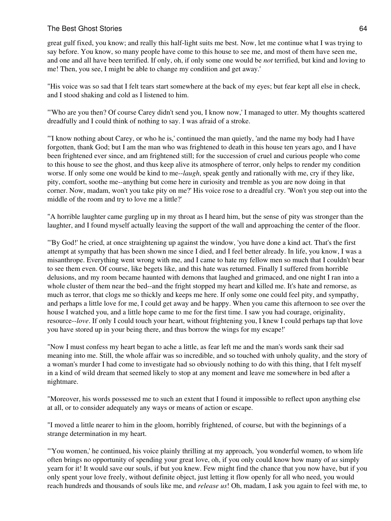great gulf fixed, you know; and really this half-light suits me best. Now, let me continue what I was trying to say before. You know, so many people have come to this house to see me, and most of them have seen me, and one and all have been terrified. If only, oh, if only some one would be *not* terrified, but kind and loving to me! Then, you see, I might be able to change my condition and get away.'

"His voice was so sad that I felt tears start somewhere at the back of my eyes; but fear kept all else in check, and I stood shaking and cold as I listened to him.

"'Who are you then? Of course Carey didn't send you, I know now,' I managed to utter. My thoughts scattered dreadfully and I could think of nothing to say. I was afraid of a stroke.

"'I know nothing about Carey, or who he is,' continued the man quietly, 'and the name my body had I have forgotten, thank God; but I am the man who was frightened to death in this house ten years ago, and I have been frightened ever since, and am frightened still; for the succession of cruel and curious people who come to this house to see the ghost, and thus keep alive its atmosphere of terror, only helps to render my condition worse. If only some one would be kind to me--*laugh*, speak gently and rationally with me, cry if they like, pity, comfort, soothe me--anything but come here in curiosity and tremble as you are now doing in that corner. Now, madam, won't you take pity on me?' His voice rose to a dreadful cry. 'Won't you step out into the middle of the room and try to love me a little?'

"A horrible laughter came gurgling up in my throat as I heard him, but the sense of pity was stronger than the laughter, and I found myself actually leaving the support of the wall and approaching the center of the floor.

"'By God!' he cried, at once straightening up against the window, 'you have done a kind act. That's the first attempt at sympathy that has been shown me since I died, and I feel better already. In life, you know, I was a misanthrope. Everything went wrong with me, and I came to hate my fellow men so much that I couldn't bear to see them even. Of course, like begets like, and this hate was returned. Finally I suffered from horrible delusions, and my room became haunted with demons that laughed and grimaced, and one night I ran into a whole cluster of them near the bed--and the fright stopped my heart and killed me. It's hate and remorse, as much as terror, that clogs me so thickly and keeps me here. If only some one could feel pity, and sympathy, and perhaps a little love for me, I could get away and be happy. When you came this afternoon to see over the house I watched you, and a little hope came to me for the first time. I saw you had courage, originality, resource--*love*. If only I could touch your heart, without frightening you, I knew I could perhaps tap that love you have stored up in your being there, and thus borrow the wings for my escape!'

"Now I must confess my heart began to ache a little, as fear left me and the man's words sank their sad meaning into me. Still, the whole affair was so incredible, and so touched with unholy quality, and the story of a woman's murder I had come to investigate had so obviously nothing to do with this thing, that I felt myself in a kind of wild dream that seemed likely to stop at any moment and leave me somewhere in bed after a nightmare.

"Moreover, his words possessed me to such an extent that I found it impossible to reflect upon anything else at all, or to consider adequately any ways or means of action or escape.

"I moved a little nearer to him in the gloom, horribly frightened, of course, but with the beginnings of a strange determination in my heart.

"'You women,' he continued, his voice plainly thrilling at my approach, 'you wonderful women, to whom life often brings no opportunity of spending your great love, oh, if you only could know how many of *us* simply yearn for it! It would save our souls, if but you knew. Few might find the chance that you now have, but if you only spent your love freely, without definite object, just letting it flow openly for all who need, you would reach hundreds and thousands of souls like me, and *release us*! Oh, madam, I ask you again to feel with me, to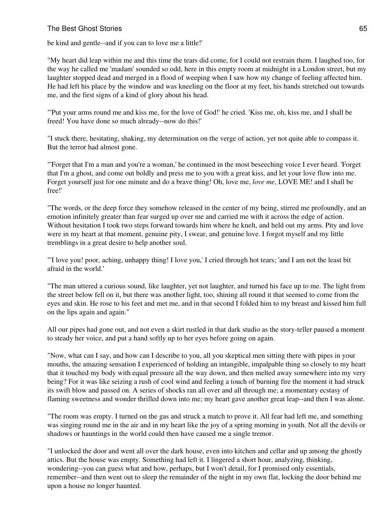be kind and gentle--and if you can to love me a little!'

"My heart did leap within me and this time the tears did come, for I could not restrain them. I laughed too, for the way he called me 'madam' sounded so odd, here in this empty room at midnight in a London street, but my laughter stopped dead and merged in a flood of weeping when I saw how my change of feeling affected him. He had left his place by the window and was kneeling on the floor at my feet, his hands stretched out towards me, and the first signs of a kind of glory about his head.

"'Put your arms round me and kiss me, for the love of God!' he cried. 'Kiss me, oh, kiss me, and I shall be freed! You have done so much already--now do this!'

"I stuck there, hesitating, shaking, my determination on the verge of action, yet not quite able to compass it. But the terror had almost gone.

"'Forget that I'm a man and you're a woman,' he continued in the most beseeching voice I ever heard. 'Forget that I'm a ghost, and come out boldly and press me to you with a great kiss, and let your love flow into me. Forget yourself just for one minute and do a brave thing! Oh, love me, *love me*, LOVE ME! and I shall be free!'

"The words, or the deep force they somehow released in the center of my being, stirred me profoundly, and an emotion infinitely greater than fear surged up over me and carried me with it across the edge of action. Without hesitation I took two steps forward towards him where he knelt, and held out my arms. Pity and love were in my heart at that moment, genuine pity, I swear, and genuine love. I forgot myself and my little tremblings in a great desire to help another soul.

"'I love you! poor, aching, unhappy thing! I love you,' I cried through hot tears; 'and I am not the least bit afraid in the world.'

"The man uttered a curious sound, like laughter, yet not laughter, and turned his face up to me. The light from the street below fell on it, but there was another light, too, shining all round it that seemed to come from the eyes and skin. He rose to his feet and met me, and in that second I folded him to my breast and kissed him full on the lips again and again."

All our pipes had gone out, and not even a skirt rustled in that dark studio as the story-teller paused a moment to steady her voice, and put a hand softly up to her eyes before going on again.

"Now, what can I say, and how can I describe to you, all you skeptical men sitting there with pipes in your mouths, the amazing sensation I experienced of holding an intangible, impalpable thing so closely to my heart that it touched my body with equal pressure all the way down, and then melted away somewhere into my very being? For it was like seizing a rush of cool wind and feeling a touch of burning fire the moment it had struck its swift blow and passed on. A series of shocks ran all over and all through me; a momentary ecstasy of flaming sweetness and wonder thrilled down into me; my heart gave another great leap--and then I was alone.

"The room was empty. I turned on the gas and struck a match to prove it. All fear had left me, and something was singing round me in the air and in my heart like the joy of a spring morning in youth. Not all the devils or shadows or hauntings in the world could then have caused me a single tremor.

"I unlocked the door and went all over the dark house, even into kitchen and cellar and up among the ghostly attics. But the house was empty. Something had left it. I lingered a short hour, analyzing, thinking, wondering--you can guess what and how, perhaps, but I won't detail, for I promised only essentials, remember--and then went out to sleep the remainder of the night in my own flat, locking the door behind me upon a house no longer haunted.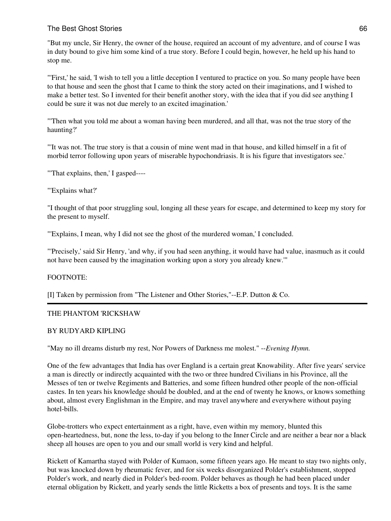"But my uncle, Sir Henry, the owner of the house, required an account of my adventure, and of course I was in duty bound to give him some kind of a true story. Before I could begin, however, he held up his hand to stop me.

"'First,' he said, 'I wish to tell you a little deception I ventured to practice on you. So many people have been to that house and seen the ghost that I came to think the story acted on their imaginations, and I wished to make a better test. So I invented for their benefit another story, with the idea that if you did see anything I could be sure it was not due merely to an excited imagination.'

"'Then what you told me about a woman having been murdered, and all that, was not the true story of the haunting?'

"'It was not. The true story is that a cousin of mine went mad in that house, and killed himself in a fit of morbid terror following upon years of miserable hypochondriasis. It is his figure that investigators see.'

"'That explains, then,' I gasped----

"'Explains what?'

"I thought of that poor struggling soul, longing all these years for escape, and determined to keep my story for the present to myself.

"'Explains, I mean, why I did not see the ghost of the murdered woman,' I concluded.

"'Precisely,' said Sir Henry, 'and why, if you had seen anything, it would have had value, inasmuch as it could not have been caused by the imagination working upon a story you already knew.'"

# FOOTNOTE:

[I] Taken by permission from "The Listener and Other Stories,"--E.P. Dutton & Co.

# THE PHANTOM 'RICKSHAW

# BY RUDYARD KIPLING

"May no ill dreams disturb my rest, Nor Powers of Darkness me molest." --*Evening Hymn.*

One of the few advantages that India has over England is a certain great Knowability. After five years' service a man is directly or indirectly acquainted with the two or three hundred Civilians in his Province, all the Messes of ten or twelve Regiments and Batteries, and some fifteen hundred other people of the non-official castes. In ten years his knowledge should be doubled, and at the end of twenty he knows, or knows something about, almost every Englishman in the Empire, and may travel anywhere and everywhere without paying hotel-bills.

Globe-trotters who expect entertainment as a right, have, even within my memory, blunted this open-heartedness, but, none the less, to-day if you belong to the Inner Circle and are neither a bear nor a black sheep all houses are open to you and our small world is very kind and helpful.

Rickett of Kamartha stayed with Polder of Kumaon, some fifteen years ago. He meant to stay two nights only, but was knocked down by rheumatic fever, and for six weeks disorganized Polder's establishment, stopped Polder's work, and nearly died in Polder's bed-room. Polder behaves as though he had been placed under eternal obligation by Rickett, and yearly sends the little Ricketts a box of presents and toys. It is the same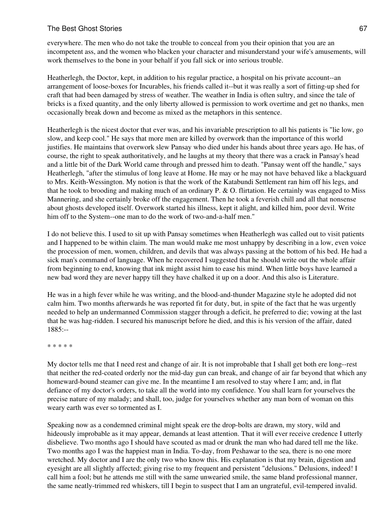everywhere. The men who do not take the trouble to conceal from you their opinion that you are an incompetent ass, and the women who blacken your character and misunderstand your wife's amusements, will work themselves to the bone in your behalf if you fall sick or into serious trouble.

Heatherlegh, the Doctor, kept, in addition to his regular practice, a hospital on his private account--an arrangement of loose-boxes for Incurables, his friends called it--but it was really a sort of fitting-up shed for craft that had been damaged by stress of weather. The weather in India is often sultry, and since the tale of bricks is a fixed quantity, and the only liberty allowed is permission to work overtime and get no thanks, men occasionally break down and become as mixed as the metaphors in this sentence.

Heatherlegh is the nicest doctor that ever was, and his invariable prescription to all his patients is "lie low, go slow, and keep cool." He says that more men are killed by overwork than the importance of this world justifies. He maintains that overwork slew Pansay who died under his hands about three years ago. He has, of course, the right to speak authoritatively, and he laughs at my theory that there was a crack in Pansay's head and a little bit of the Dark World came through and pressed him to death. "Pansay went off the handle," says Heatherlegh, "after the stimulus of long leave at Home. He may or he may not have behaved like a blackguard to Mrs. Keith-Wessington. My notion is that the work of the Katabundi Settlement ran him off his legs, and that he took to brooding and making much of an ordinary P. & O. flirtation. He certainly was engaged to Miss Mannering, and she certainly broke off the engagement. Then he took a feverish chill and all that nonsense about ghosts developed itself. Overwork started his illness, kept it alight, and killed him, poor devil. Write him off to the System--one man to do the work of two-and-a-half men."

I do not believe this. I used to sit up with Pansay sometimes when Heatherlegh was called out to visit patients and I happened to be within claim. The man would make me most unhappy by describing in a low, even voice the procession of men, women, children, and devils that was always passing at the bottom of his bed. He had a sick man's command of language. When he recovered I suggested that he should write out the whole affair from beginning to end, knowing that ink might assist him to ease his mind. When little boys have learned a new bad word they are never happy till they have chalked it up on a door. And this also is Literature.

He was in a high fever while he was writing, and the blood-and-thunder Magazine style he adopted did not calm him. Two months afterwards he was reported fit for duty, but, in spite of the fact that he was urgently needed to help an undermanned Commission stagger through a deficit, he preferred to die; vowing at the last that he was hag-ridden. I secured his manuscript before he died, and this is his version of the affair, dated 1885:--

\* \* \* \* \*

My doctor tells me that I need rest and change of air. It is not improbable that I shall get both ere long--rest that neither the red-coated orderly nor the mid-day gun can break, and change of air far beyond that which any homeward-bound steamer can give me. In the meantime I am resolved to stay where I am; and, in flat defiance of my doctor's orders, to take all the world into my confidence. You shall learn for yourselves the precise nature of my malady; and shall, too, judge for yourselves whether any man born of woman on this weary earth was ever so tormented as I.

Speaking now as a condemned criminal might speak ere the drop-bolts are drawn, my story, wild and hideously improbable as it may appear, demands at least attention. That it will ever receive credence I utterly disbelieve. Two months ago I should have scouted as mad or drunk the man who had dared tell me the like. Two months ago I was the happiest man in India. To-day, from Peshawar to the sea, there is no one more wretched. My doctor and I are the only two who know this. His explanation is that my brain, digestion and eyesight are all slightly affected; giving rise to my frequent and persistent "delusions." Delusions, indeed! I call him a fool; but he attends me still with the same unwearied smile, the same bland professional manner, the same neatly-trimmed red whiskers, till I begin to suspect that I am an ungrateful, evil-tempered invalid.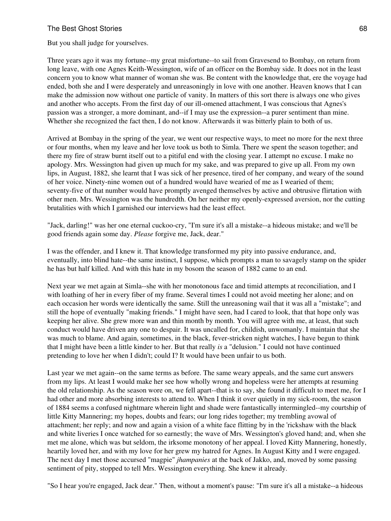But you shall judge for yourselves.

Three years ago it was my fortune--my great misfortune--to sail from Gravesend to Bombay, on return from long leave, with one Agnes Keith-Wessington, wife of an officer on the Bombay side. It does not in the least concern you to know what manner of woman she was. Be content with the knowledge that, ere the voyage had ended, both she and I were desperately and unreasoningly in love with one another. Heaven knows that I can make the admission now without one particle of vanity. In matters of this sort there is always one who gives and another who accepts. From the first day of our ill-omened attachment, I was conscious that Agnes's passion was a stronger, a more dominant, and--if I may use the expression--a purer sentiment than mine. Whether she recognized the fact then, I do not know. Afterwards it was bitterly plain to both of us.

Arrived at Bombay in the spring of the year, we went our respective ways, to meet no more for the next three or four months, when my leave and her love took us both to Simla. There we spent the season together; and there my fire of straw burnt itself out to a pitiful end with the closing year. I attempt no excuse. I make no apology. Mrs. Wessington had given up much for my sake, and was prepared to give up all. From my own lips, in August, 1882, she learnt that I was sick of her presence, tired of her company, and weary of the sound of her voice. Ninety-nine women out of a hundred would have wearied of me as I wearied of them; seventy-five of that number would have promptly avenged themselves by active and obtrusive flirtation with other men. Mrs. Wessington was the hundredth. On her neither my openly-expressed aversion, nor the cutting brutalities with which I garnished our interviews had the least effect.

"Jack, darling!" was her one eternal cuckoo-cry, "I'm sure it's all a mistake--a hideous mistake; and we'll be good friends again some day. *Please* forgive me, Jack, dear."

I was the offender, and I knew it. That knowledge transformed my pity into passive endurance, and, eventually, into blind hate--the same instinct, I suppose, which prompts a man to savagely stamp on the spider he has but half killed. And with this hate in my bosom the season of 1882 came to an end.

Next year we met again at Simla--she with her monotonous face and timid attempts at reconciliation, and I with loathing of her in every fiber of my frame. Several times I could not avoid meeting her alone; and on each occasion her words were identically the same. Still the unreasoning wail that it was all a "mistake"; and still the hope of eventually "making friends." I might have seen, had I cared to look, that that hope only was keeping her alive. She grew more wan and thin month by month. You will agree with me, at least, that such conduct would have driven any one to despair. It was uncalled for, childish, unwomanly. I maintain that she was much to blame. And again, sometimes, in the black, fever-stricken night watches, I have begun to think that I might have been a little kinder to her. But that really *is* a "delusion." I could not have continued pretending to love her when I didn't; could I? It would have been unfair to us both.

Last year we met again--on the same terms as before. The same weary appeals, and the same curt answers from my lips. At least I would make her see how wholly wrong and hopeless were her attempts at resuming the old relationship. As the season wore on, we fell apart--that is to say, she found it difficult to meet me, for I had other and more absorbing interests to attend to. When I think it over quietly in my sick-room, the season of 1884 seems a confused nightmare wherein light and shade were fantastically intermingled--my courtship of little Kitty Mannering; my hopes, doubts and fears; our long rides together; my trembling avowal of attachment; her reply; and now and again a vision of a white face flitting by in the 'rickshaw with the black and white liveries I once watched for so earnestly; the wave of Mrs. Wessington's gloved hand; and, when she met me alone, which was but seldom, the irksome monotony of her appeal. I loved Kitty Mannering, honestly, heartily loved her, and with my love for her grew my hatred for Agnes. In August Kitty and I were engaged. The next day I met those accursed "magpie" *jhampanies* at the back of Jakko, and, moved by some passing sentiment of pity, stopped to tell Mrs. Wessington everything. She knew it already.

"So I hear you're engaged, Jack dear." Then, without a moment's pause: "I'm sure it's all a mistake--a hideous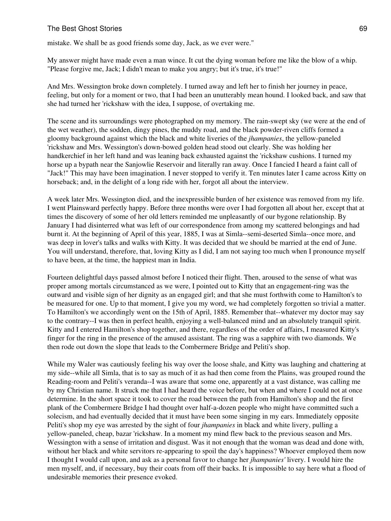mistake. We shall be as good friends some day, Jack, as we ever were."

My answer might have made even a man wince. It cut the dying woman before me like the blow of a whip. "Please forgive me, Jack; I didn't mean to make you angry; but it's true, it's true!"

And Mrs. Wessington broke down completely. I turned away and left her to finish her journey in peace, feeling, but only for a moment or two, that I had been an unutterably mean hound. I looked back, and saw that she had turned her 'rickshaw with the idea, I suppose, of overtaking me.

The scene and its surroundings were photographed on my memory. The rain-swept sky (we were at the end of the wet weather), the sodden, dingy pines, the muddy road, and the black powder-riven cliffs formed a gloomy background against which the black and white liveries of the *jhampanies*, the yellow-paneled 'rickshaw and Mrs. Wessington's down-bowed golden head stood out clearly. She was holding her handkerchief in her left hand and was leaning back exhausted against the 'rickshaw cushions. I turned my horse up a bypath near the Sanjowlie Reservoir and literally ran away. Once I fancied I heard a faint call of "Jack!" This may have been imagination. I never stopped to verify it. Ten minutes later I came across Kitty on horseback; and, in the delight of a long ride with her, forgot all about the interview.

A week later Mrs. Wessington died, and the inexpressible burden of her existence was removed from my life. I went Plainsward perfectly happy. Before three months were over I had forgotten all about her, except that at times the discovery of some of her old letters reminded me unpleasantly of our bygone relationship. By January I had disinterred what was left of our correspondence from among my scattered belongings and had burnt it. At the beginning of April of this year, 1885, I was at Simla--semi-deserted Simla--once more, and was deep in lover's talks and walks with Kitty. It was decided that we should be married at the end of June. You will understand, therefore, that, loving Kitty as I did, I am not saying too much when I pronounce myself to have been, at the time, the happiest man in India.

Fourteen delightful days passed almost before I noticed their flight. Then, aroused to the sense of what was proper among mortals circumstanced as we were, I pointed out to Kitty that an engagement-ring was the outward and visible sign of her dignity as an engaged girl; and that she must forthwith come to Hamilton's to be measured for one. Up to that moment, I give you my word, we had completely forgotten so trivial a matter. To Hamilton's we accordingly went on the 15th of April, 1885. Remember that--whatever my doctor may say to the contrary--I was then in perfect health, enjoying a well-balanced mind and an absolutely tranquil spirit. Kitty and I entered Hamilton's shop together, and there, regardless of the order of affairs, I measured Kitty's finger for the ring in the presence of the amused assistant. The ring was a sapphire with two diamonds. We then rode out down the slope that leads to the Combermere Bridge and Peliti's shop.

While my Waler was cautiously feeling his way over the loose shale, and Kitty was laughing and chattering at my side--while all Simla, that is to say as much of it as had then come from the Plains, was grouped round the Reading-room and Peliti's veranda--I was aware that some one, apparently at a vast distance, was calling me by my Christian name. It struck me that I had heard the voice before, but when and where I could not at once determine. In the short space it took to cover the road between the path from Hamilton's shop and the first plank of the Combermere Bridge I had thought over half-a-dozen people who might have committed such a solecism, and had eventually decided that it must have been some singing in my ears. Immediately opposite Peliti's shop my eye was arrested by the sight of four *jhampanies* in black and white livery, pulling a yellow-paneled, cheap, bazar 'rickshaw. In a moment my mind flew back to the previous season and Mrs. Wessington with a sense of irritation and disgust. Was it not enough that the woman was dead and done with, without her black and white servitors re-appearing to spoil the day's happiness? Whoever employed them now I thought I would call upon, and ask as a personal favor to change her *jhampanies'* livery. I would hire the men myself, and, if necessary, buy their coats from off their backs. It is impossible to say here what a flood of undesirable memories their presence evoked.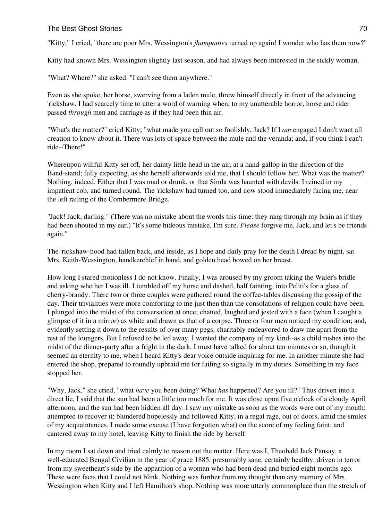"Kitty," I cried, "there are poor Mrs. Wessington's *jhampanies* turned up again! I wonder who has them now?"

Kitty had known Mrs. Wessington slightly last season, and had always been interested in the sickly woman.

"What? Where?" she asked. "I can't see them anywhere."

Even as she spoke, her horse, swerving from a laden mule, threw himself directly in front of the advancing 'rickshaw. I had scarcely time to utter a word of warning when, to my unutterable horror, horse and rider passed *through* men and carriage as if they had been thin air.

"What's the matter?" cried Kitty; "what made you call out so foolishly, Jack? If I *am* engaged I don't want all creation to know about it. There was lots of space between the mule and the veranda; and, if you think I can't ride--There!"

Whereupon willful Kitty set off, her dainty little head in the air, at a hand-gallop in the direction of the Band-stand; fully expecting, as she herself afterwards told me, that I should follow her. What was the matter? Nothing, indeed. Either that I was mad or drunk, or that Simla was haunted with devils. I reined in my impatient cob, and turned round. The 'rickshaw had turned too, and now stood immediately facing me, near the left railing of the Combermere Bridge.

"Jack! Jack, darling." (There was no mistake about the words this time: they rang through my brain as if they had been shouted in my ear.) "It's some hideous mistake, I'm sure. *Please* forgive me, Jack, and let's be friends again."

The 'rickshaw-hood had fallen back, and inside, as I hope and daily pray for the death I dread by night, sat Mrs. Keith-Wessington, handkerchief in hand, and golden head bowed on her breast.

How long I stared motionless I do not know. Finally, I was aroused by my groom taking the Waler's bridle and asking whether I was ill. I tumbled off my horse and dashed, half fainting, into Peliti's for a glass of cherry-brandy. There two or three couples were gathered round the coffee-tables discussing the gossip of the day. Their trivialities were more comforting to me just then than the consolations of religion could have been. I plunged into the midst of the conversation at once; chatted, laughed and jested with a face (when I caught a glimpse of it in a mirror) as white and drawn as that of a corpse. Three or four men noticed my condition; and, evidently setting it down to the results of over many pegs, charitably endeavored to draw me apart from the rest of the loungers. But I refused to be led away. I wanted the company of my kind--as a child rushes into the midst of the dinner-party after a fright in the dark. I must have talked for about ten minutes or so, though it seemed an eternity to me, when I heard Kitty's dear voice outside inquiring for me. In another minute she had entered the shop, prepared to roundly upbraid me for failing so signally in my duties. Something in my face stopped her.

"Why, Jack," she cried, "what *have* you been doing? What *has* happened? Are you ill?" Thus driven into a direct lie, I said that the sun had been a little too much for me. It was close upon five o'clock of a cloudy April afternoon, and the sun had been hidden all day. I saw my mistake as soon as the words were out of my mouth: attempted to recover it; blundered hopelessly and followed Kitty, in a regal rage, out of doors, amid the smiles of my acquaintances. I made some excuse (I have forgotten what) on the score of my feeling faint; and cantered away to my hotel, leaving Kitty to finish the ride by herself.

In my room I sat down and tried calmly to reason out the matter. Here was I, Theobald Jack Pansay, a well-educated Bengal Civilian in the year of grace 1885, presumably sane, certainly healthy, driven in terror from my sweetheart's side by the apparition of a woman who had been dead and buried eight months ago. These were facts that I could not blink. Nothing was further from my thought than any memory of Mrs. Wessington when Kitty and I left Hamilton's shop. Nothing was more utterly commonplace than the stretch of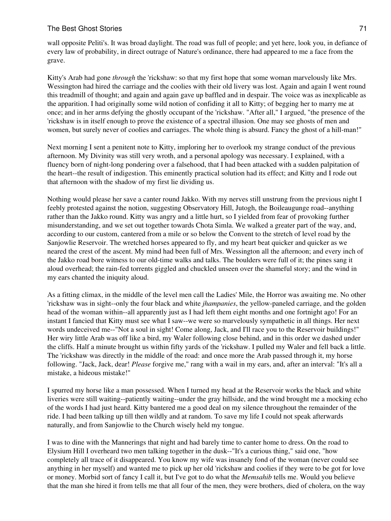wall opposite Peliti's. It was broad daylight. The road was full of people; and yet here, look you, in defiance of every law of probability, in direct outrage of Nature's ordinance, there had appeared to me a face from the grave.

Kitty's Arab had gone *through* the 'rickshaw: so that my first hope that some woman marvelously like Mrs. Wessington had hired the carriage and the coolies with their old livery was lost. Again and again I went round this treadmill of thought; and again and again gave up baffled and in despair. The voice was as inexplicable as the apparition. I had originally some wild notion of confiding it all to Kitty; of begging her to marry me at once; and in her arms defying the ghostly occupant of the 'rickshaw. "After all," I argued, "the presence of the 'rickshaw is in itself enough to prove the existence of a spectral illusion. One may see ghosts of men and women, but surely never of coolies and carriages. The whole thing is absurd. Fancy the ghost of a hill-man!"

Next morning I sent a penitent note to Kitty, imploring her to overlook my strange conduct of the previous afternoon. My Divinity was still very wroth, and a personal apology was necessary. I explained, with a fluency born of night-long pondering over a falsehood, that I had been attacked with a sudden palpitation of the heart--the result of indigestion. This eminently practical solution had its effect; and Kitty and I rode out that afternoon with the shadow of my first lie dividing us.

Nothing would please her save a canter round Jakko. With my nerves still unstrung from the previous night I feebly protested against the notion, suggesting Observatory Hill, Jutogh, the Boileaugunge road--anything rather than the Jakko round. Kitty was angry and a little hurt, so I yielded from fear of provoking further misunderstanding, and we set out together towards Chota Simla. We walked a greater part of the way, and, according to our custom, cantered from a mile or so below the Convent to the stretch of level road by the Sanjowlie Reservoir. The wretched horses appeared to fly, and my heart beat quicker and quicker as we neared the crest of the ascent. My mind had been full of Mrs. Wessington all the afternoon; and every inch of the Jakko road bore witness to our old-time walks and talks. The boulders were full of it; the pines sang it aloud overhead; the rain-fed torrents giggled and chuckled unseen over the shameful story; and the wind in my ears chanted the iniquity aloud.

As a fitting climax, in the middle of the level men call the Ladies' Mile, the Horror was awaiting me. No other 'rickshaw was in sight--only the four black and white *jhampanies*, the yellow-paneled carriage, and the golden head of the woman within--all apparently just as I had left them eight months and one fortnight ago! For an instant I fancied that Kitty must see what I saw--we were so marvelously sympathetic in all things. Her next words undeceived me--"Not a soul in sight! Come along, Jack, and I'll race you to the Reservoir buildings!" Her wiry little Arab was off like a bird, my Waler following close behind, and in this order we dashed under the cliffs. Half a minute brought us within fifty yards of the 'rickshaw. I pulled my Waler and fell back a little. The 'rickshaw was directly in the middle of the road: and once more the Arab passed through it, my horse following. "Jack, Jack, dear! *Please* forgive me," rang with a wail in my ears, and, after an interval: "It's all a mistake, a hideous mistake!"

I spurred my horse like a man possessed. When I turned my head at the Reservoir works the black and white liveries were still waiting--patiently waiting--under the gray hillside, and the wind brought me a mocking echo of the words I had just heard. Kitty bantered me a good deal on my silence throughout the remainder of the ride. I had been talking up till then wildly and at random. To save my life I could not speak afterwards naturally, and from Sanjowlie to the Church wisely held my tongue.

I was to dine with the Mannerings that night and had barely time to canter home to dress. On the road to Elysium Hill I overheard two men talking together in the dusk--"It's a curious thing," said one, "how completely all trace of it disappeared. You know my wife was insanely fond of the woman (never could see anything in her myself) and wanted me to pick up her old 'rickshaw and coolies if they were to be got for love or money. Morbid sort of fancy I call it, but I've got to do what the *Memsahib* tells me. Would you believe that the man she hired it from tells me that all four of the men, they were brothers, died of cholera, on the way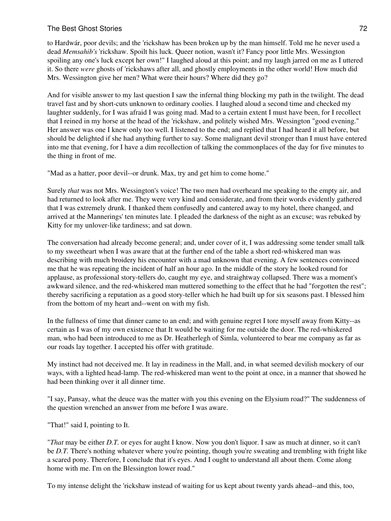to Hardwár, poor devils; and the 'rickshaw has been broken up by the man himself. Told me he never used a dead *Memsahib's* 'rickshaw. Spoilt his luck. Queer notion, wasn't it? Fancy poor little Mrs. Wessington spoiling any one's luck except her own!" I laughed aloud at this point; and my laugh jarred on me as I uttered it. So there *were* ghosts of 'rickshaws after all, and ghostly employments in the other world! How much did Mrs. Wessington give her men? What were their hours? Where did they go?

And for visible answer to my last question I saw the infernal thing blocking my path in the twilight. The dead travel fast and by short-cuts unknown to ordinary coolies. I laughed aloud a second time and checked my laughter suddenly, for I was afraid I was going mad. Mad to a certain extent I must have been, for I recollect that I reined in my horse at the head of the 'rickshaw, and politely wished Mrs. Wessington "good evening." Her answer was one I knew only too well. I listened to the end; and replied that I had heard it all before, but should be delighted if she had anything further to say. Some malignant devil stronger than I must have entered into me that evening, for I have a dim recollection of talking the commonplaces of the day for five minutes to the thing in front of me.

"Mad as a hatter, poor devil--or drunk. Max, try and get him to come home."

Surely *that* was not Mrs. Wessington's voice! The two men had overheard me speaking to the empty air, and had returned to look after me. They were very kind and considerate, and from their words evidently gathered that I was extremely drunk. I thanked them confusedly and cantered away to my hotel, there changed, and arrived at the Mannerings' ten minutes late. I pleaded the darkness of the night as an excuse; was rebuked by Kitty for my unlover-like tardiness; and sat down.

The conversation had already become general; and, under cover of it, I was addressing some tender small talk to my sweetheart when I was aware that at the further end of the table a short red-whiskered man was describing with much broidery his encounter with a mad unknown that evening. A few sentences convinced me that he was repeating the incident of half an hour ago. In the middle of the story he looked round for applause, as professional story-tellers do, caught my eye, and straightway collapsed. There was a moment's awkward silence, and the red-whiskered man muttered something to the effect that he had "forgotten the rest"; thereby sacrificing a reputation as a good story-teller which he had built up for six seasons past. I blessed him from the bottom of my heart and--went on with my fish.

In the fullness of time that dinner came to an end; and with genuine regret I tore myself away from Kitty--as certain as I was of my own existence that It would be waiting for me outside the door. The red-whiskered man, who had been introduced to me as Dr. Heatherlegh of Simla, volunteered to bear me company as far as our roads lay together. I accepted his offer with gratitude.

My instinct had not deceived me. It lay in readiness in the Mall, and, in what seemed devilish mockery of our ways, with a lighted head-lamp. The red-whiskered man went to the point at once, in a manner that showed he had been thinking over it all dinner time.

"I say, Pansay, what the deuce was the matter with you this evening on the Elysium road?" The suddenness of the question wrenched an answer from me before I was aware.

"That!" said I, pointing to It.

"*That* may be either *D.T.* or eyes for aught I know. Now you don't liquor. I saw as much at dinner, so it can't be *D.T.* There's nothing whatever where you're pointing, though you're sweating and trembling with fright like a scared pony. Therefore, I conclude that it's eyes. And I ought to understand all about them. Come along home with me. I'm on the Blessington lower road."

To my intense delight the 'rickshaw instead of waiting for us kept about twenty yards ahead--and this, too,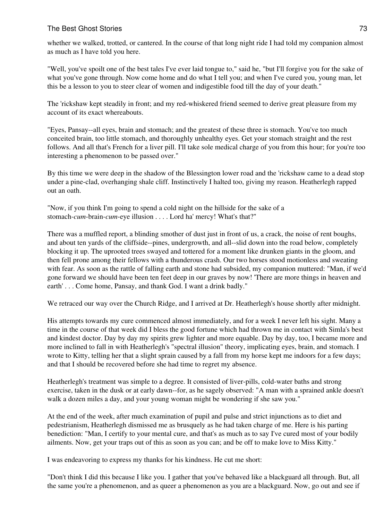whether we walked, trotted, or cantered. In the course of that long night ride I had told my companion almost as much as I have told you here.

"Well, you've spoilt one of the best tales I've ever laid tongue to," said he, "but I'll forgive you for the sake of what you've gone through. Now come home and do what I tell you; and when I've cured you, young man, let this be a lesson to you to steer clear of women and indigestible food till the day of your death."

The 'rickshaw kept steadily in front; and my red-whiskered friend seemed to derive great pleasure from my account of its exact whereabouts.

"Eyes, Pansay--all eyes, brain and stomach; and the greatest of these three is stomach. You've too much conceited brain, too little stomach, and thoroughly unhealthy eyes. Get your stomach straight and the rest follows. And all that's French for a liver pill. I'll take sole medical charge of you from this hour; for you're too interesting a phenomenon to be passed over."

By this time we were deep in the shadow of the Blessington lower road and the 'rickshaw came to a dead stop under a pine-clad, overhanging shale cliff. Instinctively I halted too, giving my reason. Heatherlegh rapped out an oath.

"Now, if you think I'm going to spend a cold night on the hillside for the sake of a stomach-*cum*-brain-*cum*-eye illusion . . . . Lord ha' mercy! What's that?"

There was a muffled report, a blinding smother of dust just in front of us, a crack, the noise of rent boughs, and about ten yards of the cliffside--pines, undergrowth, and all--slid down into the road below, completely blocking it up. The uprooted trees swayed and tottered for a moment like drunken giants in the gloom, and then fell prone among their fellows with a thunderous crash. Our two horses stood motionless and sweating with fear. As soon as the rattle of falling earth and stone had subsided, my companion muttered: "Man, if we'd gone forward we should have been ten feet deep in our graves by now! 'There are more things in heaven and earth' . . . Come home, Pansay, and thank God. I want a drink badly."

We retraced our way over the Church Ridge, and I arrived at Dr. Heatherlegh's house shortly after midnight.

His attempts towards my cure commenced almost immediately, and for a week I never left his sight. Many a time in the course of that week did I bless the good fortune which had thrown me in contact with Simla's best and kindest doctor. Day by day my spirits grew lighter and more equable. Day by day, too, I became more and more inclined to fall in with Heatherlegh's "spectral illusion" theory, implicating eyes, brain, and stomach. I wrote to Kitty, telling her that a slight sprain caused by a fall from my horse kept me indoors for a few days; and that I should be recovered before she had time to regret my absence.

Heatherlegh's treatment was simple to a degree. It consisted of liver-pills, cold-water baths and strong exercise, taken in the dusk or at early dawn--for, as he sagely observed: "A man with a sprained ankle doesn't walk a dozen miles a day, and your young woman might be wondering if she saw you."

At the end of the week, after much examination of pupil and pulse and strict injunctions as to diet and pedestrianism, Heatherlegh dismissed me as brusquely as he had taken charge of me. Here is his parting benediction: "Man, I certify to your mental cure, and that's as much as to say I've cured most of your bodily ailments. Now, get your traps out of this as soon as you can; and be off to make love to Miss Kitty."

I was endeavoring to express my thanks for his kindness. He cut me short:

"Don't think I did this because I like you. I gather that you've behaved like a blackguard all through. But, all the same you're a phenomenon, and as queer a phenomenon as you are a blackguard. Now, go out and see if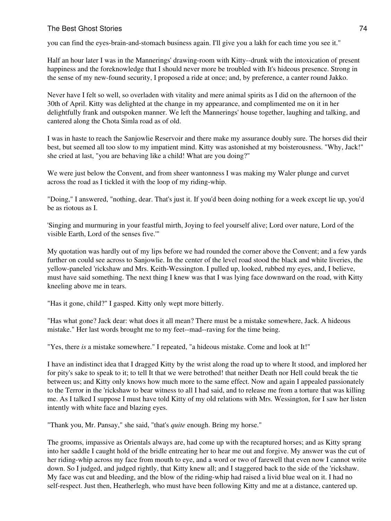you can find the eyes-brain-and-stomach business again. I'll give you a lakh for each time you see it."

Half an hour later I was in the Mannerings' drawing-room with Kitty--drunk with the intoxication of present happiness and the foreknowledge that I should never more be troubled with It's hideous presence. Strong in the sense of my new-found security, I proposed a ride at once; and, by preference, a canter round Jakko.

Never have I felt so well, so overladen with vitality and mere animal spirits as I did on the afternoon of the 30th of April. Kitty was delighted at the change in my appearance, and complimented me on it in her delightfully frank and outspoken manner. We left the Mannerings' house together, laughing and talking, and cantered along the Chota Simla road as of old.

I was in haste to reach the Sanjowlie Reservoir and there make my assurance doubly sure. The horses did their best, but seemed all too slow to my impatient mind. Kitty was astonished at my boisterousness. "Why, Jack!" she cried at last, "you are behaving like a child! What are you doing?"

We were just below the Convent, and from sheer wantonness I was making my Waler plunge and curvet across the road as I tickled it with the loop of my riding-whip.

"Doing," I answered, "nothing, dear. That's just it. If you'd been doing nothing for a week except lie up, you'd be as riotous as I.

'Singing and murmuring in your feastful mirth, Joying to feel yourself alive; Lord over nature, Lord of the visible Earth, Lord of the senses five.'"

My quotation was hardly out of my lips before we had rounded the corner above the Convent; and a few yards further on could see across to Sanjowlie. In the center of the level road stood the black and white liveries, the yellow-paneled 'rickshaw and Mrs. Keith-Wessington. I pulled up, looked, rubbed my eyes, and, I believe, must have said something. The next thing I knew was that I was lying face downward on the road, with Kitty kneeling above me in tears.

"Has it gone, child?" I gasped. Kitty only wept more bitterly.

"Has what gone? Jack dear: what does it all mean? There must be a mistake somewhere, Jack. A hideous mistake." Her last words brought me to my feet--mad--raving for the time being.

"Yes, there *is* a mistake somewhere." I repeated, "a hideous mistake. Come and look at It!"

I have an indistinct idea that I dragged Kitty by the wrist along the road up to where It stood, and implored her for pity's sake to speak to it; to tell It that we were betrothed! that neither Death nor Hell could break the tie between us; and Kitty only knows how much more to the same effect. Now and again I appealed passionately to the Terror in the 'rickshaw to bear witness to all I had said, and to release me from a torture that was killing me. As I talked I suppose I must have told Kitty of my old relations with Mrs. Wessington, for I saw her listen intently with white face and blazing eyes.

"Thank you, Mr. Pansay," she said, "that's *quite* enough. Bring my horse."

The grooms, impassive as Orientals always are, had come up with the recaptured horses; and as Kitty sprang into her saddle I caught hold of the bridle entreating her to hear me out and forgive. My answer was the cut of her riding-whip across my face from mouth to eye, and a word or two of farewell that even now I cannot write down. So I judged, and judged rightly, that Kitty knew all; and I staggered back to the side of the 'rickshaw. My face was cut and bleeding, and the blow of the riding-whip had raised a livid blue weal on it. I had no self-respect. Just then, Heatherlegh, who must have been following Kitty and me at a distance, cantered up.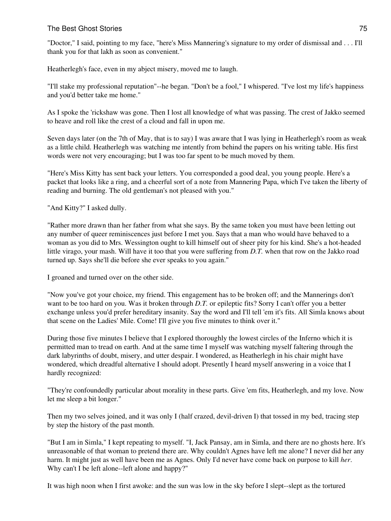"Doctor," I said, pointing to my face, "here's Miss Mannering's signature to my order of dismissal and . . . I'll thank you for that lakh as soon as convenient."

Heatherlegh's face, even in my abject misery, moved me to laugh.

"I'll stake my professional reputation"--he began. "Don't be a fool," I whispered. "I've lost my life's happiness and you'd better take me home."

As I spoke the 'rickshaw was gone. Then I lost all knowledge of what was passing. The crest of Jakko seemed to heave and roll like the crest of a cloud and fall in upon me.

Seven days later (on the 7th of May, that is to say) I was aware that I was lying in Heatherlegh's room as weak as a little child. Heatherlegh was watching me intently from behind the papers on his writing table. His first words were not very encouraging; but I was too far spent to be much moved by them.

"Here's Miss Kitty has sent back your letters. You corresponded a good deal, you young people. Here's a packet that looks like a ring, and a cheerful sort of a note from Mannering Papa, which I've taken the liberty of reading and burning. The old gentleman's not pleased with you."

"And Kitty?" I asked dully.

"Rather more drawn than her father from what she says. By the same token you must have been letting out any number of queer reminiscences just before I met you. Says that a man who would have behaved to a woman as you did to Mrs. Wessington ought to kill himself out of sheer pity for his kind. She's a hot-headed little virago, your mash. Will have it too that you were suffering from *D.T.* when that row on the Jakko road turned up. Says she'll die before she ever speaks to you again."

I groaned and turned over on the other side.

"Now you've got your choice, my friend. This engagement has to be broken off; and the Mannerings don't want to be too hard on you. Was it broken through *D.T.* or epileptic fits? Sorry I can't offer you a better exchange unless you'd prefer hereditary insanity. Say the word and I'll tell 'em it's fits. All Simla knows about that scene on the Ladies' Mile. Come! I'll give you five minutes to think over it."

During those five minutes I believe that I explored thoroughly the lowest circles of the Inferno which it is permitted man to tread on earth. And at the same time I myself was watching myself faltering through the dark labyrinths of doubt, misery, and utter despair. I wondered, as Heatherlegh in his chair might have wondered, which dreadful alternative I should adopt. Presently I heard myself answering in a voice that I hardly recognized:

"They're confoundedly particular about morality in these parts. Give 'em fits, Heatherlegh, and my love. Now let me sleep a bit longer."

Then my two selves joined, and it was only I (half crazed, devil-driven I) that tossed in my bed, tracing step by step the history of the past month.

"But I am in Simla," I kept repeating to myself. "I, Jack Pansay, am in Simla, and there are no ghosts here. It's unreasonable of that woman to pretend there are. Why couldn't Agnes have left me alone? I never did her any harm. It might just as well have been me as Agnes. Only I'd never have come back on purpose to kill *her*. Why can't I be left alone--left alone and happy?"

It was high noon when I first awoke: and the sun was low in the sky before I slept--slept as the tortured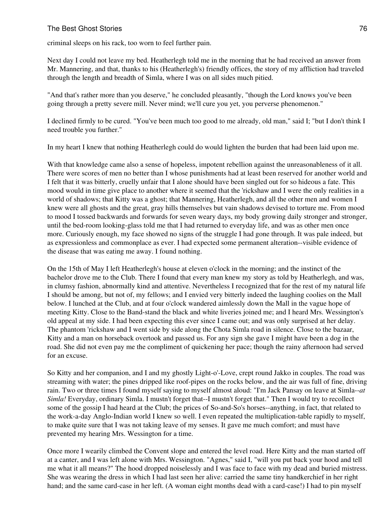criminal sleeps on his rack, too worn to feel further pain.

Next day I could not leave my bed. Heatherlegh told me in the morning that he had received an answer from Mr. Mannering, and that, thanks to his (Heatherlegh's) friendly offices, the story of my affliction had traveled through the length and breadth of Simla, where I was on all sides much pitied.

"And that's rather more than you deserve," he concluded pleasantly, "though the Lord knows you've been going through a pretty severe mill. Never mind; we'll cure you yet, you perverse phenomenon."

I declined firmly to be cured. "You've been much too good to me already, old man," said I; "but I don't think I need trouble you further."

In my heart I knew that nothing Heatherlegh could do would lighten the burden that had been laid upon me.

With that knowledge came also a sense of hopeless, impotent rebellion against the unreasonableness of it all. There were scores of men no better than I whose punishments had at least been reserved for another world and I felt that it was bitterly, cruelly unfair that I alone should have been singled out for so hideous a fate. This mood would in time give place to another where it seemed that the 'rickshaw and I were the only realities in a world of shadows; that Kitty was a ghost; that Mannering, Heatherlegh, and all the other men and women I knew were all ghosts and the great, gray hills themselves but vain shadows devised to torture me. From mood to mood I tossed backwards and forwards for seven weary days, my body growing daily stronger and stronger, until the bed-room looking-glass told me that I had returned to everyday life, and was as other men once more. Curiously enough, my face showed no signs of the struggle I had gone through. It was pale indeed, but as expressionless and commonplace as ever. I had expected some permanent alteration--visible evidence of the disease that was eating me away. I found nothing.

On the 15th of May I left Heatherlegh's house at eleven o'clock in the morning; and the instinct of the bachelor drove me to the Club. There I found that every man knew my story as told by Heatherlegh, and was, in clumsy fashion, abnormally kind and attentive. Nevertheless I recognized that for the rest of my natural life I should be among, but not of, my fellows; and I envied very bitterly indeed the laughing coolies on the Mall below. I lunched at the Club, and at four o'clock wandered aimlessly down the Mall in the vague hope of meeting Kitty. Close to the Band-stand the black and white liveries joined me; and I heard Mrs. Wessington's old appeal at my side. I had been expecting this ever since I came out; and was only surprised at her delay. The phantom 'rickshaw and I went side by side along the Chota Simla road in silence. Close to the bazaar, Kitty and a man on horseback overtook and passed us. For any sign she gave I might have been a dog in the road. She did not even pay me the compliment of quickening her pace; though the rainy afternoon had served for an excuse.

So Kitty and her companion, and I and my ghostly Light-o'-Love, crept round Jakko in couples. The road was streaming with water; the pines dripped like roof-pipes on the rocks below, and the air was full of fine, driving rain. Two or three times I found myself saying to myself almost aloud: "I'm Jack Pansay on leave at Simla--*at Simla!* Everyday, ordinary Simla. I mustn't forget that--I mustn't forget that." Then I would try to recollect some of the gossip I had heard at the Club; the prices of So-and-So's horses--anything, in fact, that related to the work-a-day Anglo-Indian world I knew so well. I even repeated the multiplication-table rapidly to myself, to make quite sure that I was not taking leave of my senses. It gave me much comfort; and must have prevented my hearing Mrs. Wessington for a time.

Once more I wearily climbed the Convent slope and entered the level road. Here Kitty and the man started off at a canter, and I was left alone with Mrs. Wessington. "Agnes," said I, "will you put back your hood and tell me what it all means?" The hood dropped noiselessly and I was face to face with my dead and buried mistress. She was wearing the dress in which I had last seen her alive: carried the same tiny handkerchief in her right hand; and the same card-case in her left. (A woman eight months dead with a card-case!) I had to pin myself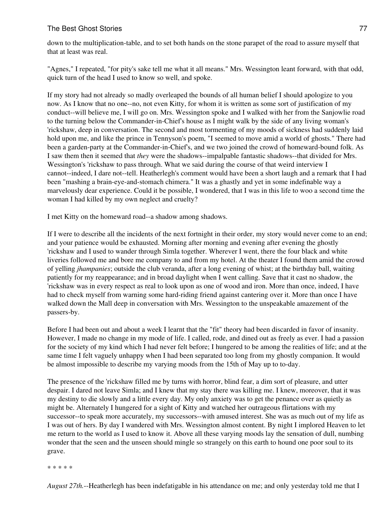down to the multiplication-table, and to set both hands on the stone parapet of the road to assure myself that that at least was real.

"Agnes," I repeated, "for pity's sake tell me what it all means." Mrs. Wessington leant forward, with that odd, quick turn of the head I used to know so well, and spoke.

If my story had not already so madly overleaped the bounds of all human belief I should apologize to you now. As I know that no one--no, not even Kitty, for whom it is written as some sort of justification of my conduct--will believe me, I will go on. Mrs. Wessington spoke and I walked with her from the Sanjowlie road to the turning below the Commander-in-Chief's house as I might walk by the side of any living woman's 'rickshaw, deep in conversation. The second and most tormenting of my moods of sickness had suddenly laid hold upon me, and like the prince in Tennyson's poem, "I seemed to move amid a world of ghosts." There had been a garden-party at the Commander-in-Chief's, and we two joined the crowd of homeward-bound folk. As I saw them then it seemed that *they* were the shadows--impalpable fantastic shadows--that divided for Mrs. Wessington's 'rickshaw to pass through. What we said during the course of that weird interview I cannot--indeed, I dare not--tell. Heatherlegh's comment would have been a short laugh and a remark that I had been "mashing a brain-eye-and-stomach chimera." It was a ghastly and yet in some indefinable way a marvelously dear experience. Could it be possible, I wondered, that I was in this life to woo a second time the woman I had killed by my own neglect and cruelty?

I met Kitty on the homeward road--a shadow among shadows.

If I were to describe all the incidents of the next fortnight in their order, my story would never come to an end; and your patience would be exhausted. Morning after morning and evening after evening the ghostly 'rickshaw and I used to wander through Simla together. Wherever I went, there the four black and white liveries followed me and bore me company to and from my hotel. At the theater I found them amid the crowd of yelling *jhampanies*; outside the club veranda, after a long evening of whist; at the birthday ball, waiting patiently for my reappearance; and in broad daylight when I went calling. Save that it cast no shadow, the 'rickshaw was in every respect as real to look upon as one of wood and iron. More than once, indeed, I have had to check myself from warning some hard-riding friend against cantering over it. More than once I have walked down the Mall deep in conversation with Mrs. Wessington to the unspeakable amazement of the passers-by.

Before I had been out and about a week I learnt that the "fit" theory had been discarded in favor of insanity. However, I made no change in my mode of life. I called, rode, and dined out as freely as ever. I had a passion for the society of my kind which I had never felt before; I hungered to be among the realities of life; and at the same time I felt vaguely unhappy when I had been separated too long from my ghostly companion. It would be almost impossible to describe my varying moods from the 15th of May up to to-day.

The presence of the 'rickshaw filled me by turns with horror, blind fear, a dim sort of pleasure, and utter despair. I dared not leave Simla; and I knew that my stay there was killing me. I knew, moreover, that it was my destiny to die slowly and a little every day. My only anxiety was to get the penance over as quietly as might be. Alternately I hungered for a sight of Kitty and watched her outrageous flirtations with my successor--to speak more accurately, my successors--with amused interest. She was as much out of my life as I was out of hers. By day I wandered with Mrs. Wessington almost content. By night I implored Heaven to let me return to the world as I used to know it. Above all these varying moods lay the sensation of dull, numbing wonder that the seen and the unseen should mingle so strangely on this earth to hound one poor soul to its grave.

\* \* \* \* \*

*August 27th.*--Heatherlegh has been indefatigable in his attendance on me; and only yesterday told me that I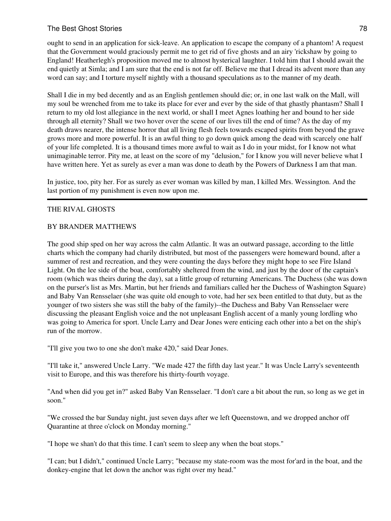ought to send in an application for sick-leave. An application to escape the company of a phantom! A request that the Government would graciously permit me to get rid of five ghosts and an airy 'rickshaw by going to England! Heatherlegh's proposition moved me to almost hysterical laughter. I told him that I should await the end quietly at Simla; and I am sure that the end is not far off. Believe me that I dread its advent more than any word can say; and I torture myself nightly with a thousand speculations as to the manner of my death.

Shall I die in my bed decently and as an English gentlemen should die; or, in one last walk on the Mall, will my soul be wrenched from me to take its place for ever and ever by the side of that ghastly phantasm? Shall I return to my old lost allegiance in the next world, or shall I meet Agnes loathing her and bound to her side through all eternity? Shall we two hover over the scene of our lives till the end of time? As the day of my death draws nearer, the intense horror that all living flesh feels towards escaped spirits from beyond the grave grows more and more powerful. It is an awful thing to go down quick among the dead with scarcely one half of your life completed. It is a thousand times more awful to wait as I do in your midst, for I know not what unimaginable terror. Pity me, at least on the score of my "delusion," for I know you will never believe what I have written here. Yet as surely as ever a man was done to death by the Powers of Darkness I am that man.

In justice, too, pity her. For as surely as ever woman was killed by man, I killed Mrs. Wessington. And the last portion of my punishment is even now upon me.

#### THE RIVAL GHOSTS

#### BY BRANDER MATTHEWS

The good ship sped on her way across the calm Atlantic. It was an outward passage, according to the little charts which the company had charily distributed, but most of the passengers were homeward bound, after a summer of rest and recreation, and they were counting the days before they might hope to see Fire Island Light. On the lee side of the boat, comfortably sheltered from the wind, and just by the door of the captain's room (which was theirs during the day), sat a little group of returning Americans. The Duchess (she was down on the purser's list as Mrs. Martin, but her friends and familiars called her the Duchess of Washington Square) and Baby Van Rensselaer (she was quite old enough to vote, had her sex been entitled to that duty, but as the younger of two sisters she was still the baby of the family)--the Duchess and Baby Van Rensselaer were discussing the pleasant English voice and the not unpleasant English accent of a manly young lordling who was going to America for sport. Uncle Larry and Dear Jones were enticing each other into a bet on the ship's run of the morrow.

"I'll give you two to one she don't make 420," said Dear Jones.

"I'll take it," answered Uncle Larry. "We made 427 the fifth day last year." It was Uncle Larry's seventeenth visit to Europe, and this was therefore his thirty-fourth voyage.

"And when did you get in?" asked Baby Van Rensselaer. "I don't care a bit about the run, so long as we get in soon."

"We crossed the bar Sunday night, just seven days after we left Queenstown, and we dropped anchor off Quarantine at three o'clock on Monday morning."

"I hope we shan't do that this time. I can't seem to sleep any when the boat stops."

"I can; but I didn't," continued Uncle Larry; "because my state-room was the most for'ard in the boat, and the donkey-engine that let down the anchor was right over my head."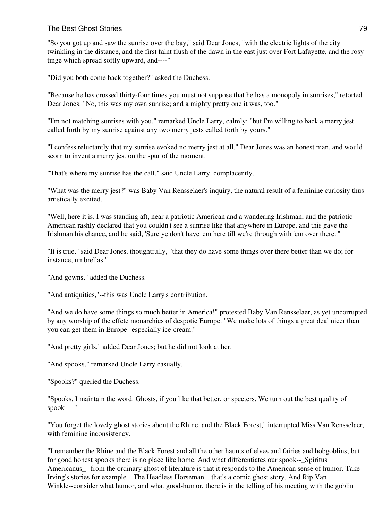"So you got up and saw the sunrise over the bay," said Dear Jones, "with the electric lights of the city twinkling in the distance, and the first faint flush of the dawn in the east just over Fort Lafayette, and the rosy tinge which spread softly upward, and----"

"Did you both come back together?" asked the Duchess.

"Because he has crossed thirty-four times you must not suppose that he has a monopoly in sunrises," retorted Dear Jones. "No, this was my own sunrise; and a mighty pretty one it was, too."

"I'm not matching sunrises with you," remarked Uncle Larry, calmly; "but I'm willing to back a merry jest called forth by my sunrise against any two merry jests called forth by yours."

"I confess reluctantly that my sunrise evoked no merry jest at all." Dear Jones was an honest man, and would scorn to invent a merry jest on the spur of the moment.

"That's where my sunrise has the call," said Uncle Larry, complacently.

"What was the merry jest?" was Baby Van Rensselaer's inquiry, the natural result of a feminine curiosity thus artistically excited.

"Well, here it is. I was standing aft, near a patriotic American and a wandering Irishman, and the patriotic American rashly declared that you couldn't see a sunrise like that anywhere in Europe, and this gave the Irishman his chance, and he said, 'Sure ye don't have 'em here till we're through with 'em over there.'"

"It is true," said Dear Jones, thoughtfully, "that they do have some things over there better than we do; for instance, umbrellas."

"And gowns," added the Duchess.

"And antiquities,"--this was Uncle Larry's contribution.

"And we do have some things so much better in America!" protested Baby Van Rensselaer, as yet uncorrupted by any worship of the effete monarchies of despotic Europe. "We make lots of things a great deal nicer than you can get them in Europe--especially ice-cream."

"And pretty girls," added Dear Jones; but he did not look at her.

"And spooks," remarked Uncle Larry casually.

"Spooks?" queried the Duchess.

"Spooks. I maintain the word. Ghosts, if you like that better, or specters. We turn out the best quality of spook----"

"You forget the lovely ghost stories about the Rhine, and the Black Forest," interrupted Miss Van Rensselaer, with feminine inconsistency.

"I remember the Rhine and the Black Forest and all the other haunts of elves and fairies and hobgoblins; but for good honest spooks there is no place like home. And what differentiates our spook-- Spiritus Americanus --from the ordinary ghost of literature is that it responds to the American sense of humor. Take Irving's stories for example. \_The Headless Horseman\_, that's a comic ghost story. And Rip Van Winkle--consider what humor, and what good-humor, there is in the telling of his meeting with the goblin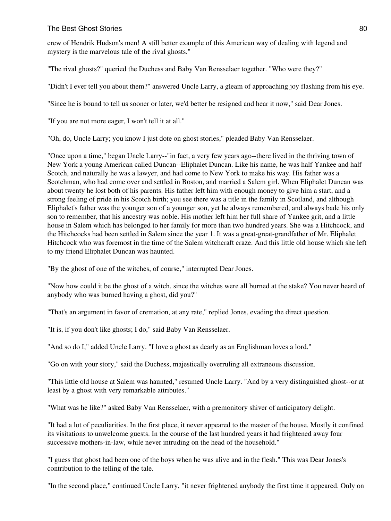crew of Hendrik Hudson's men! A still better example of this American way of dealing with legend and mystery is the marvelous tale of the rival ghosts."

"The rival ghosts?" queried the Duchess and Baby Van Rensselaer together. "Who were they?"

"Didn't I ever tell you about them?" answered Uncle Larry, a gleam of approaching joy flashing from his eye.

"Since he is bound to tell us sooner or later, we'd better be resigned and hear it now," said Dear Jones.

"If you are not more eager, I won't tell it at all."

"Oh, do, Uncle Larry; you know I just dote on ghost stories," pleaded Baby Van Rensselaer.

"Once upon a time," began Uncle Larry--"in fact, a very few years ago--there lived in the thriving town of New York a young American called Duncan--Eliphalet Duncan. Like his name, he was half Yankee and half Scotch, and naturally he was a lawyer, and had come to New York to make his way. His father was a Scotchman, who had come over and settled in Boston, and married a Salem girl. When Eliphalet Duncan was about twenty he lost both of his parents. His father left him with enough money to give him a start, and a strong feeling of pride in his Scotch birth; you see there was a title in the family in Scotland, and although Eliphalet's father was the younger son of a younger son, yet he always remembered, and always bade his only son to remember, that his ancestry was noble. His mother left him her full share of Yankee grit, and a little house in Salem which has belonged to her family for more than two hundred years. She was a Hitchcock, and the Hitchcocks had been settled in Salem since the year 1. It was a great-great-grandfather of Mr. Eliphalet Hitchcock who was foremost in the time of the Salem witchcraft craze. And this little old house which she left to my friend Eliphalet Duncan was haunted.

"By the ghost of one of the witches, of course," interrupted Dear Jones.

"Now how could it be the ghost of a witch, since the witches were all burned at the stake? You never heard of anybody who was burned having a ghost, did you?"

"That's an argument in favor of cremation, at any rate," replied Jones, evading the direct question.

"It is, if you don't like ghosts; I do," said Baby Van Rensselaer.

"And so do I," added Uncle Larry. "I love a ghost as dearly as an Englishman loves a lord."

"Go on with your story," said the Duchess, majestically overruling all extraneous discussion.

"This little old house at Salem was haunted," resumed Uncle Larry. "And by a very distinguished ghost--or at least by a ghost with very remarkable attributes."

"What was he like?" asked Baby Van Rensselaer, with a premonitory shiver of anticipatory delight.

"It had a lot of peculiarities. In the first place, it never appeared to the master of the house. Mostly it confined its visitations to unwelcome guests. In the course of the last hundred years it had frightened away four successive mothers-in-law, while never intruding on the head of the household."

"I guess that ghost had been one of the boys when he was alive and in the flesh." This was Dear Jones's contribution to the telling of the tale.

"In the second place," continued Uncle Larry, "it never frightened anybody the first time it appeared. Only on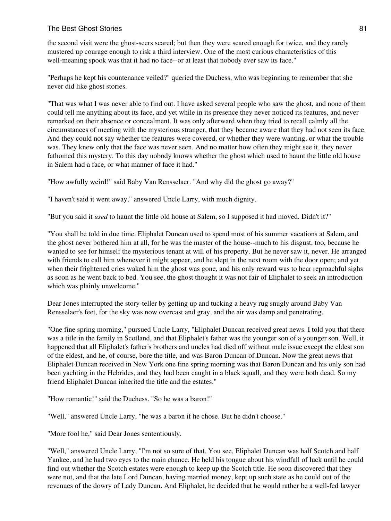the second visit were the ghost-seers scared; but then they were scared enough for twice, and they rarely mustered up courage enough to risk a third interview. One of the most curious characteristics of this well-meaning spook was that it had no face--or at least that nobody ever saw its face."

"Perhaps he kept his countenance veiled?" queried the Duchess, who was beginning to remember that she never did like ghost stories.

"That was what I was never able to find out. I have asked several people who saw the ghost, and none of them could tell me anything about its face, and yet while in its presence they never noticed its features, and never remarked on their absence or concealment. It was only afterward when they tried to recall calmly all the circumstances of meeting with the mysterious stranger, that they became aware that they had not seen its face. And they could not say whether the features were covered, or whether they were wanting, or what the trouble was. They knew only that the face was never seen. And no matter how often they might see it, they never fathomed this mystery. To this day nobody knows whether the ghost which used to haunt the little old house in Salem had a face, or what manner of face it had."

"How awfully weird!" said Baby Van Rensselaer. "And why did the ghost go away?"

"I haven't said it went away," answered Uncle Larry, with much dignity.

"But you said it *used* to haunt the little old house at Salem, so I supposed it had moved. Didn't it?"

"You shall be told in due time. Eliphalet Duncan used to spend most of his summer vacations at Salem, and the ghost never bothered him at all, for he was the master of the house--much to his disgust, too, because he wanted to see for himself the mysterious tenant at will of his property. But he never saw it, never. He arranged with friends to call him whenever it might appear, and he slept in the next room with the door open; and yet when their frightened cries waked him the ghost was gone, and his only reward was to hear reproachful sighs as soon as he went back to bed. You see, the ghost thought it was not fair of Eliphalet to seek an introduction which was plainly unwelcome."

Dear Jones interrupted the story-teller by getting up and tucking a heavy rug snugly around Baby Van Rensselaer's feet, for the sky was now overcast and gray, and the air was damp and penetrating.

"One fine spring morning," pursued Uncle Larry, "Eliphalet Duncan received great news. I told you that there was a title in the family in Scotland, and that Eliphalet's father was the younger son of a younger son. Well, it happened that all Eliphalet's father's brothers and uncles had died off without male issue except the eldest son of the eldest, and he, of course, bore the title, and was Baron Duncan of Duncan. Now the great news that Eliphalet Duncan received in New York one fine spring morning was that Baron Duncan and his only son had been yachting in the Hebrides, and they had been caught in a black squall, and they were both dead. So my friend Eliphalet Duncan inherited the title and the estates."

"How romantic!" said the Duchess. "So he was a baron!"

"Well," answered Uncle Larry, "he was a baron if he chose. But he didn't choose."

"More fool he," said Dear Jones sententiously.

"Well," answered Uncle Larry, "I'm not so sure of that. You see, Eliphalet Duncan was half Scotch and half Yankee, and he had two eyes to the main chance. He held his tongue about his windfall of luck until he could find out whether the Scotch estates were enough to keep up the Scotch title. He soon discovered that they were not, and that the late Lord Duncan, having married money, kept up such state as he could out of the revenues of the dowry of Lady Duncan. And Eliphalet, he decided that he would rather be a well-fed lawyer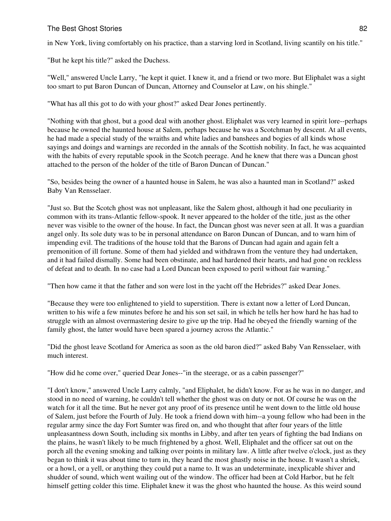in New York, living comfortably on his practice, than a starving lord in Scotland, living scantily on his title."

"But he kept his title?" asked the Duchess.

"Well," answered Uncle Larry, "he kept it quiet. I knew it, and a friend or two more. But Eliphalet was a sight too smart to put Baron Duncan of Duncan, Attorney and Counselor at Law, on his shingle."

"What has all this got to do with your ghost?" asked Dear Jones pertinently.

"Nothing with that ghost, but a good deal with another ghost. Eliphalet was very learned in spirit lore--perhaps because he owned the haunted house at Salem, perhaps because he was a Scotchman by descent. At all events, he had made a special study of the wraiths and white ladies and banshees and bogies of all kinds whose sayings and doings and warnings are recorded in the annals of the Scottish nobility. In fact, he was acquainted with the habits of every reputable spook in the Scotch peerage. And he knew that there was a Duncan ghost attached to the person of the holder of the title of Baron Duncan of Duncan."

"So, besides being the owner of a haunted house in Salem, he was also a haunted man in Scotland?" asked Baby Van Rensselaer.

"Just so. But the Scotch ghost was not unpleasant, like the Salem ghost, although it had one peculiarity in common with its trans-Atlantic fellow-spook. It never appeared to the holder of the title, just as the other never was visible to the owner of the house. In fact, the Duncan ghost was never seen at all. It was a guardian angel only. Its sole duty was to be in personal attendance on Baron Duncan of Duncan, and to warn him of impending evil. The traditions of the house told that the Barons of Duncan had again and again felt a premonition of ill fortune. Some of them had yielded and withdrawn from the venture they had undertaken, and it had failed dismally. Some had been obstinate, and had hardened their hearts, and had gone on reckless of defeat and to death. In no case had a Lord Duncan been exposed to peril without fair warning."

"Then how came it that the father and son were lost in the yacht off the Hebrides?" asked Dear Jones.

"Because they were too enlightened to yield to superstition. There is extant now a letter of Lord Duncan, written to his wife a few minutes before he and his son set sail, in which he tells her how hard he has had to struggle with an almost overmastering desire to give up the trip. Had he obeyed the friendly warning of the family ghost, the latter would have been spared a journey across the Atlantic."

"Did the ghost leave Scotland for America as soon as the old baron died?" asked Baby Van Rensselaer, with much interest.

"How did he come over," queried Dear Jones--"in the steerage, or as a cabin passenger?"

"I don't know," answered Uncle Larry calmly, "and Eliphalet, he didn't know. For as he was in no danger, and stood in no need of warning, he couldn't tell whether the ghost was on duty or not. Of course he was on the watch for it all the time. But he never got any proof of its presence until he went down to the little old house of Salem, just before the Fourth of July. He took a friend down with him--a young fellow who had been in the regular army since the day Fort Sumter was fired on, and who thought that after four years of the little unpleasantness down South, including six months in Libby, and after ten years of fighting the bad Indians on the plains, he wasn't likely to be much frightened by a ghost. Well, Eliphalet and the officer sat out on the porch all the evening smoking and talking over points in military law. A little after twelve o'clock, just as they began to think it was about time to turn in, they heard the most ghastly noise in the house. It wasn't a shriek, or a howl, or a yell, or anything they could put a name to. It was an undeterminate, inexplicable shiver and shudder of sound, which went wailing out of the window. The officer had been at Cold Harbor, but he felt himself getting colder this time. Eliphalet knew it was the ghost who haunted the house. As this weird sound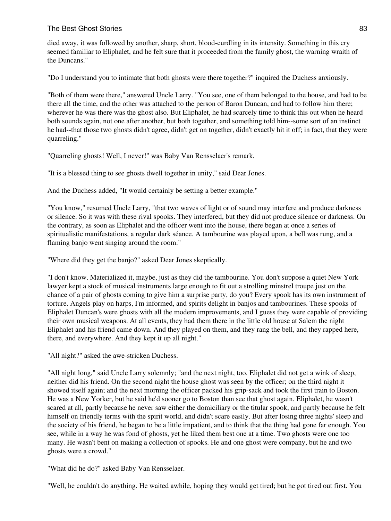died away, it was followed by another, sharp, short, blood-curdling in its intensity. Something in this cry seemed familiar to Eliphalet, and he felt sure that it proceeded from the family ghost, the warning wraith of the Duncans."

"Do I understand you to intimate that both ghosts were there together?" inquired the Duchess anxiously.

"Both of them were there," answered Uncle Larry. "You see, one of them belonged to the house, and had to be there all the time, and the other was attached to the person of Baron Duncan, and had to follow him there; wherever he was there was the ghost also. But Eliphalet, he had scarcely time to think this out when he heard both sounds again, not one after another, but both together, and something told him--some sort of an instinct he had--that those two ghosts didn't agree, didn't get on together, didn't exactly hit it off; in fact, that they were quarreling."

"Quarreling ghosts! Well, I never!" was Baby Van Rensselaer's remark.

"It is a blessed thing to see ghosts dwell together in unity," said Dear Jones.

And the Duchess added, "It would certainly be setting a better example."

"You know," resumed Uncle Larry, "that two waves of light or of sound may interfere and produce darkness or silence. So it was with these rival spooks. They interfered, but they did not produce silence or darkness. On the contrary, as soon as Eliphalet and the officer went into the house, there began at once a series of spiritualistic manifestations, a regular dark séance. A tambourine was played upon, a bell was rung, and a flaming banjo went singing around the room."

"Where did they get the banjo?" asked Dear Jones skeptically.

"I don't know. Materialized it, maybe, just as they did the tambourine. You don't suppose a quiet New York lawyer kept a stock of musical instruments large enough to fit out a strolling minstrel troupe just on the chance of a pair of ghosts coming to give him a surprise party, do you? Every spook has its own instrument of torture. Angels play on harps, I'm informed, and spirits delight in banjos and tambourines. These spooks of Eliphalet Duncan's were ghosts with all the modern improvements, and I guess they were capable of providing their own musical weapons. At all events, they had them there in the little old house at Salem the night Eliphalet and his friend came down. And they played on them, and they rang the bell, and they rapped here, there, and everywhere. And they kept it up all night."

"All night?" asked the awe-stricken Duchess.

"All night long," said Uncle Larry solemnly; "and the next night, too. Eliphalet did not get a wink of sleep, neither did his friend. On the second night the house ghost was seen by the officer; on the third night it showed itself again; and the next morning the officer packed his grip-sack and took the first train to Boston. He was a New Yorker, but he said he'd sooner go to Boston than see that ghost again. Eliphalet, he wasn't scared at all, partly because he never saw either the domiciliary or the titular spook, and partly because he felt himself on friendly terms with the spirit world, and didn't scare easily. But after losing three nights' sleep and the society of his friend, he began to be a little impatient, and to think that the thing had gone far enough. You see, while in a way he was fond of ghosts, yet he liked them best one at a time. Two ghosts were one too many. He wasn't bent on making a collection of spooks. He and one ghost were company, but he and two ghosts were a crowd."

"What did he do?" asked Baby Van Rensselaer.

"Well, he couldn't do anything. He waited awhile, hoping they would get tired; but he got tired out first. You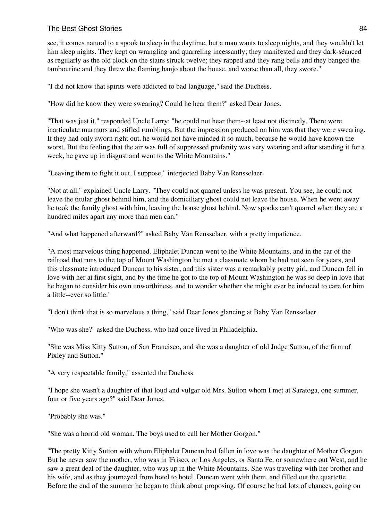see, it comes natural to a spook to sleep in the daytime, but a man wants to sleep nights, and they wouldn't let him sleep nights. They kept on wrangling and quarreling incessantly; they manifested and they dark-séanced as regularly as the old clock on the stairs struck twelve; they rapped and they rang bells and they banged the tambourine and they threw the flaming banjo about the house, and worse than all, they swore."

"I did not know that spirits were addicted to bad language," said the Duchess.

"How did he know they were swearing? Could he hear them?" asked Dear Jones.

"That was just it," responded Uncle Larry; "he could not hear them--at least not distinctly. There were inarticulate murmurs and stifled rumblings. But the impression produced on him was that they were swearing. If they had only sworn right out, he would not have minded it so much, because he would have known the worst. But the feeling that the air was full of suppressed profanity was very wearing and after standing it for a week, he gave up in disgust and went to the White Mountains."

"Leaving them to fight it out, I suppose," interjected Baby Van Rensselaer.

"Not at all," explained Uncle Larry. "They could not quarrel unless he was present. You see, he could not leave the titular ghost behind him, and the domiciliary ghost could not leave the house. When he went away he took the family ghost with him, leaving the house ghost behind. Now spooks can't quarrel when they are a hundred miles apart any more than men can."

"And what happened afterward?" asked Baby Van Rensselaer, with a pretty impatience.

"A most marvelous thing happened. Eliphalet Duncan went to the White Mountains, and in the car of the railroad that runs to the top of Mount Washington he met a classmate whom he had not seen for years, and this classmate introduced Duncan to his sister, and this sister was a remarkably pretty girl, and Duncan fell in love with her at first sight, and by the time he got to the top of Mount Washington he was so deep in love that he began to consider his own unworthiness, and to wonder whether she might ever be induced to care for him a little--ever so little."

"I don't think that is so marvelous a thing," said Dear Jones glancing at Baby Van Rensselaer.

"Who was she?" asked the Duchess, who had once lived in Philadelphia.

"She was Miss Kitty Sutton, of San Francisco, and she was a daughter of old Judge Sutton, of the firm of Pixley and Sutton."

"A very respectable family," assented the Duchess.

"I hope she wasn't a daughter of that loud and vulgar old Mrs. Sutton whom I met at Saratoga, one summer, four or five years ago?" said Dear Jones.

"Probably she was."

"She was a horrid old woman. The boys used to call her Mother Gorgon."

"The pretty Kitty Sutton with whom Eliphalet Duncan had fallen in love was the daughter of Mother Gorgon. But he never saw the mother, who was in 'Frisco, or Los Angeles, or Santa Fe, or somewhere out West, and he saw a great deal of the daughter, who was up in the White Mountains. She was traveling with her brother and his wife, and as they journeyed from hotel to hotel, Duncan went with them, and filled out the quartette. Before the end of the summer he began to think about proposing. Of course he had lots of chances, going on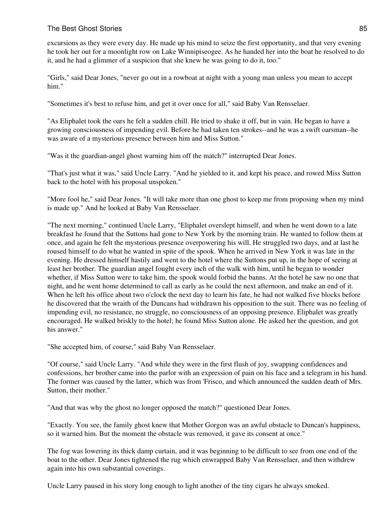excursions as they were every day. He made up his mind to seize the first opportunity, and that very evening he took her out for a moonlight row on Lake Winnipiseogee. As he handed her into the boat he resolved to do it, and he had a glimmer of a suspicion that she knew he was going to do it, too."

"Girls," said Dear Jones, "never go out in a rowboat at night with a young man unless you mean to accept him."

"Sometimes it's best to refuse him, and get it over once for all," said Baby Van Rensselaer.

"As Eliphalet took the oars he felt a sudden chill. He tried to shake it off, but in vain. He began to have a growing consciousness of impending evil. Before he had taken ten strokes--and he was a swift oarsman--he was aware of a mysterious presence between him and Miss Sutton."

"Was it the guardian-angel ghost warning him off the match?" interrupted Dear Jones.

"That's just what it was," said Uncle Larry. "And he yielded to it, and kept his peace, and rowed Miss Sutton back to the hotel with his proposal unspoken."

"More fool he," said Dear Jones. "It will take more than one ghost to keep me from proposing when my mind is made up." And he looked at Baby Van Rensselaer.

"The next morning," continued Uncle Larry, "Eliphalet overslept himself, and when he went down to a late breakfast he found that the Suttons had gone to New York by the morning train. He wanted to follow them at once, and again he felt the mysterious presence overpowering his will. He struggled two days, and at last he roused himself to do what he wanted in spite of the spook. When he arrived in New York it was late in the evening. He dressed himself hastily and went to the hotel where the Suttons put up, in the hope of seeing at least her brother. The guardian angel fought every inch of the walk with him, until he began to wonder whether, if Miss Sutton were to take him, the spook would forbid the banns. At the hotel he saw no one that night, and he went home determined to call as early as he could the next afternoon, and make an end of it. When he left his office about two o'clock the next day to learn his fate, he had not walked five blocks before he discovered that the wraith of the Duncans had withdrawn his opposition to the suit. There was no feeling of impending evil, no resistance, no struggle, no consciousness of an opposing presence. Eliphalet was greatly encouraged. He walked briskly to the hotel; he found Miss Sutton alone. He asked her the question, and got his answer."

"She accepted him, of course," said Baby Van Rensselaer.

"Of course," said Uncle Larry. "And while they were in the first flush of joy, swapping confidences and confessions, her brother came into the parlor with an expression of pain on his face and a telegram in his hand. The former was caused by the latter, which was from 'Frisco, and which announced the sudden death of Mrs. Sutton, their mother."

"And that was why the ghost no longer opposed the match?" questioned Dear Jones.

"Exactly. You see, the family ghost knew that Mother Gorgon was an awful obstacle to Duncan's happiness, so it warned him. But the moment the obstacle was removed, it gave its consent at once."

The fog was lowering its thick damp curtain, and it was beginning to be difficult to see from one end of the boat to the other. Dear Jones tightened the rug which enwrapped Baby Van Rensselaer, and then withdrew again into his own substantial coverings.

Uncle Larry paused in his story long enough to light another of the tiny cigars he always smoked.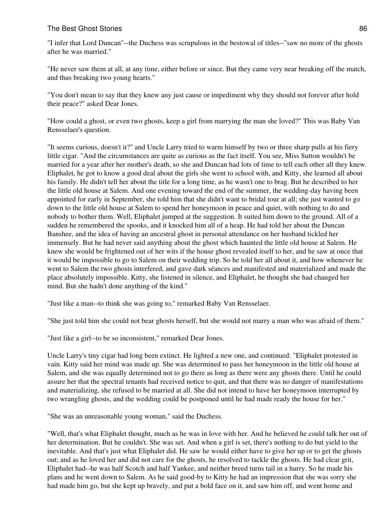"I infer that Lord Duncan"--the Duchess was scrupulous in the bestowal of titles--"saw no more of the ghosts after he was married."

"He never saw them at all, at any time, either before or since. But they came very near breaking off the match, and thus breaking two young hearts."

"You don't mean to say that they knew any just cause or impediment why they should not forever after hold their peace?" asked Dear Jones.

"How could a ghost, or even two ghosts, keep a girl from marrying the man she loved?" This was Baby Van Rensselaer's question.

"It seems curious, doesn't it?" and Uncle Larry tried to warm himself by two or three sharp pulls at his fiery little cigar. "And the circumstances are quite as curious as the fact itself. You see, Miss Sutton wouldn't be married for a year after her mother's death, so she and Duncan had lots of time to tell each other all they knew. Eliphalet, he got to know a good deal about the girls she went to school with, and Kitty, she learned all about his family. He didn't tell her about the title for a long time, as he wasn't one to brag. But he described to her the little old house at Salem. And one evening toward the end of the summer, the wedding-day having been appointed for early in September, she told him that she didn't want to bridal tour at all; she just wanted to go down to the little old house at Salem to spend her honeymoon in peace and quiet, with nothing to do and nobody to bother them. Well, Eliphalet jumped at the suggestion. It suited him down to the ground. All of a sudden he remembered the spooks, and it knocked him all of a heap. He had told her about the Duncan Banshee, and the idea of having an ancestral ghost in personal attendance on her husband tickled her immensely. But he had never said anything about the ghost which haunted the little old house at Salem. He knew she would be frightened out of her wits if the house ghost revealed itself to her, and he saw at once that it would be impossible to go to Salem on their wedding trip. So he told her all about it, and how whenever he went to Salem the two ghosts interfered, and gave dark séances and manifested and materialized and made the place absolutely impossible. Kitty, she listened in silence, and Eliphalet, he thought she had changed her mind. But she hadn't done anything of the kind."

"Just like a man--to think she was going to," remarked Baby Van Rensselaer.

"She just told him she could not bear ghosts herself, but she would not marry a man who was afraid of them."

"Just like a girl--to be so inconsistent," remarked Dear Jones.

Uncle Larry's tiny cigar had long been extinct. He lighted a new one, and continued: "Eliphalet protested in vain. Kitty said her mind was made up. She was determined to pass her honeymoon in the little old house at Salem, and she was equally determined not to go there as long as there were any ghosts there. Until he could assure her that the spectral tenants had received notice to quit, and that there was no danger of manifestations and materializing, she refused to be married at all. She did not intend to have her honeymoon interrupted by two wrangling ghosts, and the wedding could be postponed until he had made ready the house for her."

"She was an unreasonable young woman," said the Duchess.

"Well, that's what Eliphalet thought, much as he was in love with her. And he believed he could talk her out of her determination. But he couldn't. She was set. And when a girl is set, there's nothing to do but yield to the inevitable. And that's just what Eliphalet did. He saw he would either have to give her up or to get the ghosts out; and as he loved her and did not care for the ghosts, he resolved to tackle the ghosts. He had clear grit, Eliphalet had--he was half Scotch and half Yankee, and neither breed turns tail in a hurry. So he made his plans and he went down to Salem. As he said good-by to Kitty he had an impression that she was sorry she had made him go, but she kept up bravely, and put a bold face on it, and saw him off, and went home and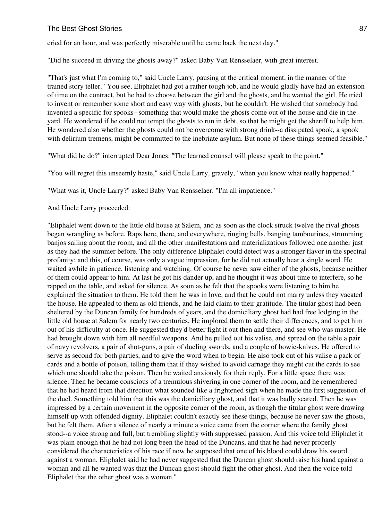cried for an hour, and was perfectly miserable until he came back the next day."

"Did he succeed in driving the ghosts away?" asked Baby Van Rensselaer, with great interest.

"That's just what I'm coming to," said Uncle Larry, pausing at the critical moment, in the manner of the trained story teller. "You see, Eliphalet had got a rather tough job, and he would gladly have had an extension of time on the contract, but he had to choose between the girl and the ghosts, and he wanted the girl. He tried to invent or remember some short and easy way with ghosts, but he couldn't. He wished that somebody had invented a specific for spooks--something that would make the ghosts come out of the house and die in the yard. He wondered if he could not tempt the ghosts to run in debt, so that he might get the sheriff to help him. He wondered also whether the ghosts could not be overcome with strong drink--a dissipated spook, a spook with delirium tremens, might be committed to the inebriate asylum. But none of these things seemed feasible."

"What did he do?" interrupted Dear Jones. "The learned counsel will please speak to the point."

"You will regret this unseemly haste," said Uncle Larry, gravely, "when you know what really happened."

"What was it, Uncle Larry?" asked Baby Van Rensselaer. "I'm all impatience."

And Uncle Larry proceeded:

"Eliphalet went down to the little old house at Salem, and as soon as the clock struck twelve the rival ghosts began wrangling as before. Raps here, there, and everywhere, ringing bells, banging tambourines, strumming banjos sailing about the room, and all the other manifestations and materializations followed one another just as they had the summer before. The only difference Eliphalet could detect was a stronger flavor in the spectral profanity; and this, of course, was only a vague impression, for he did not actually hear a single word. He waited awhile in patience, listening and watching. Of course he never saw either of the ghosts, because neither of them could appear to him. At last he got his dander up, and he thought it was about time to interfere, so he rapped on the table, and asked for silence. As soon as he felt that the spooks were listening to him he explained the situation to them. He told them he was in love, and that he could not marry unless they vacated the house. He appealed to them as old friends, and he laid claim to their gratitude. The titular ghost had been sheltered by the Duncan family for hundreds of years, and the domiciliary ghost had had free lodging in the little old house at Salem for nearly two centuries. He implored them to settle their differences, and to get him out of his difficulty at once. He suggested they'd better fight it out then and there, and see who was master. He had brought down with him all needful weapons. And he pulled out his valise, and spread on the table a pair of navy revolvers, a pair of shot-guns, a pair of dueling swords, and a couple of bowie-knives. He offered to serve as second for both parties, and to give the word when to begin. He also took out of his valise a pack of cards and a bottle of poison, telling them that if they wished to avoid carnage they might cut the cards to see which one should take the poison. Then he waited anxiously for their reply. For a little space there was silence. Then he became conscious of a tremulous shivering in one corner of the room, and he remembered that he had heard from that direction what sounded like a frightened sigh when he made the first suggestion of the duel. Something told him that this was the domiciliary ghost, and that it was badly scared. Then he was impressed by a certain movement in the opposite corner of the room, as though the titular ghost were drawing himself up with offended dignity. Eliphalet couldn't exactly see these things, because he never saw the ghosts, but he felt them. After a silence of nearly a minute a voice came from the corner where the family ghost stood--a voice strong and full, but trembling slightly with suppressed passion. And this voice told Eliphalet it was plain enough that he had not long been the head of the Duncans, and that he had never properly considered the characteristics of his race if now he supposed that one of his blood could draw his sword against a woman. Eliphalet said he had never suggested that the Duncan ghost should raise his hand against a woman and all he wanted was that the Duncan ghost should fight the other ghost. And then the voice told Eliphalet that the other ghost was a woman."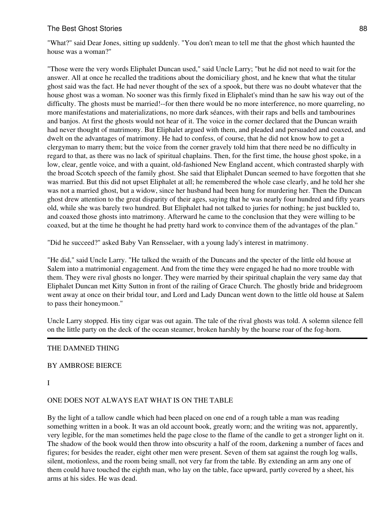"What?" said Dear Jones, sitting up suddenly. "You don't mean to tell me that the ghost which haunted the house was a woman?"

"Those were the very words Eliphalet Duncan used," said Uncle Larry; "but he did not need to wait for the answer. All at once he recalled the traditions about the domiciliary ghost, and he knew that what the titular ghost said was the fact. He had never thought of the sex of a spook, but there was no doubt whatever that the house ghost was a woman. No sooner was this firmly fixed in Eliphalet's mind than he saw his way out of the difficulty. The ghosts must be married!--for then there would be no more interference, no more quarreling, no more manifestations and materializations, no more dark séances, with their raps and bells and tambourines and banjos. At first the ghosts would not hear of it. The voice in the corner declared that the Duncan wraith had never thought of matrimony. But Eliphalet argued with them, and pleaded and persuaded and coaxed, and dwelt on the advantages of matrimony. He had to confess, of course, that he did not know how to get a clergyman to marry them; but the voice from the corner gravely told him that there need be no difficulty in regard to that, as there was no lack of spiritual chaplains. Then, for the first time, the house ghost spoke, in a low, clear, gentle voice, and with a quaint, old-fashioned New England accent, which contrasted sharply with the broad Scotch speech of the family ghost. She said that Eliphalet Duncan seemed to have forgotten that she was married. But this did not upset Eliphalet at all; he remembered the whole case clearly, and he told her she was not a married ghost, but a widow, since her husband had been hung for murdering her. Then the Duncan ghost drew attention to the great disparity of their ages, saying that he was nearly four hundred and fifty years old, while she was barely two hundred. But Eliphalet had not talked to juries for nothing; he just buckled to, and coaxed those ghosts into matrimony. Afterward he came to the conclusion that they were willing to be coaxed, but at the time he thought he had pretty hard work to convince them of the advantages of the plan."

"Did he succeed?" asked Baby Van Rensselaer, with a young lady's interest in matrimony.

"He did," said Uncle Larry. "He talked the wraith of the Duncans and the specter of the little old house at Salem into a matrimonial engagement. And from the time they were engaged he had no more trouble with them. They were rival ghosts no longer. They were married by their spiritual chaplain the very same day that Eliphalet Duncan met Kitty Sutton in front of the railing of Grace Church. The ghostly bride and bridegroom went away at once on their bridal tour, and Lord and Lady Duncan went down to the little old house at Salem to pass their honeymoon."

Uncle Larry stopped. His tiny cigar was out again. The tale of the rival ghosts was told. A solemn silence fell on the little party on the deck of the ocean steamer, broken harshly by the hoarse roar of the fog-horn.

## THE DAMNED THING

#### BY AMBROSE BIERCE

#### I

#### ONE DOES NOT ALWAYS EAT WHAT IS ON THE TABLE

By the light of a tallow candle which had been placed on one end of a rough table a man was reading something written in a book. It was an old account book, greatly worn; and the writing was not, apparently, very legible, for the man sometimes held the page close to the flame of the candle to get a stronger light on it. The shadow of the book would then throw into obscurity a half of the room, darkening a number of faces and figures; for besides the reader, eight other men were present. Seven of them sat against the rough log walls, silent, motionless, and the room being small, not very far from the table. By extending an arm any one of them could have touched the eighth man, who lay on the table, face upward, partly covered by a sheet, his arms at his sides. He was dead.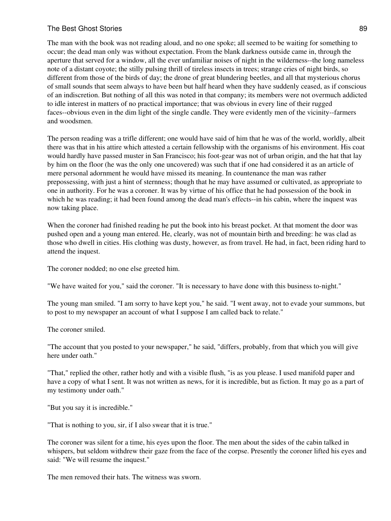The man with the book was not reading aloud, and no one spoke; all seemed to be waiting for something to occur; the dead man only was without expectation. From the blank darkness outside came in, through the aperture that served for a window, all the ever unfamiliar noises of night in the wilderness--the long nameless note of a distant coyote; the stilly pulsing thrill of tireless insects in trees; strange cries of night birds, so different from those of the birds of day; the drone of great blundering beetles, and all that mysterious chorus of small sounds that seem always to have been but half heard when they have suddenly ceased, as if conscious of an indiscretion. But nothing of all this was noted in that company; its members were not overmuch addicted to idle interest in matters of no practical importance; that was obvious in every line of their rugged faces--obvious even in the dim light of the single candle. They were evidently men of the vicinity--farmers and woodsmen.

The person reading was a trifle different; one would have said of him that he was of the world, worldly, albeit there was that in his attire which attested a certain fellowship with the organisms of his environment. His coat would hardly have passed muster in San Francisco; his foot-gear was not of urban origin, and the hat that lay by him on the floor (he was the only one uncovered) was such that if one had considered it as an article of mere personal adornment he would have missed its meaning. In countenance the man was rather prepossessing, with just a hint of sternness; though that he may have assumed or cultivated, as appropriate to one in authority. For he was a coroner. It was by virtue of his office that he had possession of the book in which he was reading; it had been found among the dead man's effects--in his cabin, where the inquest was now taking place.

When the coroner had finished reading he put the book into his breast pocket. At that moment the door was pushed open and a young man entered. He, clearly, was not of mountain birth and breeding: he was clad as those who dwell in cities. His clothing was dusty, however, as from travel. He had, in fact, been riding hard to attend the inquest.

The coroner nodded; no one else greeted him.

"We have waited for you," said the coroner. "It is necessary to have done with this business to-night."

The young man smiled. "I am sorry to have kept you," he said. "I went away, not to evade your summons, but to post to my newspaper an account of what I suppose I am called back to relate."

The coroner smiled.

"The account that you posted to your newspaper," he said, "differs, probably, from that which you will give here under oath."

"That," replied the other, rather hotly and with a visible flush, "is as you please. I used manifold paper and have a copy of what I sent. It was not written as news, for it is incredible, but as fiction. It may go as a part of my testimony under oath."

"But you say it is incredible."

"That is nothing to you, sir, if I also swear that it is true."

The coroner was silent for a time, his eyes upon the floor. The men about the sides of the cabin talked in whispers, but seldom withdrew their gaze from the face of the corpse. Presently the coroner lifted his eyes and said: "We will resume the inquest."

The men removed their hats. The witness was sworn.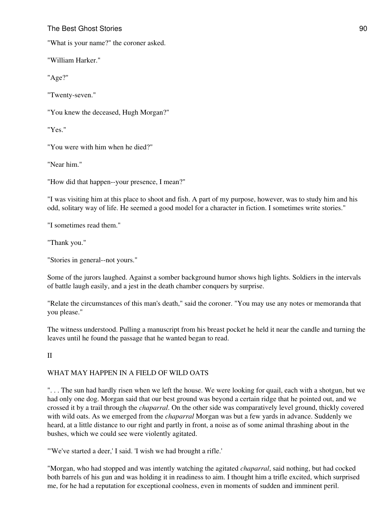"What is your name?" the coroner asked.

"William Harker."

"Age?"

"Twenty-seven."

"You knew the deceased, Hugh Morgan?"

"Yes."

"You were with him when he died?"

"Near him."

"How did that happen--your presence, I mean?"

"I was visiting him at this place to shoot and fish. A part of my purpose, however, was to study him and his odd, solitary way of life. He seemed a good model for a character in fiction. I sometimes write stories."

"I sometimes read them."

"Thank you."

"Stories in general--not yours."

Some of the jurors laughed. Against a somber background humor shows high lights. Soldiers in the intervals of battle laugh easily, and a jest in the death chamber conquers by surprise.

"Relate the circumstances of this man's death," said the coroner. "You may use any notes or memoranda that you please."

The witness understood. Pulling a manuscript from his breast pocket he held it near the candle and turning the leaves until he found the passage that he wanted began to read.

#### II

## WHAT MAY HAPPEN IN A FIELD OF WILD OATS

". . . The sun had hardly risen when we left the house. We were looking for quail, each with a shotgun, but we had only one dog. Morgan said that our best ground was beyond a certain ridge that he pointed out, and we crossed it by a trail through the *chaparral*. On the other side was comparatively level ground, thickly covered with wild oats. As we emerged from the *chaparral* Morgan was but a few yards in advance. Suddenly we heard, at a little distance to our right and partly in front, a noise as of some animal thrashing about in the bushes, which we could see were violently agitated.

"'We've started a deer,' I said. 'I wish we had brought a rifle.'

"Morgan, who had stopped and was intently watching the agitated *chaparral*, said nothing, but had cocked both barrels of his gun and was holding it in readiness to aim. I thought him a trifle excited, which surprised me, for he had a reputation for exceptional coolness, even in moments of sudden and imminent peril.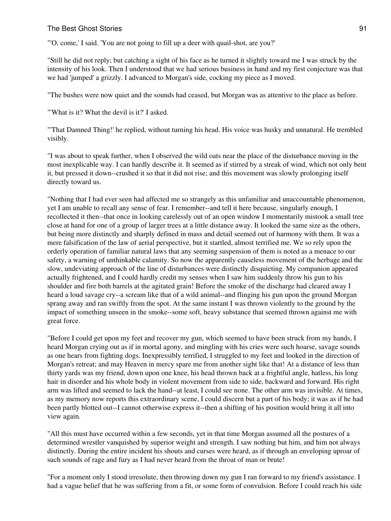"'O, come,' I said. 'You are not going to fill up a deer with quail-shot, are you?'

"Still he did not reply; but catching a sight of his face as he turned it slightly toward me I was struck by the intensity of his look. Then I understood that we had serious business in hand and my first conjecture was that we had 'jumped' a grizzly. I advanced to Morgan's side, cocking my piece as I moved.

"The bushes were now quiet and the sounds had ceased, but Morgan was as attentive to the place as before.

"'What is it? What the devil is it?' I asked.

"'That Damned Thing!' he replied, without turning his head. His voice was husky and unnatural. He trembled visibly.

"I was about to speak further, when I observed the wild oats near the place of the disturbance moving in the most inexplicable way. I can hardly describe it. It seemed as if stirred by a streak of wind, which not only bent it, but pressed it down--crushed it so that it did not rise; and this movement was slowly prolonging itself directly toward us.

"Nothing that I had ever seen had affected me so strangely as this unfamiliar and unaccountable phenomenon, yet I am unable to recall any sense of fear. I remember--and tell it here because, singularly enough, I recollected it then--that once in looking carelessly out of an open window I momentarily mistook a small tree close at hand for one of a group of larger trees at a little distance away. It looked the same size as the others, but being more distinctly and sharply defined in mass and detail seemed out of harmony with them. It was a mere falsification of the law of aerial perspective, but it startled, almost terrified me. We so rely upon the orderly operation of familiar natural laws that any seeming suspension of them is noted as a menace to our safety, a warning of unthinkable calamity. So now the apparently causeless movement of the herbage and the slow, undeviating approach of the line of disturbances were distinctly disquieting. My companion appeared actually frightened, and I could hardly credit my senses when I saw him suddenly throw his gun to his shoulder and fire both barrels at the agitated grain! Before the smoke of the discharge had cleared away I heard a loud savage cry--a scream like that of a wild animal--and flinging his gun upon the ground Morgan sprang away and ran swiftly from the spot. At the same instant I was thrown violently to the ground by the impact of something unseen in the smoke--some soft, heavy substance that seemed thrown against me with great force.

"Before I could get upon my feet and recover my gun, which seemed to have been struck from my hands, I heard Morgan crying out as if in mortal agony, and mingling with his cries were such hoarse, savage sounds as one hears from fighting dogs. Inexpressibly terrified, I struggled to my feet and looked in the direction of Morgan's retreat; and may Heaven in mercy spare me from another sight like that! At a distance of less than thirty yards was my friend, down upon one knee, his head thrown back at a frightful angle, hatless, his long hair in disorder and his whole body in violent movement from side to side, backward and forward. His right arm was lifted and seemed to lack the hand--at least, I could see none. The other arm was invisible. At times, as my memory now reports this extraordinary scene, I could discern but a part of his body; it was as if he had been partly blotted out--I cannot otherwise express it--then a shifting of his position would bring it all into view again.

"All this must have occurred within a few seconds, yet in that time Morgan assumed all the postures of a determined wrestler vanquished by superior weight and strength. I saw nothing but him, and him not always distinctly. During the entire incident his shouts and curses were heard, as if through an enveloping uproar of such sounds of rage and fury as I had never heard from the throat of man or brute!

"For a moment only I stood irresolute, then throwing down my gun I ran forward to my friend's assistance. I had a vague belief that he was suffering from a fit, or some form of convulsion. Before I could reach his side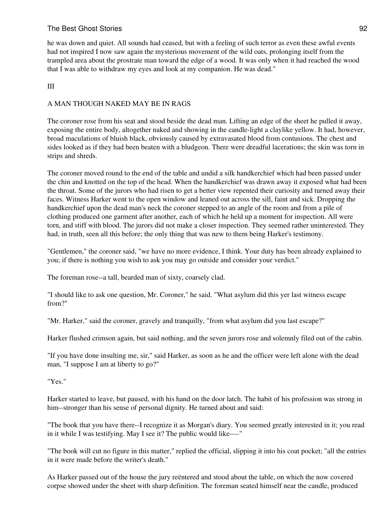# The Best Ghost Stories 622 and 2022 12:00 12:00 12:00 12:00 12:00 12:00 12:00 12:00 12:00 12:00 12:00 12:00 12:00 12:00 12:00 12:00 12:00 12:00 12:00 12:00 12:00 12:00 12:00 12:00 12:00 12:00 12:00 12:00 12:00 12:00 12:00

he was down and quiet. All sounds had ceased, but with a feeling of such terror as even these awful events had not inspired I now saw again the mysterious movement of the wild oats, prolonging itself from the trampled area about the prostrate man toward the edge of a wood. It was only when it had reached the wood that I was able to withdraw my eyes and look at my companion. He was dead."

# III

# A MAN THOUGH NAKED MAY BE IN RAGS

The coroner rose from his seat and stood beside the dead man. Lifting an edge of the sheet he pulled it away, exposing the entire body, altogether naked and showing in the candle-light a claylike yellow. It had, however, broad maculations of bluish black, obviously caused by extravasated blood from contusions. The chest and sides looked as if they had been beaten with a bludgeon. There were dreadful lacerations; the skin was torn in strips and shreds.

The coroner moved round to the end of the table and undid a silk handkerchief which had been passed under the chin and knotted on the top of the head. When the handkerchief was drawn away it exposed what had been the throat. Some of the jurors who had risen to get a better view repented their curiosity and turned away their faces. Witness Harker went to the open window and leaned out across the sill, faint and sick. Dropping the handkerchief upon the dead man's neck the coroner stepped to an angle of the room and from a pile of clothing produced one garment after another, each of which he held up a moment for inspection. All were torn, and stiff with blood. The jurors did not make a closer inspection. They seemed rather uninterested. They had, in truth, seen all this before; the only thing that was new to them being Harker's testimony.

"Gentlemen," the coroner said, "we have no more evidence, I think. Your duty has been already explained to you; if there is nothing you wish to ask you may go outside and consider your verdict."

The foreman rose--a tall, bearded man of sixty, coarsely clad.

"I should like to ask one question, Mr. Coroner," he said. "What asylum did this yer last witness escape from?"

"Mr. Harker," said the coroner, gravely and tranquilly, "from what asylum did you last escape?"

Harker flushed crimson again, but said nothing, and the seven jurors rose and solemnly filed out of the cabin.

"If you have done insulting me, sir," said Harker, as soon as he and the officer were left alone with the dead man, "I suppose I am at liberty to go?"

"Yes."

Harker started to leave, but paused, with his hand on the door latch. The habit of his profession was strong in him--stronger than his sense of personal dignity. He turned about and said:

"The book that you have there--I recognize it as Morgan's diary. You seemed greatly interested in it; you read in it while I was testifying. May I see it? The public would like----"

"The book will cut no figure in this matter," replied the official, slipping it into his coat pocket; "all the entries in it were made before the writer's death."

As Harker passed out of the house the jury reëntered and stood about the table, on which the now covered corpse showed under the sheet with sharp definition. The foreman seated himself near the candle, produced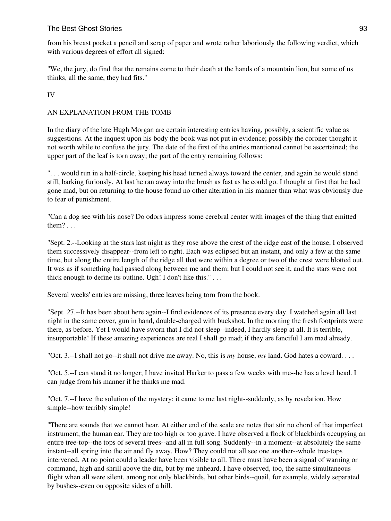from his breast pocket a pencil and scrap of paper and wrote rather laboriously the following verdict, which with various degrees of effort all signed:

"We, the jury, do find that the remains come to their death at the hands of a mountain lion, but some of us thinks, all the same, they had fits."

IV

# AN EXPLANATION FROM THE TOMB

In the diary of the late Hugh Morgan are certain interesting entries having, possibly, a scientific value as suggestions. At the inquest upon his body the book was not put in evidence; possibly the coroner thought it not worth while to confuse the jury. The date of the first of the entries mentioned cannot be ascertained; the upper part of the leaf is torn away; the part of the entry remaining follows:

". . . would run in a half-circle, keeping his head turned always toward the center, and again he would stand still, barking furiously. At last he ran away into the brush as fast as he could go. I thought at first that he had gone mad, but on returning to the house found no other alteration in his manner than what was obviously due to fear of punishment.

"Can a dog see with his nose? Do odors impress some cerebral center with images of the thing that emitted them? . . .

"Sept. 2.--Looking at the stars last night as they rose above the crest of the ridge east of the house, I observed them successively disappear--from left to right. Each was eclipsed but an instant, and only a few at the same time, but along the entire length of the ridge all that were within a degree or two of the crest were blotted out. It was as if something had passed along between me and them; but I could not see it, and the stars were not thick enough to define its outline. Ugh! I don't like this." . . .

Several weeks' entries are missing, three leaves being torn from the book.

"Sept. 27.--It has been about here again--I find evidences of its presence every day. I watched again all last night in the same cover, gun in hand, double-charged with buckshot. In the morning the fresh footprints were there, as before. Yet I would have sworn that I did not sleep--indeed, I hardly sleep at all. It is terrible, insupportable! If these amazing experiences are real I shall go mad; if they are fanciful I am mad already.

"Oct. 3.--I shall not go--it shall not drive me away. No, this is *my* house, *my* land. God hates a coward. . . .

"Oct. 5.--I can stand it no longer; I have invited Harker to pass a few weeks with me--he has a level head. I can judge from his manner if he thinks me mad.

"Oct. 7.--I have the solution of the mystery; it came to me last night--suddenly, as by revelation. How simple--how terribly simple!

"There are sounds that we cannot hear. At either end of the scale are notes that stir no chord of that imperfect instrument, the human ear. They are too high or too grave. I have observed a flock of blackbirds occupying an entire tree-top--the tops of several trees--and all in full song. Suddenly--in a moment--at absolutely the same instant--all spring into the air and fly away. How? They could not all see one another--whole tree-tops intervened. At no point could a leader have been visible to all. There must have been a signal of warning or command, high and shrill above the din, but by me unheard. I have observed, too, the same simultaneous flight when all were silent, among not only blackbirds, but other birds--quail, for example, widely separated by bushes--even on opposite sides of a hill.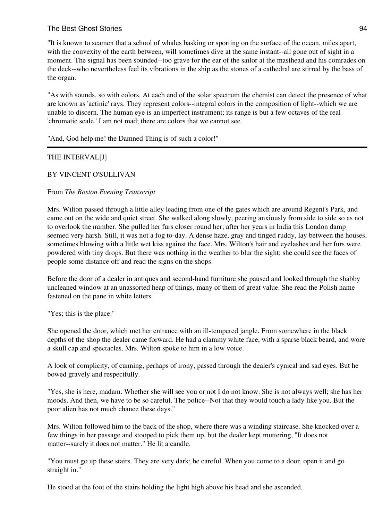## The Best Ghost Stories 64 and 200 million and 200 million and 200 million and 200 million and 200 million and 201 million and 201 million and 201 million and 201 million and 201 million and 201 million and 201 million and

"It is known to seamen that a school of whales basking or sporting on the surface of the ocean, miles apart, with the convexity of the earth between, will sometimes dive at the same instant--all gone out of sight in a moment. The signal has been sounded--too grave for the ear of the sailor at the masthead and his comrades on the deck--who nevertheless feel its vibrations in the ship as the stones of a cathedral are stirred by the bass of the organ.

"As with sounds, so with colors. At each end of the solar spectrum the chemist can detect the presence of what are known as 'actinic' rays. They represent colors--integral colors in the composition of light--which we are unable to discern. The human eye is an imperfect instrument; its range is but a few octaves of the real 'chromatic scale.' I am not mad; there are colors that we cannot see.

"And, God help me! the Damned Thing is of such a color!"

## THE INTERVAL[J]

#### BY VINCENT O'SULLIVAN

#### From *The Boston Evening Transcript*

Mrs. Wilton passed through a little alley leading from one of the gates which are around Regent's Park, and came out on the wide and quiet street. She walked along slowly, peering anxiously from side to side so as not to overlook the number. She pulled her furs closer round her; after her years in India this London damp seemed very harsh. Still, it was not a fog to-day. A dense haze, gray and tinged ruddy, lay between the houses, sometimes blowing with a little wet kiss against the face. Mrs. Wilton's hair and eyelashes and her furs were powdered with tiny drops. But there was nothing in the weather to blur the sight; she could see the faces of people some distance off and read the signs on the shops.

Before the door of a dealer in antiques and second-hand furniture she paused and looked through the shabby uncleaned window at an unassorted heap of things, many of them of great value. She read the Polish name fastened on the pane in white letters.

"Yes; this is the place."

She opened the door, which met her entrance with an ill-tempered jangle. From somewhere in the black depths of the shop the dealer came forward. He had a clammy white face, with a sparse black beard, and wore a skull cap and spectacles. Mrs. Wilton spoke to him in a low voice.

A look of complicity, of cunning, perhaps of irony, passed through the dealer's cynical and sad eyes. But he bowed gravely and respectfully.

"Yes, she is here, madam. Whether she will see you or not I do not know. She is not always well; she has her moods. And then, we have to be so careful. The police--Not that they would touch a lady like you. But the poor alien has not much chance these days."

Mrs. Wilton followed him to the back of the shop, where there was a winding staircase. She knocked over a few things in her passage and stooped to pick them up, but the dealer kept muttering, "It does not matter--surely it does not matter." He lit a candle.

"You must go up these stairs. They are very dark; be careful. When you come to a door, open it and go straight in."

He stood at the foot of the stairs holding the light high above his head and she ascended.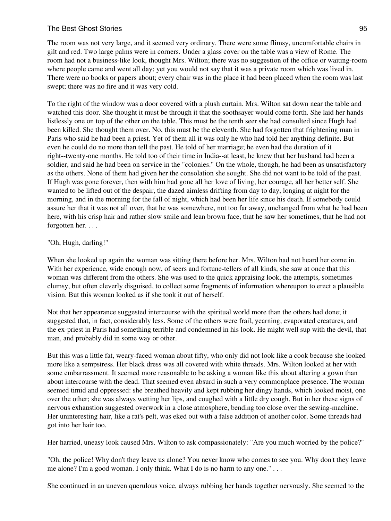## The Best Ghost Stories 65 and 200 million and 200 million and 200 million and 200 million and 200 million and 200 million and 200 million and 200 million and 200 million and 200 million and 200 million and 200 million and

The room was not very large, and it seemed very ordinary. There were some flimsy, uncomfortable chairs in gilt and red. Two large palms were in corners. Under a glass cover on the table was a view of Rome. The room had not a business-like look, thought Mrs. Wilton; there was no suggestion of the office or waiting-room where people came and went all day; yet you would not say that it was a private room which was lived in. There were no books or papers about; every chair was in the place it had been placed when the room was last swept; there was no fire and it was very cold.

To the right of the window was a door covered with a plush curtain. Mrs. Wilton sat down near the table and watched this door. She thought it must be through it that the soothsayer would come forth. She laid her hands listlessly one on top of the other on the table. This must be the tenth seer she had consulted since Hugh had been killed. She thought them over. No, this must be the eleventh. She had forgotten that frightening man in Paris who said he had been a priest. Yet of them all it was only he who had told her anything definite. But even he could do no more than tell the past. He told of her marriage; he even had the duration of it right--twenty-one months. He told too of their time in India--at least, he knew that her husband had been a soldier, and said he had been on service in the "colonies." On the whole, though, he had been as unsatisfactory as the others. None of them had given her the consolation she sought. She did not want to be told of the past. If Hugh was gone forever, then with him had gone all her love of living, her courage, all her better self. She wanted to be lifted out of the despair, the dazed aimless drifting from day to day, longing at night for the morning, and in the morning for the fall of night, which had been her life since his death. If somebody could assure her that it was not all over, that he was somewhere, not too far away, unchanged from what he had been here, with his crisp hair and rather slow smile and lean brown face, that he saw her sometimes, that he had not forgotten her. . . .

#### "Oh, Hugh, darling!"

When she looked up again the woman was sitting there before her. Mrs. Wilton had not heard her come in. With her experience, wide enough now, of seers and fortune-tellers of all kinds, she saw at once that this woman was different from the others. She was used to the quick appraising look, the attempts, sometimes clumsy, but often cleverly disguised, to collect some fragments of information whereupon to erect a plausible vision. But this woman looked as if she took it out of herself.

Not that her appearance suggested intercourse with the spiritual world more than the others had done; it suggested that, in fact, considerably less. Some of the others were frail, yearning, evaporated creatures, and the ex-priest in Paris had something terrible and condemned in his look. He might well sup with the devil, that man, and probably did in some way or other.

But this was a little fat, weary-faced woman about fifty, who only did not look like a cook because she looked more like a sempstress. Her black dress was all covered with white threads. Mrs. Wilton looked at her with some embarrassment. It seemed more reasonable to be asking a woman like this about altering a gown than about intercourse with the dead. That seemed even absurd in such a very commonplace presence. The woman seemed timid and oppressed: she breathed heavily and kept rubbing her dingy hands, which looked moist, one over the other; she was always wetting her lips, and coughed with a little dry cough. But in her these signs of nervous exhaustion suggested overwork in a close atmosphere, bending too close over the sewing-machine. Her uninteresting hair, like a rat's pelt, was eked out with a false addition of another color. Some threads had got into her hair too.

Her harried, uneasy look caused Mrs. Wilton to ask compassionately: "Are you much worried by the police?"

"Oh, the police! Why don't they leave us alone? You never know who comes to see you. Why don't they leave me alone? I'm a good woman. I only think. What I do is no harm to any one." . . .

She continued in an uneven querulous voice, always rubbing her hands together nervously. She seemed to the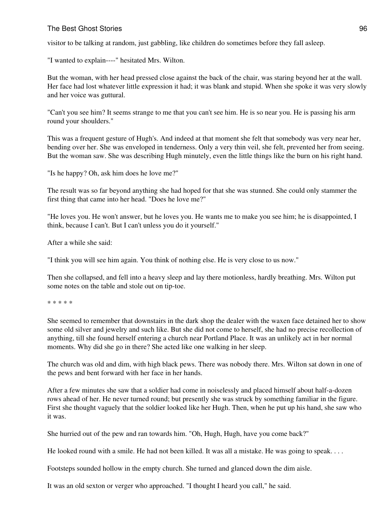#### The Best Ghost Stories **96** and the Best Ghost Stories **96** and the Best Ghost Stories **96** and the Best Ghost Stories **96** and the Best Ghost Stories **96** and the Best Ghost Stories **96** and the Best Ghost Stories **96** an

visitor to be talking at random, just gabbling, like children do sometimes before they fall asleep.

"I wanted to explain----" hesitated Mrs. Wilton.

But the woman, with her head pressed close against the back of the chair, was staring beyond her at the wall. Her face had lost whatever little expression it had; it was blank and stupid. When she spoke it was very slowly and her voice was guttural.

"Can't you see him? It seems strange to me that you can't see him. He is so near you. He is passing his arm round your shoulders."

This was a frequent gesture of Hugh's. And indeed at that moment she felt that somebody was very near her, bending over her. She was enveloped in tenderness. Only a very thin veil, she felt, prevented her from seeing. But the woman saw. She was describing Hugh minutely, even the little things like the burn on his right hand.

"Is he happy? Oh, ask him does he love me?"

The result was so far beyond anything she had hoped for that she was stunned. She could only stammer the first thing that came into her head. "Does he love me?"

"He loves you. He won't answer, but he loves you. He wants me to make you see him; he is disappointed, I think, because I can't. But I can't unless you do it yourself."

After a while she said:

"I think you will see him again. You think of nothing else. He is very close to us now."

Then she collapsed, and fell into a heavy sleep and lay there motionless, hardly breathing. Mrs. Wilton put some notes on the table and stole out on tip-toe.

\* \* \* \* \*

She seemed to remember that downstairs in the dark shop the dealer with the waxen face detained her to show some old silver and jewelry and such like. But she did not come to herself, she had no precise recollection of anything, till she found herself entering a church near Portland Place. It was an unlikely act in her normal moments. Why did she go in there? She acted like one walking in her sleep.

The church was old and dim, with high black pews. There was nobody there. Mrs. Wilton sat down in one of the pews and bent forward with her face in her hands.

After a few minutes she saw that a soldier had come in noiselessly and placed himself about half-a-dozen rows ahead of her. He never turned round; but presently she was struck by something familiar in the figure. First she thought vaguely that the soldier looked like her Hugh. Then, when he put up his hand, she saw who it was.

She hurried out of the pew and ran towards him. "Oh, Hugh, Hugh, have you come back?"

He looked round with a smile. He had not been killed. It was all a mistake. He was going to speak. . . .

Footsteps sounded hollow in the empty church. She turned and glanced down the dim aisle.

It was an old sexton or verger who approached. "I thought I heard you call," he said.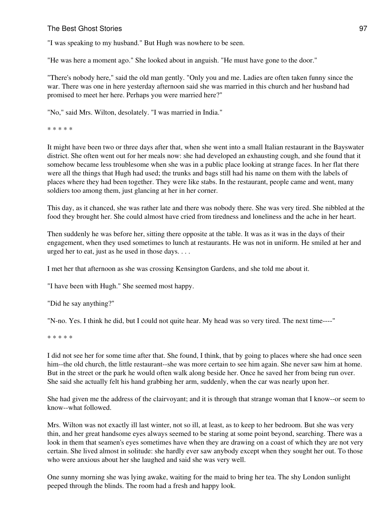"I was speaking to my husband." But Hugh was nowhere to be seen.

"He was here a moment ago." She looked about in anguish. "He must have gone to the door."

"There's nobody here," said the old man gently. "Only you and me. Ladies are often taken funny since the war. There was one in here yesterday afternoon said she was married in this church and her husband had promised to meet her here. Perhaps you were married here?"

"No," said Mrs. Wilton, desolately. "I was married in India."

\* \* \* \* \*

It might have been two or three days after that, when she went into a small Italian restaurant in the Bayswater district. She often went out for her meals now: she had developed an exhausting cough, and she found that it somehow became less troublesome when she was in a public place looking at strange faces. In her flat there were all the things that Hugh had used; the trunks and bags still had his name on them with the labels of places where they had been together. They were like stabs. In the restaurant, people came and went, many soldiers too among them, just glancing at her in her corner.

This day, as it chanced, she was rather late and there was nobody there. She was very tired. She nibbled at the food they brought her. She could almost have cried from tiredness and loneliness and the ache in her heart.

Then suddenly he was before her, sitting there opposite at the table. It was as it was in the days of their engagement, when they used sometimes to lunch at restaurants. He was not in uniform. He smiled at her and urged her to eat, just as he used in those days. . . .

I met her that afternoon as she was crossing Kensington Gardens, and she told me about it.

"I have been with Hugh." She seemed most happy.

"Did he say anything?"

"N-no. Yes. I think he did, but I could not quite hear. My head was so very tired. The next time----"

\* \* \* \* \*

I did not see her for some time after that. She found, I think, that by going to places where she had once seen him--the old church, the little restaurant--she was more certain to see him again. She never saw him at home. But in the street or the park he would often walk along beside her. Once he saved her from being run over. She said she actually felt his hand grabbing her arm, suddenly, when the car was nearly upon her.

She had given me the address of the clairvoyant; and it is through that strange woman that I know--or seem to know--what followed.

Mrs. Wilton was not exactly ill last winter, not so ill, at least, as to keep to her bedroom. But she was very thin, and her great handsome eyes always seemed to be staring at some point beyond, searching. There was a look in them that seamen's eyes sometimes have when they are drawing on a coast of which they are not very certain. She lived almost in solitude: she hardly ever saw anybody except when they sought her out. To those who were anxious about her she laughed and said she was very well.

One sunny morning she was lying awake, waiting for the maid to bring her tea. The shy London sunlight peeped through the blinds. The room had a fresh and happy look.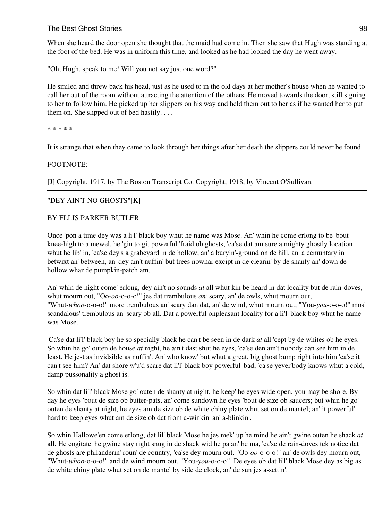## The Best Ghost Stories 68 and the Stories 68 and the Stories of the Stories 68 and the Stories 68 and the Stories 68 and the Stories 68 and the Stories 68 and the Stories 68 and the Stories 68 and the Stories 68 and the St

When she heard the door open she thought that the maid had come in. Then she saw that Hugh was standing at the foot of the bed. He was in uniform this time, and looked as he had looked the day he went away.

"Oh, Hugh, speak to me! Will you not say just one word?"

He smiled and threw back his head, just as he used to in the old days at her mother's house when he wanted to call her out of the room without attracting the attention of the others. He moved towards the door, still signing to her to follow him. He picked up her slippers on his way and held them out to her as if he wanted her to put them on. She slipped out of bed hastily. . . .

\* \* \* \* \*

It is strange that when they came to look through her things after her death the slippers could never be found.

#### FOOTNOTE:

[J] Copyright, 1917, by The Boston Transcript Co. Copyright, 1918, by Vincent O'Sullivan.

#### "DEY AIN'T NO GHOSTS"[K]

#### BY ELLIS PARKER BUTLER

Once 'pon a time dey was a li'l' black boy whut he name was Mose. An' whin he come erlong to be 'bout knee-high to a mewel, he 'gin to git powerful 'fraid ob ghosts, 'ca'se dat am sure a mighty ghostly location whut he lib' in, 'ca'se dey's a grabeyard in de hollow, an' a buryin'-ground on de hill, an' a cemuntary in betwixt an' between, an' dey ain't nuffin' but trees nowhar excipt in de clearin' by de shanty an' down de hollow whar de pumpkin-patch am.

An' whin de night come' erlong, dey ain't no sounds *at* all whut kin be heard in dat locality but de rain-doves, whut mourn out, "Oo-*oo*-o-o-o!" jes dat trembulous *an'* scary, an' de owls, whut mourn out, "Whut-*whoo*-o-o-o!" more trembulous an' scary dan dat, an' de wind, whut mourn out, "You-*you*-o-o-o!" mos' scandalous' trembulous an' scary ob all. Dat a powerful onpleasant locality for a li'l' black boy whut he name was Mose.

'Ca'se dat li'l' black boy he so specially black he can't be seen in de dark *at* all 'cept by de whites ob he eyes. So whin he go' outen de house *at* night, he ain't dast shut he eyes, 'ca'se den ain't nobody can see him in de least. He jest as invidsible as nuffin'. An' who know' but whut a great, big ghost bump right into him 'ca'se it can't see him? An' dat shore w'u'd scare dat li'l' black boy powerful' bad, 'ca'se yever'body knows whut a cold, damp pussonality a ghost is.

So whin dat li'l' black Mose go' outen de shanty at night, he keep' he eyes wide open, you may be shore. By day he eyes 'bout de size ob butter-pats, an' come sundown he eyes 'bout de size ob saucers; but whin he go' outen de shanty at night, he eyes am de size ob de white chiny plate whut set on de mantel; an' it powerful' hard to keep eyes whut am de size ob dat from a-winkin' an' a-blinkin'.

So whin Hallowe'en come erlong, dat lil' black Mose he jes mek' up he mind he ain't gwine outen he shack *at* all. He cogitate' he gwine stay right snug in de shack wid he pa an' he ma, 'ca'se de rain-doves tek notice dat de ghosts are philanderin' roun' de country, 'ca'se dey mourn out, "Oo-*oo*-o-o-o!" an' de owls dey mourn out, "Whut-*whoo*-o-o-o!" and de wind mourn out, "You-*you*-o-o-o!" De eyes ob dat li'l' black Mose dey as big as de white chiny plate whut set on de mantel by side de clock, an' de sun jes a-settin'.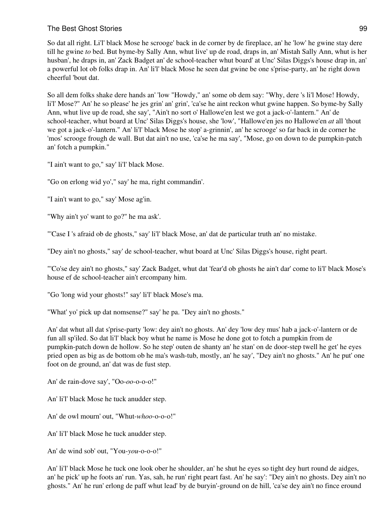So dat all right. Li'l' black Mose he scrooge' back in de corner by de fireplace, an' he 'low' he gwine stay dere till he gwine *to* bed. But byme-by Sally Ann, whut live' up de road, draps in, an' Mistah Sally Ann, whut is her husban', he draps in, an' Zack Badget an' de school-teacher whut board' at Unc' Silas Diggs's house drap in, an' a powerful lot ob folks drap in. An' li'l' black Mose he seen dat gwine be one s'prise-party, an' he right down cheerful 'bout dat.

So all dem folks shake dere hands an' 'low "Howdy," an' some ob dem say: "Why, dere 's li'l Mose! Howdy, li'l' Mose?" An' he so please' he jes grin' an' grin', 'ca'se he aint reckon whut gwine happen. So byme-by Sally Ann, whut live up de road, she say', "Ain't no sort o' Hallowe'en lest we got a jack-o'-lantern." An' de school-teacher, whut board at Unc' Silas Diggs's house, she 'low', "Hallowe'en jes no Hallowe'en *at* all 'thout we got a jack-o'-lantern." An' li'l' black Mose he stop' a-grinnin', an' he scrooge' so far back in de corner he 'mos' scrooge frough de wall. But dat ain't no use, 'ca'se he ma say', "Mose, go on down to de pumpkin-patch an' fotch a pumpkin."

"I ain't want to go," say' li'l' black Mose.

"Go on erlong wid yo'," say' he ma, right commandin'.

"I ain't want to go," say' Mose ag'in.

"Why ain't yo' want to go?" he ma ask'.

"'Case I 's afraid ob de ghosts," say' li'l' black Mose, an' dat de particular truth an' no mistake.

"Dey ain't no ghosts," say' de school-teacher, whut board at Unc' Silas Diggs's house, right peart.

"'Co'se dey ain't no ghosts," say' Zack Badget, whut dat 'fear'd ob ghosts he ain't dar' come to li'l' black Mose's house ef de school-teacher ain't ercompany him.

"Go 'long wid your ghosts!" say' li'l' black Mose's ma.

"What' yo' pick up dat nomsense?" say' he pa. "Dey ain't no ghosts."

An' dat whut all dat s'prise-party 'low: dey ain't no ghosts. An' dey 'low dey mus' hab a jack-o'-lantern or de fun all sp'iled. So dat li'l' black boy whut he name is Mose he done got to fotch a pumpkin from de pumpkin-patch down de hollow. So he step' outen de shanty an' he stan' on de door-step twell he get' he eyes pried open as big as de bottom ob he ma's wash-tub, mostly, an' he say', "Dey ain't no ghosts." An' he put' one foot on de ground, an' dat was de fust step.

An' de rain-dove say', "Oo-*oo*-o-o-o!"

An' li'l' black Mose he tuck anudder step.

An' de owl mourn' out, "Whut-*whoo*-o-o-o!"

An' li'l' black Mose he tuck anudder step.

An' de wind sob' out, "You-*you*-o-o-o!"

An' li'l' black Mose he tuck one look ober he shoulder, an' he shut he eyes so tight dey hurt round de aidges, an' he pick' up he foots an' run. Yas, sah, he run' right peart fast. An' he say': "Dey ain't no ghosts. Dey ain't no ghosts." An' he run' erlong de paff whut lead' by de buryin'-ground on de hill, 'ca'se dey ain't no fince eround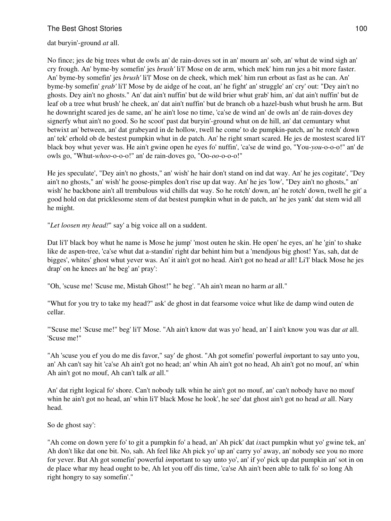dat buryin'-ground *at* all.

No fince; jes de big trees whut de owls an' de rain-doves sot in an' mourn an' sob, an' whut de wind sigh an' cry frough. An' byme-by somefin' jes *brush'* li'l' Mose on de arm, which mek' him run jes a bit more faster. An' byme-by somefin' jes *brush'* li'l' Mose on de cheek, which mek' him run erbout as fast as he can. An' byme-by somefin' *grab'* li'l' Mose by de aidge of he coat, an' he fight' an' struggle' an' cry' out: "Dey ain't no ghosts. Dey ain't no ghosts." An' dat ain't nuffin' but de wild brier whut grab' him, an' dat ain't nuffin' but de leaf ob a tree whut brush' he cheek, an' dat ain't nuffin' but de branch ob a hazel-bush whut brush he arm. But he downright scared jes de same, an' he ain't lose no time, 'ca'se de wind an' de owls an' de rain-doves dey signerfy whut ain't no good. So he scoot' past dat buryin'-ground whut on de hill, an' dat cemuntary whut betwixt an' between, an' dat grabeyard in de hollow, twell he come' to de pumpkin-patch, an' he rotch' down an' tek' erhold ob de bestest pumpkin whut in de patch. An' he right smart scared. He jes de mostest scared li'l' black boy whut yever was. He ain't gwine open he eyes fo' nuffin', 'ca'se de wind go, "You-*you*-o-o-o!" an' de owls go, "Whut-*whoo*-o-o-o!" an' de rain-doves go, "Oo-*oo*-o-o-o!"

He jes speculate', "Dey ain't no ghosts," an' wish' he hair don't stand on ind dat way. An' he jes cogitate', "Dey ain't no ghosts," an' wish' he goose-pimples don't rise up dat way. An' he jes 'low', "Dey ain't no ghosts," an' wish' he backbone ain't all trembulous wid chills dat way. So he rotch' down, an' he rotch' down, twell he git' a good hold on dat pricklesome stem of dat bestest pumpkin whut in de patch, an' he jes yank' dat stem wid all he might.

"*Let loosen my head!*" say' a big voice all on a suddent.

Dat li'l' black boy whut he name is Mose he jump' 'most outen he skin. He open' he eyes, an' he 'gin' to shake like de aspen-tree, 'ca'se whut dat a-standin' right dar behint him but a 'mendjous big ghost! Yas, sah, dat de bigges', whites' ghost whut yever was. An' it ain't got no head. Ain't got no head *at* all! Li'l' black Mose he jes drap' on he knees an' he beg' an' pray':

"Oh, 'scuse me! 'Scuse me, Mistah Ghost!" he beg'. "Ah ain't mean no harm *at* all."

"Whut for you try to take my head?" ask' de ghost in dat fearsome voice whut like de damp wind outen de cellar.

"'Scuse me! 'Scuse me!" beg' li'l' Mose. "Ah ain't know dat was yo' head, an' I ain't know you was dar *at* all. 'Scuse me!"

"Ah 'scuse you ef you do me dis favor," say' de ghost. "Ah got somefin' powerful *im*portant to say unto you, an' Ah can't say hit 'ca'se Ah ain't got no head; an' whin Ah ain't got no head, Ah ain't got no mouf, an' whin Ah ain't got no mouf, Ah can't talk *at* all."

An' dat right logical fo' shore. Can't nobody talk whin he ain't got no mouf, an' can't nobody have no mouf whin he ain't got no head, an' whin li'l' black Mose he look', he see' dat ghost ain't got no head *at* all. Nary head.

So de ghost say':

"Ah come on down yere fo' to git a pumpkin fo' a head, an' Ah pick' dat *ix*act pumpkin whut yo' gwine tek, an' Ah don't like dat one bit. No, sah. Ah feel like Ah pick yo' up an' carry yo' away, an' nobody see you no more for yever. But Ah got somefin' powerful *im*portant to say unto yo', an' if yo' pick up dat pumpkin an' sot in on de place whar my head ought to be, Ah let you off dis time, 'ca'se Ah ain't been able to talk fo' so long Ah right hongry to say somefin'."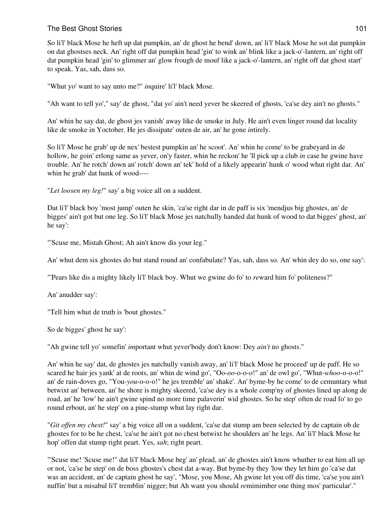So li'l' black Mose he heft up dat pumpkin, an' de ghost he bend' down, an' li'l' black Mose he sot dat pumpkin on dat ghostses neck. An' right off dat pumpkin head 'gin' to wink an' blink like a jack-o'-lantern, an' right off dat pumpkin head 'gin' to glimmer an' glow frough de mouf like a jack-o'-lantern, an' right off dat ghost start' to speak. Yas, sah, dass so.

"Whut yo' want to say unto me?" *in*quire' li'l' black Mose.

"Ah want to tell yo'," say' de ghost, "dat yo' ain't need yever be skeered of ghosts, 'ca'se dey ain't no ghosts."

An' whin he say dat, de ghost jes vanish' away like de smoke in July. He ain't even linger round dat locality like de smoke in Yoctober. He jes dissipate' outen de air, an' he gone *in*tirely.

So li'l' Mose he grab' up de nex' bestest pumpkin an' he scoot'. An' whin he come' to be grabeyard in de hollow, he goin' erlong same as yever, on'y faster, whin he reckon' he 'll pick up a club *in* case he gwine have trouble. An' he rotch' down an' rotch' down an' tek' hold of a likely appearin' hunk o' wood whut right dar. An' whin he grab' dat hunk of wood----

"*Let loosen my leg!*" say' a big voice all on a suddent.

Dat li'l' black boy 'most jump' outen he skin, 'ca'se right dar in de paff is six 'mendjus big ghostes, an' de bigges' ain't got but one leg. So li'l' black Mose jes natchully handed dat hunk of wood to dat bigges' ghost, an' he say':

"'Scuse me, Mistah Ghost; Ah ain't know dis your leg."

An' whut dem six ghostes do but stand round an' confabulate? Yas, sah, dass so. An' whin dey do so, one say':

"'Pears like dis a mighty likely li'l' black boy. Whut we gwine do fo' to *re*ward him fo' politeness?"

An' anudder say':

"Tell him whut de truth is 'bout ghostes."

So de bigges' ghost he say':

"Ah gwine tell yo' somefin' *im*portant whut yever'body don't know: Dey *ain't* no ghosts."

An' whin he say' dat, de ghostes jes natchully vanish away, an' li'l' black Mose he proceed' up de paff. He so scared he hair jes yank' at de roots, an' whin de wind go', "Oo-*oo*-o-o-o!" an' de owl go', "Whut-*whoo*-o-o-o!" an' de rain-doves go, "You-*you*-o-o-o!" he jes tremble' an' shake'. An' byme-by he come' to de cemuntary whut betwixt an' between, an' he shore is mighty skeered, 'ca'se dey is a whole comp'ny of ghostes lined up along de road, an' he 'low' he ain't gwine spind no more time palaverin' wid ghostes. So he step' often de road fo' to go round erbout, an' he step' on a pine-stump whut lay right dar.

"*Git offen my chest!*" say' a big voice all on a suddent, 'ca'se dat stump am been selected by de captain ob de ghostes for to be he chest, 'ca'se he ain't got no chest betwixt he shoulders an' he legs. An' li'l' black Mose he hop' offen dat stump right peart. Yes, *sah*; right peart.

"'Scuse me! 'Scuse me!" dat li'l' black Mose beg' an' plead, an' de ghostes ain't know whuther to eat him all up or not, 'ca'se he step' on de boss ghostes's chest dat a-way. But byme-by they 'low they let him go 'ca'se dat was an accident, an' de captain ghost he say', "Mose, you Mose, Ah gwine let you off dis time, 'ca'se you ain't nuffin' but a misabul li'l' tremblin' nigger; but Ah want you should *re*mimimber one thing mos' particular'."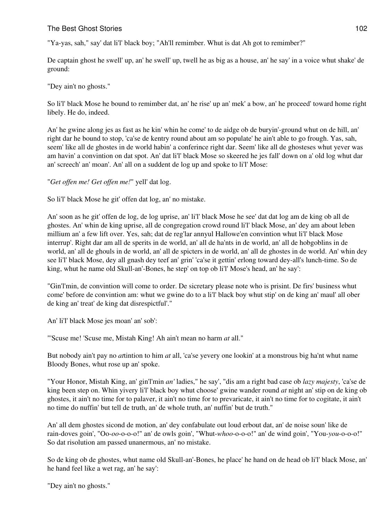"Ya-yas, sah," say' dat li'l' black boy; "Ah'll remimber. Whut is dat Ah got to remimber?"

De captain ghost he swell' up, an' he swell' up, twell he as big as a house, an' he say' in a voice whut shake' de ground:

#### "Dey ain't no ghosts."

So li'l' black Mose he bound to remimber dat, an' he rise' up an' mek' a bow, an' he proceed' toward home right libely. He do, indeed.

An' he gwine along jes as fast as he kin' whin he come' to de aidge ob de buryin'-ground whut on de hill, an' right dar he bound to stop, 'ca'se de kentry round about am so populate' he ain't able to go frough. Yas, sah, seem' like all de ghostes in de world habin' a conferince right dar. Seem' like all de ghosteses whut yever was am havin' a convintion on dat spot. An' dat li'l' black Mose so skeered he jes fall' down on a' old log whut dar an' screech' an' moan'. An' all on a suddent de log up and spoke to li'l' Mose:

#### "*Get offen me! Get offen me!*" yell' dat log.

So li'l' black Mose he git' offen dat log, an' no mistake.

An' soon as he git' offen de log, de log uprise, an' li'l' black Mose he see' dat dat log am de king ob all de ghostes. An' whin de king uprise, all de congregation crowd round li'l' black Mose, an' dey am about leben millium an' a few lift over. Yes, sah; dat de reg'lar annyul Hallowe'en convintion whut li'l' black Mose interrup'. Right dar am all de sperits in de world, an' all de ha'nts in de world, an' all de hobgoblins in de world, an' all de ghouls in de world, an' all de spicters in de world, an' all de ghostes in de world. An' whin dey see li'l' black Mose, dey all gnash dey teef an' grin' 'ca'se it gettin' erlong toward dey-all's lunch-time. So de king, whut he name old Skull-an'-Bones, he step' on top ob li'l' Mose's head, an' he say':

"Gin'l'min, de convintion will come to order. De sicretary please note who is prisint. De firs' business whut come' before de convintion am: whut we gwine do to a li'l' black boy whut stip' on de king an' maul' all ober de king an' treat' de king dat disrespictful'."

An' li'l' black Mose jes moan' an' sob':

"'Scuse me! 'Scuse me, Mistah King! Ah ain't mean no harm *at* all."

But nobody ain't pay no *at*tintion to him *at* all, 'ca'se yevery one lookin' at a monstrous big ha'nt whut name Bloody Bones, whut rose up an' spoke.

"Your Honor, Mistah King, an' gin'l'min *an'* ladies," he say', "dis am a right bad case ob *lazy majesty*, 'ca'se de king been step on. Whin yivery li'l' black boy whut choose' gwine wander round *at* night an' stip on de king ob ghostes, it ain't no time for to palaver, it ain't no time for to prevaricate, it ain't no time for to cogitate, it ain't no time do nuffin' but tell de truth, an' de whole truth, an' nuffin' but de truth."

An' all dem ghostes sicond de motion, an' dey confabulate out loud erbout dat, an' de noise soun' like de rain-doves goin', "Oo-*oo*-o-o-o!" an' de owls goin', "Whut-*whoo*-o-o-o!" an' de wind goin', "You-*you*-o-o-o!" So dat risolution am passed unanermous, an' no mistake.

So de king ob de ghostes, whut name old Skull-an'-Bones, he place' he hand on de head ob li'l' black Mose, an' he hand feel like a wet rag, an' he say':

"Dey ain't no ghosts."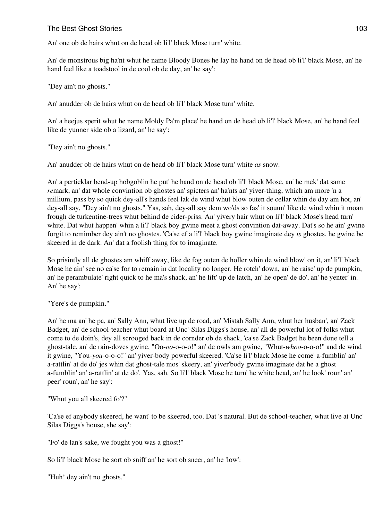## The Best Ghost Stories **103** and the Best Ghost Stories **103** and the Best Ghost Stories **103** and the **103** and the **103** and the **103** and the **103** and the **103** and the **103** and the **103** and the **103** and the **103** a

An' one ob de hairs whut on de head ob li'l' black Mose turn' white.

An' de monstrous big ha'nt whut he name Bloody Bones he lay he hand on de head ob li'l' black Mose, an' he hand feel like a toadstool in de cool ob de day, an' he say':

"Dey ain't no ghosts."

An' anudder ob de hairs whut on de head ob li'l' black Mose turn' white.

An' a heejus sperit whut he name Moldy Pa'm place' he hand on de head ob li'l' black Mose, an' he hand feel like de yunner side ob a lizard, an' he say':

"Dey ain't no ghosts."

An' anudder ob de hairs whut on de head ob li'l' black Mose turn' white *as* snow.

An' a perticklar bend-up hobgoblin he put' he hand on de head ob li'l' black Mose, an' he mek' dat same *re*mark, an' dat whole convintion ob ghostes an' spicters an' ha'nts an' yiver-thing, which am more 'n a millium, pass by so quick dey-all's hands feel lak de wind whut blow outen de cellar whin de day am hot, an' dey-all say, "Dey ain't no ghosts." Yas, sah, dey-all say dem wo'ds so fas' it souun' like de wind whin it moan frough de turkentine-trees whut behind de cider-priss. An' yivery hair whut on li'l' black Mose's head turn' white. Dat whut happen' whin a li'l' black boy gwine meet a ghost convintion dat-away. Dat's so he ain' gwine forgit to remimber dey ain't no ghostes. 'Ca'se ef a li'l' black boy gwine imaginate dey *is* ghostes, he gwine be skeered in de dark. An' dat a foolish thing for to imaginate.

So prisintly all de ghostes am whiff away, like de fog outen de holler whin de wind blow' on it, an' li'l' black Mose he ain' see no ca'se for to remain in dat locality no longer. He rotch' down, an' he raise' up de pumpkin, an' he perambulate' right quick to he ma's shack, an' he lift' up de latch, an' he open' de do', an' he yenter' in. An' he say':

"Yere's de pumpkin."

An' he ma an' he pa, an' Sally Ann, whut live up de road, an' Mistah Sally Ann, whut her husban', an' Zack Badget, an' de school-teacher whut board at Unc'-Silas Diggs's house, an' all de powerful lot of folks whut come to de doin's, dey all scrooged back in de cornder ob de shack, 'ca'se Zack Badget he been done tell a ghost-tale, an' de rain-doves gwine, "Oo-*oo*-o-o-o!" an' de owls am gwine, "Whut-*whoo*-o-o-o!" and de wind it gwine, "You-*you*-o-o-o!" an' yiver-body powerful skeered. 'Ca'se li'l' black Mose he come' a-fumblin' an' a-rattlin' at de do' jes whin dat ghost-tale mos' skeery, an' yiver'body gwine imaginate dat he a ghost a-fumblin' an' a-rattlin' at de do'. Yas, sah. So li'l' black Mose he turn' he white head, an' he look' roun' an' peer' roun', an' he say':

"Whut you all skeered fo'?"

'Ca'se ef anybody skeered, he want' to be skeered, too. Dat 's natural. But de school-teacher, whut live at Unc' Silas Diggs's house, she say':

"Fo' de lan's sake, we fought you was a ghost!"

So li'l' black Mose he sort ob sniff an' he sort ob sneer, an' he 'low':

"Huh! dey ain't no ghosts."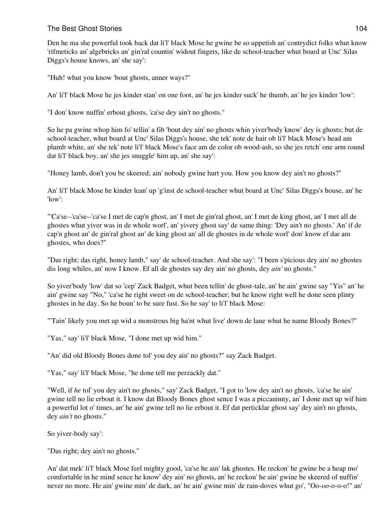Den he ma she powerful took back dat li'l' black Mose he gwine be so uppetish an' contrydict folks whut know 'rifmeticks an' algebricks an' gin'ral countin' widout fingers, like de school-teacher whut board at Unc' Silas Diggs's house knows, an' she say':

"Huh! whut you know 'bout ghosts, anner ways?"

An' li'l' black Mose he jes kinder stan' on one foot, an' he jes kinder suck' he thumb, an' he jes kinder 'low':

"I don' know nuffin' erbout ghosts, 'ca'se dey ain't no ghosts."

So he pa gwine whop him fo' tellin' a fib 'bout dey ain' no ghosts whin yiver'body know' dey is ghosts; but de school-teacher, whut board at Unc' Silas Diggs's house, she tek' note de hair ob li'l' black Mose's head am plumb white, an' she tek' note li'l' black Mose's face am de color ob wood-ash, so she jes retch' one arm round dat li'l' black boy, an' she jes snuggle' him up, an' she say':

"Honey lamb, don't you be skeered; ain' nobody gwine hurt you. How you know dey ain't no ghosts?"

An' li'l' black Mose he kinder lean' up 'g'inst de school-teacher whut board at Unc' Silas Diggs's house, an' he 'low':

"'Ca'se--'ca'se--'ca'se I met de cap'n ghost, an' I met de gin'ral ghost, an' I met de king ghost, an' I met all de ghostes whut yiver was in de whole worl', an' yivery ghost say' de same thing: 'Dey ain't no ghosts.' An' if de cap'n ghost an' de gin'ral ghost an' de king ghost an' all de ghostes in de whole worl' don' know ef dar am ghostes, who does?"

"Das right; das right, honey lamb," say' de school-teacher. And she say': "I been s'picious dey ain' no ghostes dis long whiles, an' now I know. Ef all de ghostes say dey ain' no ghosts, dey *ain'* no ghosts."

So yiver'body 'low' dat so 'cep' Zack Badget, whut been tellin' de ghost-tale, an' he ain' gwine say "Yis" an' he ain' gwine say "No," 'ca'se he right sweet on de school-teacher; but he know right well he done seen plinty ghostes in he day. So he boun' to be sure fust. So he say' to li'l' black Mose:

"'Tain' likely you met up wid a monstrous big ha'nt whut live' down de lane whut he name Bloody Bones?"

"Yas," say' li'l' black Mose, "I done met up wid him."

"An' did old Bloody Bones done tol' you dey ain' no ghosts?" say Zack Badget.

"Yas," say' li'l' black Mose, "he done tell me perzackly dat."

"Well, if *he* tol' you dey ain't no ghosts," say' Zack Badget, "I got to 'low dey ain't no ghosts, 'ca'se he ain' gwine tell no lie erbout it. I know dat Bloody Bones ghost sence I was a piccaninny, an' I done met up wif him a powerful lot o' times, an' he ain' gwine tell no lie erbout it. Ef dat perticklar ghost say' dey ain't no ghosts, dey *ain't* no ghosts."

So yiver-body say':

"Das right; dey ain't no ghosts."

An' dat mek' li'l' black Mose feel mighty good, 'ca'se he ain' lak ghostes. He reckon' he gwine be a heap mo' comfortable in he mind sence he know' dey ain' no ghosts, an' he reckon' he ain' gwine be skeered of nuffin' never no more. He ain' gwine min' de dark, an' he ain' gwine min' de rain-doves whut go', "Oo-*oo*-o-o-o!" an'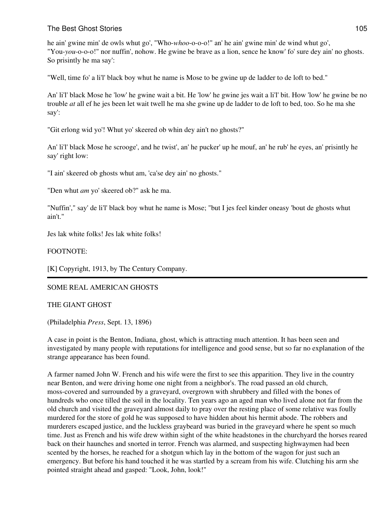# The Best Ghost Stories **105** and the Best Ghost Stories **105**

he ain' gwine min' de owls whut go', "Who-*whoo*-o-o-o!" an' he ain' gwine min' de wind whut go', "You-*you*-o-o-o!" nor nuffin', nohow. He gwine be brave as a lion, sence he know' fo' sure dey ain' no ghosts. So prisintly he ma say':

"Well, time fo' a li'l' black boy whut he name is Mose to be gwine up de ladder to de loft to bed."

An' li'l' black Mose he 'low' he gwine wait a bit. He 'low' he gwine jes wait a li'l' bit. How 'low' he gwine be no trouble *at* all ef he jes been let wait twell he ma she gwine up de ladder to de loft to bed, too. So he ma she say':

"Git erlong wid yo'! Whut yo' skeered ob whin dey ain't no ghosts?"

An' li'l' black Mose he scrooge', and he twist', an' he pucker' up he mouf, an' he rub' he eyes, an' prisintly he say' right low:

"I ain' skeered ob ghosts whut am, 'ca'se dey ain' no ghosts."

"Den whut *am* yo' skeered ob?" ask he ma.

"Nuffin'," say' de li'l' black boy whut he name is Mose; "but I jes feel kinder oneasy 'bout de ghosts whut ain't."

Jes lak white folks! Jes lak white folks!

## FOOTNOTE:

[K] Copyright, 1913, by The Century Company.

## SOME REAL AMERICAN GHOSTS

#### THE GIANT GHOST

(Philadelphia *Press*, Sept. 13, 1896)

A case in point is the Benton, Indiana, ghost, which is attracting much attention. It has been seen and investigated by many people with reputations for intelligence and good sense, but so far no explanation of the strange appearance has been found.

A farmer named John W. French and his wife were the first to see this apparition. They live in the country near Benton, and were driving home one night from a neighbor's. The road passed an old church, moss-covered and surrounded by a graveyard, overgrown with shrubbery and filled with the bones of hundreds who once tilled the soil in the locality. Ten years ago an aged man who lived alone not far from the old church and visited the graveyard almost daily to pray over the resting place of some relative was foully murdered for the store of gold he was supposed to have hidden about his hermit abode. The robbers and murderers escaped justice, and the luckless graybeard was buried in the graveyard where he spent so much time. Just as French and his wife drew within sight of the white headstones in the churchyard the horses reared back on their haunches and snorted in terror. French was alarmed, and suspecting highwaymen had been scented by the horses, he reached for a shotgun which lay in the bottom of the wagon for just such an emergency. But before his hand touched it he was startled by a scream from his wife. Clutching his arm she pointed straight ahead and gasped: "Look, John, look!"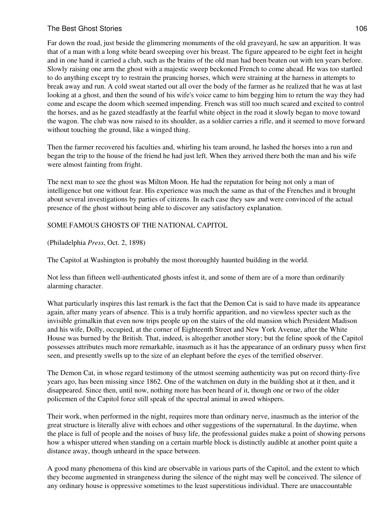## The Best Ghost Stories **106** and the Best Ghost Stories **106** and the stories **106** and the stories **106** and the stories **106** and the stories **106** and the stories **106** and the stories **106** and the stories **106** and th

Far down the road, just beside the glimmering monuments of the old graveyard, he saw an apparition. It was that of a man with a long white beard sweeping over his breast. The figure appeared to be eight feet in height and in one hand it carried a club, such as the brains of the old man had been beaten out with ten years before. Slowly raising one arm the ghost with a majestic sweep beckoned French to come ahead. He was too startled to do anything except try to restrain the prancing horses, which were straining at the harness in attempts to break away and run. A cold sweat started out all over the body of the farmer as he realized that he was at last looking at a ghost, and then the sound of his wife's voice came to him begging him to return the way they had come and escape the doom which seemed impending. French was still too much scared and excited to control the horses, and as he gazed steadfastly at the fearful white object in the road it slowly began to move toward the wagon. The club was now raised to its shoulder, as a soldier carries a rifle, and it seemed to move forward without touching the ground, like a winged thing.

Then the farmer recovered his faculties and, whirling his team around, he lashed the horses into a run and began the trip to the house of the friend he had just left. When they arrived there both the man and his wife were almost fainting from fright.

The next man to see the ghost was Milton Moon. He had the reputation for being not only a man of intelligence but one without fear. His experience was much the same as that of the Frenches and it brought about several investigations by parties of citizens. In each case they saw and were convinced of the actual presence of the ghost without being able to discover any satisfactory explanation.

SOME FAMOUS GHOSTS OF THE NATIONAL CAPITOL

(Philadelphia *Press*, Oct. 2, 1898)

The Capitol at Washington is probably the most thoroughly haunted building in the world.

Not less than fifteen well-authenticated ghosts infest it, and some of them are of a more than ordinarily alarming character.

What particularly inspires this last remark is the fact that the Demon Cat is said to have made its appearance again, after many years of absence. This is a truly horrific apparition, and no viewless specter such as the invisible grimalkin that even now trips people up on the stairs of the old mansion which President Madison and his wife, Dolly, occupied, at the corner of Eighteenth Street and New York Avenue, after the White House was burned by the British. That, indeed, is altogether another story; but the feline spook of the Capitol possesses attributes much more remarkable, inasmuch as it has the appearance of an ordinary pussy when first seen, and presently swells up to the size of an elephant before the eyes of the terrified observer.

The Demon Cat, in whose regard testimony of the utmost seeming authenticity was put on record thirty-five years ago, has been missing since 1862. One of the watchmen on duty in the building shot at it then, and it disappeared. Since then, until now, nothing more has been heard of it, though one or two of the older policemen of the Capitol force still speak of the spectral animal in awed whispers.

Their work, when performed in the night, requires more than ordinary nerve, inasmuch as the interior of the great structure is literally alive with echoes and other suggestions of the supernatural. In the daytime, when the place is full of people and the noises of busy life, the professional guides make a point of showing persons how a whisper uttered when standing on a certain marble block is distinctly audible at another point quite a distance away, though unheard in the space between.

A good many phenomena of this kind are observable in various parts of the Capitol, and the extent to which they become augmented in strangeness during the silence of the night may well be conceived. The silence of any ordinary house is oppressive sometimes to the least superstitious individual. There are unaccountable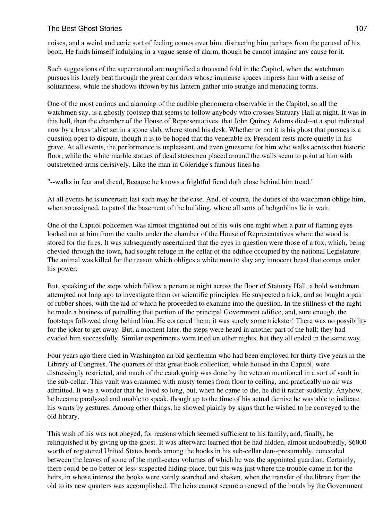noises, and a weird and eerie sort of feeling comes over him, distracting him perhaps from the perusal of his book. He finds himself indulging in a vague sense of alarm, though he cannot imagine any cause for it.

Such suggestions of the supernatural are magnified a thousand fold in the Capitol, when the watchman pursues his lonely beat through the great corridors whose immense spaces impress him with a sense of solitariness, while the shadows thrown by his lantern gather into strange and menacing forms.

One of the most curious and alarming of the audible phenomena observable in the Capitol, so all the watchmen say, is a ghostly footstep that seems to follow anybody who crosses Statuary Hall at night. It was in this hall, then the chamber of the House of Representatives, that John Quincy Adams died--at a spot indicated now by a brass tablet set in a stone slab, where stood his desk. Whether or not it is his ghost that pursues is a question open to dispute, though it is to be hoped that the venerable ex-President rests more quietly in his grave. At all events, the performance is unpleasant, and even gruesome for him who walks across that historic floor, while the white marble statues of dead statesmen placed around the walls seem to point at him with outstretched arms derisively. Like the man in Coleridge's famous lines he

"--walks in fear and dread, Because he knows a frightful fiend doth close behind him tread."

At all events he is uncertain lest such may be the case. And, of course, the duties of the watchman oblige him, when so assigned, to patrol the basement of the building, where all sorts of hobgoblins lie in wait.

One of the Capitol policemen was almost frightened out of his wits one night when a pair of flaming eyes looked out at him from the vaults under the chamber of the House of Representatives where the wood is stored for the fires. It was subsequently ascertained that the eyes in question were those of a fox, which, being chevied through the town, had sought refuge in the cellar of the edifice occupied by the national Legislature. The animal was killed for the reason which obliges a white man to slay any innocent beast that comes under his power.

But, speaking of the steps which follow a person at night across the floor of Statuary Hall, a bold watchman attempted not long ago to investigate them on scientific principles. He suspected a trick, and so bought a pair of rubber shoes, with the aid of which he proceeded to examine into the question. In the stillness of the night he made a business of patrolling that portion of the principal Government edifice, and, sure enough, the footsteps followed along behind him. He cornered them; it was surely some trickster! There was no possibility for the joker to get away. But, a moment later, the steps were heard in another part of the hall; they had evaded him successfully. Similar experiments were tried on other nights, but they all ended in the same way.

Four years ago there died in Washington an old gentleman who had been employed for thirty-five years in the Library of Congress. The quarters of that great book collection, while housed in the Capitol, were distressingly restricted, and much of the cataloguing was done by the veteran mentioned in a sort of vault in the sub-cellar. This vault was crammed with musty tomes from floor to ceiling, and practically no air was admitted. It was a wonder that he lived so long, but, when he came to die, he did it rather suddenly. Anyhow, he became paralyzed and unable to speak, though up to the time of his actual demise he was able to indicate his wants by gestures. Among other things, he showed plainly by signs that he wished to be conveyed to the old library.

This wish of his was not obeyed, for reasons which seemed sufficient to his family, and, finally, he relinquished it by giving up the ghost. It was afterward learned that he had hidden, almost undoubtedly, \$6000 worth of registered United States bonds among the books in his sub-cellar den--presumably, concealed between the leaves of some of the moth-eaten volumes of which he was the appointed guardian. Certainly, there could be no better or less-suspected hiding-place, but this was just where the trouble came in for the heirs, in whose interest the books were vainly searched and shaken, when the transfer of the library from the old to its new quarters was accomplished. The heirs cannot secure a renewal of the bonds by the Government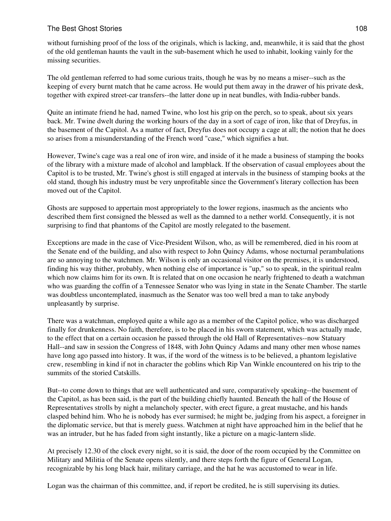## The Best Ghost Stories **108** and the Best Ghost Stories **108**

without furnishing proof of the loss of the originals, which is lacking, and, meanwhile, it is said that the ghost of the old gentleman haunts the vault in the sub-basement which he used to inhabit, looking vainly for the missing securities.

The old gentleman referred to had some curious traits, though he was by no means a miser--such as the keeping of every burnt match that he came across. He would put them away in the drawer of his private desk, together with expired street-car transfers--the latter done up in neat bundles, with India-rubber bands.

Quite an intimate friend he had, named Twine, who lost his grip on the perch, so to speak, about six years back. Mr. Twine dwelt during the working hours of the day in a sort of cage of iron, like that of Dreyfus, in the basement of the Capitol. As a matter of fact, Dreyfus does not occupy a cage at all; the notion that he does so arises from a misunderstanding of the French word "case," which signifies a hut.

However, Twine's cage was a real one of iron wire, and inside of it he made a business of stamping the books of the library with a mixture made of alcohol and lampblack. If the observation of casual employees about the Capitol is to be trusted, Mr. Twine's ghost is still engaged at intervals in the business of stamping books at the old stand, though his industry must be very unprofitable since the Government's literary collection has been moved out of the Capitol.

Ghosts are supposed to appertain most appropriately to the lower regions, inasmuch as the ancients who described them first consigned the blessed as well as the damned to a nether world. Consequently, it is not surprising to find that phantoms of the Capitol are mostly relegated to the basement.

Exceptions are made in the case of Vice-President Wilson, who, as will be remembered, died in his room at the Senate end of the building, and also with respect to John Quincy Adams, whose nocturnal perambulations are so annoying to the watchmen. Mr. Wilson is only an occasional visitor on the premises, it is understood, finding his way thither, probably, when nothing else of importance is "up," so to speak, in the spiritual realm which now claims him for its own. It is related that on one occasion he nearly frightened to death a watchman who was guarding the coffin of a Tennessee Senator who was lying in state in the Senate Chamber. The startle was doubtless uncontemplated, inasmuch as the Senator was too well bred a man to take anybody unpleasantly by surprise.

There was a watchman, employed quite a while ago as a member of the Capitol police, who was discharged finally for drunkenness. No faith, therefore, is to be placed in his sworn statement, which was actually made, to the effect that on a certain occasion he passed through the old Hall of Representatives--now Statuary Hall--and saw in session the Congress of 1848, with John Quincy Adams and many other men whose names have long ago passed into history. It was, if the word of the witness is to be believed, a phantom legislative crew, resembling in kind if not in character the goblins which Rip Van Winkle encountered on his trip to the summits of the storied Catskills.

But--to come down to things that are well authenticated and sure, comparatively speaking--the basement of the Capitol, as has been said, is the part of the building chiefly haunted. Beneath the hall of the House of Representatives strolls by night a melancholy specter, with erect figure, a great mustache, and his hands clasped behind him. Who he is nobody has ever surmised; he might be, judging from his aspect, a foreigner in the diplomatic service, but that is merely guess. Watchmen at night have approached him in the belief that he was an intruder, but he has faded from sight instantly, like a picture on a magic-lantern slide.

At precisely 12.30 of the clock every night, so it is said, the door of the room occupied by the Committee on Military and Militia of the Senate opens silently, and there steps forth the figure of General Logan, recognizable by his long black hair, military carriage, and the hat he was accustomed to wear in life.

Logan was the chairman of this committee, and, if report be credited, he is still supervising its duties.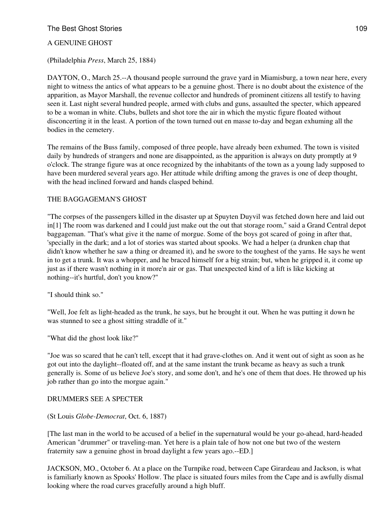## The Best Ghost Stories **109** and the Best Ghost Stories **109** and the Best Ghost Stories **109** and the **109** and the **109** and the **109** and the **109** and the **109** and the **109** and the **109** and the **109** and the **109** a

### A GENUINE GHOST

(Philadelphia *Press*, March 25, 1884)

DAYTON, O., March 25.--A thousand people surround the grave yard in Miamisburg, a town near here, every night to witness the antics of what appears to be a genuine ghost. There is no doubt about the existence of the apparition, as Mayor Marshall, the revenue collector and hundreds of prominent citizens all testify to having seen it. Last night several hundred people, armed with clubs and guns, assaulted the specter, which appeared to be a woman in white. Clubs, bullets and shot tore the air in which the mystic figure floated without disconcerting it in the least. A portion of the town turned out en masse to-day and began exhuming all the bodies in the cemetery.

The remains of the Buss family, composed of three people, have already been exhumed. The town is visited daily by hundreds of strangers and none are disappointed, as the apparition is always on duty promptly at 9 o'clock. The strange figure was at once recognized by the inhabitants of the town as a young lady supposed to have been murdered several years ago. Her attitude while drifting among the graves is one of deep thought, with the head inclined forward and hands clasped behind.

#### THE BAGGAGEMAN'S GHOST

"The corpses of the passengers killed in the disaster up at Spuyten Duyvil was fetched down here and laid out in[1] The room was darkened and I could just make out the out that storage room," said a Grand Central depot baggageman. "That's what give it the name of morgue. Some of the boys got scared of going in after that, 'specially in the dark; and a lot of stories was started about spooks. We had a helper (a drunken chap that didn't know whether he saw a thing or dreamed it), and he swore to the toughest of the yarns. He says he went in to get a trunk. It was a whopper, and he braced himself for a big strain; but, when he gripped it, it come up just as if there wasn't nothing in it more'n air or gas. That unexpected kind of a lift is like kicking at nothing--it's hurtful, don't you know?"

"I should think so."

"Well, Joe felt as light-headed as the trunk, he says, but he brought it out. When he was putting it down he was stunned to see a ghost sitting straddle of it."

"What did the ghost look like?"

"Joe was so scared that he can't tell, except that it had grave-clothes on. And it went out of sight as soon as he got out into the daylight--floated off, and at the same instant the trunk became as heavy as such a trunk generally is. Some of us believe Joe's story, and some don't, and he's one of them that does. He throwed up his job rather than go into the morgue again."

#### DRUMMERS SEE A SPECTER

#### (St Louis *Globe-Democrat*, Oct. 6, 1887)

[The last man in the world to be accused of a belief in the supernatural would be your go-ahead, hard-headed American "drummer" or traveling-man. Yet here is a plain tale of how not one but two of the western fraternity saw a genuine ghost in broad daylight a few years ago.--ED.]

JACKSON, MO., October 6. At a place on the Turnpike road, between Cape Girardeau and Jackson, is what is familiarly known as Spooks' Hollow. The place is situated fours miles from the Cape and is awfully dismal looking where the road curves gracefully around a high bluff.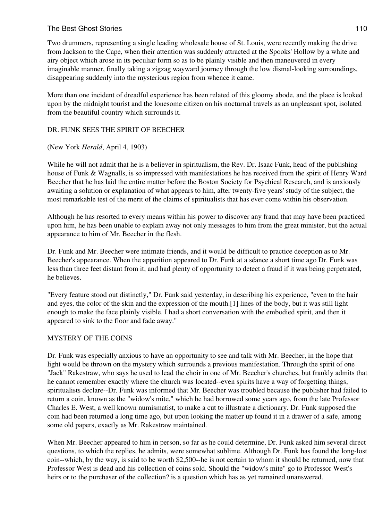Two drummers, representing a single leading wholesale house of St. Louis, were recently making the drive from Jackson to the Cape, when their attention was suddenly attracted at the Spooks' Hollow by a white and airy object which arose in its peculiar form so as to be plainly visible and then maneuvered in every imaginable manner, finally taking a zigzag wayward journey through the low dismal-looking surroundings, disappearing suddenly into the mysterious region from whence it came.

More than one incident of dreadful experience has been related of this gloomy abode, and the place is looked upon by the midnight tourist and the lonesome citizen on his nocturnal travels as an unpleasant spot, isolated from the beautiful country which surrounds it.

#### DR. FUNK SEES THE SPIRIT OF BEECHER

#### (New York *Herald*, April 4, 1903)

While he will not admit that he is a believer in spiritualism, the Rev. Dr. Isaac Funk, head of the publishing house of Funk & Wagnalls, is so impressed with manifestations he has received from the spirit of Henry Ward Beecher that he has laid the entire matter before the Boston Society for Psychical Research, and is anxiously awaiting a solution or explanation of what appears to him, after twenty-five years' study of the subject, the most remarkable test of the merit of the claims of spiritualists that has ever come within his observation.

Although he has resorted to every means within his power to discover any fraud that may have been practiced upon him, he has been unable to explain away not only messages to him from the great minister, but the actual appearance to him of Mr. Beecher in the flesh.

Dr. Funk and Mr. Beecher were intimate friends, and it would be difficult to practice deception as to Mr. Beecher's appearance. When the apparition appeared to Dr. Funk at a séance a short time ago Dr. Funk was less than three feet distant from it, and had plenty of opportunity to detect a fraud if it was being perpetrated, he believes.

"Every feature stood out distinctly," Dr. Funk said yesterday, in describing his experience, "even to the hair and eyes, the color of the skin and the expression of the mouth.[1] lines of the body, but it was still light enough to make the face plainly visible. I had a short conversation with the embodied spirit, and then it appeared to sink to the floor and fade away."

## MYSTERY OF THE COINS

Dr. Funk was especially anxious to have an opportunity to see and talk with Mr. Beecher, in the hope that light would be thrown on the mystery which surrounds a previous manifestation. Through the spirit of one "Jack" Rakestraw, who says he used to lead the choir in one of Mr. Beecher's churches, but frankly admits that he cannot remember exactly where the church was located--even spirits have a way of forgetting things, spiritualists declare--Dr. Funk was informed that Mr. Beecher was troubled because the publisher had failed to return a coin, known as the "widow's mite," which he had borrowed some years ago, from the late Professor Charles E. West, a well known numismatist, to make a cut to illustrate a dictionary. Dr. Funk supposed the coin had been returned a long time ago, but upon looking the matter up found it in a drawer of a safe, among some old papers, exactly as Mr. Rakestraw maintained.

When Mr. Beecher appeared to him in person, so far as he could determine, Dr. Funk asked him several direct questions, to which the replies, he admits, were somewhat sublime. Although Dr. Funk has found the long-lost coin--which, by the way, is said to be worth \$2,500--he is not certain to whom it should be returned, now that Professor West is dead and his collection of coins sold. Should the "widow's mite" go to Professor West's heirs or to the purchaser of the collection? is a question which has as yet remained unanswered.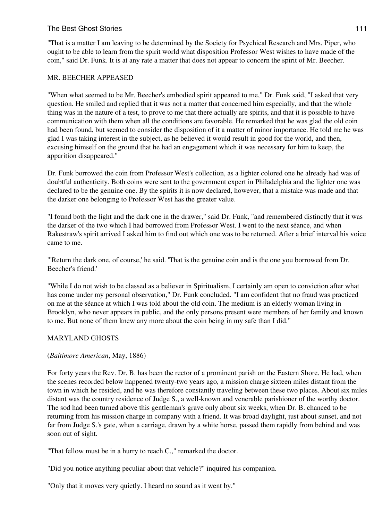"That is a matter I am leaving to be determined by the Society for Psychical Research and Mrs. Piper, who ought to be able to learn from the spirit world what disposition Professor West wishes to have made of the coin," said Dr. Funk. It is at any rate a matter that does not appear to concern the spirit of Mr. Beecher.

### MR. BEECHER APPEASED

"When what seemed to be Mr. Beecher's embodied spirit appeared to me," Dr. Funk said, "I asked that very question. He smiled and replied that it was not a matter that concerned him especially, and that the whole thing was in the nature of a test, to prove to me that there actually are spirits, and that it is possible to have communication with them when all the conditions are favorable. He remarked that he was glad the old coin had been found, but seemed to consider the disposition of it a matter of minor importance. He told me he was glad I was taking interest in the subject, as he believed it would result in good for the world, and then, excusing himself on the ground that he had an engagement which it was necessary for him to keep, the apparition disappeared."

Dr. Funk borrowed the coin from Professor West's collection, as a lighter colored one he already had was of doubtful authenticity. Both coins were sent to the government expert in Philadelphia and the lighter one was declared to be the genuine one. By the spirits it is now declared, however, that a mistake was made and that the darker one belonging to Professor West has the greater value.

"I found both the light and the dark one in the drawer," said Dr. Funk, "and remembered distinctly that it was the darker of the two which I had borrowed from Professor West. I went to the next séance, and when Rakestraw's spirit arrived I asked him to find out which one was to be returned. After a brief interval his voice came to me.

"'Return the dark one, of course,' he said. 'That is the genuine coin and is the one you borrowed from Dr. Beecher's friend.'

"While I do not wish to be classed as a believer in Spiritualism, I certainly am open to conviction after what has come under my personal observation," Dr. Funk concluded. "I am confident that no fraud was practiced on me at the séance at which I was told about the old coin. The medium is an elderly woman living in Brooklyn, who never appears in public, and the only persons present were members of her family and known to me. But none of them knew any more about the coin being in my safe than I did."

## MARYLAND GHOSTS

#### (*Baltimore American*, May, 1886)

For forty years the Rev. Dr. B. has been the rector of a prominent parish on the Eastern Shore. He had, when the scenes recorded below happened twenty-two years ago, a mission charge sixteen miles distant from the town in which he resided, and he was therefore constantly traveling between these two places. About six miles distant was the country residence of Judge S., a well-known and venerable parishioner of the worthy doctor. The sod had been turned above this gentleman's grave only about six weeks, when Dr. B. chanced to be returning from his mission charge in company with a friend. It was broad daylight, just about sunset, and not far from Judge S.'s gate, when a carriage, drawn by a white horse, passed them rapidly from behind and was soon out of sight.

"That fellow must be in a hurry to reach C.," remarked the doctor.

"Did you notice anything peculiar about that vehicle?" inquired his companion.

"Only that it moves very quietly. I heard no sound as it went by."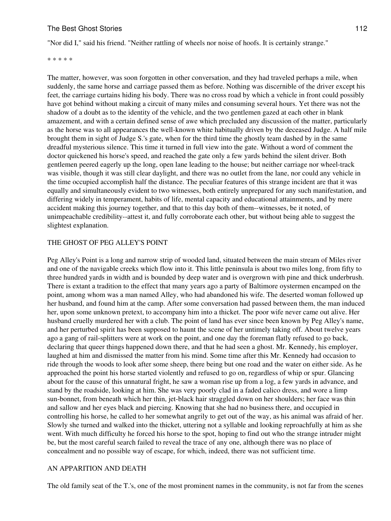"Nor did I," said his friend. "Neither rattling of wheels nor noise of hoofs. It is certainly strange."

\* \* \* \* \*

The matter, however, was soon forgotten in other conversation, and they had traveled perhaps a mile, when suddenly, the same horse and carriage passed them as before. Nothing was discernible of the driver except his feet, the carriage curtains hiding his body. There was no cross road by which a vehicle in front could possibly have got behind without making a circuit of many miles and consuming several hours. Yet there was not the shadow of a doubt as to the identity of the vehicle, and the two gentlemen gazed at each other in blank amazement, and with a certain defined sense of awe which precluded any discussion of the matter, particularly as the horse was to all appearances the well-known white habitually driven by the deceased Judge. A half mile brought them in sight of Judge S.'s gate, when for the third time the ghostly team dashed by in the same dreadful mysterious silence. This time it turned in full view into the gate. Without a word of comment the doctor quickened his horse's speed, and reached the gate only a few yards behind the silent driver. Both gentlemen peered eagerly up the long, open lane leading to the house; but neither carriage nor wheel-track was visible, though it was still clear daylight, and there was no outlet from the lane, nor could any vehicle in the time occupied accomplish half the distance. The peculiar features of this strange incident are that it was equally and simultaneously evident to two witnesses, both entirely unprepared for any such manifestation, and differing widely in temperament, habits of life, mental capacity and educational attainments, and by mere accident making this journey together, and that to this day both of them--witnesses, be it noted, of unimpeachable credibility--attest it, and fully corroborate each other, but without being able to suggest the slightest explanation.

#### THE GHOST OF PEG ALLEY'S POINT

Peg Alley's Point is a long and narrow strip of wooded land, situated between the main stream of Miles river and one of the navigable creeks which flow into it. This little peninsula is about two miles long, from fifty to three hundred yards in width and is bounded by deep water and is overgrown with pine and thick underbrush. There is extant a tradition to the effect that many years ago a party of Baltimore oystermen encamped on the point, among whom was a man named Alley, who had abandoned his wife. The deserted woman followed up her husband, and found him at the camp. After some conversation had passed between them, the man induced her, upon some unknown pretext, to accompany him into a thicket. The poor wife never came out alive. Her husband cruelly murdered her with a club. The point of land has ever since been known by Peg Alley's name, and her perturbed spirit has been supposed to haunt the scene of her untimely taking off. About twelve years ago a gang of rail-splitters were at work on the point, and one day the foreman flatly refused to go back, declaring that queer things happened down there, and that he had seen a ghost. Mr. Kennedy, his employer, laughed at him and dismissed the matter from his mind. Some time after this Mr. Kennedy had occasion to ride through the woods to look after some sheep, there being but one road and the water on either side. As he approached the point his horse started violently and refused to go on, regardless of whip or spur. Glancing about for the cause of this unnatural fright, he saw a woman rise up from a log, a few yards in advance, and stand by the roadside, looking at him. She was very poorly clad in a faded calico dress, and wore a limp sun-bonnet, from beneath which her thin, jet-black hair straggled down on her shoulders; her face was thin and sallow and her eyes black and piercing. Knowing that she had no business there, and occupied in controlling his horse, he called to her somewhat angrily to get out of the way, as his animal was afraid of her. Slowly she turned and walked into the thicket, uttering not a syllable and looking reproachfully at him as she went. With much difficulty he forced his horse to the spot, hoping to find out who the strange intruder might be, but the most careful search failed to reveal the trace of any one, although there was no place of concealment and no possible way of escape, for which, indeed, there was not sufficient time.

#### AN APPARITION AND DEATH

The old family seat of the T.'s, one of the most prominent names in the community, is not far from the scenes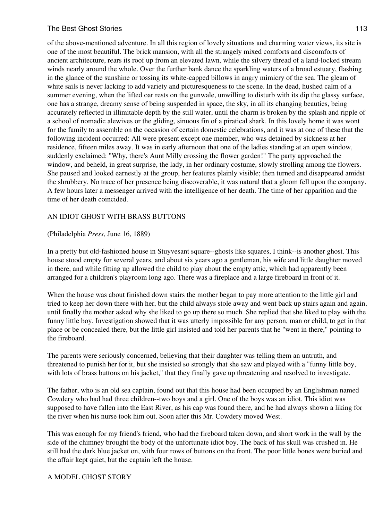### The Best Ghost Stories **113** and the Best Ghost Stories **113**

of the above-mentioned adventure. In all this region of lovely situations and charming water views, its site is one of the most beautiful. The brick mansion, with all the strangely mixed comforts and discomforts of ancient architecture, rears its roof up from an elevated lawn, while the silvery thread of a land-locked stream winds nearly around the whole. Over the further bank dance the sparkling waters of a broad estuary, flashing in the glance of the sunshine or tossing its white-capped billows in angry mimicry of the sea. The gleam of white sails is never lacking to add variety and picturesqueness to the scene. In the dead, hushed calm of a summer evening, when the lifted oar rests on the gunwale, unwilling to disturb with its dip the glassy surface, one has a strange, dreamy sense of being suspended in space, the sky, in all its changing beauties, being accurately reflected in illimitable depth by the still water, until the charm is broken by the splash and ripple of a school of nomadic alewives or the gliding, sinuous fin of a piratical shark. In this lovely home it was wont for the family to assemble on the occasion of certain domestic celebrations, and it was at one of these that the following incident occurred: All were present except one member, who was detained by sickness at her residence, fifteen miles away. It was in early afternoon that one of the ladies standing at an open window, suddenly exclaimed: "Why, there's Aunt Milly crossing the flower garden!" The party approached the window, and beheld, in great surprise, the lady, in her ordinary costume, slowly strolling among the flowers. She paused and looked earnestly at the group, her features plainly visible; then turned and disappeared amidst the shrubbery. No trace of her presence being discoverable, it was natural that a gloom fell upon the company. A few hours later a messenger arrived with the intelligence of her death. The time of her apparition and the time of her death coincided.

#### AN IDIOT GHOST WITH BRASS BUTTONS

#### (Philadelphia *Press*, June 16, 1889)

In a pretty but old-fashioned house in Stuyvesant square--ghosts like squares, I think--is another ghost. This house stood empty for several years, and about six years ago a gentleman, his wife and little daughter moved in there, and while fitting up allowed the child to play about the empty attic, which had apparently been arranged for a children's playroom long ago. There was a fireplace and a large fireboard in front of it.

When the house was about finished down stairs the mother began to pay more attention to the little girl and tried to keep her down there with her, but the child always stole away and went back up stairs again and again, until finally the mother asked why she liked to go up there so much. She replied that she liked to play with the funny little boy. Investigation showed that it was utterly impossible for any person, man or child, to get in that place or be concealed there, but the little girl insisted and told her parents that he "went in there," pointing to the fireboard.

The parents were seriously concerned, believing that their daughter was telling them an untruth, and threatened to punish her for it, but she insisted so strongly that she saw and played with a "funny little boy, with lots of brass buttons on his jacket," that they finally gave up threatening and resolved to investigate.

The father, who is an old sea captain, found out that this house had been occupied by an Englishman named Cowdery who had had three children--two boys and a girl. One of the boys was an idiot. This idiot was supposed to have fallen into the East River, as his cap was found there, and he had always shown a liking for the river when his nurse took him out. Soon after this Mr. Cowdery moved West.

This was enough for my friend's friend, who had the fireboard taken down, and short work in the wall by the side of the chimney brought the body of the unfortunate idiot boy. The back of his skull was crushed in. He still had the dark blue jacket on, with four rows of buttons on the front. The poor little bones were buried and the affair kept quiet, but the captain left the house.

## A MODEL GHOST STORY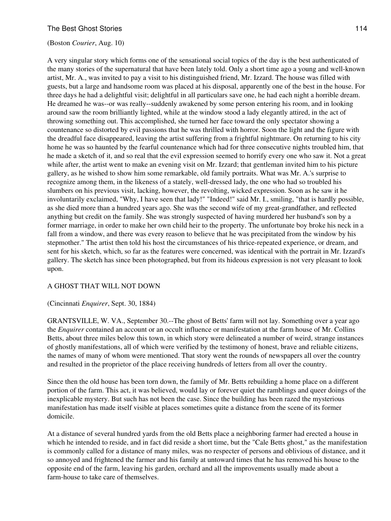#### (Boston *Courier*, Aug. 10)

A very singular story which forms one of the sensational social topics of the day is the best authenticated of the many stories of the supernatural that have been lately told. Only a short time ago a young and well-known artist, Mr. A., was invited to pay a visit to his distinguished friend, Mr. Izzard. The house was filled with guests, but a large and handsome room was placed at his disposal, apparently one of the best in the house. For three days he had a delightful visit; delightful in all particulars save one, he had each night a horrible dream. He dreamed he was--or was really--suddenly awakened by some person entering his room, and in looking around saw the room brilliantly lighted, while at the window stood a lady elegantly attired, in the act of throwing something out. This accomplished, she turned her face toward the only spectator showing a countenance so distorted by evil passions that he was thrilled with horror. Soon the light and the figure with the dreadful face disappeared, leaving the artist suffering from a frightful nightmare. On returning to his city home he was so haunted by the fearful countenance which had for three consecutive nights troubled him, that he made a sketch of it, and so real that the evil expression seemed to horrify every one who saw it. Not a great while after, the artist went to make an evening visit on Mr. Izzard; that gentleman invited him to his picture gallery, as he wished to show him some remarkable, old family portraits. What was Mr. A.'s surprise to recognize among them, in the likeness of a stately, well-dressed lady, the one who had so troubled his slumbers on his previous visit, lacking, however, the revolting, wicked expression. Soon as he saw it he involuntarily exclaimed, "Why, I have seen that lady!" "Indeed!" said Mr. I., smiling, "that is hardly possible, as she died more than a hundred years ago. She was the second wife of my great-grandfather, and reflected anything but credit on the family. She was strongly suspected of having murdered her husband's son by a former marriage, in order to make her own child heir to the property. The unfortunate boy broke his neck in a fall from a window, and there was every reason to believe that he was precipitated from the window by his stepmother." The artist then told his host the circumstances of his thrice-repeated experience, or dream, and sent for his sketch, which, so far as the features were concerned, was identical with the portrait in Mr. Izzard's gallery. The sketch has since been photographed, but from its hideous expression is not very pleasant to look upon.

#### A GHOST THAT WILL NOT DOWN

#### (Cincinnati *Enquirer*, Sept. 30, 1884)

GRANTSVILLE, W. VA., September 30.--The ghost of Betts' farm will not lay. Something over a year ago the *Enquirer* contained an account or an occult influence or manifestation at the farm house of Mr. Collins Betts, about three miles below this town, in which story were delineated a number of weird, strange instances of ghostly manifestations, all of which were verified by the testimony of honest, brave and reliable citizens, the names of many of whom were mentioned. That story went the rounds of newspapers all over the country and resulted in the proprietor of the place receiving hundreds of letters from all over the country.

Since then the old house has been torn down, the family of Mr. Betts rebuilding a home place on a different portion of the farm. This act, it was believed, would lay or forever quiet the ramblings and queer doings of the inexplicable mystery. But such has not been the case. Since the building has been razed the mysterious manifestation has made itself visible at places sometimes quite a distance from the scene of its former domicile.

At a distance of several hundred yards from the old Betts place a neighboring farmer had erected a house in which he intended to reside, and in fact did reside a short time, but the "Cale Betts ghost," as the manifestation is commonly called for a distance of many miles, was no respecter of persons and oblivious of distance, and it so annoyed and frightened the farmer and his family at untoward times that he has removed his house to the opposite end of the farm, leaving his garden, orchard and all the improvements usually made about a farm-house to take care of themselves.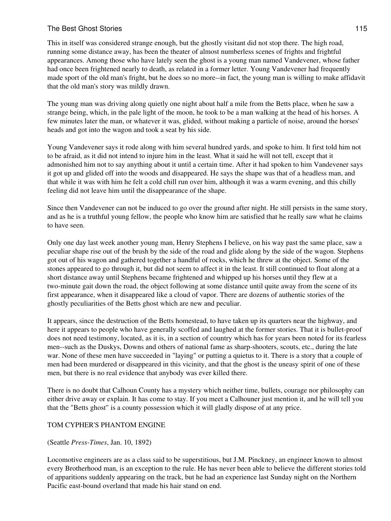This in itself was considered strange enough, but the ghostly visitant did not stop there. The high road, running some distance away, has been the theater of almost numberless scenes of frights and frightful appearances. Among those who have lately seen the ghost is a young man named Vandevener, whose father had once been frightened nearly to death, as related in a former letter. Young Vandevener had frequently made sport of the old man's fright, but he does so no more--in fact, the young man is willing to make affidavit that the old man's story was mildly drawn.

The young man was driving along quietly one night about half a mile from the Betts place, when he saw a strange being, which, in the pale light of the moon, he took to be a man walking at the head of his horses. A few minutes later the man, or whatever it was, glided, without making a particle of noise, around the horses' heads and got into the wagon and took a seat by his side.

Young Vandevener says it rode along with him several hundred yards, and spoke to him. It first told him not to be afraid, as it did not intend to injure him in the least. What it said he will not tell, except that it admonished him not to say anything about it until a certain time. After it had spoken to him Vandevener says it got up and glided off into the woods and disappeared. He says the shape was that of a headless man, and that while it was with him he felt a cold chill run over him, although it was a warm evening, and this chilly feeling did not leave him until the disappearance of the shape.

Since then Vandevener can not be induced to go over the ground after night. He still persists in the same story, and as he is a truthful young fellow, the people who know him are satisfied that he really saw what he claims to have seen.

Only one day last week another young man, Henry Stephens I believe, on his way past the same place, saw a peculiar shape rise out of the brush by the side of the road and glide along by the side of the wagon. Stephens got out of his wagon and gathered together a handful of rocks, which he threw at the object. Some of the stones appeared to go through it, but did not seem to affect it in the least. It still continued to float along at a short distance away until Stephens became frightened and whipped up his horses until they flew at a two-minute gait down the road, the object following at some distance until quite away from the scene of its first appearance, when it disappeared like a cloud of vapor. There are dozens of authentic stories of the ghostly peculiarities of the Betts ghost which are new and peculiar.

It appears, since the destruction of the Betts homestead, to have taken up its quarters near the highway, and here it appears to people who have generally scoffed and laughed at the former stories. That it is bullet-proof does not need testimony, located, as it is, in a section of country which has for years been noted for its fearless men--such as the Duskys, Downs and others of national fame as sharp-shooters, scouts, etc., during the late war. None of these men have succeeded in "laying" or putting a quietus to it. There is a story that a couple of men had been murdered or disappeared in this vicinity, and that the ghost is the uneasy spirit of one of these men, but there is no real evidence that anybody was ever killed there.

There is no doubt that Calhoun County has a mystery which neither time, bullets, courage nor philosophy can either drive away or explain. It has come to stay. If you meet a Calhouner just mention it, and he will tell you that the "Betts ghost" is a county possession which it will gladly dispose of at any price.

## TOM CYPHER'S PHANTOM ENGINE

(Seattle *Press-Times*, Jan. 10, 1892)

Locomotive engineers are as a class said to be superstitious, but J.M. Pinckney, an engineer known to almost every Brotherhood man, is an exception to the rule. He has never been able to believe the different stories told of apparitions suddenly appearing on the track, but he had an experience last Sunday night on the Northern Pacific east-bound overland that made his hair stand on end.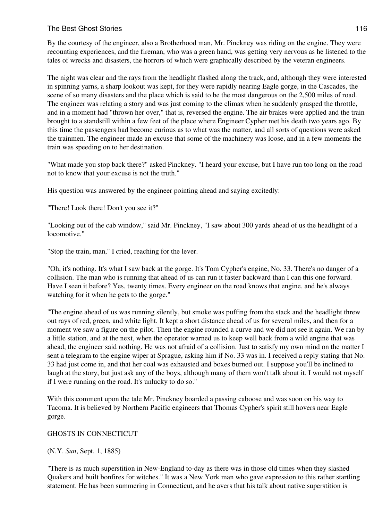## The Best Ghost Stories **116** and the Best Ghost Stories **116**

By the courtesy of the engineer, also a Brotherhood man, Mr. Pinckney was riding on the engine. They were recounting experiences, and the fireman, who was a green hand, was getting very nervous as he listened to the tales of wrecks and disasters, the horrors of which were graphically described by the veteran engineers.

The night was clear and the rays from the headlight flashed along the track, and, although they were interested in spinning yarns, a sharp lookout was kept, for they were rapidly nearing Eagle gorge, in the Cascades, the scene of so many disasters and the place which is said to be the most dangerous on the 2,500 miles of road. The engineer was relating a story and was just coming to the climax when he suddenly grasped the throttle, and in a moment had "thrown her over," that is, reversed the engine. The air brakes were applied and the train brought to a standstill within a few feet of the place where Engineer Cypher met his death two years ago. By this time the passengers had become curious as to what was the matter, and all sorts of questions were asked the trainmen. The engineer made an excuse that some of the machinery was loose, and in a few moments the train was speeding on to her destination.

"What made you stop back there?" asked Pinckney. "I heard your excuse, but I have run too long on the road not to know that your excuse is not the truth."

His question was answered by the engineer pointing ahead and saying excitedly:

"There! Look there! Don't you see it?"

"Looking out of the cab window," said Mr. Pinckney, "I saw about 300 yards ahead of us the headlight of a locomotive."

"Stop the train, man," I cried, reaching for the lever.

"Oh, it's nothing. It's what I saw back at the gorge. It's Tom Cypher's engine, No. 33. There's no danger of a collision. The man who is running that ahead of us can run it faster backward than I can this one forward. Have I seen it before? Yes, twenty times. Every engineer on the road knows that engine, and he's always watching for it when he gets to the gorge."

"The engine ahead of us was running silently, but smoke was puffing from the stack and the headlight threw out rays of red, green, and white light. It kept a short distance ahead of us for several miles, and then for a moment we saw a figure on the pilot. Then the engine rounded a curve and we did not see it again. We ran by a little station, and at the next, when the operator warned us to keep well back from a wild engine that was ahead, the engineer said nothing. He was not afraid of a collision. Just to satisfy my own mind on the matter I sent a telegram to the engine wiper at Sprague, asking him if No. 33 was in. I received a reply stating that No. 33 had just come in, and that her coal was exhausted and boxes burned out. I suppose you'll be inclined to laugh at the story, but just ask any of the boys, although many of them won't talk about it. I would not myself if I were running on the road. It's unlucky to do so."

With this comment upon the tale Mr. Pinckney boarded a passing caboose and was soon on his way to Tacoma. It is believed by Northern Pacific engineers that Thomas Cypher's spirit still hovers near Eagle gorge.

## GHOSTS IN CONNECTICUT

(N.Y. *Sun*, Sept. 1, 1885)

"There is as much superstition in New-England to-day as there was in those old times when they slashed Quakers and built bonfires for witches." It was a New York man who gave expression to this rather startling statement. He has been summering in Connecticut, and he avers that his talk about native superstition is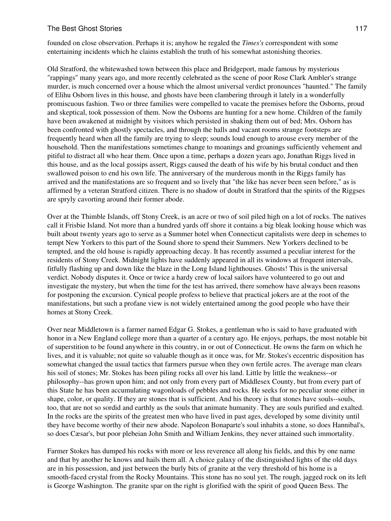founded on close observation. Perhaps it is; anyhow he regaled the *Times's* correspondent with some entertaining incidents which he claims establish the truth of his somewhat astonishing theories.

Old Stratford, the whitewashed town between this place and Bridgeport, made famous by mysterious "rappings" many years ago, and more recently celebrated as the scene of poor Rose Clark Ambler's strange murder, is much concerned over a house which the almost universal verdict pronounces "haunted." The family of Elihu Osborn lives in this house, and ghosts have been clambering through it lately in a wonderfully promiscuous fashion. Two or three families were compelled to vacate the premises before the Osborns, proud and skeptical, took possession of them. Now the Osborns are hunting for a new home. Children of the family have been awakened at midnight by visitors which persisted in shaking them out of bed; Mrs. Osborn has been confronted with ghostly spectacles, and through the halls and vacant rooms strange footsteps are frequently heard when all the family are trying to sleep; sounds loud enough to arouse every member of the household. Then the manifestations sometimes change to moanings and groanings sufficiently vehement and pitiful to distract all who hear them. Once upon a time, perhaps a dozen years ago, Jonathan Riggs lived in this house, and as the local gossips assert, Riggs caused the death of his wife by his brutal conduct and then swallowed poison to end his own life. The anniversary of the murderous month in the Riggs family has arrived and the manifestations are so frequent and so lively that "the like has never been seen before," as is affirmed by a veteran Stratford citizen. There is no shadow of doubt in Stratford that the spirits of the Riggses are spryly cavorting around their former abode.

Over at the Thimble Islands, off Stony Creek, is an acre or two of soil piled high on a lot of rocks. The natives call it Frisbie Island. Not more than a hundred yards off shore it contains a big bleak looking house which was built about twenty years ago to serve as a Summer hotel when Connecticut capitalists were deep in schemes to tempt New Yorkers to this part of the Sound shore to spend their Summers. New Yorkers declined to be tempted, and the old house is rapidly approaching decay. It has recently assumed a peculiar interest for the residents of Stony Creek. Midnight lights have suddenly appeared in all its windows at frequent intervals, fitfully flashing up and down like the blaze in the Long Island lighthouses. Ghosts! This is the universal verdict. Nobody disputes it. Once or twice a hardy crew of local sailors have volunteered to go out and investigate the mystery, but when the time for the test has arrived, there somehow have always been reasons for postponing the excursion. Cynical people profess to believe that practical jokers are at the root of the manifestations, but such a profane view is not widely entertained among the good people who have their homes at Stony Creek.

Over near Middletown is a farmer named Edgar G. Stokes, a gentleman who is said to have graduated with honor in a New England college more than a quarter of a century ago. He enjoys, perhaps, the most notable bit of superstition to be found anywhere in this country, in or out of Connecticut. He owns the farm on which he lives, and it is valuable; not quite so valuable though as it once was, for Mr. Stokes's eccentric disposition has somewhat changed the usual tactics that farmers pursue when they own fertile acres. The average man clears his soil of stones; Mr. Stokes has been piling rocks all over his land. Little by little the weakness--or philosophy--has grown upon him; and not only from every part of Middlesex County, but from every part of this State he has been accumulating wagonloads of pebbles and rocks. He seeks for no peculiar stone either in shape, color, or quality. If they are stones that is sufficient. And his theory is that stones have souls--souls, too, that are not so sordid and earthly as the souls that animate humanity. They are souls purified and exalted. In the rocks are the spirits of the greatest men who have lived in past ages, developed by some divinity until they have become worthy of their new abode. Napoleon Bonaparte's soul inhabits a stone, so does Hannibal's, so does Cæsar's, but poor plebeian John Smith and William Jenkins, they never attained such immortality.

Farmer Stokes has dumped his rocks with more or less reverence all along his fields, and this by one name and that by another he knows and hails them all. A choice galaxy of the distinguished lights of the old days are in his possession, and just between the burly bits of granite at the very threshold of his home is a smooth-faced crystal from the Rocky Mountains. This stone has no soul yet. The rough, jagged rock on its left is George Washington. The granite spar on the right is glorified with the spirit of good Queen Bess. The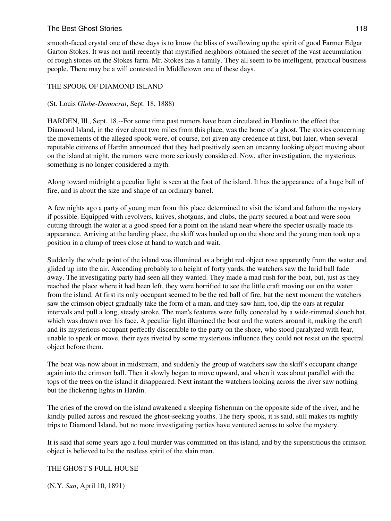smooth-faced crystal one of these days is to know the bliss of swallowing up the spirit of good Farmer Edgar Garton Stokes. It was not until recently that mystified neighbors obtained the secret of the vast accumulation of rough stones on the Stokes farm. Mr. Stokes has a family. They all seem to be intelligent, practical business people. There may be a will contested in Middletown one of these days.

# THE SPOOK OF DIAMOND ISLAND

## (St. Louis *Globe-Democrat*, Sept. 18, 1888)

HARDEN, Ill., Sept. 18.--For some time past rumors have been circulated in Hardin to the effect that Diamond Island, in the river about two miles from this place, was the home of a ghost. The stories concerning the movements of the alleged spook were, of course, not given any credence at first, but later, when several reputable citizens of Hardin announced that they had positively seen an uncanny looking object moving about on the island at night, the rumors were more seriously considered. Now, after investigation, the mysterious something is no longer considered a myth.

Along toward midnight a peculiar light is seen at the foot of the island. It has the appearance of a huge ball of fire, and is about the size and shape of an ordinary barrel.

A few nights ago a party of young men from this place determined to visit the island and fathom the mystery if possible. Equipped with revolvers, knives, shotguns, and clubs, the party secured a boat and were soon cutting through the water at a good speed for a point on the island near where the specter usually made its appearance. Arriving at the landing place, the skiff was hauled up on the shore and the young men took up a position in a clump of trees close at hand to watch and wait.

Suddenly the whole point of the island was illumined as a bright red object rose apparently from the water and glided up into the air. Ascending probably to a height of forty yards, the watchers saw the lurid ball fade away. The investigating party had seen all they wanted. They made a mad rush for the boat, but, just as they reached the place where it had been left, they were horrified to see the little craft moving out on the water from the island. At first its only occupant seemed to be the red ball of fire, but the next moment the watchers saw the crimson object gradually take the form of a man, and they saw him, too, dip the oars at regular intervals and pull a long, steady stroke. The man's features were fully concealed by a wide-rimmed slouch hat, which was drawn over his face. A peculiar light illumined the boat and the waters around it, making the craft and its mysterious occupant perfectly discernible to the party on the shore, who stood paralyzed with fear, unable to speak or move, their eyes riveted by some mysterious influence they could not resist on the spectral object before them.

The boat was now about in midstream, and suddenly the group of watchers saw the skiff's occupant change again into the crimson ball. Then it slowly began to move upward, and when it was about parallel with the tops of the trees on the island it disappeared. Next instant the watchers looking across the river saw nothing but the flickering lights in Hardin.

The cries of the crowd on the island awakened a sleeping fisherman on the opposite side of the river, and he kindly pulled across and rescued the ghost-seeking youths. The fiery spook, it is said, still makes its nightly trips to Diamond Island, but no more investigating parties have ventured across to solve the mystery.

It is said that some years ago a foul murder was committed on this island, and by the superstitious the crimson object is believed to be the restless spirit of the slain man.

THE GHOST'S FULL HOUSE

(N.Y. *Sun*, April 10, 1891)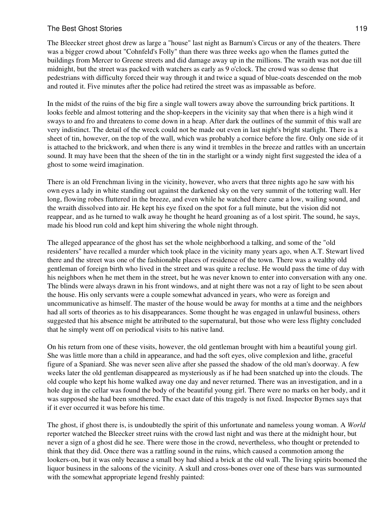The Bleecker street ghost drew as large a "house" last night as Barnum's Circus or any of the theaters. There was a bigger crowd about "Cohnfeld's Folly" than there was three weeks ago when the flames gutted the buildings from Mercer to Greene streets and did damage away up in the millions. The wraith was not due till midnight, but the street was packed with watchers as early as 9 o'clock. The crowd was so dense that pedestrians with difficulty forced their way through it and twice a squad of blue-coats descended on the mob and routed it. Five minutes after the police had retired the street was as impassable as before.

In the midst of the ruins of the big fire a single wall towers away above the surrounding brick partitions. It looks feeble and almost tottering and the shop-keepers in the vicinity say that when there is a high wind it sways to and fro and threatens to come down in a heap. After dark the outlines of the summit of this wall are very indistinct. The detail of the wreck could not be made out even in last night's bright starlight. There is a sheet of tin, however, on the top of the wall, which was probably a cornice before the fire. Only one side of it is attached to the brickwork, and when there is any wind it trembles in the breeze and rattles with an uncertain sound. It may have been that the sheen of the tin in the starlight or a windy night first suggested the idea of a ghost to some weird imagination.

There is an old Frenchman living in the vicinity, however, who avers that three nights ago he saw with his own eyes a lady in white standing out against the darkened sky on the very summit of the tottering wall. Her long, flowing robes fluttered in the breeze, and even while he watched there came a low, wailing sound, and the wraith dissolved into air. He kept his eye fixed on the spot for a full minute, but the vision did not reappear, and as he turned to walk away he thought he heard groaning as of a lost spirit. The sound, he says, made his blood run cold and kept him shivering the whole night through.

The alleged appearance of the ghost has set the whole neighborhood a talking, and some of the "old residenters" have recalled a murder which took place in the vicinity many years ago, when A.T. Stewart lived there and the street was one of the fashionable places of residence of the town. There was a wealthy old gentleman of foreign birth who lived in the street and was quite a recluse. He would pass the time of day with his neighbors when he met them in the street, but he was never known to enter into conversation with any one. The blinds were always drawn in his front windows, and at night there was not a ray of light to be seen about the house. His only servants were a couple somewhat advanced in years, who were as foreign and uncommunicative as himself. The master of the house would be away for months at a time and the neighbors had all sorts of theories as to his disappearances. Some thought he was engaged in unlawful business, others suggested that his absence might be attributed to the supernatural, but those who were less flighty concluded that he simply went off on periodical visits to his native land.

On his return from one of these visits, however, the old gentleman brought with him a beautiful young girl. She was little more than a child in appearance, and had the soft eyes, olive complexion and lithe, graceful figure of a Spaniard. She was never seen alive after she passed the shadow of the old man's doorway. A few weeks later the old gentleman disappeared as mysteriously as if he had been snatched up into the clouds. The old couple who kept his home walked away one day and never returned. There was an investigation, and in a hole dug in the cellar was found the body of the beautiful young girl. There were no marks on her body, and it was supposed she had been smothered. The exact date of this tragedy is not fixed. Inspector Byrnes says that if it ever occurred it was before his time.

The ghost, if ghost there is, is undoubtedly the spirit of this unfortunate and nameless young woman. A *World* reporter watched the Bleecker street ruins with the crowd last night and was there at the midnight hour, but never a sign of a ghost did he see. There were those in the crowd, nevertheless, who thought or pretended to think that they did. Once there was a rattling sound in the ruins, which caused a commotion among the lookers-on, but it was only because a small boy had shied a brick at the old wall. The living spirits boomed the liquor business in the saloons of the vicinity. A skull and cross-bones over one of these bars was surmounted with the somewhat appropriate legend freshly painted: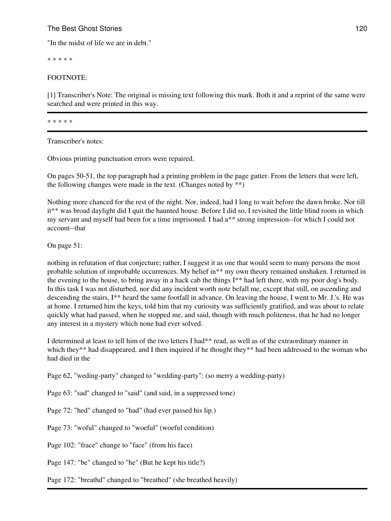## The Best Ghost Stories **120** and the Best Ghost Stories **120**

"In the midst of life we are in debt."

\* \* \* \* \*

### FOOTNOTE:

[1] Transcriber's Note: The original is missing text following this mark. Both it and a reprint of the same were searched and were printed in this way.

\* \* \* \* \*

Transcriber's notes:

Obvious printing punctuation errors were repaired.

On pages 50-51, the top paragraph had a printing problem in the page gutter. From the letters that were left, the following changes were made in the text. (Changes noted by  $**$ )

Nothing more chanced for the rest of the night. Nor, indeed, had I long to wait before the dawn broke. Nor till it\*\* was broad daylight did I quit the haunted house. Before I did so, I revisited the little blind room in which my servant and myself had been for a time imprisoned. I had a\*\* strong impression--for which I could not account--that

On page 51:

nothing in refutation of that conjecture; rather, I suggest it as one that would seem to many persons the most probable solution of improbable occurrences. My belief in\*\* my own theory remained unshaken. I returned in the evening to the house, to bring away in a hack cab the things I\*\* had left there, with my poor dog's body. In this task I was not disturbed, nor did any incident worth note befall me, except that still, on ascending and descending the stairs, I\*\* heard the same footfall in advance. On leaving the house, I went to Mr. J.'s. He was at home. I returned him the keys, told him that my curiosity was sufficiently gratified, and was about to relate quickly what had passed, when he stopped me, and said, though with much politeness, that he had no longer any interest in a mystery which none had ever solved.

I determined at least to tell him of the two letters I had\*\* read, as well as of the extraordinary manner in which they\*\* had disappeared, and I then inquired if he thought they\*\* had been addressed to the woman who had died in the

Page 62, "weding-party" changed to "wedding-party": (so merry a wedding-party)

Page 63: "sad" changed to "said" (and said, in a suppressed tone)

Page 72: "hed" changed to "had" (had ever passed his lip.)

Page 73: "woful" changed to "woeful" (woeful condition)

Page 102: "frace" change to "face" (from his face)

Page 147: "be" changed to "he" (But he kept his title?)

Page 172: "breathd" changed to "breathed" (she breathed heavily)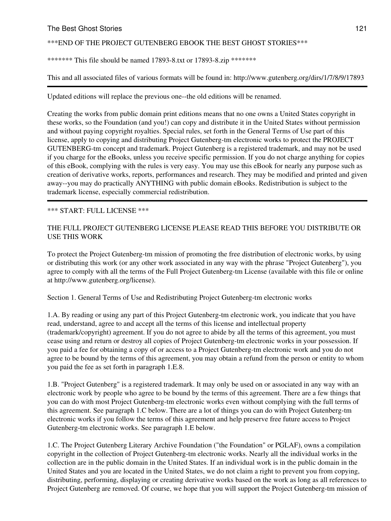#### The Best Ghost Stories **121** and the Best Ghost Stories **121** and the Best Ghost Stories **121** and the **121** and the **121** and the **121** and the **121** and the **121** and the **121** and the **121** and the **121** and the **121** a

### \*\*\*END OF THE PROJECT GUTENBERG EBOOK THE BEST GHOST STORIES\*\*\*

\*\*\*\*\*\*\* This file should be named 17893-8.txt or 17893-8.zip \*\*\*\*\*\*\*

This and all associated files of various formats will be found in: http://www.gutenberg.org/dirs/1/7/8/9/17893

Updated editions will replace the previous one--the old editions will be renamed.

Creating the works from public domain print editions means that no one owns a United States copyright in these works, so the Foundation (and you!) can copy and distribute it in the United States without permission and without paying copyright royalties. Special rules, set forth in the General Terms of Use part of this license, apply to copying and distributing Project Gutenberg-tm electronic works to protect the PROJECT GUTENBERG-tm concept and trademark. Project Gutenberg is a registered trademark, and may not be used if you charge for the eBooks, unless you receive specific permission. If you do not charge anything for copies of this eBook, complying with the rules is very easy. You may use this eBook for nearly any purpose such as creation of derivative works, reports, performances and research. They may be modified and printed and given away--you may do practically ANYTHING with public domain eBooks. Redistribution is subject to the trademark license, especially commercial redistribution.

#### \*\*\* START: FULL LICENSE \*\*\*

## THE FULL PROJECT GUTENBERG LICENSE PLEASE READ THIS BEFORE YOU DISTRIBUTE OR USE THIS WORK

To protect the Project Gutenberg-tm mission of promoting the free distribution of electronic works, by using or distributing this work (or any other work associated in any way with the phrase "Project Gutenberg"), you agree to comply with all the terms of the Full Project Gutenberg-tm License (available with this file or online at http://www.gutenberg.org/license).

Section 1. General Terms of Use and Redistributing Project Gutenberg-tm electronic works

1.A. By reading or using any part of this Project Gutenberg-tm electronic work, you indicate that you have read, understand, agree to and accept all the terms of this license and intellectual property (trademark/copyright) agreement. If you do not agree to abide by all the terms of this agreement, you must cease using and return or destroy all copies of Project Gutenberg-tm electronic works in your possession. If you paid a fee for obtaining a copy of or access to a Project Gutenberg-tm electronic work and you do not agree to be bound by the terms of this agreement, you may obtain a refund from the person or entity to whom you paid the fee as set forth in paragraph 1.E.8.

1.B. "Project Gutenberg" is a registered trademark. It may only be used on or associated in any way with an electronic work by people who agree to be bound by the terms of this agreement. There are a few things that you can do with most Project Gutenberg-tm electronic works even without complying with the full terms of this agreement. See paragraph 1.C below. There are a lot of things you can do with Project Gutenberg-tm electronic works if you follow the terms of this agreement and help preserve free future access to Project Gutenberg-tm electronic works. See paragraph 1.E below.

1.C. The Project Gutenberg Literary Archive Foundation ("the Foundation" or PGLAF), owns a compilation copyright in the collection of Project Gutenberg-tm electronic works. Nearly all the individual works in the collection are in the public domain in the United States. If an individual work is in the public domain in the United States and you are located in the United States, we do not claim a right to prevent you from copying, distributing, performing, displaying or creating derivative works based on the work as long as all references to Project Gutenberg are removed. Of course, we hope that you will support the Project Gutenberg-tm mission of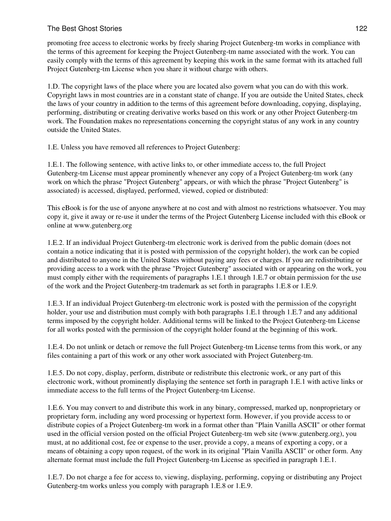promoting free access to electronic works by freely sharing Project Gutenberg-tm works in compliance with the terms of this agreement for keeping the Project Gutenberg-tm name associated with the work. You can easily comply with the terms of this agreement by keeping this work in the same format with its attached full Project Gutenberg-tm License when you share it without charge with others.

1.D. The copyright laws of the place where you are located also govern what you can do with this work. Copyright laws in most countries are in a constant state of change. If you are outside the United States, check the laws of your country in addition to the terms of this agreement before downloading, copying, displaying, performing, distributing or creating derivative works based on this work or any other Project Gutenberg-tm work. The Foundation makes no representations concerning the copyright status of any work in any country outside the United States.

1.E. Unless you have removed all references to Project Gutenberg:

1.E.1. The following sentence, with active links to, or other immediate access to, the full Project Gutenberg-tm License must appear prominently whenever any copy of a Project Gutenberg-tm work (any work on which the phrase "Project Gutenberg" appears, or with which the phrase "Project Gutenberg" is associated) is accessed, displayed, performed, viewed, copied or distributed:

This eBook is for the use of anyone anywhere at no cost and with almost no restrictions whatsoever. You may copy it, give it away or re-use it under the terms of the Project Gutenberg License included with this eBook or online at www.gutenberg.org

1.E.2. If an individual Project Gutenberg-tm electronic work is derived from the public domain (does not contain a notice indicating that it is posted with permission of the copyright holder), the work can be copied and distributed to anyone in the United States without paying any fees or charges. If you are redistributing or providing access to a work with the phrase "Project Gutenberg" associated with or appearing on the work, you must comply either with the requirements of paragraphs 1.E.1 through 1.E.7 or obtain permission for the use of the work and the Project Gutenberg-tm trademark as set forth in paragraphs 1.E.8 or 1.E.9.

1.E.3. If an individual Project Gutenberg-tm electronic work is posted with the permission of the copyright holder, your use and distribution must comply with both paragraphs 1.E.1 through 1.E.7 and any additional terms imposed by the copyright holder. Additional terms will be linked to the Project Gutenberg-tm License for all works posted with the permission of the copyright holder found at the beginning of this work.

1.E.4. Do not unlink or detach or remove the full Project Gutenberg-tm License terms from this work, or any files containing a part of this work or any other work associated with Project Gutenberg-tm.

1.E.5. Do not copy, display, perform, distribute or redistribute this electronic work, or any part of this electronic work, without prominently displaying the sentence set forth in paragraph 1.E.1 with active links or immediate access to the full terms of the Project Gutenberg-tm License.

1.E.6. You may convert to and distribute this work in any binary, compressed, marked up, nonproprietary or proprietary form, including any word processing or hypertext form. However, if you provide access to or distribute copies of a Project Gutenberg-tm work in a format other than "Plain Vanilla ASCII" or other format used in the official version posted on the official Project Gutenberg-tm web site (www.gutenberg.org), you must, at no additional cost, fee or expense to the user, provide a copy, a means of exporting a copy, or a means of obtaining a copy upon request, of the work in its original "Plain Vanilla ASCII" or other form. Any alternate format must include the full Project Gutenberg-tm License as specified in paragraph 1.E.1.

1.E.7. Do not charge a fee for access to, viewing, displaying, performing, copying or distributing any Project Gutenberg-tm works unless you comply with paragraph 1.E.8 or 1.E.9.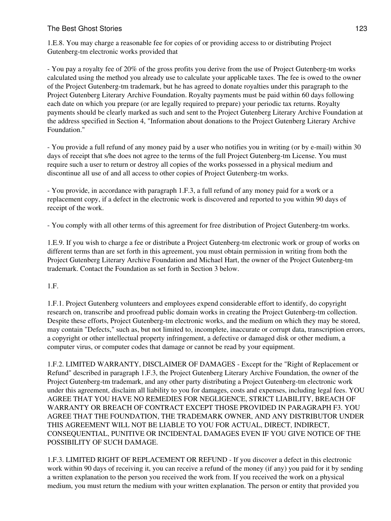## The Best Ghost Stories **123** and the Best Ghost Stories **123**

1.E.8. You may charge a reasonable fee for copies of or providing access to or distributing Project Gutenberg-tm electronic works provided that

- You pay a royalty fee of 20% of the gross profits you derive from the use of Project Gutenberg-tm works calculated using the method you already use to calculate your applicable taxes. The fee is owed to the owner of the Project Gutenberg-tm trademark, but he has agreed to donate royalties under this paragraph to the Project Gutenberg Literary Archive Foundation. Royalty payments must be paid within 60 days following each date on which you prepare (or are legally required to prepare) your periodic tax returns. Royalty payments should be clearly marked as such and sent to the Project Gutenberg Literary Archive Foundation at the address specified in Section 4, "Information about donations to the Project Gutenberg Literary Archive Foundation."

- You provide a full refund of any money paid by a user who notifies you in writing (or by e-mail) within 30 days of receipt that s/he does not agree to the terms of the full Project Gutenberg-tm License. You must require such a user to return or destroy all copies of the works possessed in a physical medium and discontinue all use of and all access to other copies of Project Gutenberg-tm works.

- You provide, in accordance with paragraph 1.F.3, a full refund of any money paid for a work or a replacement copy, if a defect in the electronic work is discovered and reported to you within 90 days of receipt of the work.

- You comply with all other terms of this agreement for free distribution of Project Gutenberg-tm works.

1.E.9. If you wish to charge a fee or distribute a Project Gutenberg-tm electronic work or group of works on different terms than are set forth in this agreement, you must obtain permission in writing from both the Project Gutenberg Literary Archive Foundation and Michael Hart, the owner of the Project Gutenberg-tm trademark. Contact the Foundation as set forth in Section 3 below.

1.F.

1.F.1. Project Gutenberg volunteers and employees expend considerable effort to identify, do copyright research on, transcribe and proofread public domain works in creating the Project Gutenberg-tm collection. Despite these efforts, Project Gutenberg-tm electronic works, and the medium on which they may be stored, may contain "Defects," such as, but not limited to, incomplete, inaccurate or corrupt data, transcription errors, a copyright or other intellectual property infringement, a defective or damaged disk or other medium, a computer virus, or computer codes that damage or cannot be read by your equipment.

1.F.2. LIMITED WARRANTY, DISCLAIMER OF DAMAGES - Except for the "Right of Replacement or Refund" described in paragraph 1.F.3, the Project Gutenberg Literary Archive Foundation, the owner of the Project Gutenberg-tm trademark, and any other party distributing a Project Gutenberg-tm electronic work under this agreement, disclaim all liability to you for damages, costs and expenses, including legal fees. YOU AGREE THAT YOU HAVE NO REMEDIES FOR NEGLIGENCE, STRICT LIABILITY, BREACH OF WARRANTY OR BREACH OF CONTRACT EXCEPT THOSE PROVIDED IN PARAGRAPH F3. YOU AGREE THAT THE FOUNDATION, THE TRADEMARK OWNER, AND ANY DISTRIBUTOR UNDER THIS AGREEMENT WILL NOT BE LIABLE TO YOU FOR ACTUAL, DIRECT, INDIRECT, CONSEQUENTIAL, PUNITIVE OR INCIDENTAL DAMAGES EVEN IF YOU GIVE NOTICE OF THE POSSIBILITY OF SUCH DAMAGE.

1.F.3. LIMITED RIGHT OF REPLACEMENT OR REFUND - If you discover a defect in this electronic work within 90 days of receiving it, you can receive a refund of the money (if any) you paid for it by sending a written explanation to the person you received the work from. If you received the work on a physical medium, you must return the medium with your written explanation. The person or entity that provided you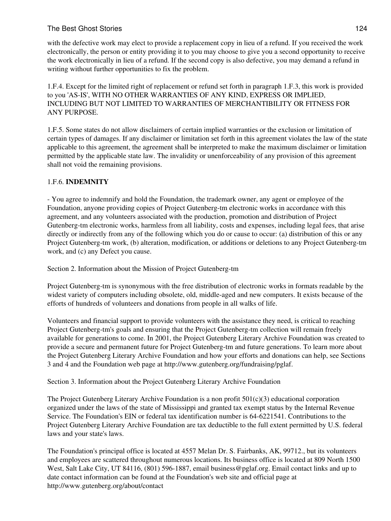# The Best Ghost Stories **124** and the Best Ghost Stories **124**

with the defective work may elect to provide a replacement copy in lieu of a refund. If you received the work electronically, the person or entity providing it to you may choose to give you a second opportunity to receive the work electronically in lieu of a refund. If the second copy is also defective, you may demand a refund in writing without further opportunities to fix the problem.

1.F.4. Except for the limited right of replacement or refund set forth in paragraph 1.F.3, this work is provided to you 'AS-IS', WITH NO OTHER WARRANTIES OF ANY KIND, EXPRESS OR IMPLIED, INCLUDING BUT NOT LIMITED TO WARRANTIES OF MERCHANTIBILITY OR FITNESS FOR ANY PURPOSE.

1.F.5. Some states do not allow disclaimers of certain implied warranties or the exclusion or limitation of certain types of damages. If any disclaimer or limitation set forth in this agreement violates the law of the state applicable to this agreement, the agreement shall be interpreted to make the maximum disclaimer or limitation permitted by the applicable state law. The invalidity or unenforceability of any provision of this agreement shall not void the remaining provisions.

# 1.F.6. **INDEMNITY**

- You agree to indemnify and hold the Foundation, the trademark owner, any agent or employee of the Foundation, anyone providing copies of Project Gutenberg-tm electronic works in accordance with this agreement, and any volunteers associated with the production, promotion and distribution of Project Gutenberg-tm electronic works, harmless from all liability, costs and expenses, including legal fees, that arise directly or indirectly from any of the following which you do or cause to occur: (a) distribution of this or any Project Gutenberg-tm work, (b) alteration, modification, or additions or deletions to any Project Gutenberg-tm work, and (c) any Defect you cause.

Section 2. Information about the Mission of Project Gutenberg-tm

Project Gutenberg-tm is synonymous with the free distribution of electronic works in formats readable by the widest variety of computers including obsolete, old, middle-aged and new computers. It exists because of the efforts of hundreds of volunteers and donations from people in all walks of life.

Volunteers and financial support to provide volunteers with the assistance they need, is critical to reaching Project Gutenberg-tm's goals and ensuring that the Project Gutenberg-tm collection will remain freely available for generations to come. In 2001, the Project Gutenberg Literary Archive Foundation was created to provide a secure and permanent future for Project Gutenberg-tm and future generations. To learn more about the Project Gutenberg Literary Archive Foundation and how your efforts and donations can help, see Sections 3 and 4 and the Foundation web page at http://www.gutenberg.org/fundraising/pglaf.

Section 3. Information about the Project Gutenberg Literary Archive Foundation

The Project Gutenberg Literary Archive Foundation is a non profit  $501(c)(3)$  educational corporation organized under the laws of the state of Mississippi and granted tax exempt status by the Internal Revenue Service. The Foundation's EIN or federal tax identification number is 64-6221541. Contributions to the Project Gutenberg Literary Archive Foundation are tax deductible to the full extent permitted by U.S. federal laws and your state's laws.

The Foundation's principal office is located at 4557 Melan Dr. S. Fairbanks, AK, 99712., but its volunteers and employees are scattered throughout numerous locations. Its business office is located at 809 North 1500 West, Salt Lake City, UT 84116, (801) 596-1887, email business@pglaf.org. Email contact links and up to date contact information can be found at the Foundation's web site and official page at http://www.gutenberg.org/about/contact